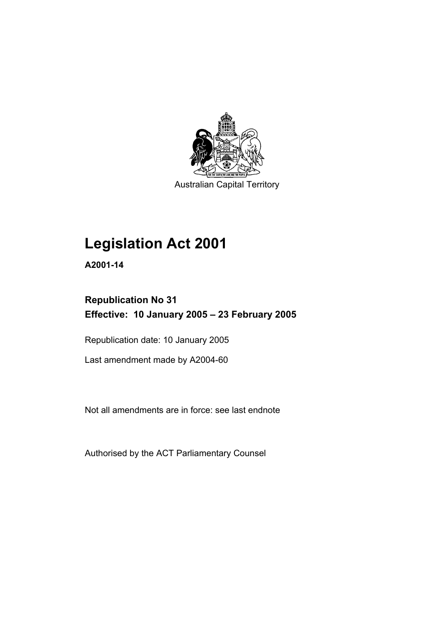

Australian Capital Territory

# **Legislation Act 2001**

**A2001-14** 

# **Republication No 31 Effective: 10 January 2005 – 23 February 2005**

Republication date: 10 January 2005

Last amendment made by A2004-60

Not all amendments are in force: see last endnote

Authorised by the ACT Parliamentary Counsel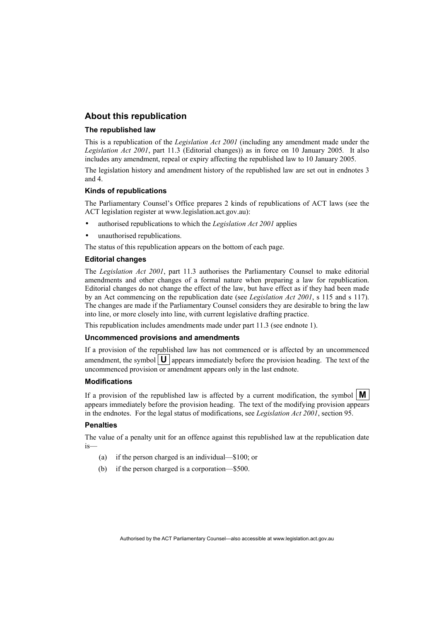## **About this republication**

#### **The republished law**

This is a republication of the *Legislation Act 2001* (including any amendment made under the *Legislation Act 2001*, part 11.3 (Editorial changes)) as in force on 10 January 2005*.* It also includes any amendment, repeal or expiry affecting the republished law to 10 January 2005.

The legislation history and amendment history of the republished law are set out in endnotes 3 and 4.

#### **Kinds of republications**

The Parliamentary Counsel's Office prepares 2 kinds of republications of ACT laws (see the ACT legislation register at www.legislation.act.gov.au):

- authorised republications to which the *Legislation Act 2001* applies
- unauthorised republications.

The status of this republication appears on the bottom of each page.

#### **Editorial changes**

The *Legislation Act 2001*, part 11.3 authorises the Parliamentary Counsel to make editorial amendments and other changes of a formal nature when preparing a law for republication. Editorial changes do not change the effect of the law, but have effect as if they had been made by an Act commencing on the republication date (see *Legislation Act 2001*, s 115 and s 117). The changes are made if the Parliamentary Counsel considers they are desirable to bring the law into line, or more closely into line, with current legislative drafting practice.

This republication includes amendments made under part 11.3 (see endnote 1).

#### **Uncommenced provisions and amendments**

If a provision of the republished law has not commenced or is affected by an uncommenced amendment, the symbol  $\mathbf{U}$  appears immediately before the provision heading. The text of the uncommenced provision or amendment appears only in the last endnote.

#### **Modifications**

If a provision of the republished law is affected by a current modification, the symbol  $\mathbf{M}$ appears immediately before the provision heading. The text of the modifying provision appears in the endnotes. For the legal status of modifications, see *Legislation Act 2001*, section 95.

#### **Penalties**

The value of a penalty unit for an offence against this republished law at the republication date is—

- (a) if the person charged is an individual—\$100; or
- (b) if the person charged is a corporation—\$500.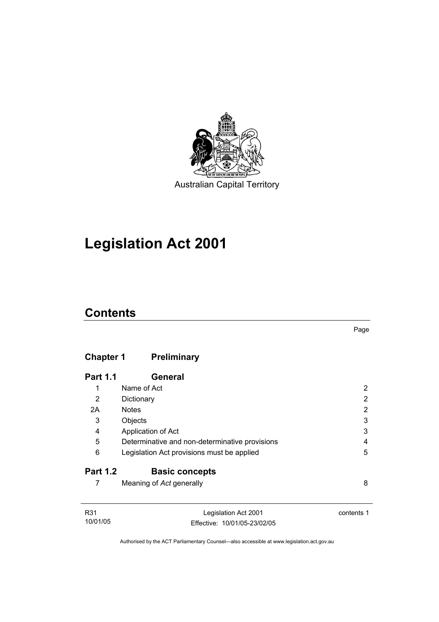

Australian Capital Territory

# **Legislation Act 2001**

# **Contents**

# **Chapter 1 Preliminary**

| <b>Part 1.1</b> | General                                        |   |
|-----------------|------------------------------------------------|---|
| 1               | Name of Act                                    |   |
| 2               | Dictionary                                     | 2 |
| 2A              | <b>Notes</b>                                   | 2 |
| 3               | Objects                                        | 3 |
| 4               | Application of Act                             | 3 |
| 5               | Determinative and non-determinative provisions | 4 |
| 6               | Legislation Act provisions must be applied     | 5 |
| <b>Part 1.2</b> | <b>Basic concepts</b>                          |   |
|                 | Meaning of Act generally                       | 8 |

| R31      | Legislation Act 2001         | contents 1 |
|----------|------------------------------|------------|
| 10/01/05 | Effective: 10/01/05-23/02/05 |            |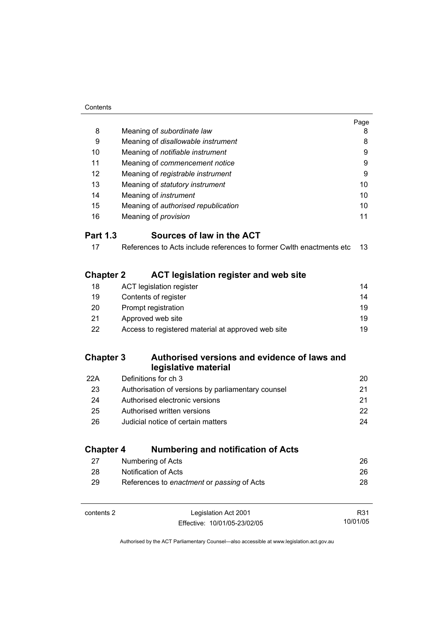|                  |                                                                      | Page |
|------------------|----------------------------------------------------------------------|------|
| 8                | Meaning of subordinate law                                           | 8    |
| 9                | Meaning of disallowable instrument                                   | 8    |
| 10               | Meaning of notifiable instrument                                     | 9    |
| 11               | Meaning of commencement notice                                       | 9    |
| 12               | Meaning of registrable instrument                                    | 9    |
| 13               | Meaning of statutory instrument                                      | 10   |
| 14               | Meaning of <i>instrument</i>                                         | 10   |
| 15               | Meaning of authorised republication                                  | 10   |
| 16               | Meaning of <i>provision</i>                                          | 11   |
| <b>Part 1.3</b>  | Sources of law in the ACT                                            |      |
| 17               | References to Acts include references to former Cwlth enactments etc | 13   |
| <b>Chapter 2</b> | <b>ACT legislation register and web site</b>                         |      |
| 18               | <b>ACT legislation register</b>                                      | 14   |
| 19               | Contents of register                                                 | 14   |
| 20               | Prompt registration                                                  | 19   |
| 21               | Approved web site                                                    | 19   |
| 22               | Access to registered material at approved web site                   | 19   |
| <b>Chapter 3</b> | Authorised versions and evidence of laws and<br>legislative material |      |
| 22A              | Definitions for ch 3                                                 | 20   |
| 23               | Authorisation of versions by parliamentary counsel                   | 21   |
| 24               | Authorised electronic versions                                       | 21   |
| 25               | Authorised written versions                                          | 22   |
| 26               | Judicial notice of certain matters                                   | 24   |
| <b>Chapter 4</b> | <b>Numbering and notification of Acts</b>                            |      |
| 27               | Numbering of Acts                                                    | 26   |
| 28               | <b>Notification of Acts</b>                                          | 26   |
| 29               | References to enactment or passing of Acts                           | 28   |
|                  |                                                                      |      |

| contents 2 | Legislation Act 2001         |  |
|------------|------------------------------|--|
|            | Effective: 10/01/05-23/02/05 |  |

R31 10/01/05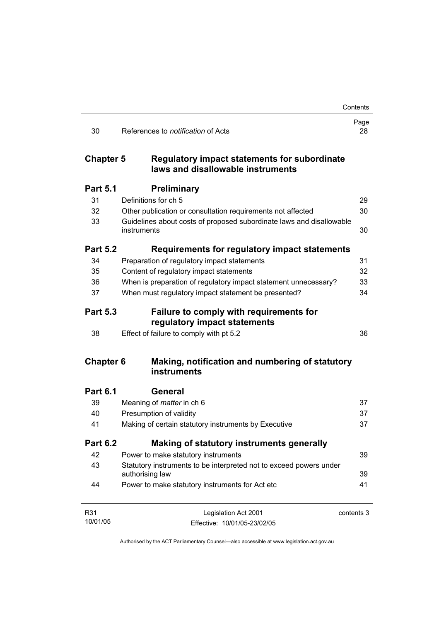|                  |                                                                                       | Contents   |
|------------------|---------------------------------------------------------------------------------------|------------|
| 30               | References to <i>notification</i> of Acts                                             | Page<br>28 |
| <b>Chapter 5</b> | Regulatory impact statements for subordinate<br>laws and disallowable instruments     |            |
| <b>Part 5.1</b>  | <b>Preliminary</b>                                                                    |            |
| 31               | Definitions for ch 5                                                                  | 29         |
| 32               | Other publication or consultation requirements not affected                           | 30         |
| 33               | Guidelines about costs of proposed subordinate laws and disallowable<br>instruments   | 30         |
| <b>Part 5.2</b>  | Requirements for regulatory impact statements                                         |            |
| 34               | Preparation of regulatory impact statements                                           | 31         |
| 35               | Content of regulatory impact statements                                               | 32         |
| 36               | When is preparation of regulatory impact statement unnecessary?                       | 33         |
| 37               | When must regulatory impact statement be presented?                                   | 34         |
| <b>Part 5.3</b>  | Failure to comply with requirements for<br>regulatory impact statements               |            |
| 38               | Effect of failure to comply with pt 5.2                                               | 36         |
| <b>Chapter 6</b> | Making, notification and numbering of statutory<br>instruments                        |            |
| <b>Part 6.1</b>  | General                                                                               |            |
| 39               | Meaning of <i>matter</i> in ch 6                                                      | 37         |
| 40               | Presumption of validity                                                               | 37         |
| 41               | Making of certain statutory instruments by Executive                                  | 37         |
| <b>Part 6.2</b>  | Making of statutory instruments generally                                             |            |
| 42               | Power to make statutory instruments                                                   | 39         |
| 43               | Statutory instruments to be interpreted not to exceed powers under<br>authorising law | 39         |
| 44               | Power to make statutory instruments for Act etc                                       | 41         |
| R31              | Legislation Act 2001                                                                  | contents 3 |
| 10/01/05         | Effective: 10/01/05-23/02/05                                                          |            |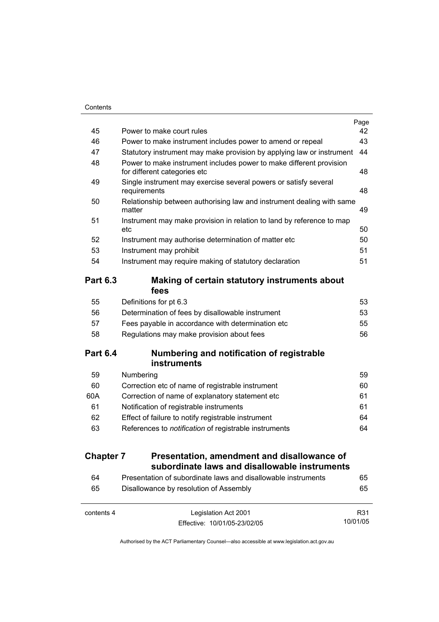|                  |                                                                                                     | Page |
|------------------|-----------------------------------------------------------------------------------------------------|------|
| 45               | Power to make court rules                                                                           | 42   |
| 46               | Power to make instrument includes power to amend or repeal                                          | 43   |
| 47               | Statutory instrument may make provision by applying law or instrument                               | 44   |
| 48               | Power to make instrument includes power to make different provision<br>for different categories etc | 48   |
| 49               | Single instrument may exercise several powers or satisfy several<br>requirements                    | 48   |
| 50               | Relationship between authorising law and instrument dealing with same<br>matter                     | 49   |
| 51               | Instrument may make provision in relation to land by reference to map<br>etc                        | 50   |
| 52               | Instrument may authorise determination of matter etc                                                | 50   |
| 53               | Instrument may prohibit                                                                             | 51   |
| 54               | Instrument may require making of statutory declaration                                              | 51   |
| <b>Part 6.3</b>  | Making of certain statutory instruments about<br>fees                                               |      |
| 55               | Definitions for pt 6.3                                                                              | 53   |
| 56               | Determination of fees by disallowable instrument                                                    | 53   |
| 57               | Fees payable in accordance with determination etc                                                   | 55   |
| 58               | Regulations may make provision about fees                                                           | 56   |
| <b>Part 6.4</b>  | Numbering and notification of registrable<br><b>instruments</b>                                     |      |
| 59               | Numbering                                                                                           | 59   |
| 60               | Correction etc of name of registrable instrument                                                    | 60   |
| 60A              | Correction of name of explanatory statement etc                                                     | 61   |
| 61               | Notification of registrable instruments                                                             | 61   |
| 62               | Effect of failure to notify registrable instrument                                                  | 64   |
| 63               | References to notification of registrable instruments                                               | 64   |
| <b>Chapter 7</b> | Presentation, amendment and disallowance of                                                         |      |
|                  | subordinate laws and disallowable instruments                                                       |      |
| 64               | Presentation of subordinate laws and disallowable instruments                                       | 65   |
| 65               | Disallowance by resolution of Assembly                                                              | 65   |

| contents 4 | Legislation Act 2001         | R31      |
|------------|------------------------------|----------|
|            | Effective: 10/01/05-23/02/05 | 10/01/05 |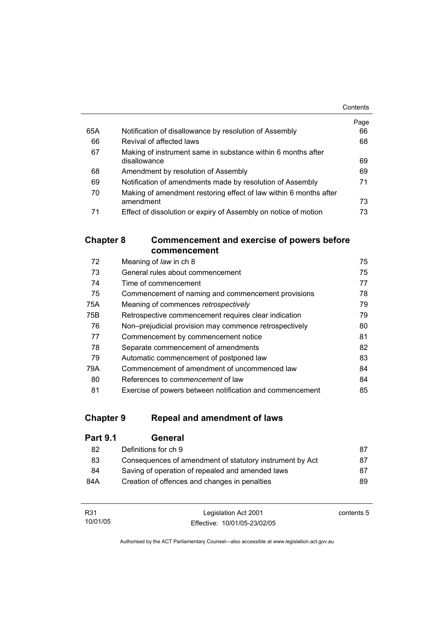|     |                                                                   | Contents |
|-----|-------------------------------------------------------------------|----------|
|     |                                                                   | Page     |
| 65A | Notification of disallowance by resolution of Assembly            | 66       |
| 66  | Revival of affected laws                                          | 68       |
| 67  | Making of instrument same in substance within 6 months after      |          |
|     | disallowance                                                      | 69       |
| 68  | Amendment by resolution of Assembly                               | 69       |
| 69  | Notification of amendments made by resolution of Assembly         | 71       |
| 70  | Making of amendment restoring effect of law within 6 months after |          |
|     | amendment                                                         | 73       |
| 71  | Effect of dissolution or expiry of Assembly on notice of motion   | 73       |

# **Chapter 8 Commencement and exercise of powers before commencement**

| 72  | Meaning of law in ch 8                                   | 75 |
|-----|----------------------------------------------------------|----|
| 73  | General rules about commencement                         | 75 |
| 74  | Time of commencement                                     | 77 |
| 75  | Commencement of naming and commencement provisions       | 78 |
| 75A | Meaning of commences retrospectively                     | 79 |
| 75B | Retrospective commencement requires clear indication     | 79 |
| 76  | Non-prejudicial provision may commence retrospectively   | 80 |
| 77  | Commencement by commencement notice                      | 81 |
| 78  | Separate commencement of amendments                      | 82 |
| 79  | Automatic commencement of postponed law                  | 83 |
| 79A | Commencement of amendment of uncommenced law             | 84 |
| 80  | References to <i>commencement</i> of law                 | 84 |
| 81  | Exercise of powers between notification and commencement | 85 |

# **Chapter 9 Repeal and amendment of laws**

| General                                                  |     |
|----------------------------------------------------------|-----|
| Definitions for ch 9                                     | 87  |
| Consequences of amendment of statutory instrument by Act | 87  |
| Saving of operation of repealed and amended laws         | 87  |
| Creation of offences and changes in penalties            | 89. |
|                                                          |     |

| R31      | Legislation Act 2001         | contents 5 |
|----------|------------------------------|------------|
| 10/01/05 | Effective: 10/01/05-23/02/05 |            |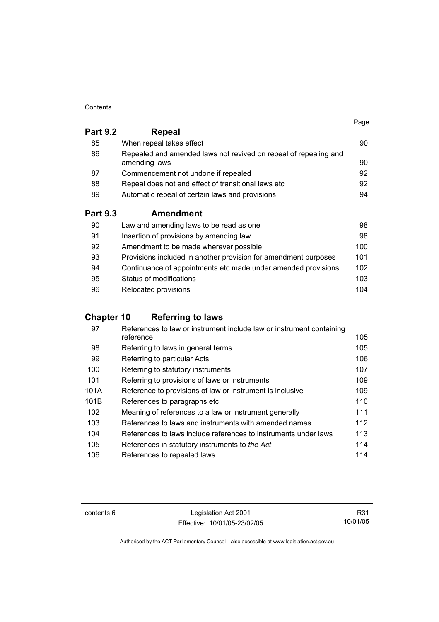#### **Contents**

|                 |                                                                                   | Page |
|-----------------|-----------------------------------------------------------------------------------|------|
| <b>Part 9.2</b> | Repeal                                                                            |      |
| 85              | When repeal takes effect                                                          | 90   |
| 86              | Repealed and amended laws not revived on repeal of repealing and<br>amending laws | 90   |
| 87              | Commencement not undone if repealed                                               | 92   |
| 88              | Repeal does not end effect of transitional laws etc                               | 92   |
| 89              | Automatic repeal of certain laws and provisions                                   | 94   |
| <b>Part 9.3</b> | <b>Amendment</b>                                                                  |      |
| 90              | Law and amending laws to be read as one                                           | 98   |
| 91              | Insertion of provisions by amending law                                           | 98   |
| 92              | Amendment to be made wherever possible                                            | 100  |
| 93              | Provisions included in another provision for amendment purposes                   | 101  |
| 94              | Continuance of appointments etc made under amended provisions                     | 102  |

95 Status of modifications **103** 96 Relocated provisions **104** 

# **Chapter 10 Referring to laws**

| 97   | References to law or instrument include law or instrument containing<br>reference | 105 |
|------|-----------------------------------------------------------------------------------|-----|
| 98   | Referring to laws in general terms                                                | 105 |
| 99   | Referring to particular Acts                                                      | 106 |
| 100  | Referring to statutory instruments                                                | 107 |
| 101  | Referring to provisions of laws or instruments                                    | 109 |
| 101A | Reference to provisions of law or instrument is inclusive                         | 109 |
| 101B | References to paragraphs etc.                                                     | 110 |
| 102  | Meaning of references to a law or instrument generally                            | 111 |
| 103  | References to laws and instruments with amended names                             | 112 |
| 104  | References to laws include references to instruments under laws                   | 113 |
| 105  | References in statutory instruments to the Act                                    | 114 |
| 106  | References to repealed laws                                                       | 114 |

contents 6 Legislation Act 2001 Effective: 10/01/05-23/02/05

R31 10/01/05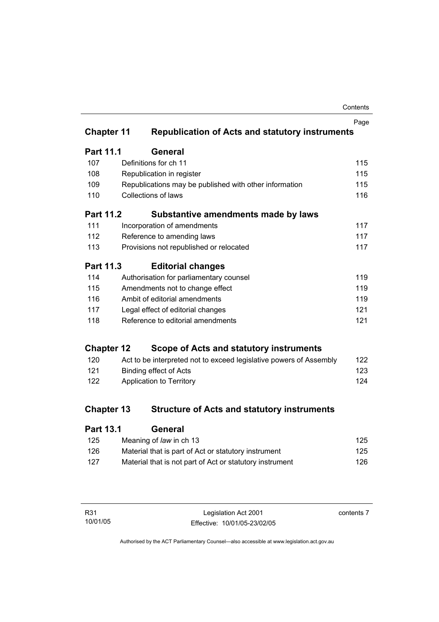| Contents |
|----------|
|----------|

|                             |                                 |                                                                    | Page |
|-----------------------------|---------------------------------|--------------------------------------------------------------------|------|
| <b>Chapter 11</b>           |                                 | <b>Republication of Acts and statutory instruments</b>             |      |
| Part 11.1                   |                                 | General                                                            |      |
| 107                         |                                 | Definitions for ch 11                                              | 115  |
| 108                         |                                 | Republication in register                                          | 115  |
| 109                         |                                 | Republications may be published with other information             | 115  |
| 110                         |                                 | <b>Collections of laws</b>                                         | 116  |
| <b>Part 11.2</b>            |                                 | Substantive amendments made by laws                                |      |
| 111                         |                                 | Incorporation of amendments                                        | 117  |
| 112                         |                                 | Reference to amending laws                                         | 117  |
| 113                         |                                 | Provisions not republished or relocated                            | 117  |
| <b>Part 11.3</b>            |                                 | <b>Editorial changes</b>                                           |      |
| 114                         |                                 | Authorisation for parliamentary counsel                            | 119  |
| 115                         |                                 | Amendments not to change effect                                    | 119  |
| 116                         | Ambit of editorial amendments   |                                                                    | 119  |
| 117                         |                                 | Legal effect of editorial changes                                  | 121  |
| 118                         |                                 | Reference to editorial amendments                                  | 121  |
| <b>Chapter 12</b>           |                                 | Scope of Acts and statutory instruments                            |      |
| 120                         |                                 | Act to be interpreted not to exceed legislative powers of Assembly | 122  |
| 121                         | <b>Binding effect of Acts</b>   |                                                                    | 123  |
| 122                         | <b>Application to Territory</b> |                                                                    | 124  |
| <b>Chapter 13</b>           |                                 | <b>Structure of Acts and statutory instruments</b>                 |      |
| <b>Part 13.1</b><br>General |                                 |                                                                    |      |

| 125 | Meaning of law in ch 13                                  | 125 |
|-----|----------------------------------------------------------|-----|
| 126 | Material that is part of Act or statutory instrument     | 125 |
| 127 | Material that is not part of Act or statutory instrument | 126 |

| R31      |  |
|----------|--|
| 10/01/05 |  |

contents 7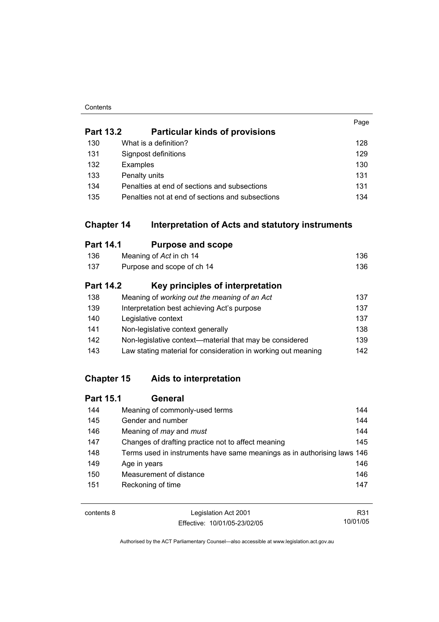#### **Contents**

|     |                                                                       | Page |
|-----|-----------------------------------------------------------------------|------|
|     | <b>Part 13.2</b><br><b>Particular kinds of provisions</b>             |      |
| 130 | What is a definition?                                                 | 128  |
| 131 | Signpost definitions                                                  | 129  |
| 132 | Examples                                                              | 130  |
| 133 | Penalty units                                                         | 131  |
| 134 | Penalties at end of sections and subsections                          | 131  |
| 135 | Penalties not at end of sections and subsections                      | 134  |
|     | <b>Chapter 14</b><br>Interpretation of Acts and statutory instruments |      |
|     | <b>Part 14.1</b><br><b>Purpose and scope</b>                          |      |
| 136 | Meaning of Act in ch 14                                               | 136  |
| 137 | Purpose and scope of ch 14                                            | 136  |
|     | <b>Part 14.2</b><br>Key principles of interpretation                  |      |
| 138 | Meaning of working out the meaning of an Act                          | 137  |
| 139 | Interpretation best achieving Act's purpose                           | 137  |
| 140 | Legislative context                                                   | 137  |
| 141 | Non-legislative context generally                                     | 138  |
| 142 | Non-legislative context—material that may be considered               | 139  |

# **Chapter 15 Aids to interpretation**

# **Part 15.1 General** 144 Meaning of commonly-used terms 144 145 Gender and number 144 146 Meaning of *may* and *must* 144 147 Changes of drafting practice not to affect meaning 145 148 Terms used in instruments have same meanings as in authorising laws 146 149 Age in years 146 150 Measurement of distance 150 and 146 151 Reckoning of time 151 and 147

143 Law stating material for consideration in working out meaning 142

| contents 8 | Legislation Act 2001         | R31      |
|------------|------------------------------|----------|
|            | Effective: 10/01/05-23/02/05 | 10/01/05 |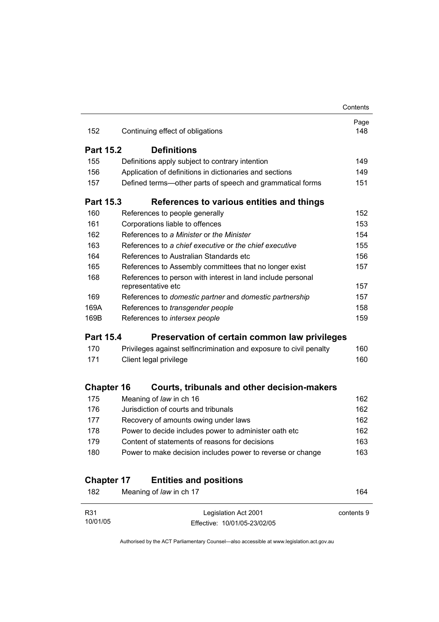|                   |                                                                    | Contents    |  |
|-------------------|--------------------------------------------------------------------|-------------|--|
| 152               | Continuing effect of obligations                                   | Page<br>148 |  |
| <b>Part 15.2</b>  | <b>Definitions</b>                                                 |             |  |
| 155               | Definitions apply subject to contrary intention                    | 149         |  |
| 156               | Application of definitions in dictionaries and sections            | 149         |  |
| 157               | Defined terms—other parts of speech and grammatical forms          | 151         |  |
| <b>Part 15.3</b>  | References to various entities and things                          |             |  |
| 160               | References to people generally                                     | 152         |  |
| 161               | Corporations liable to offences                                    | 153         |  |
| 162               | References to a Minister or the Minister                           | 154         |  |
| 163               | References to a chief executive or the chief executive             | 155         |  |
| 164               | References to Australian Standards etc                             | 156         |  |
| 165               | References to Assembly committees that no longer exist             | 157         |  |
| 168               | References to person with interest in land include personal        |             |  |
|                   | representative etc                                                 | 157         |  |
| 169               | References to domestic partner and domestic partnership            | 157         |  |
| 169A              | References to transgender people                                   | 158         |  |
| 169B              | References to intersex people                                      | 159         |  |
| <b>Part 15.4</b>  | Preservation of certain common law privileges                      |             |  |
| 170               | Privileges against selfincrimination and exposure to civil penalty | 160         |  |
| 171               | Client legal privilege                                             | 160         |  |
| <b>Chapter 16</b> | Courts, tribunals and other decision-makers                        |             |  |
| 175               | Meaning of law in ch 16                                            | 162         |  |
| 176               | Jurisdiction of courts and tribunals                               | 162         |  |
| 177               | Recovery of amounts owing under laws                               | 162         |  |
| 178               | Power to decide includes power to administer oath etc              | 162         |  |
| 179               | Content of statements of reasons for decisions                     | 163         |  |
| 180               | Power to make decision includes power to reverse or change         | 163         |  |
| <b>Chapter 17</b> | <b>Entities and positions</b>                                      |             |  |
|                   | Meaning of law in ch 17                                            | 164         |  |

| R31      | Legislation Act 2001         | contents 9 |
|----------|------------------------------|------------|
| 10/01/05 | Effective: 10/01/05-23/02/05 |            |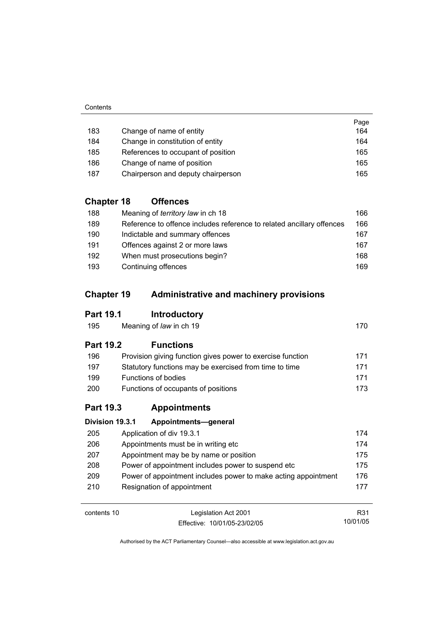|     |                                    | Page |
|-----|------------------------------------|------|
| 183 | Change of name of entity           | 164  |
| 184 | Change in constitution of entity   | 164  |
| 185 | References to occupant of position | 165  |
| 186 | Change of name of position         | 165  |
| 187 | Chairperson and deputy chairperson | 165  |

# **Chapter 18 Offences**

| 188 | Meaning of <i>territory law</i> in ch 18                              | 166 |
|-----|-----------------------------------------------------------------------|-----|
| 189 | Reference to offence includes reference to related ancillary offences | 166 |
| 190 | Indictable and summary offences                                       | 167 |
| 191 | Offences against 2 or more laws                                       | 167 |
| 192 | When must prosecutions begin?                                         | 168 |
| 193 | Continuing offences                                                   | 169 |

# **Chapter 19 Administrative and machinery provisions**

# **Part 19.1 Introductory**

| Meaning of law in ch 19 | 170 |
|-------------------------|-----|
|                         |     |

# **Part 19.2 Functions**

| 196        | Provision giving function gives power to exercise function | 171  |
|------------|------------------------------------------------------------|------|
| 197        | Statutory functions may be exercised from time to time     | 171  |
| 199        | Functions of bodies                                        | 171  |
| <b>200</b> | Functions of occupants of positions                        | 173. |

# **Part 19.3 Appointments**

| Division 19.3.1 | Appointments-general |                                                                                                                                                                                                                                                                    |
|-----------------|----------------------|--------------------------------------------------------------------------------------------------------------------------------------------------------------------------------------------------------------------------------------------------------------------|
|                 |                      | 174                                                                                                                                                                                                                                                                |
|                 |                      | 174                                                                                                                                                                                                                                                                |
|                 |                      | 175                                                                                                                                                                                                                                                                |
|                 |                      | 175                                                                                                                                                                                                                                                                |
|                 |                      | 176                                                                                                                                                                                                                                                                |
|                 |                      | 177                                                                                                                                                                                                                                                                |
|                 |                      | Application of div 19.3.1<br>Appointments must be in writing etc.<br>Appointment may be by name or position<br>Power of appointment includes power to suspend etc.<br>Power of appointment includes power to make acting appointment<br>Resignation of appointment |

contents 10 Legislation Act 2001 Effective: 10/01/05-23/02/05

R31 10/01/05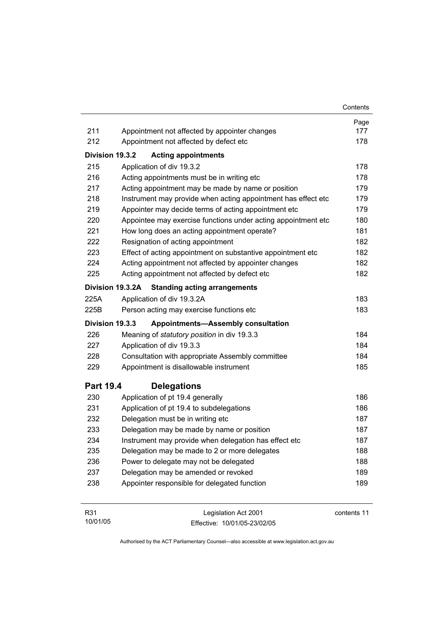|                  |                                                               | Contents |
|------------------|---------------------------------------------------------------|----------|
|                  |                                                               | Page     |
| 211              | Appointment not affected by appointer changes                 | 177      |
| 212              | Appointment not affected by defect etc                        | 178      |
| Division 19.3.2  | <b>Acting appointments</b>                                    |          |
| 215              | Application of div 19.3.2                                     | 178      |
| 216              | Acting appointments must be in writing etc                    | 178      |
| 217              | Acting appointment may be made by name or position            | 179      |
| 218              | Instrument may provide when acting appointment has effect etc | 179      |
| 219              | Appointer may decide terms of acting appointment etc          | 179      |
| 220              | Appointee may exercise functions under acting appointment etc | 180      |
| 221              | How long does an acting appointment operate?                  | 181      |
| 222              | Resignation of acting appointment                             | 182      |
| 223              | Effect of acting appointment on substantive appointment etc   | 182      |
| 224              | Acting appointment not affected by appointer changes          | 182      |
| 225              | Acting appointment not affected by defect etc                 | 182      |
|                  | Division 19.3.2A<br><b>Standing acting arrangements</b>       |          |
| 225A             | Application of div 19.3.2A                                    | 183      |
| 225B             | Person acting may exercise functions etc                      | 183      |
| Division 19.3.3  | <b>Appointments-Assembly consultation</b>                     |          |
| 226              | Meaning of statutory position in div 19.3.3                   | 184      |
| 227              | Application of div 19.3.3                                     | 184      |
| 228              | Consultation with appropriate Assembly committee              | 184      |
| 229              | Appointment is disallowable instrument                        | 185      |
| <b>Part 19.4</b> | <b>Delegations</b>                                            |          |
| 230              | Application of pt 19.4 generally                              | 186      |
| 231              | Application of pt 19.4 to subdelegations                      | 186      |
| 232              | Delegation must be in writing etc                             | 187      |
| 233              | Delegation may be made by name or position                    | 187      |
| 234              | Instrument may provide when delegation has effect etc         | 187      |
| 235              | Delegation may be made to 2 or more delegates                 | 188      |
| 236              | Power to delegate may not be delegated                        | 188      |
| 237              | Delegation may be amended or revoked                          | 189      |
| 238              | Appointer responsible for delegated function                  | 189      |
| mo 4             | $L = L = L = L = L = 0$                                       |          |

| <b>R31</b> | Legislation Act 2001         | contents 11 |
|------------|------------------------------|-------------|
| 10/01/05   | Effective: 10/01/05-23/02/05 |             |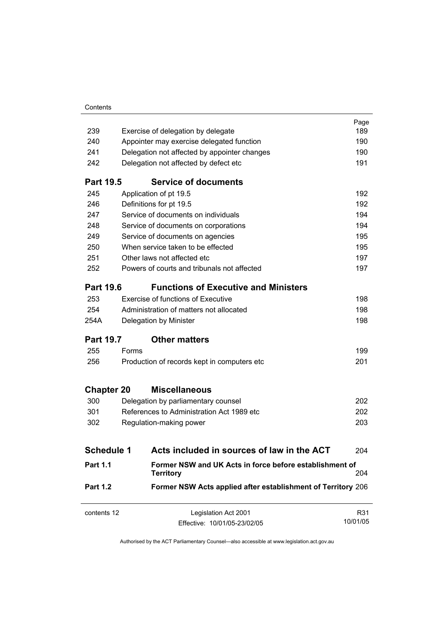| Contents |
|----------|
|----------|

| contents 12                                                                     | Legislation Act 2001<br>Effective: 10/01/05-23/02/05                        | R31<br>10/01/05 |
|---------------------------------------------------------------------------------|-----------------------------------------------------------------------------|-----------------|
| <b>Part 1.2</b><br>Former NSW Acts applied after establishment of Territory 206 |                                                                             |                 |
| <b>Part 1.1</b>                                                                 | Former NSW and UK Acts in force before establishment of<br><b>Territory</b> | 204             |
| <b>Schedule 1</b>                                                               | Acts included in sources of law in the ACT                                  | 204             |
|                                                                                 |                                                                             |                 |
| 302                                                                             | Regulation-making power                                                     | 203             |
| 301                                                                             | References to Administration Act 1989 etc                                   | 202             |
| 300                                                                             | Delegation by parliamentary counsel                                         | 202             |
| <b>Chapter 20</b>                                                               | <b>Miscellaneous</b>                                                        |                 |
| 256                                                                             | Production of records kept in computers etc                                 | 201             |
| 255                                                                             | Forms                                                                       | 199             |
| <b>Part 19.7</b>                                                                | <b>Other matters</b>                                                        |                 |
| 254A                                                                            | Delegation by Minister                                                      | 198             |
| 254                                                                             | Administration of matters not allocated                                     | 198             |
| 253                                                                             | <b>Exercise of functions of Executive</b>                                   | 198             |
| <b>Part 19.6</b>                                                                | <b>Functions of Executive and Ministers</b>                                 |                 |
| 252                                                                             | Powers of courts and tribunals not affected                                 | 197             |
| 251                                                                             | Other laws not affected etc                                                 | 197             |
| 250                                                                             | When service taken to be effected                                           | 195             |
| 249                                                                             | Service of documents on agencies                                            | 195             |
| 248                                                                             | Service of documents on corporations                                        | 194             |
| 247                                                                             | Service of documents on individuals                                         | 194             |
| 246                                                                             | Definitions for pt 19.5                                                     | 192             |
| 245                                                                             | Application of pt 19.5                                                      | 192             |
| <b>Part 19.5</b>                                                                | <b>Service of documents</b>                                                 |                 |
| 242                                                                             | Delegation not affected by defect etc                                       | 191             |
| 241                                                                             | Delegation not affected by appointer changes                                | 190             |
| 240                                                                             | Appointer may exercise delegated function                                   | 190             |
| 239                                                                             | Exercise of delegation by delegate                                          | Page<br>189     |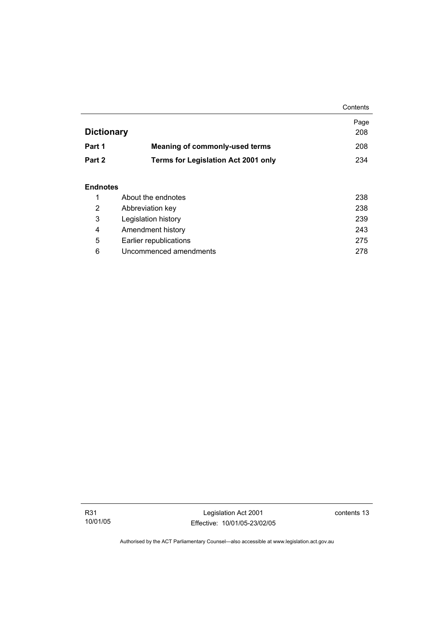|                   |                                            | Contents |
|-------------------|--------------------------------------------|----------|
|                   |                                            | Page     |
| <b>Dictionary</b> |                                            | 208      |
| Part 1            | <b>Meaning of commonly-used terms</b>      | 208      |
| Part 2            | <b>Terms for Legislation Act 2001 only</b> | 234      |
|                   |                                            |          |

## **Endnotes**

|   | About the endnotes     | 238 |
|---|------------------------|-----|
| 2 | Abbreviation key       | 238 |
| 3 | Legislation history    | 239 |
| 4 | Amendment history      | 243 |
| 5 | Earlier republications | 275 |
| 6 | Uncommenced amendments | 278 |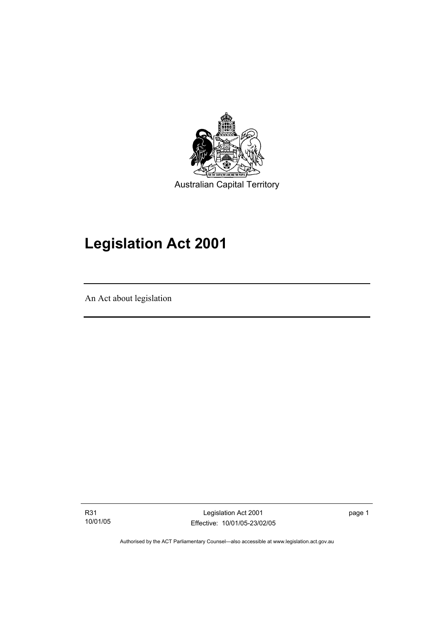

# **Legislation Act 2001**

An Act about legislation

I

R31 10/01/05

Legislation Act 2001 Effective: 10/01/05-23/02/05 page 1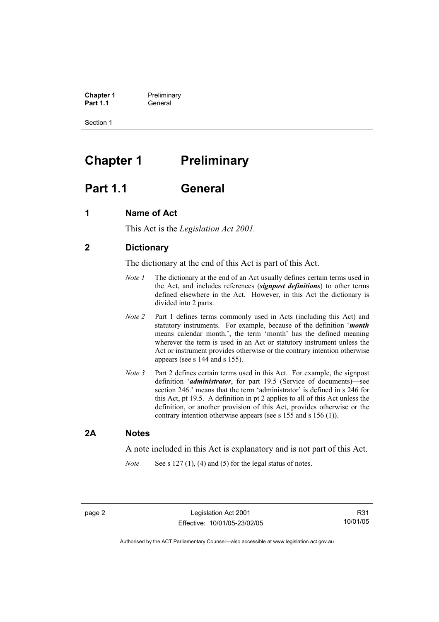**Chapter 1** Preliminary<br>**Part 1.1** General **Part 1.1** General

Section 1

# **Chapter 1** Preliminary

# **Part 1.1 General**

## **1 Name of Act**

This Act is the *Legislation Act 2001.* 

## **2 Dictionary**

The dictionary at the end of this Act is part of this Act.

- *Note 1* The dictionary at the end of an Act usually defines certain terms used in the Act, and includes references (*signpost definitions*) to other terms defined elsewhere in the Act. However, in this Act the dictionary is divided into 2 parts.
- *Note 2* Part 1 defines terms commonly used in Acts (including this Act) and statutory instruments. For example, because of the definition '*month* means calendar month.', the term 'month' has the defined meaning wherever the term is used in an Act or statutory instrument unless the Act or instrument provides otherwise or the contrary intention otherwise appears (see s 144 and s 155).
- *Note 3* Part 2 defines certain terms used in this Act. For example, the signpost definition '*administrator*, for part 19.5 (Service of documents)—see section 246.' means that the term 'administrator' is defined in s 246 for this Act, pt 19.5. A definition in pt 2 applies to all of this Act unless the definition, or another provision of this Act, provides otherwise or the contrary intention otherwise appears (see s 155 and s 156 (1)).

## **2A Notes**

A note included in this Act is explanatory and is not part of this Act.

*Note* See s 127 (1), (4) and (5) for the legal status of notes.

R31 10/01/05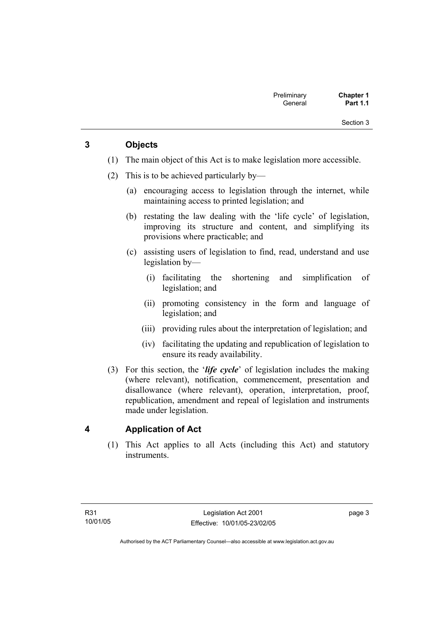Section 3

# **3 Objects**

- (1) The main object of this Act is to make legislation more accessible.
- (2) This is to be achieved particularly by—
	- (a) encouraging access to legislation through the internet, while maintaining access to printed legislation; and
	- (b) restating the law dealing with the 'life cycle' of legislation, improving its structure and content, and simplifying its provisions where practicable; and
	- (c) assisting users of legislation to find, read, understand and use legislation by—
		- (i) facilitating the shortening and simplification of legislation; and
		- (ii) promoting consistency in the form and language of legislation; and
		- (iii) providing rules about the interpretation of legislation; and
		- (iv) facilitating the updating and republication of legislation to ensure its ready availability.
- (3) For this section, the '*life cycle*' of legislation includes the making (where relevant), notification, commencement, presentation and disallowance (where relevant), operation, interpretation, proof, republication, amendment and repeal of legislation and instruments made under legislation.

## **4 Application of Act**

 (1) This Act applies to all Acts (including this Act) and statutory instruments.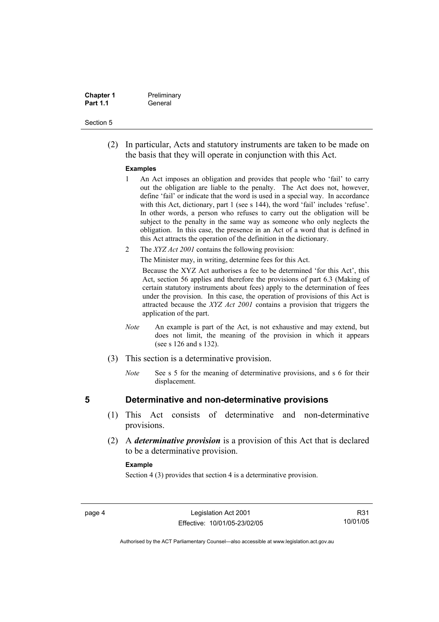| <b>Chapter 1</b> | Preliminary |
|------------------|-------------|
| <b>Part 1.1</b>  | General     |

#### Section 5

 (2) In particular, Acts and statutory instruments are taken to be made on the basis that they will operate in conjunction with this Act.

#### **Examples**

- 1 An Act imposes an obligation and provides that people who 'fail' to carry out the obligation are liable to the penalty. The Act does not, however, define 'fail' or indicate that the word is used in a special way. In accordance with this Act, dictionary, part 1 (see s 144), the word 'fail' includes 'refuse'. In other words, a person who refuses to carry out the obligation will be subject to the penalty in the same way as someone who only neglects the obligation. In this case, the presence in an Act of a word that is defined in this Act attracts the operation of the definition in the dictionary.
- 2 The *XYZ Act 2001* contains the following provision:

The Minister may, in writing, determine fees for this Act.

Because the XYZ Act authorises a fee to be determined 'for this Act', this Act, section 56 applies and therefore the provisions of part 6.3 (Making of certain statutory instruments about fees) apply to the determination of fees under the provision. In this case, the operation of provisions of this Act is attracted because the *XYZ Act 2001* contains a provision that triggers the application of the part.

- *Note* An example is part of the Act, is not exhaustive and may extend, but does not limit, the meaning of the provision in which it appears (see s 126 and s 132).
- (3) This section is a determinative provision.
	- *Note* See s 5 for the meaning of determinative provisions, and s 6 for their displacement.

## **5 Determinative and non-determinative provisions**

- (1) This Act consists of determinative and non-determinative provisions.
- (2) A *determinative provision* is a provision of this Act that is declared to be a determinative provision.

#### **Example**

Section 4 (3) provides that section 4 is a determinative provision.

R31 10/01/05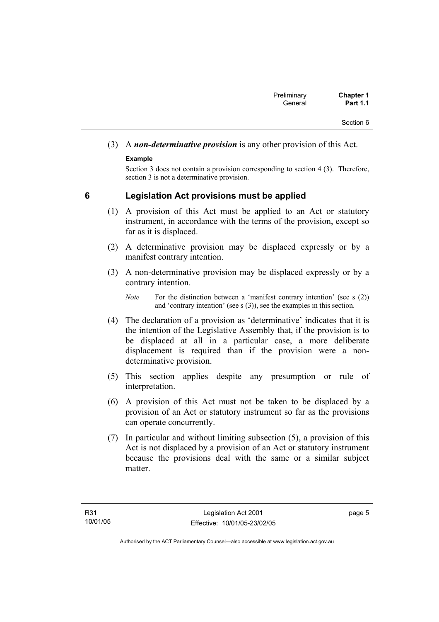# (3) A *non-determinative provision* is any other provision of this Act.

## **Example**

Section 3 does not contain a provision corresponding to section 4 (3). Therefore, section 3 is not a determinative provision.

# **6 Legislation Act provisions must be applied**

- (1) A provision of this Act must be applied to an Act or statutory instrument, in accordance with the terms of the provision, except so far as it is displaced.
- (2) A determinative provision may be displaced expressly or by a manifest contrary intention.
- (3) A non-determinative provision may be displaced expressly or by a contrary intention.

- (4) The declaration of a provision as 'determinative' indicates that it is the intention of the Legislative Assembly that, if the provision is to be displaced at all in a particular case, a more deliberate displacement is required than if the provision were a nondeterminative provision.
- (5) This section applies despite any presumption or rule of interpretation.
- (6) A provision of this Act must not be taken to be displaced by a provision of an Act or statutory instrument so far as the provisions can operate concurrently.
- (7) In particular and without limiting subsection (5), a provision of this Act is not displaced by a provision of an Act or statutory instrument because the provisions deal with the same or a similar subject matter

page 5

*Note* For the distinction between a 'manifest contrary intention' (see s (2)) and 'contrary intention' (see s (3)), see the examples in this section.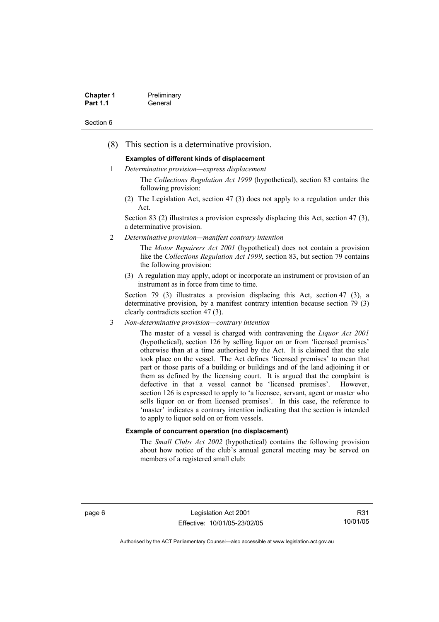| <b>Chapter 1</b> | Preliminary |
|------------------|-------------|
| <b>Part 1.1</b>  | General     |

#### Section 6

(8) This section is a determinative provision.

#### **Examples of different kinds of displacement**

1 *Determinative provision—express displacement*

The *Collections Regulation Act 1999* (hypothetical), section 83 contains the following provision:

(2) The Legislation Act, section 47 (3) does not apply to a regulation under this Act.

Section 83 (2) illustrates a provision expressly displacing this Act, section 47 (3), a determinative provision.

2 *Determinative provision—manifest contrary intention*

The *Motor Repairers Act 2001* (hypothetical) does not contain a provision like the *Collections Regulation Act 1999*, section 83, but section 79 contains the following provision:

(3) A regulation may apply, adopt or incorporate an instrument or provision of an instrument as in force from time to time.

Section 79 (3) illustrates a provision displacing this Act, section 47 (3), a determinative provision, by a manifest contrary intention because section 79 (3) clearly contradicts section 47 (3).

3 *Non-determinative provision—contrary intention*

The master of a vessel is charged with contravening the *Liquor Act 2001* (hypothetical), section 126 by selling liquor on or from 'licensed premises' otherwise than at a time authorised by the Act. It is claimed that the sale took place on the vessel. The Act defines 'licensed premises' to mean that part or those parts of a building or buildings and of the land adjoining it or them as defined by the licensing court. It is argued that the complaint is defective in that a vessel cannot be 'licensed premises'. However, section 126 is expressed to apply to 'a licensee, servant, agent or master who sells liquor on or from licensed premises'. In this case, the reference to 'master' indicates a contrary intention indicating that the section is intended to apply to liquor sold on or from vessels.

#### **Example of concurrent operation (no displacement)**

The *Small Clubs Act 2002* (hypothetical) contains the following provision about how notice of the club's annual general meeting may be served on members of a registered small club:

page 6 Legislation Act 2001 Effective: 10/01/05-23/02/05

R31 10/01/05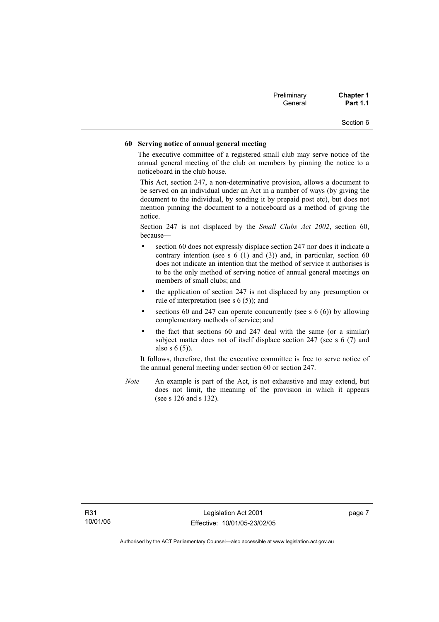| Preliminary | <b>Chapter 1</b> |
|-------------|------------------|
| General     | <b>Part 1.1</b>  |

## Section 6

#### **60 Serving notice of annual general meeting**

The executive committee of a registered small club may serve notice of the annual general meeting of the club on members by pinning the notice to a noticeboard in the club house.

This Act, section 247, a non-determinative provision, allows a document to be served on an individual under an Act in a number of ways (by giving the document to the individual, by sending it by prepaid post etc), but does not mention pinning the document to a noticeboard as a method of giving the notice.

Section 247 is not displaced by the *Small Clubs Act 2002*, section 60, because—

- section 60 does not expressly displace section 247 nor does it indicate a contrary intention (see s  $6(1)$  and  $(3)$ ) and, in particular, section  $60$ does not indicate an intention that the method of service it authorises is to be the only method of serving notice of annual general meetings on members of small clubs; and
- the application of section 247 is not displaced by any presumption or rule of interpretation (see s 6 (5)); and
- sections 60 and 247 can operate concurrently (see s  $6(6)$ ) by allowing complementary methods of service; and
- the fact that sections 60 and 247 deal with the same (or a similar) subject matter does not of itself displace section 247 (see s 6 (7) and also s 6 (5)).

It follows, therefore, that the executive committee is free to serve notice of the annual general meeting under section 60 or section 247.

*Note* An example is part of the Act, is not exhaustive and may extend, but does not limit, the meaning of the provision in which it appears (see s 126 and s 132).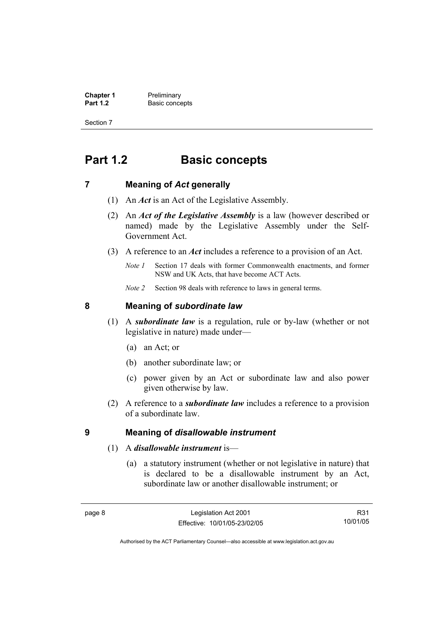**Chapter 1** Preliminary<br>**Part 1.2** Basic conce **Basic concepts** 

Section 7

# **Part 1.2 Basic concepts**

## **7 Meaning of** *Act* **generally**

- (1) An *Act* is an Act of the Legislative Assembly.
- (2) An *Act of the Legislative Assembly* is a law (however described or named) made by the Legislative Assembly under the Self-Government Act.
- (3) A reference to an *Act* includes a reference to a provision of an Act.
	- *Note 1* Section 17 deals with former Commonwealth enactments, and former NSW and UK Acts, that have become ACT Acts.
	- *Note 2* Section 98 deals with reference to laws in general terms.

## **8 Meaning of** *subordinate law*

- (1) A *subordinate law* is a regulation, rule or by-law (whether or not legislative in nature) made under—
	- (a) an Act; or
	- (b) another subordinate law; or
	- (c) power given by an Act or subordinate law and also power given otherwise by law.
- (2) A reference to a *subordinate law* includes a reference to a provision of a subordinate law.

## **9 Meaning of** *disallowable instrument*

- (1) A *disallowable instrument* is—
	- (a) a statutory instrument (whether or not legislative in nature) that is declared to be a disallowable instrument by an Act, subordinate law or another disallowable instrument; or

R31 10/01/05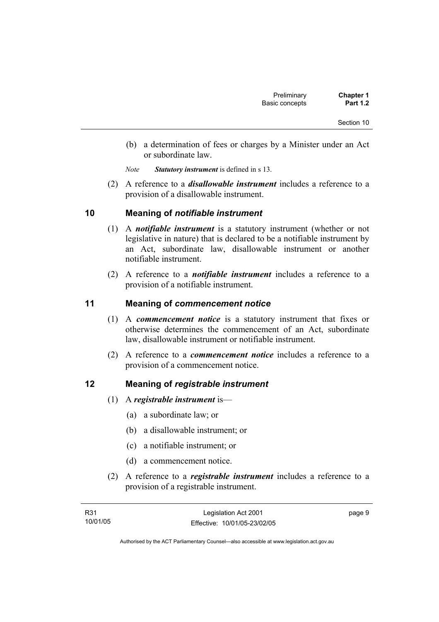- (b) a determination of fees or charges by a Minister under an Act or subordinate law.
- *Note Statutory instrument* is defined in s 13.
- (2) A reference to a *disallowable instrument* includes a reference to a provision of a disallowable instrument.

## **10 Meaning of** *notifiable instrument*

- (1) A *notifiable instrument* is a statutory instrument (whether or not legislative in nature) that is declared to be a notifiable instrument by an Act, subordinate law, disallowable instrument or another notifiable instrument.
- (2) A reference to a *notifiable instrument* includes a reference to a provision of a notifiable instrument.

## **11 Meaning of** *commencement notice*

- (1) A *commencement notice* is a statutory instrument that fixes or otherwise determines the commencement of an Act, subordinate law, disallowable instrument or notifiable instrument.
- (2) A reference to a *commencement notice* includes a reference to a provision of a commencement notice.

## **12 Meaning of** *registrable instrument*

- (1) A *registrable instrument* is—
	- (a) a subordinate law; or
	- (b) a disallowable instrument; or
	- (c) a notifiable instrument; or
	- (d) a commencement notice.
- (2) A reference to a *registrable instrument* includes a reference to a provision of a registrable instrument.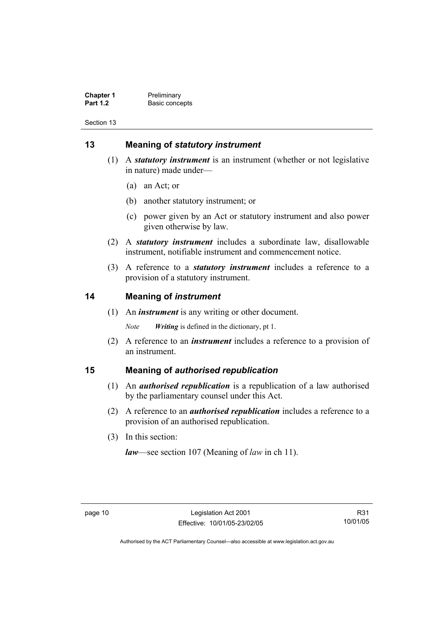**Chapter 1** Preliminary<br>**Part 1.2** Basic conce **Basic concepts** 

Section 13

# **13 Meaning of** *statutory instrument*

- (1) A *statutory instrument* is an instrument (whether or not legislative in nature) made under—
	- (a) an Act; or
	- (b) another statutory instrument; or
	- (c) power given by an Act or statutory instrument and also power given otherwise by law.
- (2) A *statutory instrument* includes a subordinate law, disallowable instrument, notifiable instrument and commencement notice.
- (3) A reference to a *statutory instrument* includes a reference to a provision of a statutory instrument.

## **14 Meaning of** *instrument*

(1) An *instrument* is any writing or other document.

*Note Writing* is defined in the dictionary, pt 1.

 (2) A reference to an *instrument* includes a reference to a provision of an instrument.

## **15 Meaning of** *authorised republication*

- (1) An *authorised republication* is a republication of a law authorised by the parliamentary counsel under this Act.
- (2) A reference to an *authorised republication* includes a reference to a provision of an authorised republication.
- (3) In this section:

*law*—see section 107 (Meaning of *law* in ch 11).

R31 10/01/05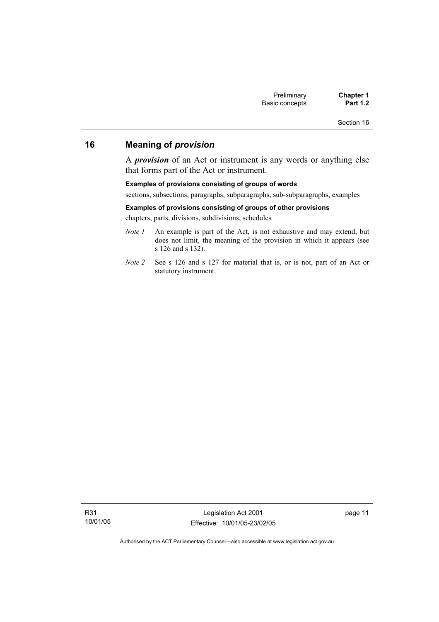Section 16

# **16 Meaning of** *provision*

A *provision* of an Act or instrument is any words or anything else that forms part of the Act or instrument.

#### **Examples of provisions consisting of groups of words**

sections, subsections, paragraphs, subparagraphs, sub-subparagraphs, examples

#### **Examples of provisions consisting of groups of other provisions**

chapters, parts, divisions, subdivisions, schedules

- *Note 1* An example is part of the Act, is not exhaustive and may extend, but does not limit, the meaning of the provision in which it appears (see s 126 and s 132).
- *Note 2* See s 126 and s 127 for material that is, or is not, part of an Act or statutory instrument.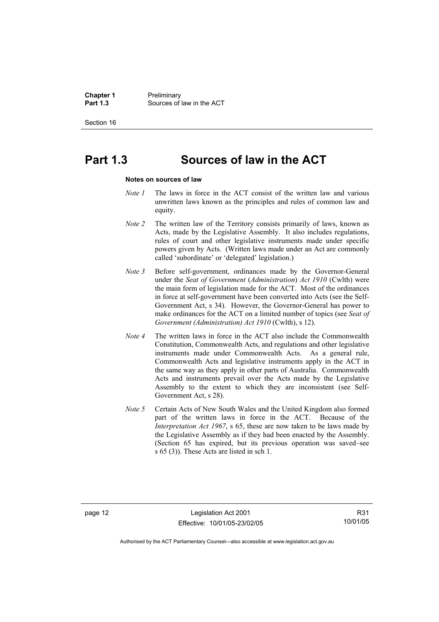**Chapter 1** Preliminary<br>**Part 1.3** Sources of **Part 1.3** Sources of law in the ACT

Section 16

# **Part 1.3 Sources of law in the ACT**

#### **Notes on sources of law**

- *Note 1* The laws in force in the ACT consist of the written law and various unwritten laws known as the principles and rules of common law and equity.
- *Note 2* The written law of the Territory consists primarily of laws, known as Acts, made by the Legislative Assembly. It also includes regulations, rules of court and other legislative instruments made under specific powers given by Acts. (Written laws made under an Act are commonly called 'subordinate' or 'delegated' legislation.)
- *Note 3* Before self-government, ordinances made by the Governor-General under the *Seat of Government* (*Administration*) *Act 1910* (Cwlth) were the main form of legislation made for the ACT. Most of the ordinances in force at self-government have been converted into Acts (see the Self-Government Act, s 34). However, the Governor-General has power to make ordinances for the ACT on a limited number of topics (see *Seat of Government (Administration) Act 1910* (Cwlth), s 12).
- *Note 4* The written laws in force in the ACT also include the Commonwealth Constitution, Commonwealth Acts, and regulations and other legislative instruments made under Commonwealth Acts. As a general rule, Commonwealth Acts and legislative instruments apply in the ACT in the same way as they apply in other parts of Australia. Commonwealth Acts and instruments prevail over the Acts made by the Legislative Assembly to the extent to which they are inconsistent (see Self-Government Act, s 28).
- *Note 5* Certain Acts of New South Wales and the United Kingdom also formed part of the written laws in force in the ACT. Because of the *Interpretation Act 1967*, s 65, these are now taken to be laws made by the Legislative Assembly as if they had been enacted by the Assembly. (Section 65 has expired, but its previous operation was saved–see s 65 (3)). These Acts are listed in sch 1.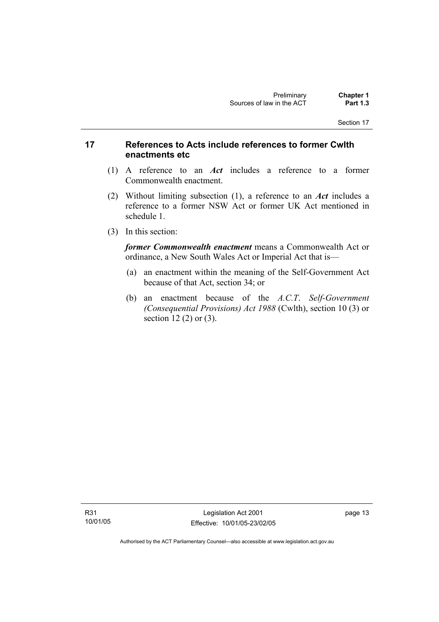## **17 References to Acts include references to former Cwlth enactments etc**

- (1) A reference to an *Act* includes a reference to a former Commonwealth enactment.
- (2) Without limiting subsection (1), a reference to an *Act* includes a reference to a former NSW Act or former UK Act mentioned in schedule 1.
- (3) In this section:

*former Commonwealth enactment* means a Commonwealth Act or ordinance, a New South Wales Act or Imperial Act that is—

- (a) an enactment within the meaning of the Self-Government Act because of that Act, section 34; or
- (b) an enactment because of the *A.C.T*. *Self-Government (Consequential Provisions) Act 1988* (Cwlth), section 10 (3) or section 12 (2) or (3).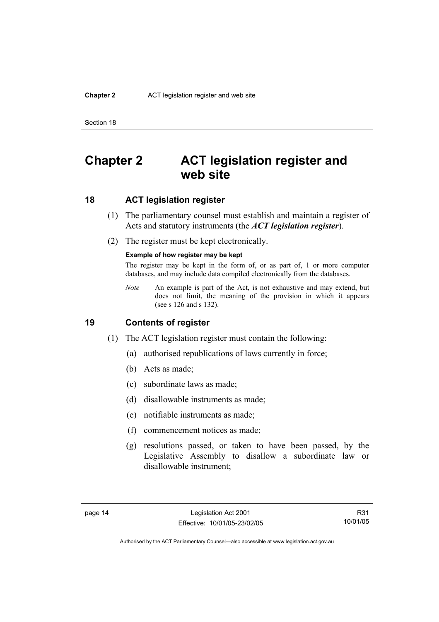#### **Chapter 2** ACT legislation register and web site

Section 18

# **Chapter 2 ACT legislation register and web site**

## **18 ACT legislation register**

- (1) The parliamentary counsel must establish and maintain a register of Acts and statutory instruments (the *ACT legislation register*).
- (2) The register must be kept electronically.

#### **Example of how register may be kept**

The register may be kept in the form of, or as part of, 1 or more computer databases, and may include data compiled electronically from the databases.

*Note* An example is part of the Act, is not exhaustive and may extend, but does not limit, the meaning of the provision in which it appears (see s 126 and s 132).

#### **19 Contents of register**

- (1) The ACT legislation register must contain the following:
	- (a) authorised republications of laws currently in force;
	- (b) Acts as made;
	- (c) subordinate laws as made;
	- (d) disallowable instruments as made;
	- (e) notifiable instruments as made;
	- (f) commencement notices as made;
	- (g) resolutions passed, or taken to have been passed, by the Legislative Assembly to disallow a subordinate law or disallowable instrument;

R31 10/01/05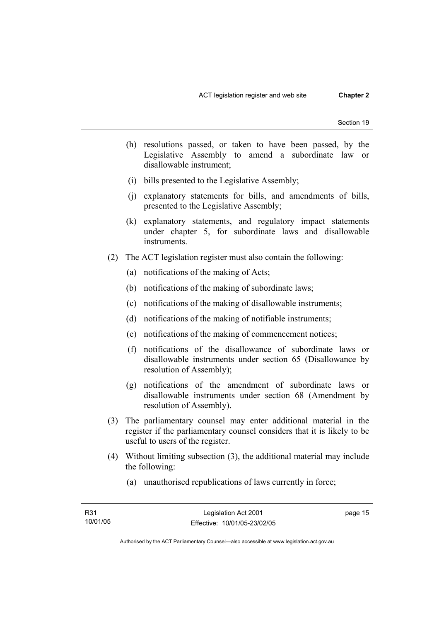- (h) resolutions passed, or taken to have been passed, by the Legislative Assembly to amend a subordinate law or disallowable instrument;
- (i) bills presented to the Legislative Assembly;
- (j) explanatory statements for bills, and amendments of bills, presented to the Legislative Assembly;
- (k) explanatory statements, and regulatory impact statements under chapter 5, for subordinate laws and disallowable instruments.
- (2) The ACT legislation register must also contain the following:
	- (a) notifications of the making of Acts;
	- (b) notifications of the making of subordinate laws;
	- (c) notifications of the making of disallowable instruments;
	- (d) notifications of the making of notifiable instruments;
	- (e) notifications of the making of commencement notices;
	- (f) notifications of the disallowance of subordinate laws or disallowable instruments under section 65 (Disallowance by resolution of Assembly);
	- (g) notifications of the amendment of subordinate laws or disallowable instruments under section 68 (Amendment by resolution of Assembly).
- (3) The parliamentary counsel may enter additional material in the register if the parliamentary counsel considers that it is likely to be useful to users of the register.
- (4) Without limiting subsection (3), the additional material may include the following:
	- (a) unauthorised republications of laws currently in force;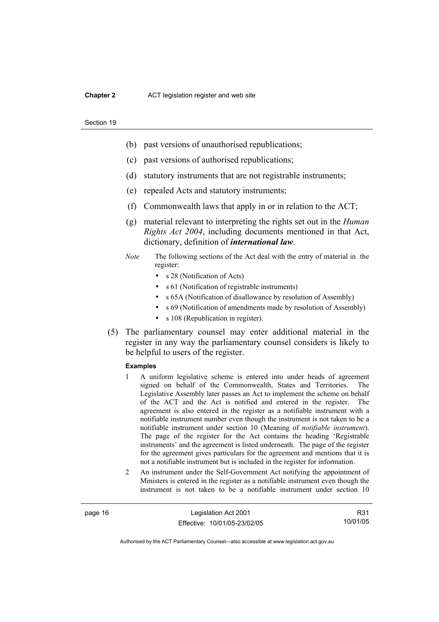#### **Chapter 2** ACT legislation register and web site

#### Section 19

- (b) past versions of unauthorised republications;
- (c) past versions of authorised republications;
- (d) statutory instruments that are not registrable instruments;
- (e) repealed Acts and statutory instruments;
- (f) Commonwealth laws that apply in or in relation to the ACT;
- (g) material relevant to interpreting the rights set out in the *Human Rights Act 2004*, including documents mentioned in that Act, dictionary, definition of *international law*.
- *Note* The following sections of the Act deal with the entry of material in the register:
	- s 28 (Notification of Acts)
	- s 61 (Notification of registrable instruments)
	- s 65A (Notification of disallowance by resolution of Assembly)
	- s 69 (Notification of amendments made by resolution of Assembly)
	- s 108 (Republication in register).
- (5) The parliamentary counsel may enter additional material in the register in any way the parliamentary counsel considers is likely to be helpful to users of the register.

#### **Examples**

- 1 A uniform legislative scheme is entered into under heads of agreement signed on behalf of the Commonwealth, States and Territories. The Legislative Assembly later passes an Act to implement the scheme on behalf of the ACT and the Act is notified and entered in the register. The agreement is also entered in the register as a notifiable instrument with a notifiable instrument number even though the instrument is not taken to be a notifiable instrument under section 10 (Meaning of *notifiable instrument*). The page of the register for the Act contains the heading 'Registrable instruments' and the agreement is listed underneath. The page of the register for the agreement gives particulars for the agreement and mentions that it is not a notifiable instrument but is included in the register for information.
- 2 An instrument under the Self-Government Act notifying the appointment of Ministers is entered in the register as a notifiable instrument even though the instrument is not taken to be a notifiable instrument under section 10

page 16 Legislation Act 2001 Effective: 10/01/05-23/02/05

R31 10/01/05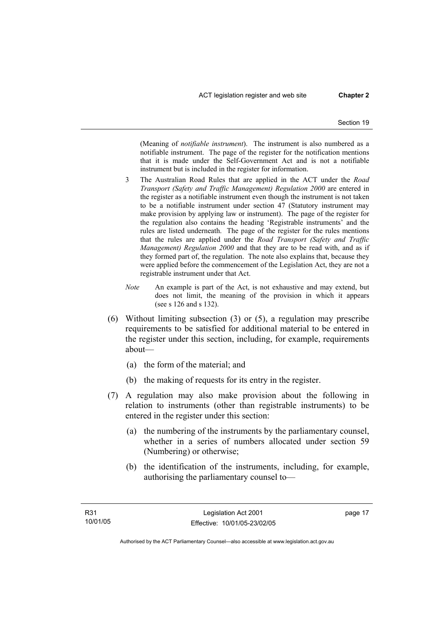(Meaning of *notifiable instrument*). The instrument is also numbered as a notifiable instrument. The page of the register for the notification mentions that it is made under the Self-Government Act and is not a notifiable instrument but is included in the register for information.

- 3 The Australian Road Rules that are applied in the ACT under the *Road Transport (Safety and Traffic Management) Regulation 2000* are entered in the register as a notifiable instrument even though the instrument is not taken to be a notifiable instrument under section 47 (Statutory instrument may make provision by applying law or instrument). The page of the register for the regulation also contains the heading 'Registrable instruments' and the rules are listed underneath. The page of the register for the rules mentions that the rules are applied under the *Road Transport (Safety and Traffic Management) Regulation 2000* and that they are to be read with, and as if they formed part of, the regulation. The note also explains that, because they were applied before the commencement of the Legislation Act, they are not a registrable instrument under that Act.
- *Note* An example is part of the Act, is not exhaustive and may extend, but does not limit, the meaning of the provision in which it appears (see s 126 and s 132).
- (6) Without limiting subsection (3) or (5), a regulation may prescribe requirements to be satisfied for additional material to be entered in the register under this section, including, for example, requirements about—
	- (a) the form of the material; and
	- (b) the making of requests for its entry in the register.
- (7) A regulation may also make provision about the following in relation to instruments (other than registrable instruments) to be entered in the register under this section:
	- (a) the numbering of the instruments by the parliamentary counsel, whether in a series of numbers allocated under section 59 (Numbering) or otherwise;
	- (b) the identification of the instruments, including, for example, authorising the parliamentary counsel to—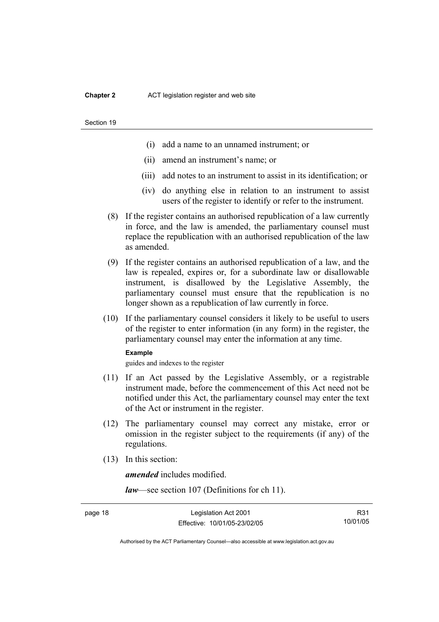#### **Chapter 2** ACT legislation register and web site

#### Section 19

- (i) add a name to an unnamed instrument; or
- (ii) amend an instrument's name; or
- (iii) add notes to an instrument to assist in its identification; or
- (iv) do anything else in relation to an instrument to assist users of the register to identify or refer to the instrument.
- (8) If the register contains an authorised republication of a law currently in force, and the law is amended, the parliamentary counsel must replace the republication with an authorised republication of the law as amended.
- (9) If the register contains an authorised republication of a law, and the law is repealed, expires or, for a subordinate law or disallowable instrument, is disallowed by the Legislative Assembly, the parliamentary counsel must ensure that the republication is no longer shown as a republication of law currently in force.
- (10) If the parliamentary counsel considers it likely to be useful to users of the register to enter information (in any form) in the register, the parliamentary counsel may enter the information at any time.

#### **Example**

guides and indexes to the register

- (11) If an Act passed by the Legislative Assembly, or a registrable instrument made, before the commencement of this Act need not be notified under this Act, the parliamentary counsel may enter the text of the Act or instrument in the register.
- (12) The parliamentary counsel may correct any mistake, error or omission in the register subject to the requirements (if any) of the regulations.
- (13) In this section:

*amended* includes modified.

*law*—see section 107 (Definitions for ch 11).

R31 10/01/05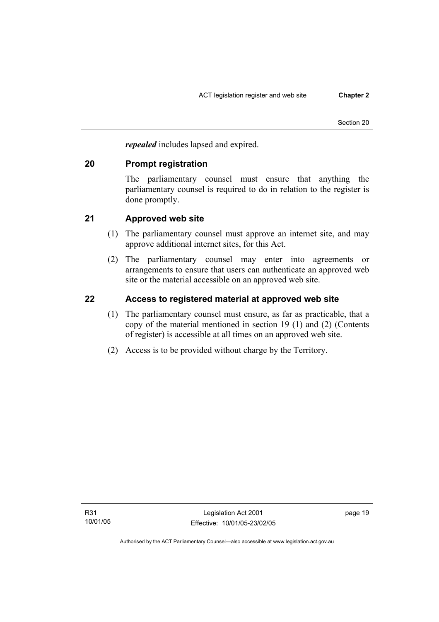*repealed* includes lapsed and expired.

## **20 Prompt registration**

The parliamentary counsel must ensure that anything the parliamentary counsel is required to do in relation to the register is done promptly.

## **21 Approved web site**

- (1) The parliamentary counsel must approve an internet site, and may approve additional internet sites, for this Act.
- (2) The parliamentary counsel may enter into agreements or arrangements to ensure that users can authenticate an approved web site or the material accessible on an approved web site.

# **22 Access to registered material at approved web site**

- (1) The parliamentary counsel must ensure, as far as practicable, that a copy of the material mentioned in section 19 (1) and (2) (Contents of register) is accessible at all times on an approved web site.
- (2) Access is to be provided without charge by the Territory.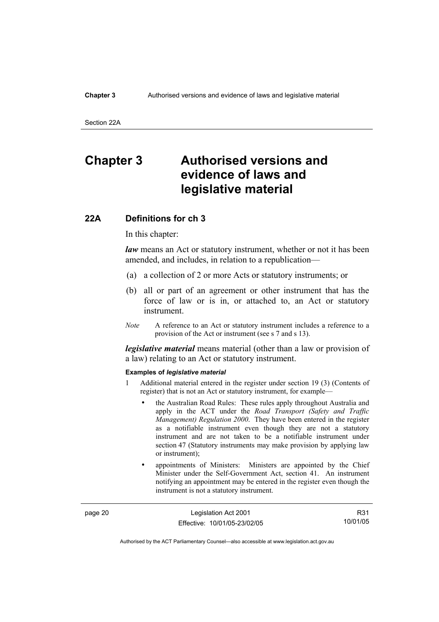#### **Chapter 3** Authorised versions and evidence of laws and legislative material

Section 22A

# **Chapter 3 Authorised versions and evidence of laws and legislative material**

#### **22A Definitions for ch 3**

In this chapter:

*law* means an Act or statutory instrument, whether or not it has been amended, and includes, in relation to a republication—

- (a) a collection of 2 or more Acts or statutory instruments; or
- (b) all or part of an agreement or other instrument that has the force of law or is in, or attached to, an Act or statutory instrument.
- *Note* A reference to an Act or statutory instrument includes a reference to a provision of the Act or instrument (see s 7 and s 13).

*legislative material* means material (other than a law or provision of a law) relating to an Act or statutory instrument.

#### **Examples of** *legislative material*

- 1 Additional material entered in the register under section 19 (3) (Contents of register) that is not an Act or statutory instrument, for example—
	- the Australian Road Rules: These rules apply throughout Australia and apply in the ACT under the *Road Transport (Safety and Traffic Management) Regulation 2000*. They have been entered in the register as a notifiable instrument even though they are not a statutory instrument and are not taken to be a notifiable instrument under section 47 (Statutory instruments may make provision by applying law or instrument);
	- appointments of Ministers: Ministers are appointed by the Chief Minister under the Self-Government Act, section 41. An instrument notifying an appointment may be entered in the register even though the instrument is not a statutory instrument.

page 20 Legislation Act 2001 Effective: 10/01/05-23/02/05

R31 10/01/05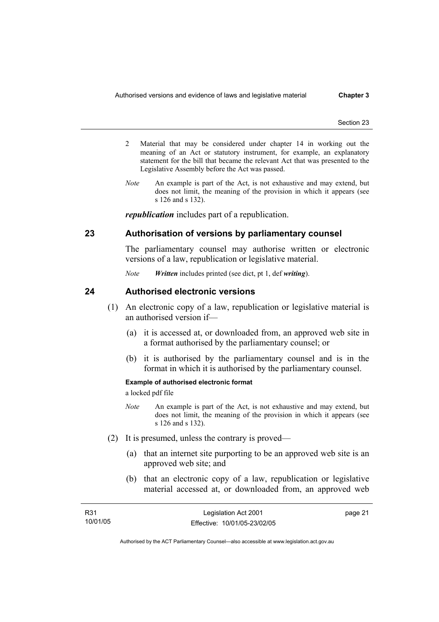- 2 Material that may be considered under chapter 14 in working out the meaning of an Act or statutory instrument, for example, an explanatory statement for the bill that became the relevant Act that was presented to the Legislative Assembly before the Act was passed.
- *Note* An example is part of the Act, is not exhaustive and may extend, but does not limit, the meaning of the provision in which it appears (see s 126 and s 132).

*republication* includes part of a republication.

## **23 Authorisation of versions by parliamentary counsel**

The parliamentary counsel may authorise written or electronic versions of a law, republication or legislative material.

*Note Written* includes printed (see dict, pt 1, def *writing*).

## **24 Authorised electronic versions**

- (1) An electronic copy of a law, republication or legislative material is an authorised version if—
	- (a) it is accessed at, or downloaded from, an approved web site in a format authorised by the parliamentary counsel; or
	- (b) it is authorised by the parliamentary counsel and is in the format in which it is authorised by the parliamentary counsel.

#### **Example of authorised electronic format**

a locked pdf file

- *Note* An example is part of the Act, is not exhaustive and may extend, but does not limit, the meaning of the provision in which it appears (see s 126 and s 132).
- (2) It is presumed, unless the contrary is proved—
	- (a) that an internet site purporting to be an approved web site is an approved web site; and
	- (b) that an electronic copy of a law, republication or legislative material accessed at, or downloaded from, an approved web

| <b>R31</b> | Legislation Act 2001         | page 21 |
|------------|------------------------------|---------|
| 10/01/05   | Effective: 10/01/05-23/02/05 |         |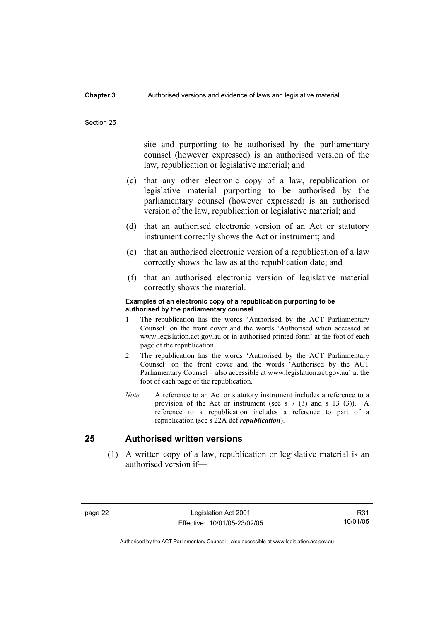### **Chapter 3** Authorised versions and evidence of laws and legislative material

#### Section 25

site and purporting to be authorised by the parliamentary counsel (however expressed) is an authorised version of the law, republication or legislative material; and

- (c) that any other electronic copy of a law, republication or legislative material purporting to be authorised by the parliamentary counsel (however expressed) is an authorised version of the law, republication or legislative material; and
- (d) that an authorised electronic version of an Act or statutory instrument correctly shows the Act or instrument; and
- (e) that an authorised electronic version of a republication of a law correctly shows the law as at the republication date; and
- (f) that an authorised electronic version of legislative material correctly shows the material.

#### **Examples of an electronic copy of a republication purporting to be authorised by the parliamentary counsel**

- 1 The republication has the words 'Authorised by the ACT Parliamentary Counsel' on the front cover and the words 'Authorised when accessed at www.legislation.act.gov.au or in authorised printed form' at the foot of each page of the republication.
- 2 The republication has the words 'Authorised by the ACT Parliamentary Counsel' on the front cover and the words 'Authorised by the ACT Parliamentary Counsel—also accessible at www.legislation.act.gov.au' at the foot of each page of the republication.
- *Note* A reference to an Act or statutory instrument includes a reference to a provision of the Act or instrument (see s 7 (3) and s 13 (3)). A reference to a republication includes a reference to part of a republication (see s 22A def *republication*).

## **25 Authorised written versions**

 (1) A written copy of a law, republication or legislative material is an authorised version if—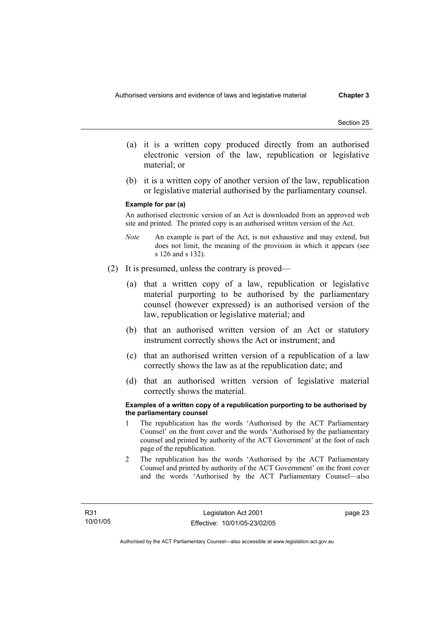- (a) it is a written copy produced directly from an authorised electronic version of the law, republication or legislative material; or
- (b) it is a written copy of another version of the law, republication or legislative material authorised by the parliamentary counsel.

#### **Example for par (a)**

An authorised electronic version of an Act is downloaded from an approved web site and printed. The printed copy is an authorised written version of the Act.

- *Note* An example is part of the Act, is not exhaustive and may extend, but does not limit, the meaning of the provision in which it appears (see s 126 and s 132).
- (2) It is presumed, unless the contrary is proved—
	- (a) that a written copy of a law, republication or legislative material purporting to be authorised by the parliamentary counsel (however expressed) is an authorised version of the law, republication or legislative material; and
	- (b) that an authorised written version of an Act or statutory instrument correctly shows the Act or instrument; and
	- (c) that an authorised written version of a republication of a law correctly shows the law as at the republication date; and
	- (d) that an authorised written version of legislative material correctly shows the material.

#### **Examples of a written copy of a republication purporting to be authorised by the parliamentary counsel**

- 1 The republication has the words 'Authorised by the ACT Parliamentary Counsel' on the front cover and the words 'Authorised by the parliamentary counsel and printed by authority of the ACT Government' at the foot of each page of the republication.
- 2 The republication has the words 'Authorised by the ACT Parliamentary Counsel and printed by authority of the ACT Government' on the front cover and the words 'Authorised by the ACT Parliamentary Counsel—also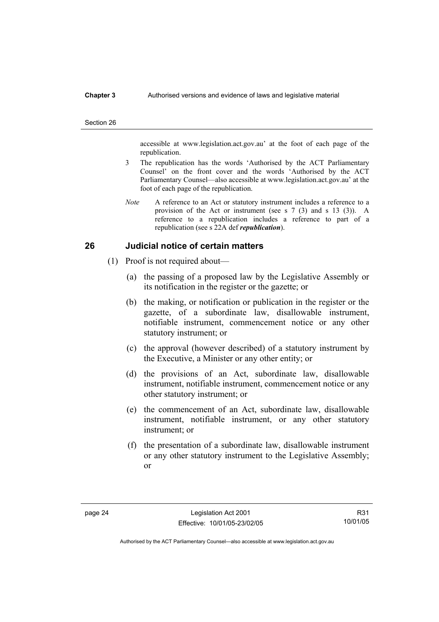#### **Chapter 3** Authorised versions and evidence of laws and legislative material

#### Section 26

accessible at www.legislation.act.gov.au' at the foot of each page of the republication.

- 3 The republication has the words 'Authorised by the ACT Parliamentary Counsel' on the front cover and the words 'Authorised by the ACT Parliamentary Counsel—also accessible at www.legislation.act.gov.au' at the foot of each page of the republication.
- *Note* A reference to an Act or statutory instrument includes a reference to a provision of the Act or instrument (see s 7 (3) and s 13 (3)). A reference to a republication includes a reference to part of a republication (see s 22A def *republication*).

## **26 Judicial notice of certain matters**

- (1) Proof is not required about—
	- (a) the passing of a proposed law by the Legislative Assembly or its notification in the register or the gazette; or
	- (b) the making, or notification or publication in the register or the gazette, of a subordinate law, disallowable instrument, notifiable instrument, commencement notice or any other statutory instrument; or
	- (c) the approval (however described) of a statutory instrument by the Executive, a Minister or any other entity; or
	- (d) the provisions of an Act, subordinate law, disallowable instrument, notifiable instrument, commencement notice or any other statutory instrument; or
	- (e) the commencement of an Act, subordinate law, disallowable instrument, notifiable instrument, or any other statutory instrument; or
	- (f) the presentation of a subordinate law, disallowable instrument or any other statutory instrument to the Legislative Assembly; or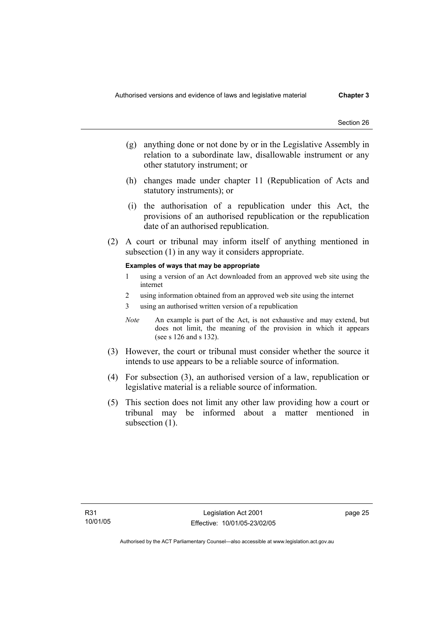- (g) anything done or not done by or in the Legislative Assembly in relation to a subordinate law, disallowable instrument or any other statutory instrument; or
- (h) changes made under chapter 11 (Republication of Acts and statutory instruments); or
- (i) the authorisation of a republication under this Act, the provisions of an authorised republication or the republication date of an authorised republication.
- (2) A court or tribunal may inform itself of anything mentioned in subsection (1) in any way it considers appropriate.

#### **Examples of ways that may be appropriate**

- 1 using a version of an Act downloaded from an approved web site using the internet
- 2 using information obtained from an approved web site using the internet
- 3 using an authorised written version of a republication
- *Note* An example is part of the Act, is not exhaustive and may extend, but does not limit, the meaning of the provision in which it appears (see s 126 and s 132).
- (3) However, the court or tribunal must consider whether the source it intends to use appears to be a reliable source of information.
- (4) For subsection (3), an authorised version of a law, republication or legislative material is a reliable source of information.
- (5) This section does not limit any other law providing how a court or tribunal may be informed about a matter mentioned in subsection  $(1)$ .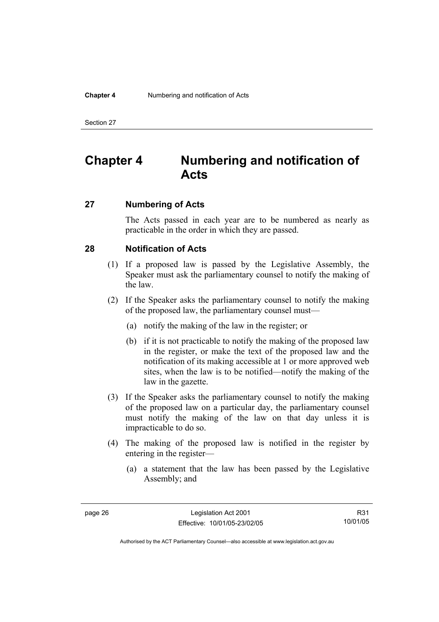#### **Chapter 4** Numbering and notification of Acts

Section 27

# **Chapter 4 Numbering and notification of Acts**

## **27 Numbering of Acts**

The Acts passed in each year are to be numbered as nearly as practicable in the order in which they are passed.

## **28 Notification of Acts**

- (1) If a proposed law is passed by the Legislative Assembly, the Speaker must ask the parliamentary counsel to notify the making of the law.
- (2) If the Speaker asks the parliamentary counsel to notify the making of the proposed law, the parliamentary counsel must—
	- (a) notify the making of the law in the register; or
	- (b) if it is not practicable to notify the making of the proposed law in the register, or make the text of the proposed law and the notification of its making accessible at 1 or more approved web sites, when the law is to be notified—notify the making of the law in the gazette.
- (3) If the Speaker asks the parliamentary counsel to notify the making of the proposed law on a particular day, the parliamentary counsel must notify the making of the law on that day unless it is impracticable to do so.
- (4) The making of the proposed law is notified in the register by entering in the register—
	- (a) a statement that the law has been passed by the Legislative Assembly; and

R31 10/01/05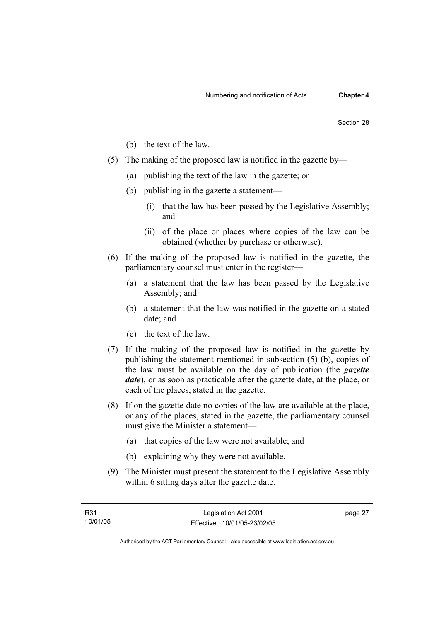- (b) the text of the law.
- (5) The making of the proposed law is notified in the gazette by—
	- (a) publishing the text of the law in the gazette; or
	- (b) publishing in the gazette a statement—
		- (i) that the law has been passed by the Legislative Assembly; and
		- (ii) of the place or places where copies of the law can be obtained (whether by purchase or otherwise).
- (6) If the making of the proposed law is notified in the gazette, the parliamentary counsel must enter in the register—
	- (a) a statement that the law has been passed by the Legislative Assembly; and
	- (b) a statement that the law was notified in the gazette on a stated date; and
	- (c) the text of the law.
- (7) If the making of the proposed law is notified in the gazette by publishing the statement mentioned in subsection (5) (b), copies of the law must be available on the day of publication (the *gazette date*), or as soon as practicable after the gazette date, at the place, or each of the places, stated in the gazette.
- (8) If on the gazette date no copies of the law are available at the place, or any of the places, stated in the gazette, the parliamentary counsel must give the Minister a statement—
	- (a) that copies of the law were not available; and
	- (b) explaining why they were not available.
- (9) The Minister must present the statement to the Legislative Assembly within 6 sitting days after the gazette date.

page 27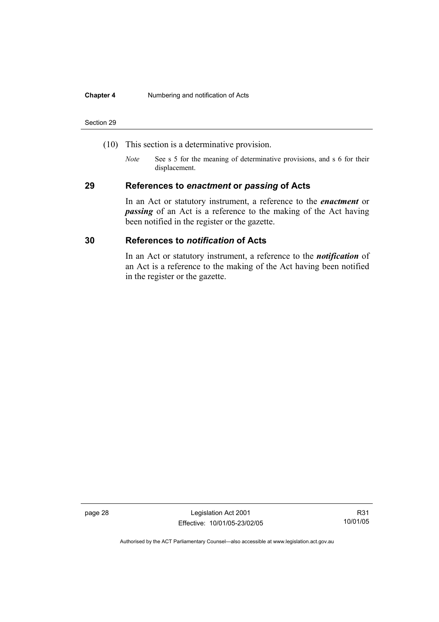#### **Chapter 4** Numbering and notification of Acts

#### Section 29

- (10) This section is a determinative provision.
	- *Note* See s 5 for the meaning of determinative provisions, and s 6 for their displacement.

## **29 References to** *enactment* **or** *passing* **of Acts**

In an Act or statutory instrument, a reference to the *enactment* or *passing* of an Act is a reference to the making of the Act having been notified in the register or the gazette.

## **30 References to** *notification* **of Acts**

In an Act or statutory instrument, a reference to the *notification* of an Act is a reference to the making of the Act having been notified in the register or the gazette.

page 28 Legislation Act 2001 Effective: 10/01/05-23/02/05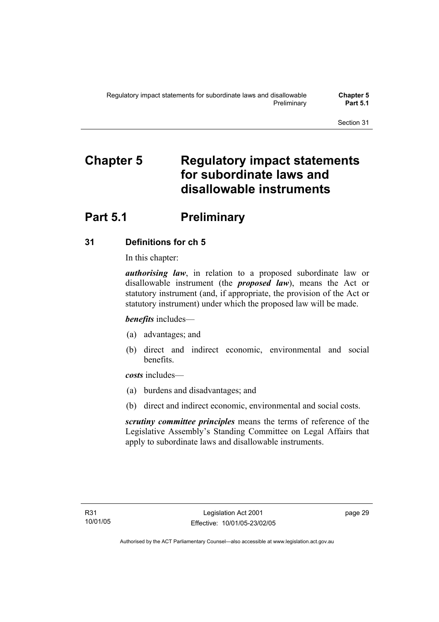# **Chapter 5 Regulatory impact statements for subordinate laws and disallowable instruments**

# **Part 5.1** Preliminary

## **31 Definitions for ch 5**

In this chapter:

*authorising law*, in relation to a proposed subordinate law or disallowable instrument (the *proposed law*), means the Act or statutory instrument (and, if appropriate, the provision of the Act or statutory instrument) under which the proposed law will be made.

*benefits* includes—

- (a) advantages; and
- (b) direct and indirect economic, environmental and social benefits.

*costs* includes—

- (a) burdens and disadvantages; and
- (b) direct and indirect economic, environmental and social costs.

*scrutiny committee principles* means the terms of reference of the Legislative Assembly's Standing Committee on Legal Affairs that apply to subordinate laws and disallowable instruments.

page 29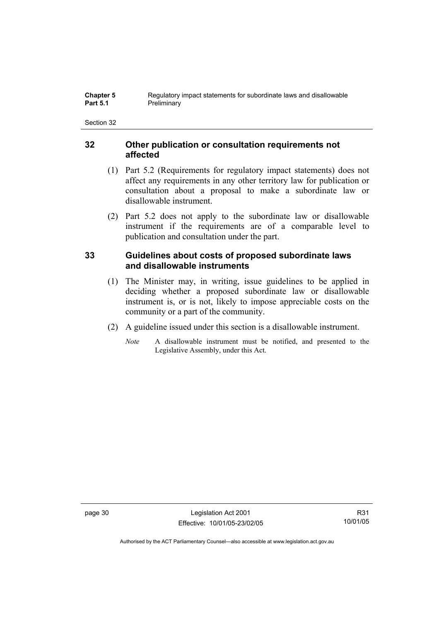## **32 Other publication or consultation requirements not affected**

- (1) Part 5.2 (Requirements for regulatory impact statements) does not affect any requirements in any other territory law for publication or consultation about a proposal to make a subordinate law or disallowable instrument.
- (2) Part 5.2 does not apply to the subordinate law or disallowable instrument if the requirements are of a comparable level to publication and consultation under the part.

## **33 Guidelines about costs of proposed subordinate laws and disallowable instruments**

- (1) The Minister may, in writing, issue guidelines to be applied in deciding whether a proposed subordinate law or disallowable instrument is, or is not, likely to impose appreciable costs on the community or a part of the community.
- (2) A guideline issued under this section is a disallowable instrument.
	- *Note* A disallowable instrument must be notified, and presented to the Legislative Assembly, under this Act.

page 30 Legislation Act 2001 Effective: 10/01/05-23/02/05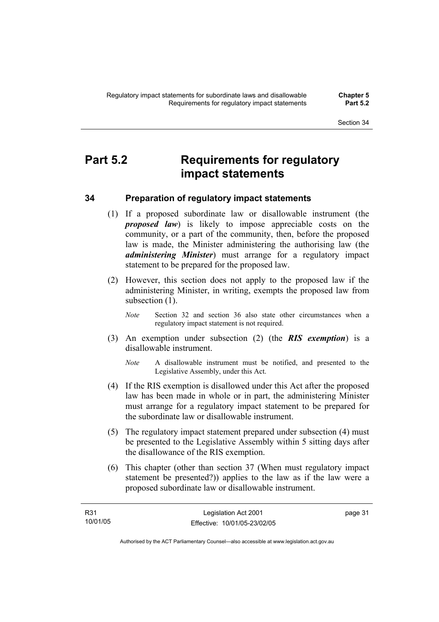# **Part 5.2 Requirements for regulatory impact statements**

## **34 Preparation of regulatory impact statements**

- (1) If a proposed subordinate law or disallowable instrument (the *proposed law*) is likely to impose appreciable costs on the community, or a part of the community, then, before the proposed law is made, the Minister administering the authorising law (the *administering Minister*) must arrange for a regulatory impact statement to be prepared for the proposed law.
- (2) However, this section does not apply to the proposed law if the administering Minister, in writing, exempts the proposed law from subsection  $(1)$ .
	- *Note* Section 32 and section 36 also state other circumstances when a regulatory impact statement is not required.
- (3) An exemption under subsection (2) (the *RIS exemption*) is a disallowable instrument.
	- *Note* A disallowable instrument must be notified, and presented to the Legislative Assembly, under this Act.
- (4) If the RIS exemption is disallowed under this Act after the proposed law has been made in whole or in part, the administering Minister must arrange for a regulatory impact statement to be prepared for the subordinate law or disallowable instrument.
- (5) The regulatory impact statement prepared under subsection (4) must be presented to the Legislative Assembly within 5 sitting days after the disallowance of the RIS exemption.
- (6) This chapter (other than section 37 (When must regulatory impact statement be presented?)) applies to the law as if the law were a proposed subordinate law or disallowable instrument.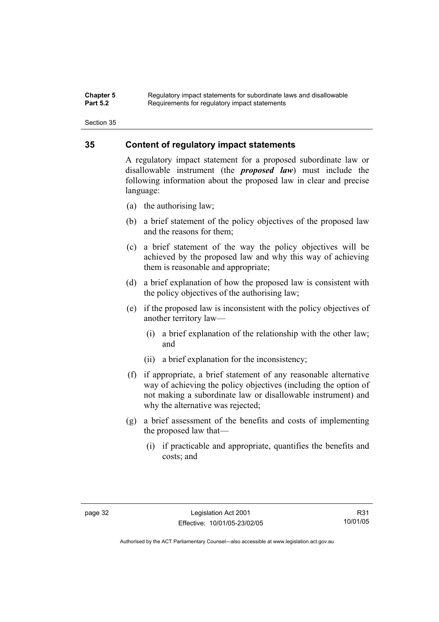#### **Chapter 5** Regulatory impact statements for subordinate laws and disallowable<br>**Part 5.2** Requirements for requistory impact statements Requirements for regulatory impact statements

Section 35

## **35 Content of regulatory impact statements**

A regulatory impact statement for a proposed subordinate law or disallowable instrument (the *proposed law*) must include the following information about the proposed law in clear and precise language:

- (a) the authorising law;
- (b) a brief statement of the policy objectives of the proposed law and the reasons for them;
- (c) a brief statement of the way the policy objectives will be achieved by the proposed law and why this way of achieving them is reasonable and appropriate;
- (d) a brief explanation of how the proposed law is consistent with the policy objectives of the authorising law;
- (e) if the proposed law is inconsistent with the policy objectives of another territory law—
	- (i) a brief explanation of the relationship with the other law; and
	- (ii) a brief explanation for the inconsistency;
- (f) if appropriate, a brief statement of any reasonable alternative way of achieving the policy objectives (including the option of not making a subordinate law or disallowable instrument) and why the alternative was rejected;
- (g) a brief assessment of the benefits and costs of implementing the proposed law that—
	- (i) if practicable and appropriate, quantifies the benefits and costs; and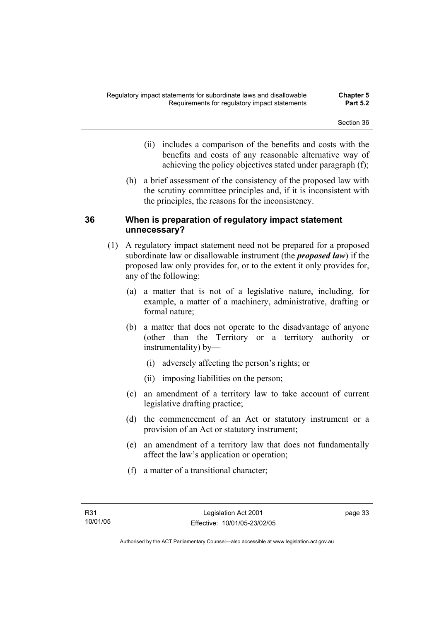- (ii) includes a comparison of the benefits and costs with the benefits and costs of any reasonable alternative way of achieving the policy objectives stated under paragraph (f);
- (h) a brief assessment of the consistency of the proposed law with the scrutiny committee principles and, if it is inconsistent with the principles, the reasons for the inconsistency.

## **36 When is preparation of regulatory impact statement unnecessary?**

- (1) A regulatory impact statement need not be prepared for a proposed subordinate law or disallowable instrument (the *proposed law*) if the proposed law only provides for, or to the extent it only provides for, any of the following:
	- (a) a matter that is not of a legislative nature, including, for example, a matter of a machinery, administrative, drafting or formal nature;
	- (b) a matter that does not operate to the disadvantage of anyone (other than the Territory or a territory authority or instrumentality) by—
		- (i) adversely affecting the person's rights; or
		- (ii) imposing liabilities on the person;
	- (c) an amendment of a territory law to take account of current legislative drafting practice;
	- (d) the commencement of an Act or statutory instrument or a provision of an Act or statutory instrument;
	- (e) an amendment of a territory law that does not fundamentally affect the law's application or operation;
	- (f) a matter of a transitional character;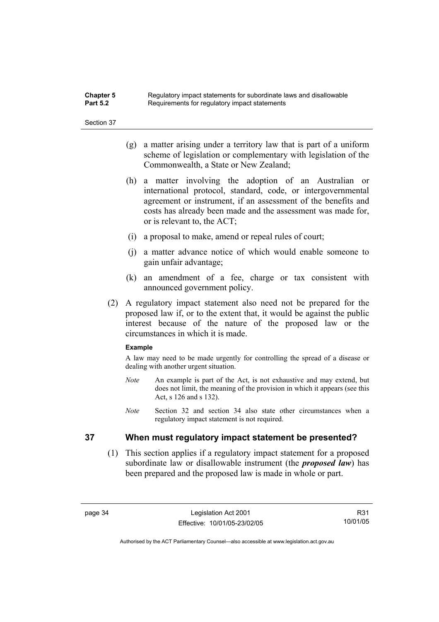| <b>Chapter 5</b> | Regulatory impact statements for subordinate laws and disallowable |
|------------------|--------------------------------------------------------------------|
| <b>Part 5.2</b>  | Requirements for regulatory impact statements                      |

- (g) a matter arising under a territory law that is part of a uniform scheme of legislation or complementary with legislation of the Commonwealth, a State or New Zealand;
- (h) a matter involving the adoption of an Australian or international protocol, standard, code, or intergovernmental agreement or instrument, if an assessment of the benefits and costs has already been made and the assessment was made for, or is relevant to, the ACT;
- (i) a proposal to make, amend or repeal rules of court;
- (j) a matter advance notice of which would enable someone to gain unfair advantage;
- (k) an amendment of a fee, charge or tax consistent with announced government policy.
- (2) A regulatory impact statement also need not be prepared for the proposed law if, or to the extent that, it would be against the public interest because of the nature of the proposed law or the circumstances in which it is made.

#### **Example**

A law may need to be made urgently for controlling the spread of a disease or dealing with another urgent situation.

- *Note* An example is part of the Act, is not exhaustive and may extend, but does not limit, the meaning of the provision in which it appears (see this Act, s 126 and s 132).
- *Note* Section 32 and section 34 also state other circumstances when a regulatory impact statement is not required.

## **37 When must regulatory impact statement be presented?**

 (1) This section applies if a regulatory impact statement for a proposed subordinate law or disallowable instrument (the *proposed law*) has been prepared and the proposed law is made in whole or part.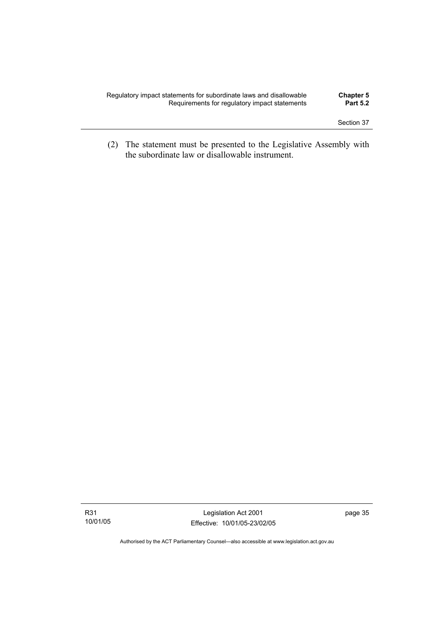| Regulatory impact statements for subordinate laws and disallowable | <b>Chapter 5</b> |
|--------------------------------------------------------------------|------------------|
| Requirements for regulatory impact statements                      | <b>Part 5.2</b>  |
|                                                                    |                  |

 (2) The statement must be presented to the Legislative Assembly with the subordinate law or disallowable instrument.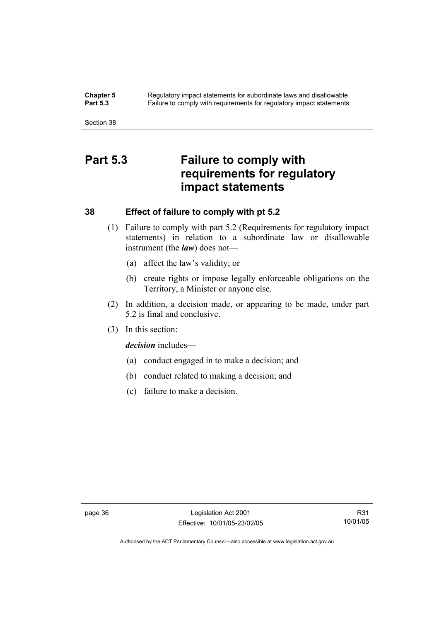**Chapter 5** Regulatory impact statements for subordinate laws and disallowable<br>**Part 5.3** Failure to comply with requirements for requilatory impact statements Failure to comply with requirements for regulatory impact statements

Section 38

# **Part 5.3 Failure to comply with requirements for regulatory impact statements**

## **38 Effect of failure to comply with pt 5.2**

- (1) Failure to comply with part 5.2 (Requirements for regulatory impact statements) in relation to a subordinate law or disallowable instrument (the *law*) does not—
	- (a) affect the law's validity; or
	- (b) create rights or impose legally enforceable obligations on the Territory, a Minister or anyone else.
- (2) In addition, a decision made, or appearing to be made, under part 5.2 is final and conclusive.
- (3) In this section:

*decision* includes—

- (a) conduct engaged in to make a decision; and
- (b) conduct related to making a decision; and
- (c) failure to make a decision.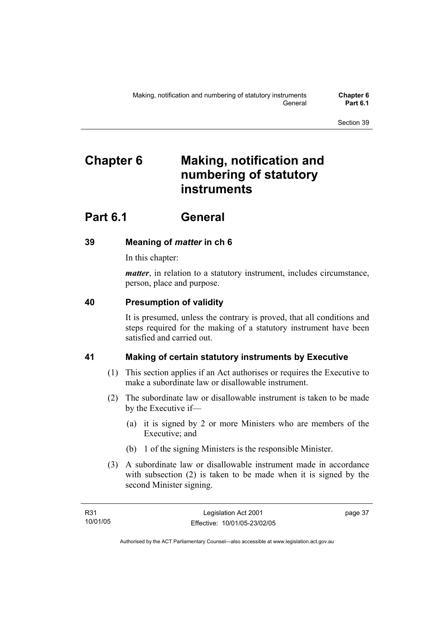# **Chapter 6 Making, notification and numbering of statutory instruments**

# **Part 6.1 General**

## **39 Meaning of** *matter* **in ch 6**

In this chapter:

*matter*, in relation to a statutory instrument, includes circumstance, person, place and purpose.

## **40 Presumption of validity**

It is presumed, unless the contrary is proved, that all conditions and steps required for the making of a statutory instrument have been satisfied and carried out.

## **41 Making of certain statutory instruments by Executive**

- (1) This section applies if an Act authorises or requires the Executive to make a subordinate law or disallowable instrument.
- (2) The subordinate law or disallowable instrument is taken to be made by the Executive if—
	- (a) it is signed by 2 or more Ministers who are members of the Executive; and
	- (b) 1 of the signing Ministers is the responsible Minister.
- (3) A subordinate law or disallowable instrument made in accordance with subsection (2) is taken to be made when it is signed by the second Minister signing.

page 37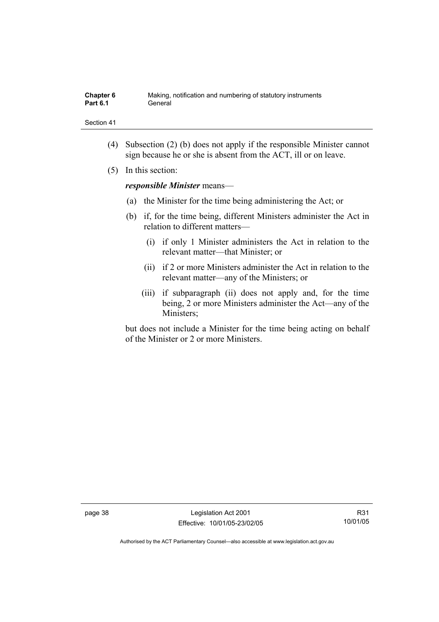| Chapter 6       | Making, notification and numbering of statutory instruments |
|-----------------|-------------------------------------------------------------|
| <b>Part 6.1</b> | General                                                     |

- (4) Subsection (2) (b) does not apply if the responsible Minister cannot sign because he or she is absent from the ACT, ill or on leave.
- (5) In this section:

*responsible Minister* means—

- (a) the Minister for the time being administering the Act; or
- (b) if, for the time being, different Ministers administer the Act in relation to different matters—
	- (i) if only 1 Minister administers the Act in relation to the relevant matter—that Minister; or
	- (ii) if 2 or more Ministers administer the Act in relation to the relevant matter—any of the Ministers; or
	- (iii) if subparagraph (ii) does not apply and, for the time being, 2 or more Ministers administer the Act—any of the Ministers;

but does not include a Minister for the time being acting on behalf of the Minister or 2 or more Ministers.

page 38 Legislation Act 2001 Effective: 10/01/05-23/02/05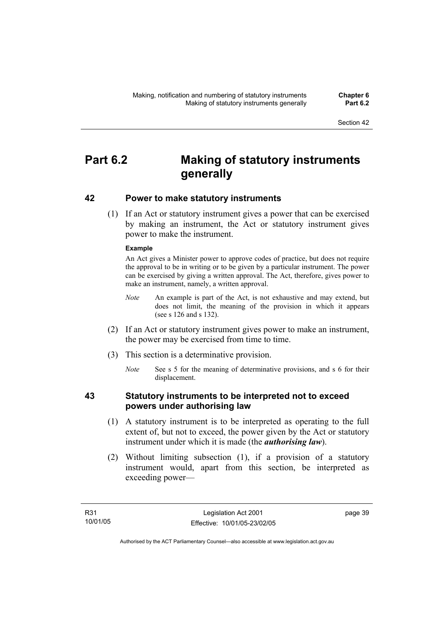# **Part 6.2 Making of statutory instruments generally**

## **42 Power to make statutory instruments**

 (1) If an Act or statutory instrument gives a power that can be exercised by making an instrument, the Act or statutory instrument gives power to make the instrument.

### **Example**

An Act gives a Minister power to approve codes of practice, but does not require the approval to be in writing or to be given by a particular instrument. The power can be exercised by giving a written approval. The Act, therefore, gives power to make an instrument, namely, a written approval.

- *Note* An example is part of the Act, is not exhaustive and may extend, but does not limit, the meaning of the provision in which it appears (see s 126 and s 132).
- (2) If an Act or statutory instrument gives power to make an instrument, the power may be exercised from time to time.
- (3) This section is a determinative provision.
	- *Note* See s 5 for the meaning of determinative provisions, and s 6 for their displacement.

## **43 Statutory instruments to be interpreted not to exceed powers under authorising law**

- (1) A statutory instrument is to be interpreted as operating to the full extent of, but not to exceed, the power given by the Act or statutory instrument under which it is made (the *authorising law*).
- (2) Without limiting subsection (1), if a provision of a statutory instrument would, apart from this section, be interpreted as exceeding power—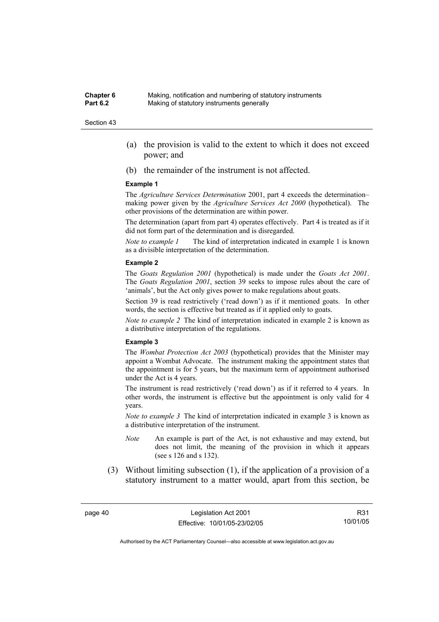- (a) the provision is valid to the extent to which it does not exceed power; and
- (b) the remainder of the instrument is not affected.

#### **Example 1**

The *Agriculture Services Determination* 2001, part 4 exceeds the determination– making power given by the *Agriculture Services Act 2000* (hypothetical). The other provisions of the determination are within power.

The determination (apart from part 4) operates effectively. Part 4 is treated as if it did not form part of the determination and is disregarded.

*Note to example 1* The kind of interpretation indicated in example 1 is known as a divisible interpretation of the determination.

#### **Example 2**

The *Goats Regulation 2001* (hypothetical) is made under the *Goats Act 2001*. The *Goats Regulation 2001*, section 39 seeks to impose rules about the care of 'animals', but the Act only gives power to make regulations about goats.

Section 39 is read restrictively ('read down') as if it mentioned goats. In other words, the section is effective but treated as if it applied only to goats.

*Note to example 2* The kind of interpretation indicated in example 2 is known as a distributive interpretation of the regulations.

#### **Example 3**

The *Wombat Protection Act 2003* (hypothetical) provides that the Minister may appoint a Wombat Advocate. The instrument making the appointment states that the appointment is for 5 years, but the maximum term of appointment authorised under the Act is 4 years.

The instrument is read restrictively ('read down') as if it referred to 4 years. In other words, the instrument is effective but the appointment is only valid for 4 years.

*Note to example 3* The kind of interpretation indicated in example 3 is known as a distributive interpretation of the instrument.

- *Note* An example is part of the Act, is not exhaustive and may extend, but does not limit, the meaning of the provision in which it appears (see s 126 and s 132).
- (3) Without limiting subsection (1), if the application of a provision of a statutory instrument to a matter would, apart from this section, be

R31 10/01/05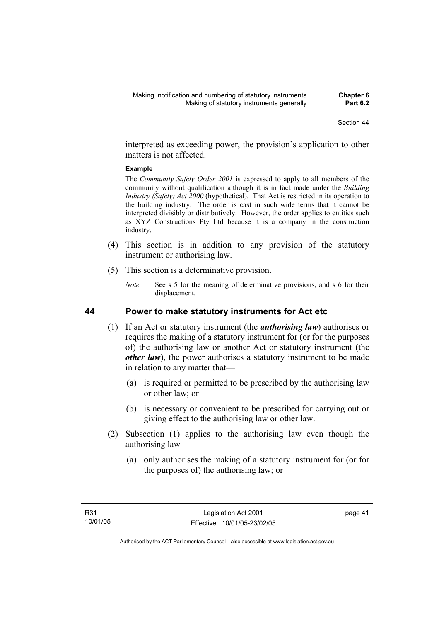interpreted as exceeding power, the provision's application to other matters is not affected.

### **Example**

The *Community Safety Order 2001* is expressed to apply to all members of the community without qualification although it is in fact made under the *Building Industry (Safety) Act 2000* (hypothetical). That Act is restricted in its operation to the building industry. The order is cast in such wide terms that it cannot be interpreted divisibly or distributively. However, the order applies to entities such as XYZ Constructions Pty Ltd because it is a company in the construction industry.

- (4) This section is in addition to any provision of the statutory instrument or authorising law.
- (5) This section is a determinative provision.
	- *Note* See s 5 for the meaning of determinative provisions, and s 6 for their displacement.

## **44 Power to make statutory instruments for Act etc**

- (1) If an Act or statutory instrument (the *authorising law*) authorises or requires the making of a statutory instrument for (or for the purposes of) the authorising law or another Act or statutory instrument (the *other law*), the power authorises a statutory instrument to be made in relation to any matter that—
	- (a) is required or permitted to be prescribed by the authorising law or other law; or
	- (b) is necessary or convenient to be prescribed for carrying out or giving effect to the authorising law or other law.
- (2) Subsection (1) applies to the authorising law even though the authorising law—
	- (a) only authorises the making of a statutory instrument for (or for the purposes of) the authorising law; or

page 41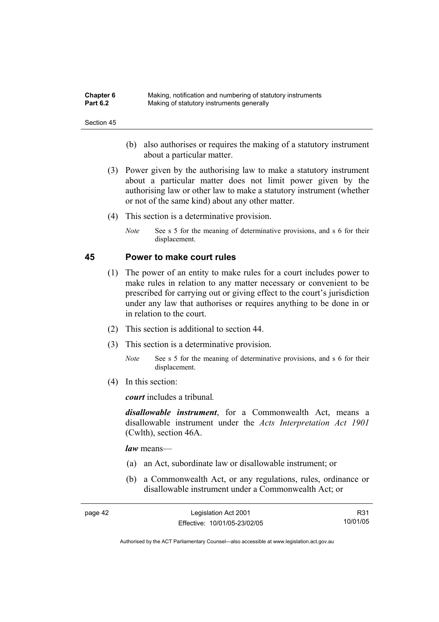| <b>Chapter 6</b> | Making, notification and numbering of statutory instruments |
|------------------|-------------------------------------------------------------|
| <b>Part 6.2</b>  | Making of statutory instruments generally                   |

- (b) also authorises or requires the making of a statutory instrument about a particular matter.
- (3) Power given by the authorising law to make a statutory instrument about a particular matter does not limit power given by the authorising law or other law to make a statutory instrument (whether or not of the same kind) about any other matter.
- (4) This section is a determinative provision.
	- *Note* See s 5 for the meaning of determinative provisions, and s 6 for their displacement.

### **45 Power to make court rules**

- (1) The power of an entity to make rules for a court includes power to make rules in relation to any matter necessary or convenient to be prescribed for carrying out or giving effect to the court's jurisdiction under any law that authorises or requires anything to be done in or in relation to the court.
- (2) This section is additional to section 44.
- (3) This section is a determinative provision.
	- *Note* See s 5 for the meaning of determinative provisions, and s 6 for their displacement.
- (4) In this section:

*court* includes a tribunal*.*

*disallowable instrument*, for a Commonwealth Act, means a disallowable instrument under the *Acts Interpretation Act 1901* (Cwlth), section 46A.

*law* means—

- (a) an Act, subordinate law or disallowable instrument; or
- (b) a Commonwealth Act, or any regulations, rules, ordinance or disallowable instrument under a Commonwealth Act; or

| page 42 | Legislation Act 2001         | R31      |
|---------|------------------------------|----------|
|         | Effective: 10/01/05-23/02/05 | 10/01/05 |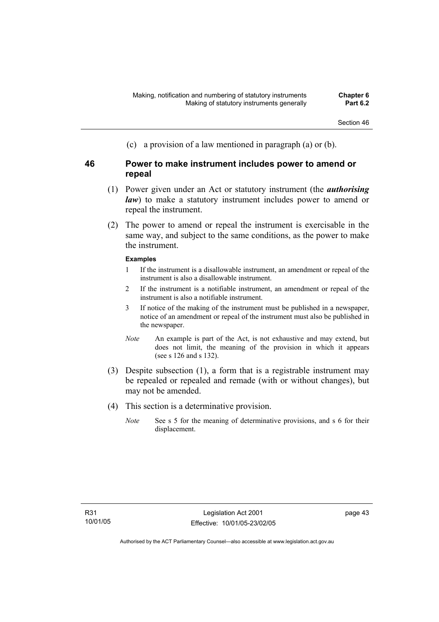(c) a provision of a law mentioned in paragraph (a) or (b).

## **46 Power to make instrument includes power to amend or repeal**

- (1) Power given under an Act or statutory instrument (the *authorising law*) to make a statutory instrument includes power to amend or repeal the instrument.
- (2) The power to amend or repeal the instrument is exercisable in the same way, and subject to the same conditions, as the power to make the instrument.

## **Examples**

- 1 If the instrument is a disallowable instrument, an amendment or repeal of the instrument is also a disallowable instrument.
- 2 If the instrument is a notifiable instrument, an amendment or repeal of the instrument is also a notifiable instrument.
- 3 If notice of the making of the instrument must be published in a newspaper, notice of an amendment or repeal of the instrument must also be published in the newspaper.
- *Note* An example is part of the Act, is not exhaustive and may extend, but does not limit, the meaning of the provision in which it appears (see s 126 and s 132).
- (3) Despite subsection (1), a form that is a registrable instrument may be repealed or repealed and remade (with or without changes), but may not be amended.
- (4) This section is a determinative provision.
	- *Note* See s 5 for the meaning of determinative provisions, and s 6 for their displacement.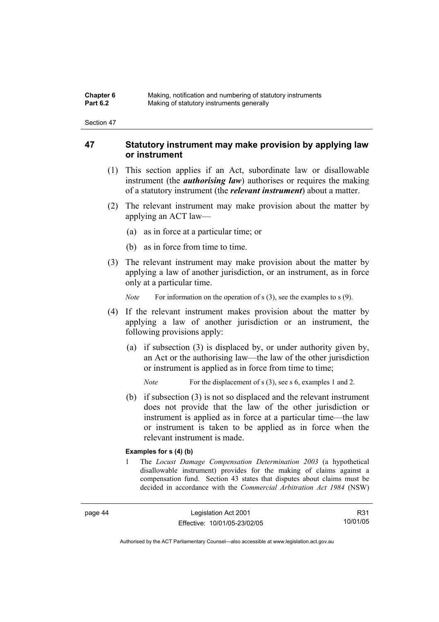| Chapter 6       | Making, notification and numbering of statutory instruments |
|-----------------|-------------------------------------------------------------|
| <b>Part 6.2</b> | Making of statutory instruments generally                   |

## **47 Statutory instrument may make provision by applying law or instrument**

- (1) This section applies if an Act, subordinate law or disallowable instrument (the *authorising law*) authorises or requires the making of a statutory instrument (the *relevant instrument*) about a matter.
- (2) The relevant instrument may make provision about the matter by applying an ACT law—
	- (a) as in force at a particular time; or
	- (b) as in force from time to time.
- (3) The relevant instrument may make provision about the matter by applying a law of another jurisdiction, or an instrument, as in force only at a particular time.

*Note* For information on the operation of s (3), see the examples to s (9).

- (4) If the relevant instrument makes provision about the matter by applying a law of another jurisdiction or an instrument, the following provisions apply:
	- (a) if subsection (3) is displaced by, or under authority given by, an Act or the authorising law—the law of the other jurisdiction or instrument is applied as in force from time to time;

*Note* For the displacement of s (3), see s 6, examples 1 and 2.

 (b) if subsection (3) is not so displaced and the relevant instrument does not provide that the law of the other jurisdiction or instrument is applied as in force at a particular time—the law or instrument is taken to be applied as in force when the relevant instrument is made.

#### **Examples for s (4) (b)**

1 The *Locust Damage Compensation Determination 2003* (a hypothetical disallowable instrument) provides for the making of claims against a compensation fund. Section 43 states that disputes about claims must be decided in accordance with the *Commercial Arbitration Act 1984* (NSW)

R31 10/01/05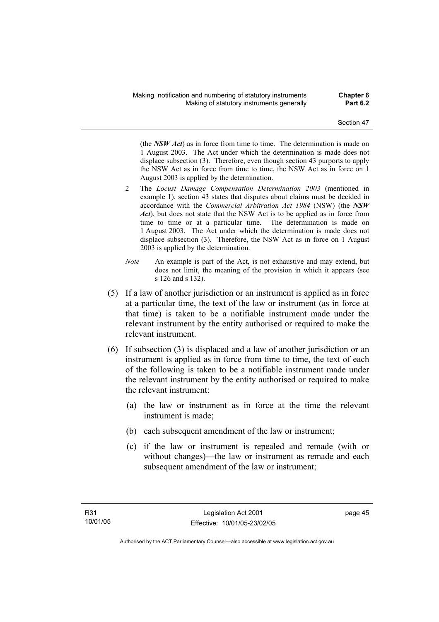(the *NSW Act*) as in force from time to time. The determination is made on 1 August 2003. The Act under which the determination is made does not displace subsection (3). Therefore, even though section 43 purports to apply the NSW Act as in force from time to time, the NSW Act as in force on 1 August 2003 is applied by the determination.

- 2 The *Locust Damage Compensation Determination 2003* (mentioned in example 1), section 43 states that disputes about claims must be decided in accordance with the *Commercial Arbitration Act 1984* (NSW) (the *NSW Act*), but does not state that the NSW Act is to be applied as in force from time to time or at a particular time. The determination is made on 1 August 2003. The Act under which the determination is made does not displace subsection (3). Therefore, the NSW Act as in force on 1 August 2003 is applied by the determination.
- *Note* An example is part of the Act, is not exhaustive and may extend, but does not limit, the meaning of the provision in which it appears (see s 126 and s 132).
- (5) If a law of another jurisdiction or an instrument is applied as in force at a particular time, the text of the law or instrument (as in force at that time) is taken to be a notifiable instrument made under the relevant instrument by the entity authorised or required to make the relevant instrument.
- (6) If subsection (3) is displaced and a law of another jurisdiction or an instrument is applied as in force from time to time, the text of each of the following is taken to be a notifiable instrument made under the relevant instrument by the entity authorised or required to make the relevant instrument:
	- (a) the law or instrument as in force at the time the relevant instrument is made;
	- (b) each subsequent amendment of the law or instrument;
	- (c) if the law or instrument is repealed and remade (with or without changes)—the law or instrument as remade and each subsequent amendment of the law or instrument;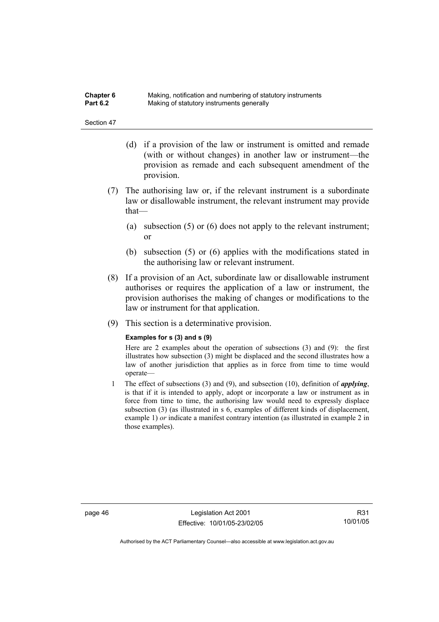| <b>Chapter 6</b> | Making, notification and numbering of statutory instruments |
|------------------|-------------------------------------------------------------|
| <b>Part 6.2</b>  | Making of statutory instruments generally                   |

- (d) if a provision of the law or instrument is omitted and remade (with or without changes) in another law or instrument—the provision as remade and each subsequent amendment of the provision.
- (7) The authorising law or, if the relevant instrument is a subordinate law or disallowable instrument, the relevant instrument may provide that—
	- (a) subsection (5) or (6) does not apply to the relevant instrument; or
	- (b) subsection (5) or (6) applies with the modifications stated in the authorising law or relevant instrument.
- (8) If a provision of an Act, subordinate law or disallowable instrument authorises or requires the application of a law or instrument, the provision authorises the making of changes or modifications to the law or instrument for that application.
- (9) This section is a determinative provision.

#### **Examples for s (3) and s (9)**

Here are 2 examples about the operation of subsections (3) and (9): the first illustrates how subsection (3) might be displaced and the second illustrates how a law of another jurisdiction that applies as in force from time to time would operate—

1 The effect of subsections (3) and (9), and subsection (10), definition of *applying*, is that if it is intended to apply, adopt or incorporate a law or instrument as in force from time to time, the authorising law would need to expressly displace subsection (3) (as illustrated in s 6, examples of different kinds of displacement, example 1) *or* indicate a manifest contrary intention (as illustrated in example 2 in those examples).

page 46 Legislation Act 2001 Effective: 10/01/05-23/02/05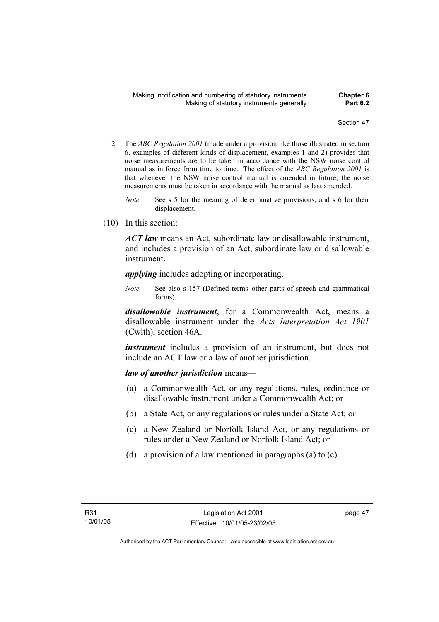- 2 The *ABC Regulation 2001* (made under a provision like those illustrated in section 6, examples of different kinds of displacement, examples 1 and 2) provides that noise measurements are to be taken in accordance with the NSW noise control manual as in force from time to time. The effect of the *ABC Regulation 2001* is that whenever the NSW noise control manual is amended in future, the noise measurements must be taken in accordance with the manual as last amended.
	- *Note* See s 5 for the meaning of determinative provisions, and s 6 for their displacement.
- (10) In this section:

*ACT law* means an Act, subordinate law or disallowable instrument, and includes a provision of an Act, subordinate law or disallowable instrument.

*applying* includes adopting or incorporating.

*Note* See also s 157 (Defined terms–other parts of speech and grammatical forms).

*disallowable instrument*, for a Commonwealth Act, means a disallowable instrument under the *Acts Interpretation Act 1901* (Cwlth), section 46A.

*instrument* includes a provision of an instrument, but does not include an ACT law or a law of another jurisdiction.

## *law of another jurisdiction* means—

- (a) a Commonwealth Act, or any regulations, rules, ordinance or disallowable instrument under a Commonwealth Act; or
- (b) a State Act, or any regulations or rules under a State Act; or
- (c) a New Zealand or Norfolk Island Act, or any regulations or rules under a New Zealand or Norfolk Island Act; or
- (d) a provision of a law mentioned in paragraphs (a) to (c).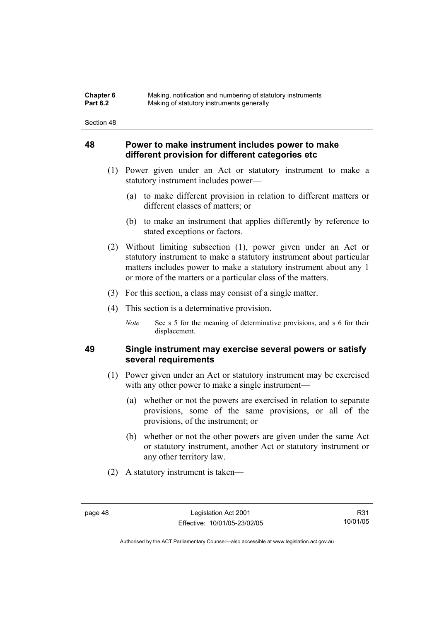| <b>Chapter 6</b> | Making, notification and numbering of statutory instruments |
|------------------|-------------------------------------------------------------|
| <b>Part 6.2</b>  | Making of statutory instruments generally                   |

## **48 Power to make instrument includes power to make different provision for different categories etc**

- (1) Power given under an Act or statutory instrument to make a statutory instrument includes power—
	- (a) to make different provision in relation to different matters or different classes of matters; or
	- (b) to make an instrument that applies differently by reference to stated exceptions or factors.
- (2) Without limiting subsection (1), power given under an Act or statutory instrument to make a statutory instrument about particular matters includes power to make a statutory instrument about any 1 or more of the matters or a particular class of the matters.
- (3) For this section, a class may consist of a single matter.
- (4) This section is a determinative provision.
	- *Note* See s 5 for the meaning of determinative provisions, and s 6 for their displacement.

## **49 Single instrument may exercise several powers or satisfy several requirements**

- (1) Power given under an Act or statutory instrument may be exercised with any other power to make a single instrument—
	- (a) whether or not the powers are exercised in relation to separate provisions, some of the same provisions, or all of the provisions, of the instrument; or
	- (b) whether or not the other powers are given under the same Act or statutory instrument, another Act or statutory instrument or any other territory law.
- (2) A statutory instrument is taken—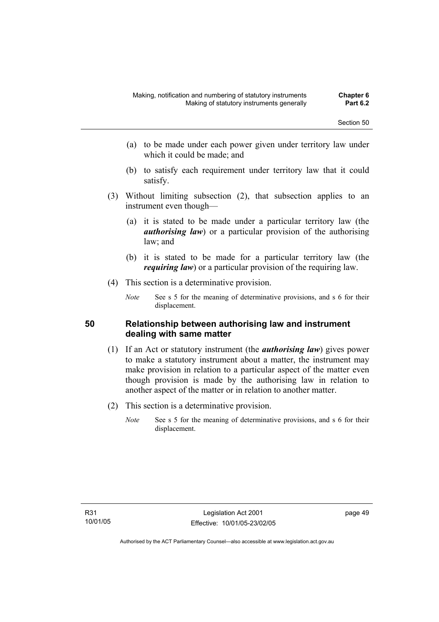- (a) to be made under each power given under territory law under which it could be made; and
- (b) to satisfy each requirement under territory law that it could satisfy.
- (3) Without limiting subsection (2), that subsection applies to an instrument even though—
	- (a) it is stated to be made under a particular territory law (the *authorising law*) or a particular provision of the authorising law; and
	- (b) it is stated to be made for a particular territory law (the *requiring law*) or a particular provision of the requiring law.
- (4) This section is a determinative provision.
	- *Note* See s 5 for the meaning of determinative provisions, and s 6 for their displacement.

## **50 Relationship between authorising law and instrument dealing with same matter**

- (1) If an Act or statutory instrument (the *authorising law*) gives power to make a statutory instrument about a matter, the instrument may make provision in relation to a particular aspect of the matter even though provision is made by the authorising law in relation to another aspect of the matter or in relation to another matter.
- (2) This section is a determinative provision.
	- *Note* See s 5 for the meaning of determinative provisions, and s 6 for their displacement.

page 49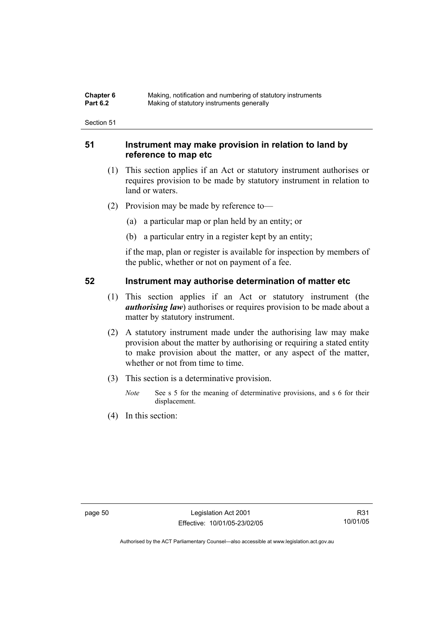| Chapter 6       | Making, notification and numbering of statutory instruments |
|-----------------|-------------------------------------------------------------|
| <b>Part 6.2</b> | Making of statutory instruments generally                   |

## **51 Instrument may make provision in relation to land by reference to map etc**

- (1) This section applies if an Act or statutory instrument authorises or requires provision to be made by statutory instrument in relation to land or waters.
- (2) Provision may be made by reference to—
	- (a) a particular map or plan held by an entity; or
	- (b) a particular entry in a register kept by an entity;

if the map, plan or register is available for inspection by members of the public, whether or not on payment of a fee.

## **52 Instrument may authorise determination of matter etc**

- (1) This section applies if an Act or statutory instrument (the *authorising law*) authorises or requires provision to be made about a matter by statutory instrument.
- (2) A statutory instrument made under the authorising law may make provision about the matter by authorising or requiring a stated entity to make provision about the matter, or any aspect of the matter, whether or not from time to time.
- (3) This section is a determinative provision.
	- *Note* See s 5 for the meaning of determinative provisions, and s 6 for their displacement.
- (4) In this section: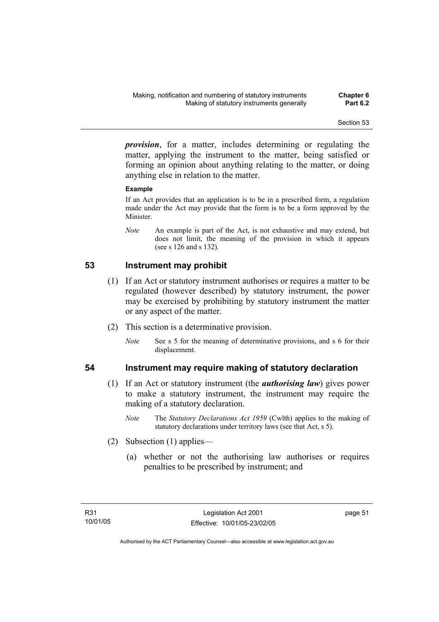*provision*, for a matter, includes determining or regulating the matter, applying the instrument to the matter, being satisfied or forming an opinion about anything relating to the matter, or doing anything else in relation to the matter.

### **Example**

If an Act provides that an application is to be in a prescribed form, a regulation made under the Act may provide that the form is to be a form approved by the Minister.

*Note* An example is part of the Act, is not exhaustive and may extend, but does not limit, the meaning of the provision in which it appears (see s 126 and s 132).

## **53 Instrument may prohibit**

- (1) If an Act or statutory instrument authorises or requires a matter to be regulated (however described) by statutory instrument, the power may be exercised by prohibiting by statutory instrument the matter or any aspect of the matter.
- (2) This section is a determinative provision.
	- *Note* See s 5 for the meaning of determinative provisions, and s 6 for their displacement.

- **54 Instrument may require making of statutory declaration** 
	- (1) If an Act or statutory instrument (the *authorising law*) gives power to make a statutory instrument, the instrument may require the making of a statutory declaration.
		- *Note* The *Statutory Declarations Act 1959* (Cwlth) applies to the making of statutory declarations under territory laws (see that Act, s 5).
	- (2) Subsection (1) applies—
		- (a) whether or not the authorising law authorises or requires penalties to be prescribed by instrument; and

page 51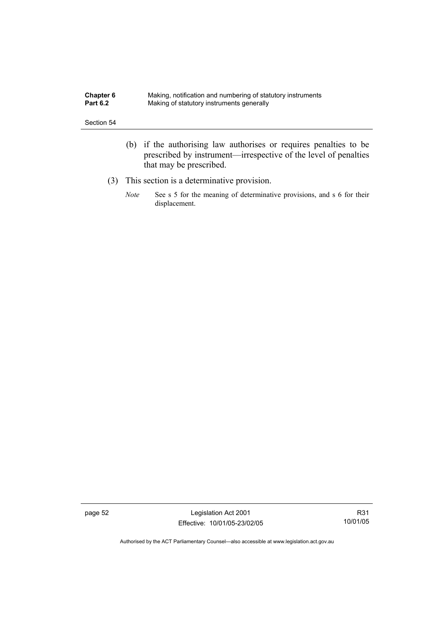| <b>Chapter 6</b> | Making, notification and numbering of statutory instruments |
|------------------|-------------------------------------------------------------|
| <b>Part 6.2</b>  | Making of statutory instruments generally                   |

- (b) if the authorising law authorises or requires penalties to be prescribed by instrument—irrespective of the level of penalties that may be prescribed.
- (3) This section is a determinative provision.
	- *Note* See s 5 for the meaning of determinative provisions, and s 6 for their displacement.

page 52 Legislation Act 2001 Effective: 10/01/05-23/02/05

R31 10/01/05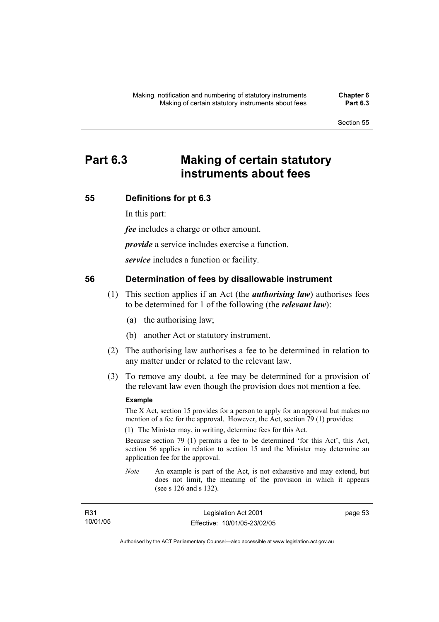# **Part 6.3 Making of certain statutory instruments about fees**

## **55 Definitions for pt 6.3**

In this part:

*fee* includes a charge or other amount.

*provide* a service includes exercise a function.

*service* includes a function or facility.

## **56 Determination of fees by disallowable instrument**

- (1) This section applies if an Act (the *authorising law*) authorises fees to be determined for 1 of the following (the *relevant law*):
	- (a) the authorising law;
	- (b) another Act or statutory instrument.
- (2) The authorising law authorises a fee to be determined in relation to any matter under or related to the relevant law.
- (3) To remove any doubt, a fee may be determined for a provision of the relevant law even though the provision does not mention a fee.

#### **Example**

The X Act, section 15 provides for a person to apply for an approval but makes no mention of a fee for the approval. However, the Act, section 79 (1) provides:

(1) The Minister may, in writing, determine fees for this Act.

Because section 79 (1) permits a fee to be determined 'for this Act', this Act, section 56 applies in relation to section 15 and the Minister may determine an application fee for the approval.

*Note* An example is part of the Act, is not exhaustive and may extend, but does not limit, the meaning of the provision in which it appears (see s 126 and s 132).

| R <sub>31</sub> | Legislation Act 2001         | page 53 |
|-----------------|------------------------------|---------|
| 10/01/05        | Effective: 10/01/05-23/02/05 |         |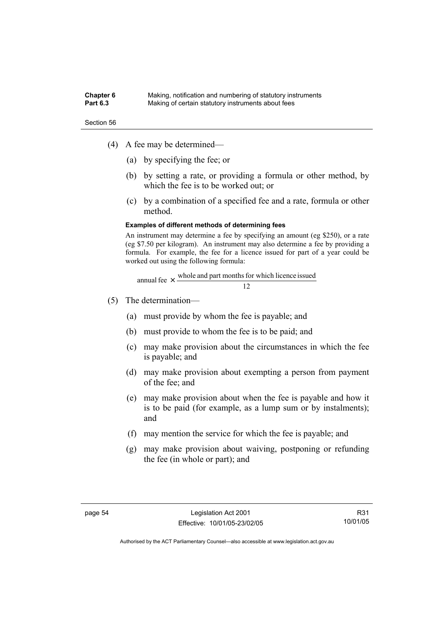#### **Chapter 6** Making, notification and numbering of statutory instruments<br>**Part 6.3** Making of certain statutory instruments about fees Making of certain statutory instruments about fees

Section 56

- (4) A fee may be determined—
	- (a) by specifying the fee; or
	- (b) by setting a rate, or providing a formula or other method, by which the fee is to be worked out; or
	- (c) by a combination of a specified fee and a rate, formula or other method.

#### **Examples of different methods of determining fees**

An instrument may determine a fee by specifying an amount (eg \$250), or a rate (eg \$7.50 per kilogram). An instrument may also determine a fee by providing a formula. For example, the fee for a licence issued for part of a year could be worked out using the following formula:

annual fee 
$$
\times
$$
  $\frac{\text{whole and part months for which licence issued}}{12}$ 

- (5) The determination—
	- (a) must provide by whom the fee is payable; and
	- (b) must provide to whom the fee is to be paid; and
	- (c) may make provision about the circumstances in which the fee is payable; and
	- (d) may make provision about exempting a person from payment of the fee; and
	- (e) may make provision about when the fee is payable and how it is to be paid (for example, as a lump sum or by instalments); and
	- (f) may mention the service for which the fee is payable; and
	- (g) may make provision about waiving, postponing or refunding the fee (in whole or part); and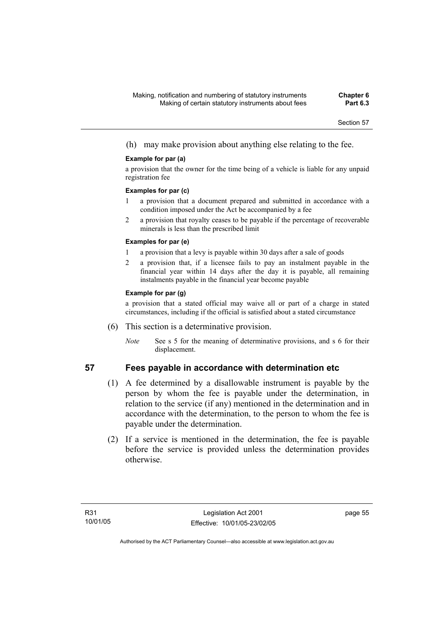(h) may make provision about anything else relating to the fee.

### **Example for par (a)**

a provision that the owner for the time being of a vehicle is liable for any unpaid registration fee

#### **Examples for par (c)**

- 1 a provision that a document prepared and submitted in accordance with a condition imposed under the Act be accompanied by a fee
- 2 a provision that royalty ceases to be payable if the percentage of recoverable minerals is less than the prescribed limit

### **Examples for par (e)**

- 1 a provision that a levy is payable within 30 days after a sale of goods
- 2 a provision that, if a licensee fails to pay an instalment payable in the financial year within 14 days after the day it is payable, all remaining instalments payable in the financial year become payable

### **Example for par (g)**

a provision that a stated official may waive all or part of a charge in stated circumstances, including if the official is satisfied about a stated circumstance

- (6) This section is a determinative provision.
	- *Note* See s 5 for the meaning of determinative provisions, and s 6 for their displacement.

# **57 Fees payable in accordance with determination etc**

- (1) A fee determined by a disallowable instrument is payable by the person by whom the fee is payable under the determination, in relation to the service (if any) mentioned in the determination and in accordance with the determination, to the person to whom the fee is payable under the determination.
- (2) If a service is mentioned in the determination, the fee is payable before the service is provided unless the determination provides otherwise.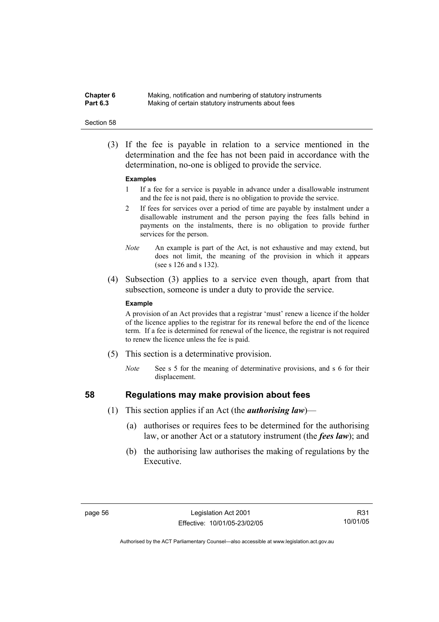**Chapter 6** Making, notification and numbering of statutory instruments<br>**Part 6.3** Making of certain statutory instruments about fees Making of certain statutory instruments about fees

#### Section 58

 (3) If the fee is payable in relation to a service mentioned in the determination and the fee has not been paid in accordance with the determination, no-one is obliged to provide the service.

#### **Examples**

- 1 If a fee for a service is payable in advance under a disallowable instrument and the fee is not paid, there is no obligation to provide the service.
- 2 If fees for services over a period of time are payable by instalment under a disallowable instrument and the person paying the fees falls behind in payments on the instalments, there is no obligation to provide further services for the person.
- *Note* An example is part of the Act, is not exhaustive and may extend, but does not limit, the meaning of the provision in which it appears (see s 126 and s 132).
- (4) Subsection (3) applies to a service even though, apart from that subsection, someone is under a duty to provide the service.

#### **Example**

A provision of an Act provides that a registrar 'must' renew a licence if the holder of the licence applies to the registrar for its renewal before the end of the licence term. If a fee is determined for renewal of the licence, the registrar is not required to renew the licence unless the fee is paid.

- (5) This section is a determinative provision.
	- *Note* See s 5 for the meaning of determinative provisions, and s 6 for their displacement.

- **58 Regulations may make provision about fees** 
	- (1) This section applies if an Act (the *authorising law*)—
		- (a) authorises or requires fees to be determined for the authorising law, or another Act or a statutory instrument (the *fees law*); and
		- (b) the authorising law authorises the making of regulations by the Executive.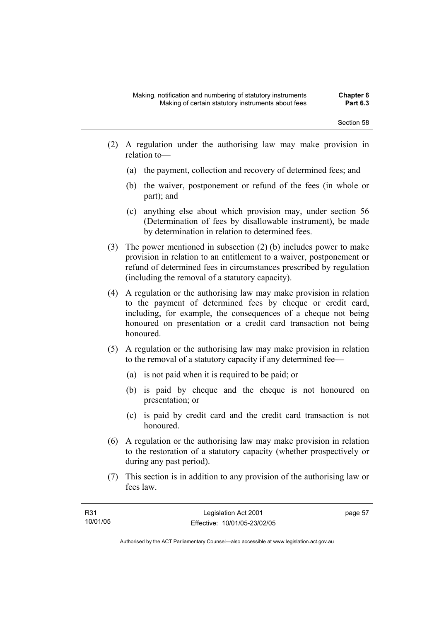- (2) A regulation under the authorising law may make provision in relation to—
	- (a) the payment, collection and recovery of determined fees; and
	- (b) the waiver, postponement or refund of the fees (in whole or part); and
	- (c) anything else about which provision may, under section 56 (Determination of fees by disallowable instrument), be made by determination in relation to determined fees.
- (3) The power mentioned in subsection (2) (b) includes power to make provision in relation to an entitlement to a waiver, postponement or refund of determined fees in circumstances prescribed by regulation (including the removal of a statutory capacity).
- (4) A regulation or the authorising law may make provision in relation to the payment of determined fees by cheque or credit card, including, for example, the consequences of a cheque not being honoured on presentation or a credit card transaction not being honoured.
- (5) A regulation or the authorising law may make provision in relation to the removal of a statutory capacity if any determined fee—
	- (a) is not paid when it is required to be paid; or
	- (b) is paid by cheque and the cheque is not honoured on presentation; or
	- (c) is paid by credit card and the credit card transaction is not honoured.
- (6) A regulation or the authorising law may make provision in relation to the restoration of a statutory capacity (whether prospectively or during any past period).
- (7) This section is in addition to any provision of the authorising law or fees law.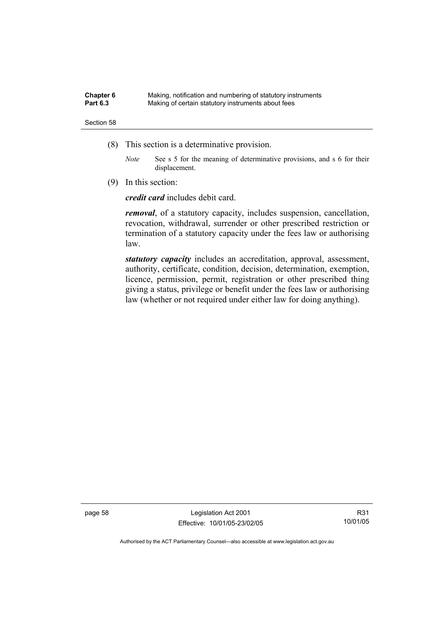| Chapter 6       | Making, notification and numbering of statutory instruments |
|-----------------|-------------------------------------------------------------|
| <b>Part 6.3</b> | Making of certain statutory instruments about fees          |

- (8) This section is a determinative provision.
	- *Note* See s 5 for the meaning of determinative provisions, and s 6 for their displacement.
- (9) In this section:

*credit card* includes debit card.

*removal*, of a statutory capacity, includes suspension, cancellation, revocation, withdrawal, surrender or other prescribed restriction or termination of a statutory capacity under the fees law or authorising law.

*statutory capacity* includes an accreditation, approval, assessment, authority, certificate, condition, decision, determination, exemption, licence, permission, permit, registration or other prescribed thing giving a status, privilege or benefit under the fees law or authorising law (whether or not required under either law for doing anything).

page 58 Legislation Act 2001 Effective: 10/01/05-23/02/05

R31 10/01/05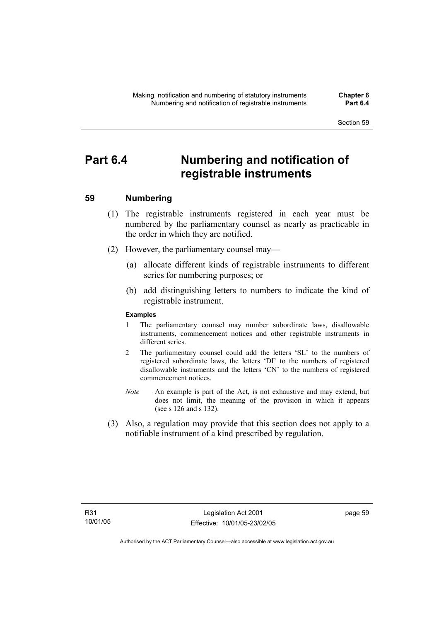# **Part 6.4 Numbering and notification of registrable instruments**

# **59 Numbering**

- (1) The registrable instruments registered in each year must be numbered by the parliamentary counsel as nearly as practicable in the order in which they are notified.
- (2) However, the parliamentary counsel may—
	- (a) allocate different kinds of registrable instruments to different series for numbering purposes; or
	- (b) add distinguishing letters to numbers to indicate the kind of registrable instrument.

### **Examples**

- 1 The parliamentary counsel may number subordinate laws, disallowable instruments, commencement notices and other registrable instruments in different series.
- 2 The parliamentary counsel could add the letters 'SL' to the numbers of registered subordinate laws, the letters 'DI' to the numbers of registered disallowable instruments and the letters 'CN' to the numbers of registered commencement notices.
- *Note* An example is part of the Act, is not exhaustive and may extend, but does not limit, the meaning of the provision in which it appears (see s 126 and s 132).
- (3) Also, a regulation may provide that this section does not apply to a notifiable instrument of a kind prescribed by regulation.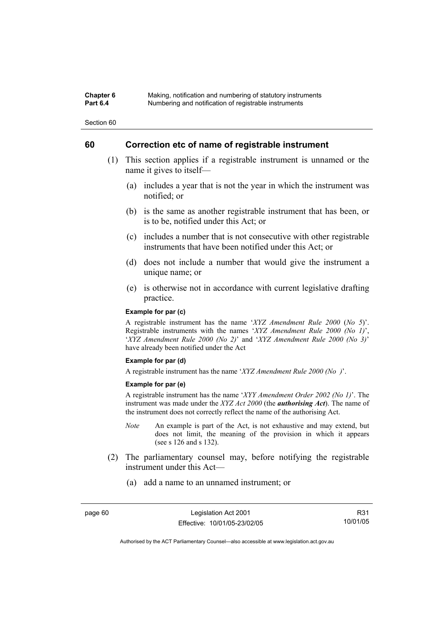#### **Chapter 6** Making, notification and numbering of statutory instruments<br>**Part 6.4** Mumbering and notification of registrable instruments **Part 6.4** Numbering and notification of registrable instruments

Section 60

# **60 Correction etc of name of registrable instrument**

- (1) This section applies if a registrable instrument is unnamed or the name it gives to itself—
	- (a) includes a year that is not the year in which the instrument was notified; or
	- (b) is the same as another registrable instrument that has been, or is to be, notified under this Act; or
	- (c) includes a number that is not consecutive with other registrable instruments that have been notified under this Act; or
	- (d) does not include a number that would give the instrument a unique name; or
	- (e) is otherwise not in accordance with current legislative drafting practice.

#### **Example for par (c)**

A registrable instrument has the name '*XYZ Amendment Rule 2000* (*No 5*)'. Registrable instruments with the names '*XYZ Amendment Rule 2000 (No 1)*', '*XYZ Amendment Rule 2000 (No 2)*' and '*XYZ Amendment Rule 2000 (No 3)*' have already been notified under the Act

#### **Example for par (d)**

A registrable instrument has the name '*XYZ Amendment Rule 2000 (No )*'.

#### **Example for par (e)**

A registrable instrument has the name '*XYY Amendment Order 2002 (No 1)*'. The instrument was made under the *XYZ Act 2000* (the *authorising Act*). The name of the instrument does not correctly reflect the name of the authorising Act.

- *Note* An example is part of the Act, is not exhaustive and may extend, but does not limit, the meaning of the provision in which it appears (see s 126 and s 132).
- (2) The parliamentary counsel may, before notifying the registrable instrument under this Act—
	- (a) add a name to an unnamed instrument; or

R31 10/01/05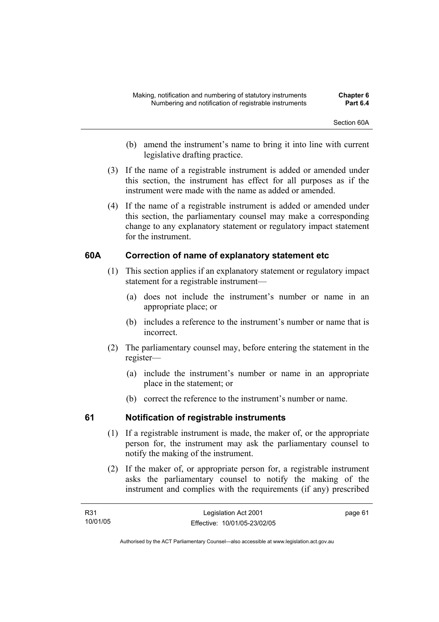- (b) amend the instrument's name to bring it into line with current legislative drafting practice.
- (3) If the name of a registrable instrument is added or amended under this section, the instrument has effect for all purposes as if the instrument were made with the name as added or amended.
- (4) If the name of a registrable instrument is added or amended under this section, the parliamentary counsel may make a corresponding change to any explanatory statement or regulatory impact statement for the instrument.

# **60A Correction of name of explanatory statement etc**

- (1) This section applies if an explanatory statement or regulatory impact statement for a registrable instrument—
	- (a) does not include the instrument's number or name in an appropriate place; or
	- (b) includes a reference to the instrument's number or name that is incorrect.
- (2) The parliamentary counsel may, before entering the statement in the register—
	- (a) include the instrument's number or name in an appropriate place in the statement; or
	- (b) correct the reference to the instrument's number or name.

# **61 Notification of registrable instruments**

- (1) If a registrable instrument is made, the maker of, or the appropriate person for, the instrument may ask the parliamentary counsel to notify the making of the instrument.
- (2) If the maker of, or appropriate person for, a registrable instrument asks the parliamentary counsel to notify the making of the instrument and complies with the requirements (if any) prescribed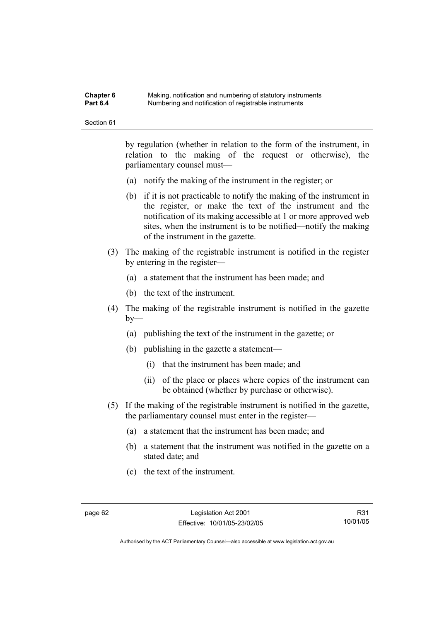| Chapter 6       | Making, notification and numbering of statutory instruments |
|-----------------|-------------------------------------------------------------|
| <b>Part 6.4</b> | Numbering and notification of registrable instruments       |

by regulation (whether in relation to the form of the instrument, in relation to the making of the request or otherwise), the parliamentary counsel must—

- (a) notify the making of the instrument in the register; or
- (b) if it is not practicable to notify the making of the instrument in the register, or make the text of the instrument and the notification of its making accessible at 1 or more approved web sites, when the instrument is to be notified—notify the making of the instrument in the gazette.
- (3) The making of the registrable instrument is notified in the register by entering in the register—
	- (a) a statement that the instrument has been made; and
	- (b) the text of the instrument.
- (4) The making of the registrable instrument is notified in the gazette  $by-$ 
	- (a) publishing the text of the instrument in the gazette; or
	- (b) publishing in the gazette a statement—
		- (i) that the instrument has been made; and
		- (ii) of the place or places where copies of the instrument can be obtained (whether by purchase or otherwise).
- (5) If the making of the registrable instrument is notified in the gazette, the parliamentary counsel must enter in the register—
	- (a) a statement that the instrument has been made; and
	- (b) a statement that the instrument was notified in the gazette on a stated date; and
	- (c) the text of the instrument.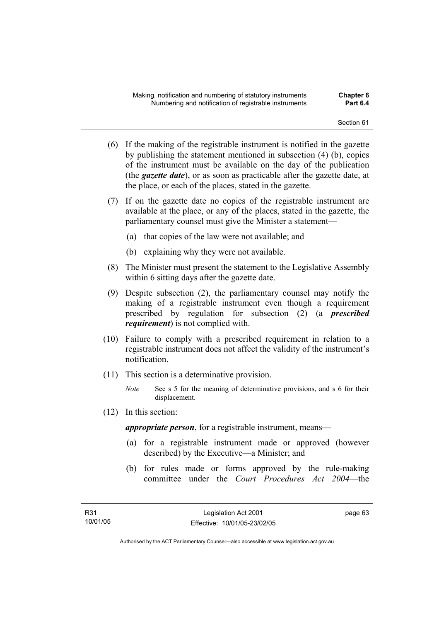- (6) If the making of the registrable instrument is notified in the gazette by publishing the statement mentioned in subsection (4) (b), copies of the instrument must be available on the day of the publication (the *gazette date*), or as soon as practicable after the gazette date, at the place, or each of the places, stated in the gazette.
- (7) If on the gazette date no copies of the registrable instrument are available at the place, or any of the places, stated in the gazette, the parliamentary counsel must give the Minister a statement—
	- (a) that copies of the law were not available; and
	- (b) explaining why they were not available.
- (8) The Minister must present the statement to the Legislative Assembly within 6 sitting days after the gazette date.
- (9) Despite subsection (2), the parliamentary counsel may notify the making of a registrable instrument even though a requirement prescribed by regulation for subsection (2) (a *prescribed requirement*) is not complied with.
- (10) Failure to comply with a prescribed requirement in relation to a registrable instrument does not affect the validity of the instrument's notification.
- (11) This section is a determinative provision.
	- *Note* See s 5 for the meaning of determinative provisions, and s 6 for their displacement.
- (12) In this section:

*appropriate person*, for a registrable instrument, means—

- (a) for a registrable instrument made or approved (however described) by the Executive—a Minister; and
- (b) for rules made or forms approved by the rule-making committee under the *Court Procedures Act 2004*—the

page 63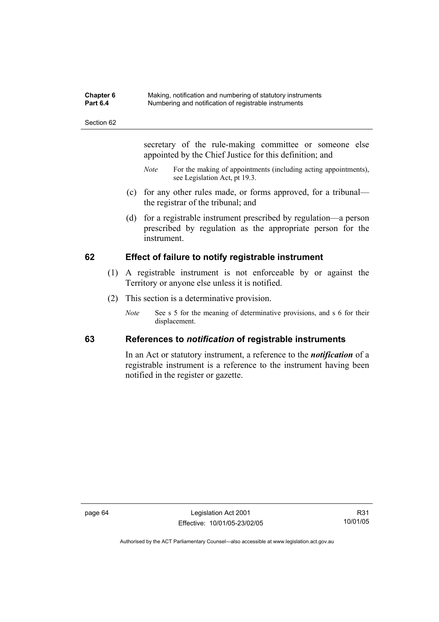| Chapter 6       | Making, notification and numbering of statutory instruments |
|-----------------|-------------------------------------------------------------|
| <b>Part 6.4</b> | Numbering and notification of registrable instruments       |

secretary of the rule-making committee or someone else appointed by the Chief Justice for this definition; and

- *Note* For the making of appointments (including acting appointments), see Legislation Act, pt 19.3.
- (c) for any other rules made, or forms approved, for a tribunal the registrar of the tribunal; and
- (d) for a registrable instrument prescribed by regulation—a person prescribed by regulation as the appropriate person for the instrument.

# **62 Effect of failure to notify registrable instrument**

- (1) A registrable instrument is not enforceable by or against the Territory or anyone else unless it is notified.
- (2) This section is a determinative provision.
	- *Note* See s 5 for the meaning of determinative provisions, and s 6 for their displacement.

# **63 References to** *notification* **of registrable instruments**

In an Act or statutory instrument, a reference to the *notification* of a registrable instrument is a reference to the instrument having been notified in the register or gazette.

page 64 Legislation Act 2001 Effective: 10/01/05-23/02/05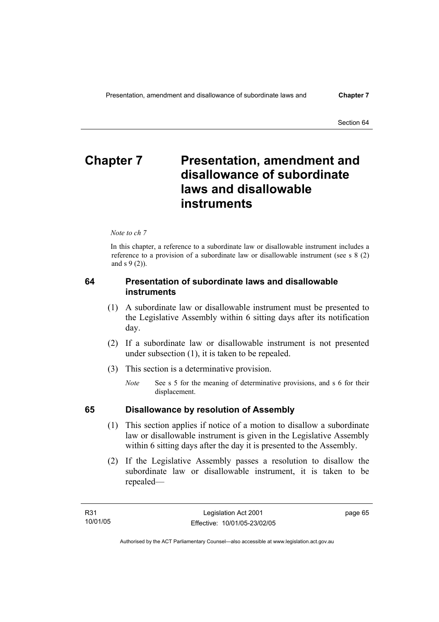# **Chapter 7** Presentation, amendment and **disallowance of subordinate laws and disallowable instruments**

*Note to ch 7* 

In this chapter, a reference to a subordinate law or disallowable instrument includes a reference to a provision of a subordinate law or disallowable instrument (see s 8 (2) and s 9 (2)).

# **64 Presentation of subordinate laws and disallowable instruments**

- (1) A subordinate law or disallowable instrument must be presented to the Legislative Assembly within 6 sitting days after its notification day.
- (2) If a subordinate law or disallowable instrument is not presented under subsection (1), it is taken to be repealed.
- (3) This section is a determinative provision.
	- *Note* See s 5 for the meaning of determinative provisions, and s 6 for their displacement.

# **65 Disallowance by resolution of Assembly**

- (1) This section applies if notice of a motion to disallow a subordinate law or disallowable instrument is given in the Legislative Assembly within 6 sitting days after the day it is presented to the Assembly.
- (2) If the Legislative Assembly passes a resolution to disallow the subordinate law or disallowable instrument, it is taken to be repealed—

page 65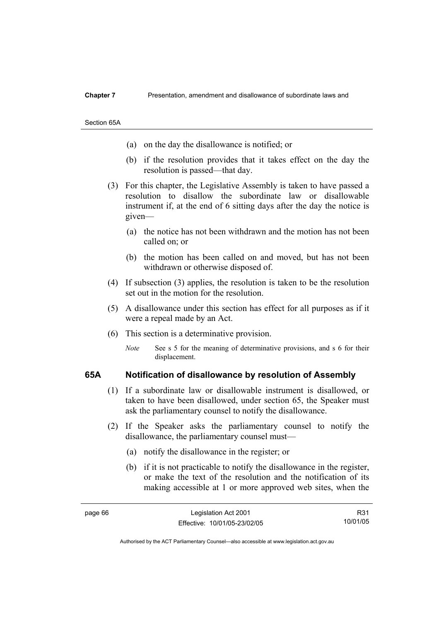#### **Chapter 7** Presentation, amendment and disallowance of subordinate laws and

Section 65A

- (a) on the day the disallowance is notified; or
- (b) if the resolution provides that it takes effect on the day the resolution is passed—that day.
- (3) For this chapter, the Legislative Assembly is taken to have passed a resolution to disallow the subordinate law or disallowable instrument if, at the end of 6 sitting days after the day the notice is given—
	- (a) the notice has not been withdrawn and the motion has not been called on; or
	- (b) the motion has been called on and moved, but has not been withdrawn or otherwise disposed of.
- (4) If subsection (3) applies, the resolution is taken to be the resolution set out in the motion for the resolution.
- (5) A disallowance under this section has effect for all purposes as if it were a repeal made by an Act.
- (6) This section is a determinative provision.
	- *Note* See s 5 for the meaning of determinative provisions, and s 6 for their displacement.

### **65A Notification of disallowance by resolution of Assembly**

- (1) If a subordinate law or disallowable instrument is disallowed, or taken to have been disallowed, under section 65, the Speaker must ask the parliamentary counsel to notify the disallowance.
- (2) If the Speaker asks the parliamentary counsel to notify the disallowance, the parliamentary counsel must—
	- (a) notify the disallowance in the register; or
	- (b) if it is not practicable to notify the disallowance in the register, or make the text of the resolution and the notification of its making accessible at 1 or more approved web sites, when the

R31 10/01/05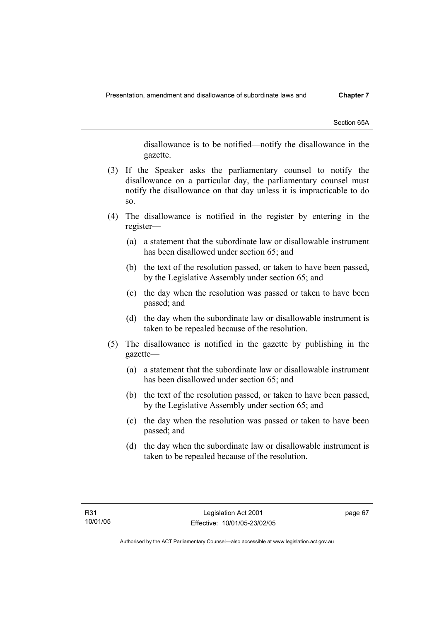Section 65A

disallowance is to be notified—notify the disallowance in the gazette.

- (3) If the Speaker asks the parliamentary counsel to notify the disallowance on a particular day, the parliamentary counsel must notify the disallowance on that day unless it is impracticable to do so.
- (4) The disallowance is notified in the register by entering in the register—
	- (a) a statement that the subordinate law or disallowable instrument has been disallowed under section 65; and
	- (b) the text of the resolution passed, or taken to have been passed, by the Legislative Assembly under section 65; and
	- (c) the day when the resolution was passed or taken to have been passed; and
	- (d) the day when the subordinate law or disallowable instrument is taken to be repealed because of the resolution.
- (5) The disallowance is notified in the gazette by publishing in the gazette—
	- (a) a statement that the subordinate law or disallowable instrument has been disallowed under section 65; and
	- (b) the text of the resolution passed, or taken to have been passed, by the Legislative Assembly under section 65; and
	- (c) the day when the resolution was passed or taken to have been passed; and
	- (d) the day when the subordinate law or disallowable instrument is taken to be repealed because of the resolution.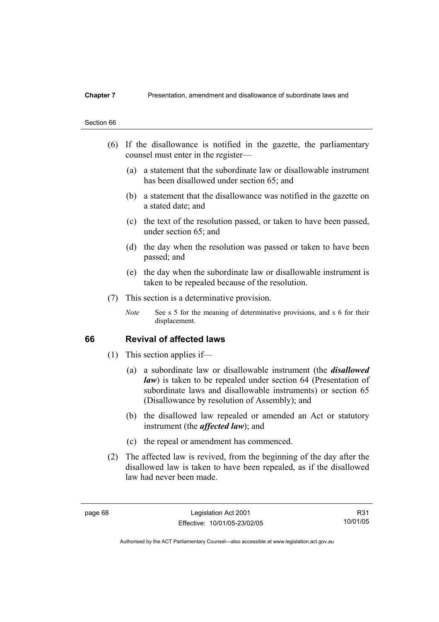### **Chapter 7** Presentation, amendment and disallowance of subordinate laws and

# Section 66

- (6) If the disallowance is notified in the gazette, the parliamentary counsel must enter in the register—
	- (a) a statement that the subordinate law or disallowable instrument has been disallowed under section 65; and
	- (b) a statement that the disallowance was notified in the gazette on a stated date; and
	- (c) the text of the resolution passed, or taken to have been passed, under section 65; and
	- (d) the day when the resolution was passed or taken to have been passed; and
	- (e) the day when the subordinate law or disallowable instrument is taken to be repealed because of the resolution.
- (7) This section is a determinative provision.
	- *Note* See s 5 for the meaning of determinative provisions, and s 6 for their displacement.

## **66 Revival of affected laws**

- (1) This section applies if—
	- (a) a subordinate law or disallowable instrument (the *disallowed law*) is taken to be repealed under section 64 (Presentation of subordinate laws and disallowable instruments) or section 65 (Disallowance by resolution of Assembly); and
	- (b) the disallowed law repealed or amended an Act or statutory instrument (the *affected law*); and
	- (c) the repeal or amendment has commenced.
- (2) The affected law is revived, from the beginning of the day after the disallowed law is taken to have been repealed, as if the disallowed law had never been made.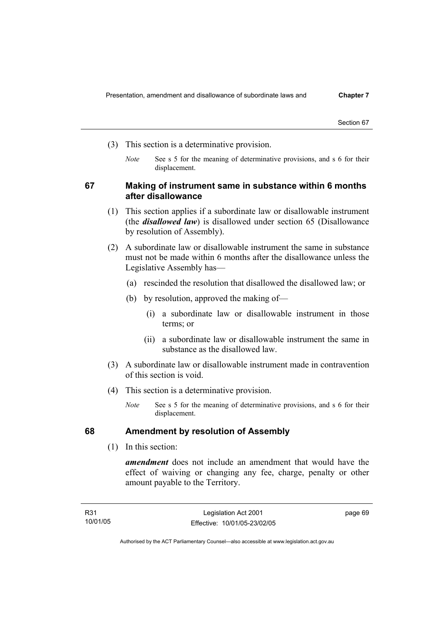- (3) This section is a determinative provision.
	- *Note* See s 5 for the meaning of determinative provisions, and s 6 for their displacement.

# **67 Making of instrument same in substance within 6 months after disallowance**

- (1) This section applies if a subordinate law or disallowable instrument (the *disallowed law*) is disallowed under section 65 (Disallowance by resolution of Assembly).
- (2) A subordinate law or disallowable instrument the same in substance must not be made within 6 months after the disallowance unless the Legislative Assembly has—
	- (a) rescinded the resolution that disallowed the disallowed law; or
	- (b) by resolution, approved the making of—
		- (i) a subordinate law or disallowable instrument in those terms; or
		- (ii) a subordinate law or disallowable instrument the same in substance as the disallowed law.
- (3) A subordinate law or disallowable instrument made in contravention of this section is void.
- (4) This section is a determinative provision.
	- *Note* See s 5 for the meaning of determinative provisions, and s 6 for their displacement.

# **68 Amendment by resolution of Assembly**

(1) In this section:

*amendment* does not include an amendment that would have the effect of waiving or changing any fee, charge, penalty or other amount payable to the Territory.

page 69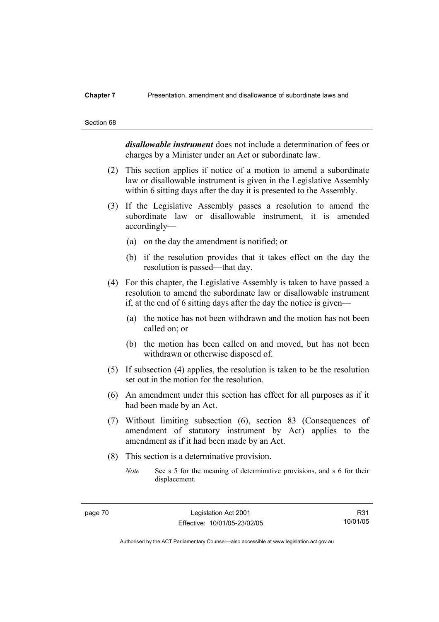#### **Chapter 7** Presentation, amendment and disallowance of subordinate laws and

#### Section 68

*disallowable instrument* does not include a determination of fees or charges by a Minister under an Act or subordinate law.

- (2) This section applies if notice of a motion to amend a subordinate law or disallowable instrument is given in the Legislative Assembly within 6 sitting days after the day it is presented to the Assembly.
- (3) If the Legislative Assembly passes a resolution to amend the subordinate law or disallowable instrument, it is amended accordingly—
	- (a) on the day the amendment is notified; or
	- (b) if the resolution provides that it takes effect on the day the resolution is passed—that day.
- (4) For this chapter, the Legislative Assembly is taken to have passed a resolution to amend the subordinate law or disallowable instrument if, at the end of 6 sitting days after the day the notice is given—
	- (a) the notice has not been withdrawn and the motion has not been called on; or
	- (b) the motion has been called on and moved, but has not been withdrawn or otherwise disposed of.
- (5) If subsection (4) applies, the resolution is taken to be the resolution set out in the motion for the resolution.
- (6) An amendment under this section has effect for all purposes as if it had been made by an Act.
- (7) Without limiting subsection (6), section 83 (Consequences of amendment of statutory instrument by Act) applies to the amendment as if it had been made by an Act.
- (8) This section is a determinative provision.
	- *Note* See s 5 for the meaning of determinative provisions, and s 6 for their displacement.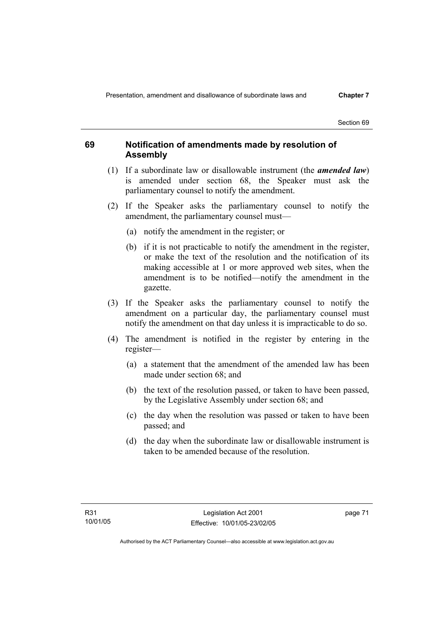# **69 Notification of amendments made by resolution of Assembly**

- (1) If a subordinate law or disallowable instrument (the *amended law*) is amended under section 68, the Speaker must ask the parliamentary counsel to notify the amendment.
- (2) If the Speaker asks the parliamentary counsel to notify the amendment, the parliamentary counsel must—
	- (a) notify the amendment in the register; or
	- (b) if it is not practicable to notify the amendment in the register, or make the text of the resolution and the notification of its making accessible at 1 or more approved web sites, when the amendment is to be notified—notify the amendment in the gazette.
- (3) If the Speaker asks the parliamentary counsel to notify the amendment on a particular day, the parliamentary counsel must notify the amendment on that day unless it is impracticable to do so.
- (4) The amendment is notified in the register by entering in the register—
	- (a) a statement that the amendment of the amended law has been made under section 68; and
	- (b) the text of the resolution passed, or taken to have been passed, by the Legislative Assembly under section 68; and
	- (c) the day when the resolution was passed or taken to have been passed; and
	- (d) the day when the subordinate law or disallowable instrument is taken to be amended because of the resolution.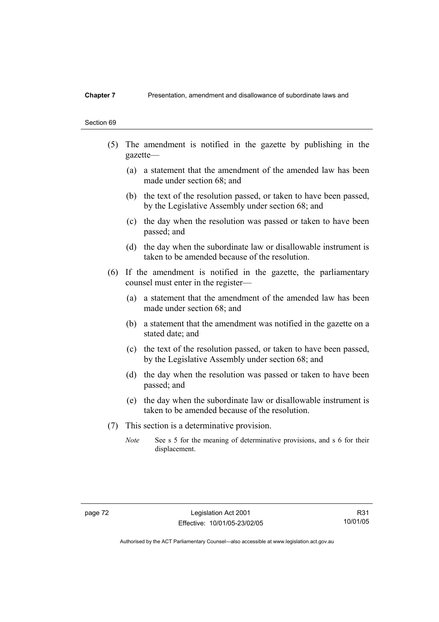### **Chapter 7** Presentation, amendment and disallowance of subordinate laws and

#### Section 69

- (5) The amendment is notified in the gazette by publishing in the gazette—
	- (a) a statement that the amendment of the amended law has been made under section 68; and
	- (b) the text of the resolution passed, or taken to have been passed, by the Legislative Assembly under section 68; and
	- (c) the day when the resolution was passed or taken to have been passed; and
	- (d) the day when the subordinate law or disallowable instrument is taken to be amended because of the resolution.
- (6) If the amendment is notified in the gazette, the parliamentary counsel must enter in the register—
	- (a) a statement that the amendment of the amended law has been made under section 68; and
	- (b) a statement that the amendment was notified in the gazette on a stated date; and
	- (c) the text of the resolution passed, or taken to have been passed, by the Legislative Assembly under section 68; and
	- (d) the day when the resolution was passed or taken to have been passed; and
	- (e) the day when the subordinate law or disallowable instrument is taken to be amended because of the resolution.
- (7) This section is a determinative provision.
	- *Note* See s 5 for the meaning of determinative provisions, and s 6 for their displacement.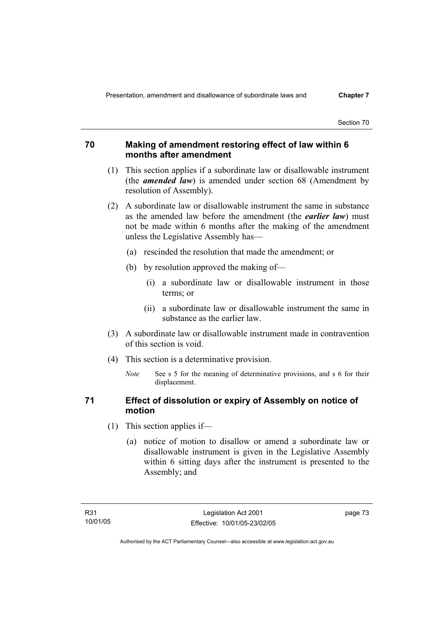# **70 Making of amendment restoring effect of law within 6 months after amendment**

- (1) This section applies if a subordinate law or disallowable instrument (the *amended law*) is amended under section 68 (Amendment by resolution of Assembly).
- (2) A subordinate law or disallowable instrument the same in substance as the amended law before the amendment (the *earlier law*) must not be made within 6 months after the making of the amendment unless the Legislative Assembly has—
	- (a) rescinded the resolution that made the amendment; or
	- (b) by resolution approved the making of—
		- (i) a subordinate law or disallowable instrument in those terms; or
		- (ii) a subordinate law or disallowable instrument the same in substance as the earlier law.
- (3) A subordinate law or disallowable instrument made in contravention of this section is void.
- (4) This section is a determinative provision.
	- *Note* See s 5 for the meaning of determinative provisions, and s 6 for their displacement.

# **71 Effect of dissolution or expiry of Assembly on notice of motion**

- (1) This section applies if—
	- (a) notice of motion to disallow or amend a subordinate law or disallowable instrument is given in the Legislative Assembly within 6 sitting days after the instrument is presented to the Assembly; and

page 73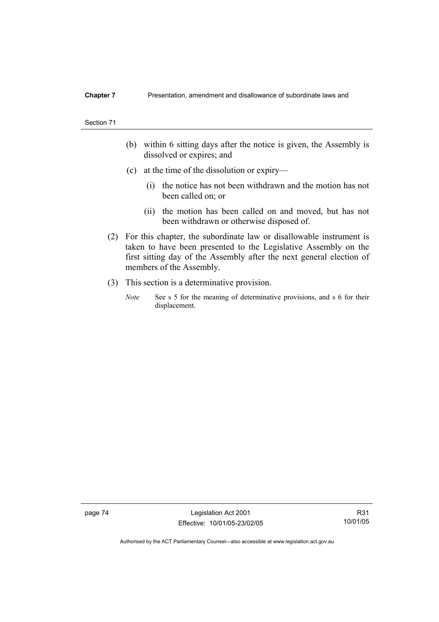#### **Chapter 7** Presentation, amendment and disallowance of subordinate laws and

#### Section 71

- (b) within 6 sitting days after the notice is given, the Assembly is dissolved or expires; and
- (c) at the time of the dissolution or expiry—
	- (i) the notice has not been withdrawn and the motion has not been called on; or
	- (ii) the motion has been called on and moved, but has not been withdrawn or otherwise disposed of.
- (2) For this chapter, the subordinate law or disallowable instrument is taken to have been presented to the Legislative Assembly on the first sitting day of the Assembly after the next general election of members of the Assembly.
- (3) This section is a determinative provision.
	- *Note* See s 5 for the meaning of determinative provisions, and s 6 for their displacement.

page 74 Legislation Act 2001 Effective: 10/01/05-23/02/05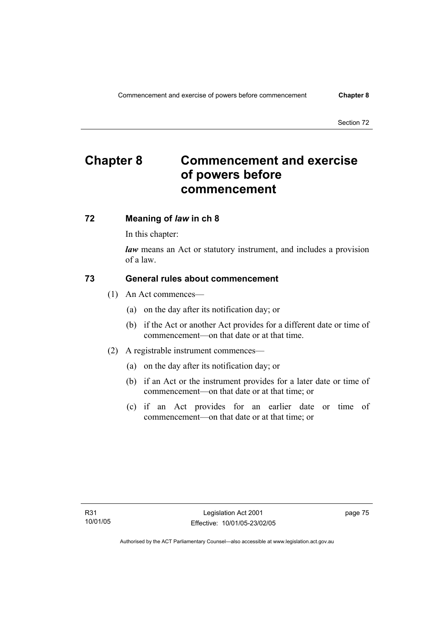# **Chapter 8 Commencement and exercise of powers before commencement**

# **72 Meaning of** *law* **in ch 8**

In this chapter:

*law* means an Act or statutory instrument, and includes a provision of a law.

# **73 General rules about commencement**

- (1) An Act commences—
	- (a) on the day after its notification day; or
	- (b) if the Act or another Act provides for a different date or time of commencement—on that date or at that time.
- (2) A registrable instrument commences—
	- (a) on the day after its notification day; or
	- (b) if an Act or the instrument provides for a later date or time of commencement—on that date or at that time; or
	- (c) if an Act provides for an earlier date or time of commencement—on that date or at that time; or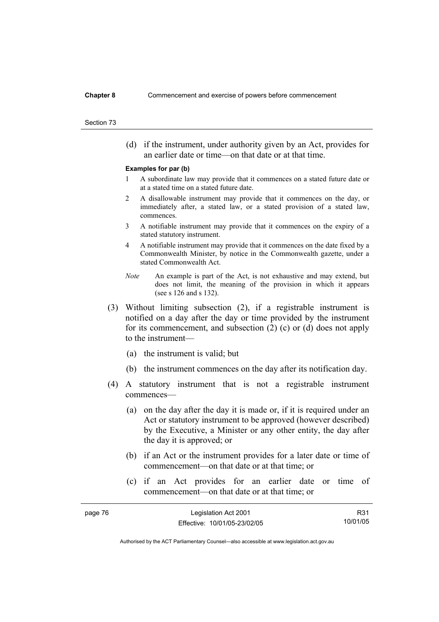(d) if the instrument, under authority given by an Act, provides for an earlier date or time—on that date or at that time.

#### **Examples for par (b)**

- 1 A subordinate law may provide that it commences on a stated future date or at a stated time on a stated future date.
- 2 A disallowable instrument may provide that it commences on the day, or immediately after, a stated law, or a stated provision of a stated law, commences.
- 3 A notifiable instrument may provide that it commences on the expiry of a stated statutory instrument.
- 4 A notifiable instrument may provide that it commences on the date fixed by a Commonwealth Minister, by notice in the Commonwealth gazette, under a stated Commonwealth Act.
- *Note* An example is part of the Act, is not exhaustive and may extend, but does not limit, the meaning of the provision in which it appears (see s 126 and s 132).
- (3) Without limiting subsection (2), if a registrable instrument is notified on a day after the day or time provided by the instrument for its commencement, and subsection (2) (c) or (d) does not apply to the instrument—
	- (a) the instrument is valid; but
	- (b) the instrument commences on the day after its notification day.
- (4) A statutory instrument that is not a registrable instrument commences—
	- (a) on the day after the day it is made or, if it is required under an Act or statutory instrument to be approved (however described) by the Executive, a Minister or any other entity, the day after the day it is approved; or
	- (b) if an Act or the instrument provides for a later date or time of commencement—on that date or at that time; or
	- (c) if an Act provides for an earlier date or time of commencement—on that date or at that time; or

| page 76 | Legislation Act 2001         | R31      |
|---------|------------------------------|----------|
|         | Effective: 10/01/05-23/02/05 | 10/01/05 |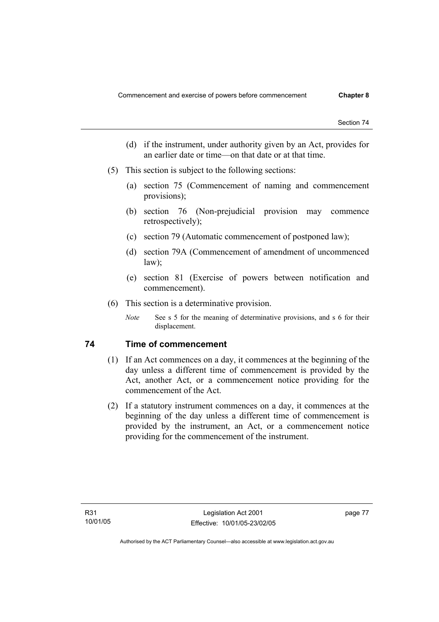- (d) if the instrument, under authority given by an Act, provides for an earlier date or time—on that date or at that time.
- (5) This section is subject to the following sections:
	- (a) section 75 (Commencement of naming and commencement provisions);
	- (b) section 76 (Non-prejudicial provision may commence retrospectively);
	- (c) section 79 (Automatic commencement of postponed law);
	- (d) section 79A (Commencement of amendment of uncommenced law);
	- (e) section 81 (Exercise of powers between notification and commencement).
- (6) This section is a determinative provision.
	- *Note* See s 5 for the meaning of determinative provisions, and s 6 for their displacement.

# **74 Time of commencement**

- (1) If an Act commences on a day, it commences at the beginning of the day unless a different time of commencement is provided by the Act, another Act, or a commencement notice providing for the commencement of the Act.
- (2) If a statutory instrument commences on a day, it commences at the beginning of the day unless a different time of commencement is provided by the instrument, an Act, or a commencement notice providing for the commencement of the instrument.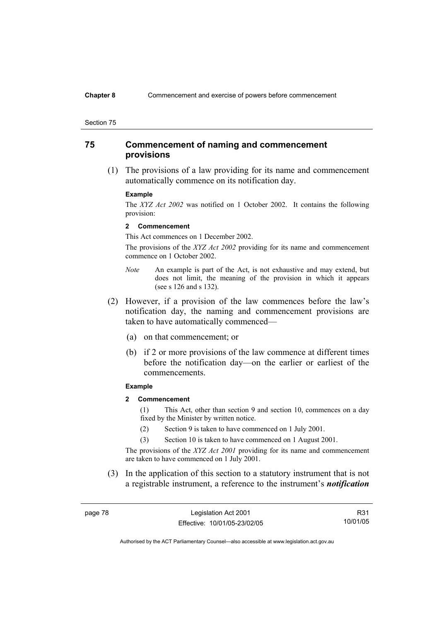#### **Chapter 8** Commencement and exercise of powers before commencement

#### Section 75

# **75 Commencement of naming and commencement provisions**

 (1) The provisions of a law providing for its name and commencement automatically commence on its notification day.

#### **Example**

The *XYZ Act 2002* was notified on 1 October 2002. It contains the following provision:

#### **2 Commencement**

This Act commences on 1 December 2002.

The provisions of the *XYZ Act 2002* providing for its name and commencement commence on 1 October 2002.

- *Note* An example is part of the Act, is not exhaustive and may extend, but does not limit, the meaning of the provision in which it appears (see s 126 and s 132).
- (2) However, if a provision of the law commences before the law's notification day, the naming and commencement provisions are taken to have automatically commenced—
	- (a) on that commencement; or
	- (b) if 2 or more provisions of the law commence at different times before the notification day—on the earlier or earliest of the commencements.

### **Example**

**2 Commencement** 

(1) This Act, other than section 9 and section 10, commences on a day fixed by the Minister by written notice.

- (2) Section 9 is taken to have commenced on 1 July 2001.
- (3) Section 10 is taken to have commenced on 1 August 2001.

The provisions of the *XYZ Act 2001* providing for its name and commencement are taken to have commenced on 1 July 2001.

 (3) In the application of this section to a statutory instrument that is not a registrable instrument, a reference to the instrument's *notification* 

page 78 Legislation Act 2001 Effective: 10/01/05-23/02/05

R31 10/01/05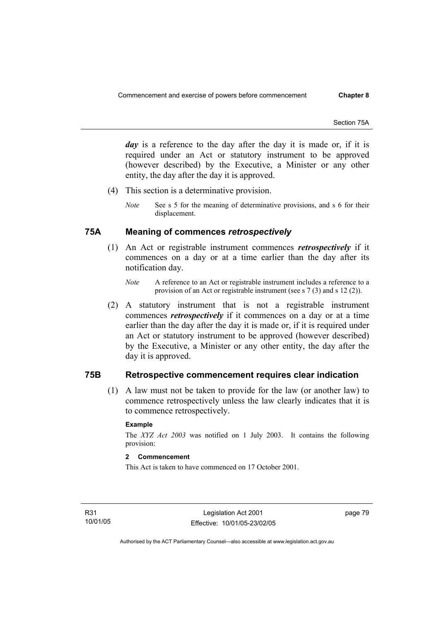*day* is a reference to the day after the day it is made or, if it is required under an Act or statutory instrument to be approved (however described) by the Executive, a Minister or any other entity, the day after the day it is approved.

- (4) This section is a determinative provision.
	- *Note* See s 5 for the meaning of determinative provisions, and s 6 for their displacement.

# **75A Meaning of commences** *retrospectively*

- (1) An Act or registrable instrument commences *retrospectively* if it commences on a day or at a time earlier than the day after its notification day.
	- *Note* A reference to an Act or registrable instrument includes a reference to a provision of an Act or registrable instrument (see s 7 (3) and s 12 (2)).
- (2) A statutory instrument that is not a registrable instrument commences *retrospectively* if it commences on a day or at a time earlier than the day after the day it is made or, if it is required under an Act or statutory instrument to be approved (however described) by the Executive, a Minister or any other entity, the day after the day it is approved.

# **75B Retrospective commencement requires clear indication**

 (1) A law must not be taken to provide for the law (or another law) to commence retrospectively unless the law clearly indicates that it is to commence retrospectively.

### **Example**

The *XYZ Act 2003* was notified on 1 July 2003. It contains the following provision:

# **2 Commencement**

This Act is taken to have commenced on 17 October 2001.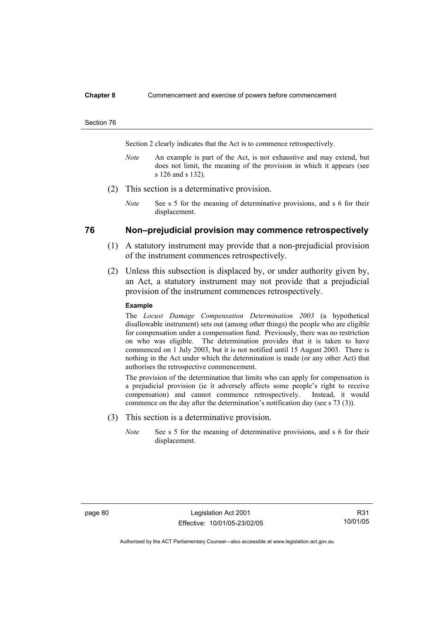#### **Chapter 8** Commencement and exercise of powers before commencement

#### Section 76

Section 2 clearly indicates that the Act is to commence retrospectively.

- *Note* An example is part of the Act, is not exhaustive and may extend, but does not limit, the meaning of the provision in which it appears (see s 126 and s 132).
- (2) This section is a determinative provision.
	- *Note* See s 5 for the meaning of determinative provisions, and s 6 for their displacement.

## **76 Non–prejudicial provision may commence retrospectively**

- (1) A statutory instrument may provide that a non-prejudicial provision of the instrument commences retrospectively.
- (2) Unless this subsection is displaced by, or under authority given by, an Act, a statutory instrument may not provide that a prejudicial provision of the instrument commences retrospectively.

#### **Example**

The *Locust Damage Compensation Determination 2003* (a hypothetical disallowable instrument) sets out (among other things) the people who are eligible for compensation under a compensation fund. Previously, there was no restriction on who was eligible. The determination provides that it is taken to have commenced on 1 July 2003, but it is not notified until 15 August 2003. There is nothing in the Act under which the determination is made (or any other Act) that authorises the retrospective commencement.

The provision of the determination that limits who can apply for compensation is a prejudicial provision (ie it adversely affects some people's right to receive compensation) and cannot commence retrospectively. Instead, it would commence on the day after the determination's notification day (see s 73 (3)).

- (3) This section is a determinative provision.
	- *Note* See s 5 for the meaning of determinative provisions, and s 6 for their displacement.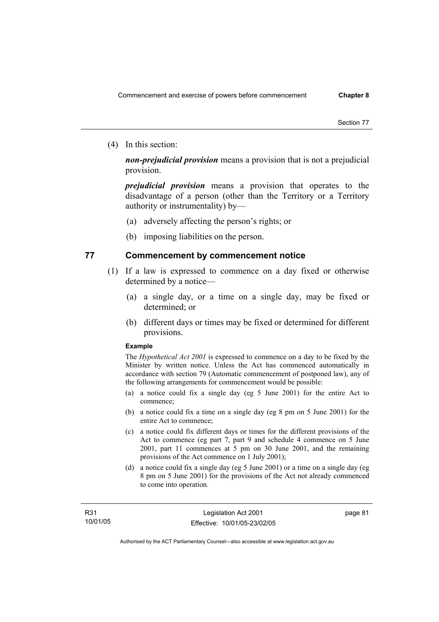(4) In this section:

*non-prejudicial provision* means a provision that is not a prejudicial provision.

*prejudicial provision* means a provision that operates to the disadvantage of a person (other than the Territory or a Territory authority or instrumentality) by—

- (a) adversely affecting the person's rights; or
- (b) imposing liabilities on the person.

## **77 Commencement by commencement notice**

- (1) If a law is expressed to commence on a day fixed or otherwise determined by a notice—
	- (a) a single day, or a time on a single day, may be fixed or determined; or
	- (b) different days or times may be fixed or determined for different provisions.

#### **Example**

The *Hypothetical Act 2001* is expressed to commence on a day to be fixed by the Minister by written notice. Unless the Act has commenced automatically in accordance with section 79 (Automatic commencement of postponed law), any of the following arrangements for commencement would be possible:

- (a) a notice could fix a single day (eg 5 June 2001) for the entire Act to commence;
- (b) a notice could fix a time on a single day (eg 8 pm on 5 June 2001) for the entire Act to commence;
- (c) a notice could fix different days or times for the different provisions of the Act to commence (eg part 7, part 9 and schedule 4 commence on 5 June 2001, part 11 commences at 5 pm on 30 June 2001, and the remaining provisions of the Act commence on 1 July 2001);
- (d) a notice could fix a single day (eg 5 June 2001) or a time on a single day (eg 8 pm on 5 June 2001) for the provisions of the Act not already commenced to come into operation.

page 81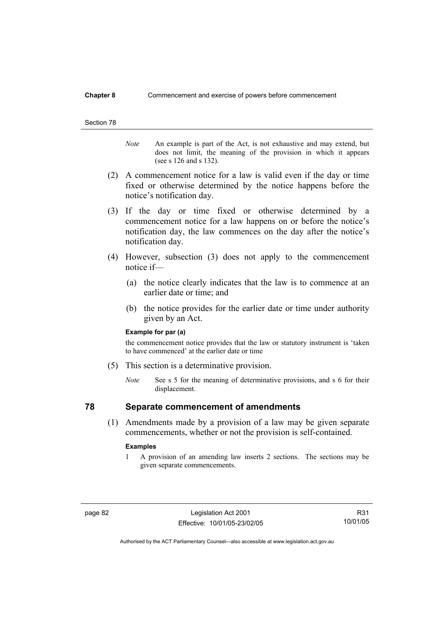### **Chapter 8** Commencement and exercise of powers before commencement

#### Section 78

*Note* An example is part of the Act, is not exhaustive and may extend, but does not limit, the meaning of the provision in which it appears (see s 126 and s 132).

- (2) A commencement notice for a law is valid even if the day or time fixed or otherwise determined by the notice happens before the notice's notification day.
- (3) If the day or time fixed or otherwise determined by a commencement notice for a law happens on or before the notice's notification day, the law commences on the day after the notice's notification day.
- (4) However, subsection (3) does not apply to the commencement notice if—
	- (a) the notice clearly indicates that the law is to commence at an earlier date or time; and
	- (b) the notice provides for the earlier date or time under authority given by an Act.

#### **Example for par (a)**

the commencement notice provides that the law or statutory instrument is 'taken to have commenced' at the earlier date or time

- (5) This section is a determinative provision.
	- *Note* See s 5 for the meaning of determinative provisions, and s 6 for their displacement.

# **78 Separate commencement of amendments**

 (1) Amendments made by a provision of a law may be given separate commencements, whether or not the provision is self-contained.

#### **Examples**

1 A provision of an amending law inserts 2 sections. The sections may be given separate commencements.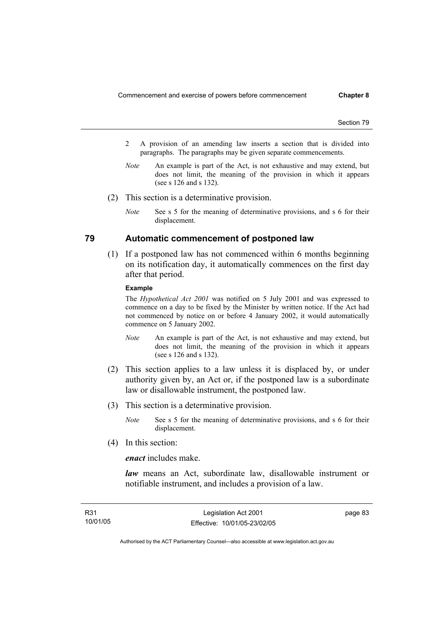- 2 A provision of an amending law inserts a section that is divided into paragraphs. The paragraphs may be given separate commencements.
- *Note* An example is part of the Act, is not exhaustive and may extend, but does not limit, the meaning of the provision in which it appears (see s 126 and s 132).
- (2) This section is a determinative provision.
	- *Note* See s 5 for the meaning of determinative provisions, and s 6 for their displacement.

# **79 Automatic commencement of postponed law**

 (1) If a postponed law has not commenced within 6 months beginning on its notification day, it automatically commences on the first day after that period.

#### **Example**

The *Hypothetical Act 2001* was notified on 5 July 2001 and was expressed to commence on a day to be fixed by the Minister by written notice. If the Act had not commenced by notice on or before 4 January 2002, it would automatically commence on 5 January 2002.

- *Note* An example is part of the Act, is not exhaustive and may extend, but does not limit, the meaning of the provision in which it appears (see s 126 and s 132).
- (2) This section applies to a law unless it is displaced by, or under authority given by, an Act or, if the postponed law is a subordinate law or disallowable instrument, the postponed law.
- (3) This section is a determinative provision.
	- *Note* See s 5 for the meaning of determinative provisions, and s 6 for their displacement.
- (4) In this section:

*enact* includes make.

*law* means an Act, subordinate law, disallowable instrument or notifiable instrument, and includes a provision of a law.

page 83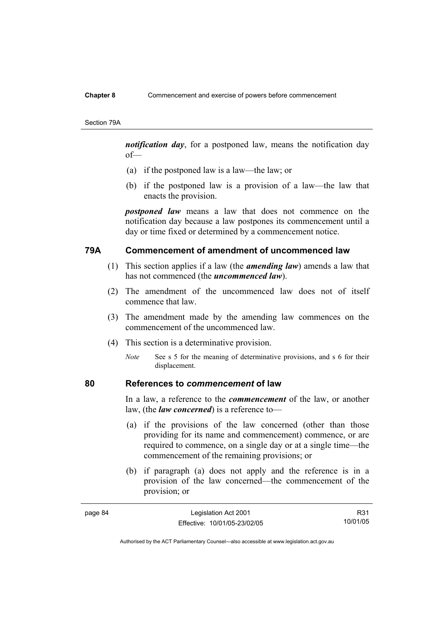#### **Chapter 8** Commencement and exercise of powers before commencement

Section 79A

*notification day*, for a postponed law, means the notification day of—

- (a) if the postponed law is a law—the law; or
- (b) if the postponed law is a provision of a law—the law that enacts the provision.

*postponed law* means a law that does not commence on the notification day because a law postpones its commencement until a day or time fixed or determined by a commencement notice.

# **79A Commencement of amendment of uncommenced law**

- (1) This section applies if a law (the *amending law*) amends a law that has not commenced (the *uncommenced law*).
- (2) The amendment of the uncommenced law does not of itself commence that law.
- (3) The amendment made by the amending law commences on the commencement of the uncommenced law.
- (4) This section is a determinative provision.
	- *Note* See s 5 for the meaning of determinative provisions, and s 6 for their displacement.

## **80 References to** *commencement* **of law**

In a law, a reference to the *commencement* of the law, or another law, (the *law concerned*) is a reference to—

- (a) if the provisions of the law concerned (other than those providing for its name and commencement) commence, or are required to commence, on a single day or at a single time—the commencement of the remaining provisions; or
- (b) if paragraph (a) does not apply and the reference is in a provision of the law concerned—the commencement of the provision; or

| page 84 | Legislation Act 2001         | R <sub>31</sub> |
|---------|------------------------------|-----------------|
|         | Effective: 10/01/05-23/02/05 | 10/01/05        |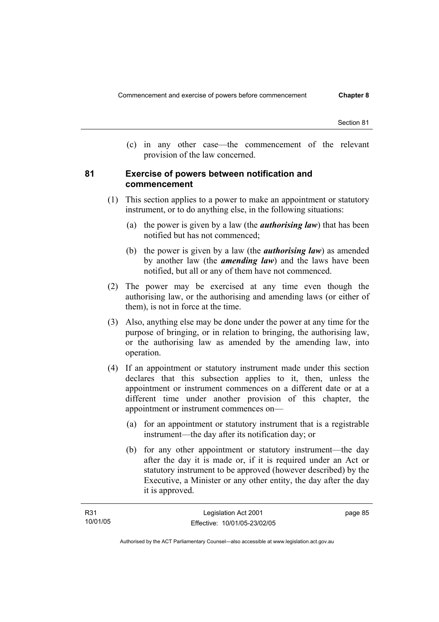(c) in any other case—the commencement of the relevant provision of the law concerned.

# **81 Exercise of powers between notification and commencement**

- (1) This section applies to a power to make an appointment or statutory instrument, or to do anything else, in the following situations:
	- (a) the power is given by a law (the *authorising law*) that has been notified but has not commenced;
	- (b) the power is given by a law (the *authorising law*) as amended by another law (the *amending law*) and the laws have been notified, but all or any of them have not commenced.
- (2) The power may be exercised at any time even though the authorising law, or the authorising and amending laws (or either of them), is not in force at the time.
- (3) Also, anything else may be done under the power at any time for the purpose of bringing, or in relation to bringing, the authorising law, or the authorising law as amended by the amending law, into operation.
- (4) If an appointment or statutory instrument made under this section declares that this subsection applies to it, then, unless the appointment or instrument commences on a different date or at a different time under another provision of this chapter, the appointment or instrument commences on—
	- (a) for an appointment or statutory instrument that is a registrable instrument—the day after its notification day; or
	- (b) for any other appointment or statutory instrument—the day after the day it is made or, if it is required under an Act or statutory instrument to be approved (however described) by the Executive, a Minister or any other entity, the day after the day it is approved.

| R31      | Legislation Act 2001         | page 85 |
|----------|------------------------------|---------|
| 10/01/05 | Effective: 10/01/05-23/02/05 |         |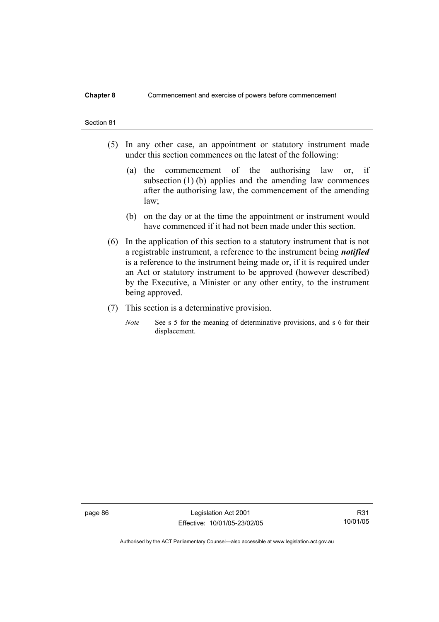#### **Chapter 8** Commencement and exercise of powers before commencement

#### Section 81

- (5) In any other case, an appointment or statutory instrument made under this section commences on the latest of the following:
	- (a) the commencement of the authorising law or, if subsection (1) (b) applies and the amending law commences after the authorising law, the commencement of the amending law;
	- (b) on the day or at the time the appointment or instrument would have commenced if it had not been made under this section.
- (6) In the application of this section to a statutory instrument that is not a registrable instrument, a reference to the instrument being *notified*  is a reference to the instrument being made or, if it is required under an Act or statutory instrument to be approved (however described) by the Executive, a Minister or any other entity, to the instrument being approved.
- (7) This section is a determinative provision.
	- *Note* See s 5 for the meaning of determinative provisions, and s 6 for their displacement.

page 86 Legislation Act 2001 Effective: 10/01/05-23/02/05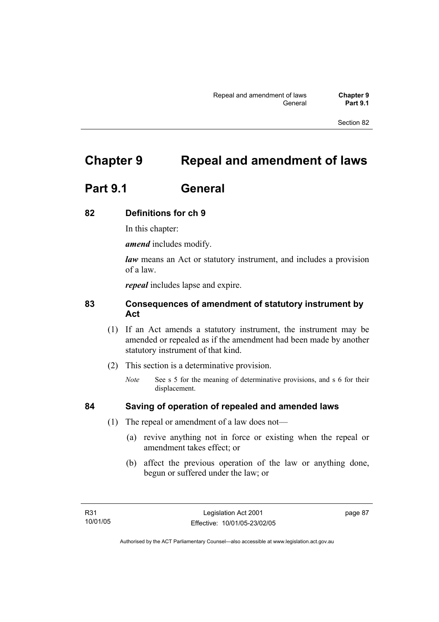# **Chapter 9 Repeal and amendment of laws**

# **Part 9.1 General**

# **82 Definitions for ch 9**

In this chapter:

*amend* includes modify.

*law* means an Act or statutory instrument, and includes a provision of a law.

*repeal* includes lapse and expire.

# **83 Consequences of amendment of statutory instrument by Act**

- (1) If an Act amends a statutory instrument, the instrument may be amended or repealed as if the amendment had been made by another statutory instrument of that kind.
- (2) This section is a determinative provision.
	- *Note* See s 5 for the meaning of determinative provisions, and s 6 for their displacement.

- **84 Saving of operation of repealed and amended laws**
	- (1) The repeal or amendment of a law does not—
		- (a) revive anything not in force or existing when the repeal or amendment takes effect; or
		- (b) affect the previous operation of the law or anything done, begun or suffered under the law; or

page 87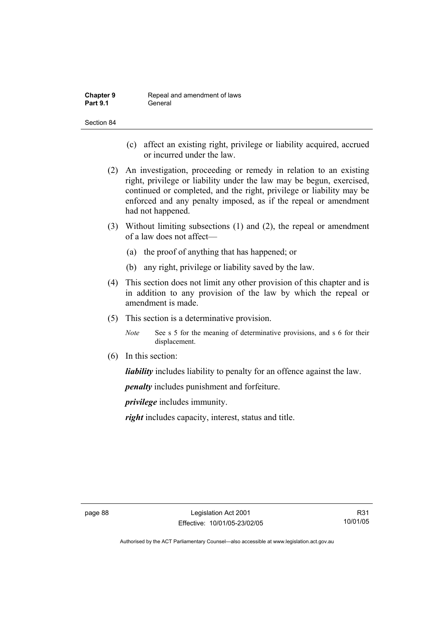| <b>Chapter 9</b> | Repeal and amendment of laws |
|------------------|------------------------------|
| <b>Part 9.1</b>  | General                      |

- (c) affect an existing right, privilege or liability acquired, accrued or incurred under the law.
- (2) An investigation, proceeding or remedy in relation to an existing right, privilege or liability under the law may be begun, exercised, continued or completed, and the right, privilege or liability may be enforced and any penalty imposed, as if the repeal or amendment had not happened.
- (3) Without limiting subsections (1) and (2), the repeal or amendment of a law does not affect—
	- (a) the proof of anything that has happened; or
	- (b) any right, privilege or liability saved by the law.
- (4) This section does not limit any other provision of this chapter and is in addition to any provision of the law by which the repeal or amendment is made.
- (5) This section is a determinative provision.
	- *Note* See s 5 for the meaning of determinative provisions, and s 6 for their displacement.
- (6) In this section:

*liability* includes liability to penalty for an offence against the law.

*penalty* includes punishment and forfeiture.

*privilege* includes immunity.

*right* includes capacity, interest, status and title.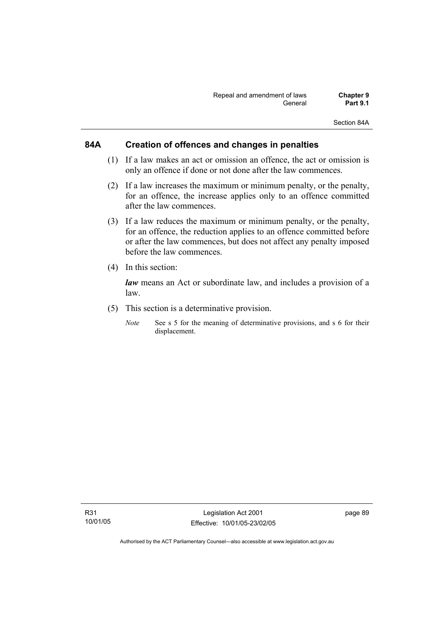Section 84A

# **84A Creation of offences and changes in penalties**

- (1) If a law makes an act or omission an offence, the act or omission is only an offence if done or not done after the law commences.
- (2) If a law increases the maximum or minimum penalty, or the penalty, for an offence, the increase applies only to an offence committed after the law commences.
- (3) If a law reduces the maximum or minimum penalty, or the penalty, for an offence, the reduction applies to an offence committed before or after the law commences, but does not affect any penalty imposed before the law commences.
- (4) In this section:

*law* means an Act or subordinate law, and includes a provision of a law.

- (5) This section is a determinative provision.
	- *Note* See s 5 for the meaning of determinative provisions, and s 6 for their displacement.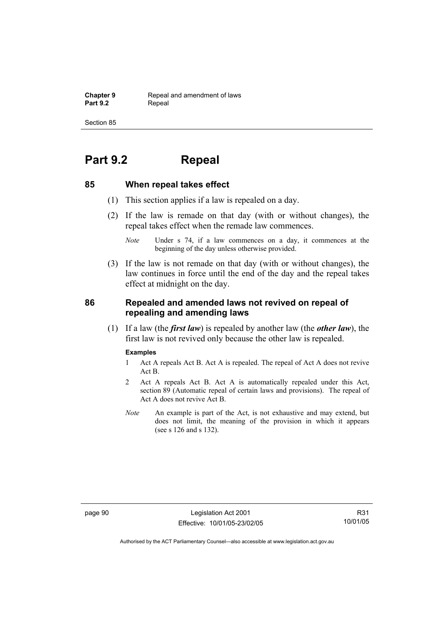**Chapter 9 Repeal and amendment of laws**<br>**Part 9.2 Repeal** Repeal

Section 85

# **Part 9.2 Repeal**

### **85 When repeal takes effect**

- (1) This section applies if a law is repealed on a day.
- (2) If the law is remade on that day (with or without changes), the repeal takes effect when the remade law commences.

 (3) If the law is not remade on that day (with or without changes), the law continues in force until the end of the day and the repeal takes effect at midnight on the day.

# **86 Repealed and amended laws not revived on repeal of repealing and amending laws**

 (1) If a law (the *first law*) is repealed by another law (the *other law*), the first law is not revived only because the other law is repealed.

#### **Examples**

- 1 Act A repeals Act B. Act A is repealed. The repeal of Act A does not revive Act B.
- 2 Act A repeals Act B. Act A is automatically repealed under this Act, section 89 (Automatic repeal of certain laws and provisions). The repeal of Act A does not revive Act B.
- *Note* An example is part of the Act, is not exhaustive and may extend, but does not limit, the meaning of the provision in which it appears (see s 126 and s 132).

page 90 Legislation Act 2001 Effective: 10/01/05-23/02/05

*Note* Under s 74, if a law commences on a day, it commences at the beginning of the day unless otherwise provided.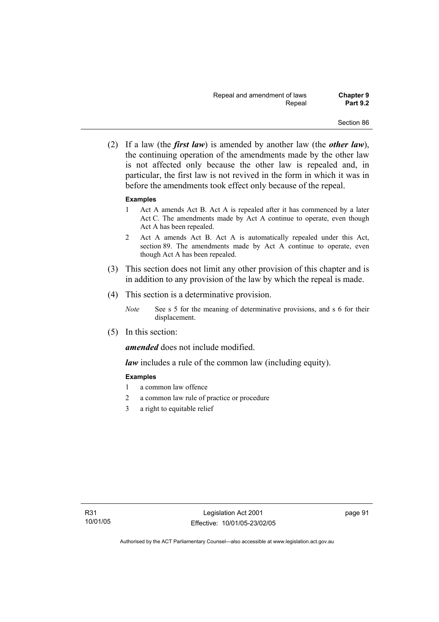(2) If a law (the *first law*) is amended by another law (the *other law*), the continuing operation of the amendments made by the other law is not affected only because the other law is repealed and, in particular, the first law is not revived in the form in which it was in before the amendments took effect only because of the repeal.

#### **Examples**

- 1 Act A amends Act B. Act A is repealed after it has commenced by a later Act C. The amendments made by Act A continue to operate, even though Act A has been repealed.
- 2 Act A amends Act B. Act A is automatically repealed under this Act, section 89. The amendments made by Act A continue to operate, even though Act A has been repealed.
- (3) This section does not limit any other provision of this chapter and is in addition to any provision of the law by which the repeal is made.
- (4) This section is a determinative provision.
	- *Note* See s 5 for the meaning of determinative provisions, and s 6 for their displacement.
- (5) In this section:

*amended* does not include modified.

*law* includes a rule of the common law (including equity).

### **Examples**

- 1 a common law offence
- 2 a common law rule of practice or procedure
- 3 a right to equitable relief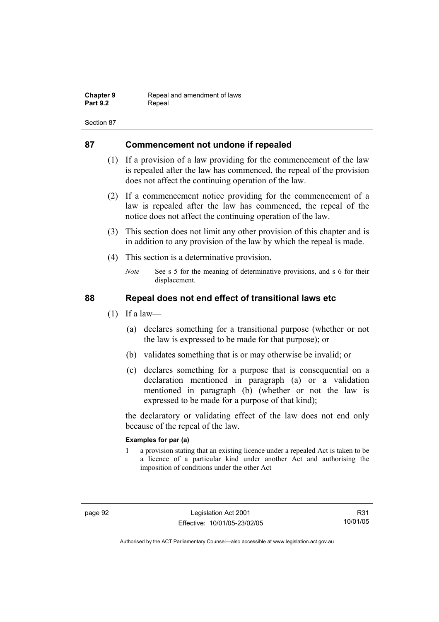| <b>Chapter 9</b> | Repeal and amendment of laws |
|------------------|------------------------------|
| <b>Part 9.2</b>  | Repeal                       |

# **87 Commencement not undone if repealed**

- (1) If a provision of a law providing for the commencement of the law is repealed after the law has commenced, the repeal of the provision does not affect the continuing operation of the law.
- (2) If a commencement notice providing for the commencement of a law is repealed after the law has commenced, the repeal of the notice does not affect the continuing operation of the law.
- (3) This section does not limit any other provision of this chapter and is in addition to any provision of the law by which the repeal is made.
- (4) This section is a determinative provision.
	- *Note* See s 5 for the meaning of determinative provisions, and s 6 for their displacement.

# **88 Repeal does not end effect of transitional laws etc**

- $(1)$  If a law—
	- (a) declares something for a transitional purpose (whether or not the law is expressed to be made for that purpose); or
	- (b) validates something that is or may otherwise be invalid; or
	- (c) declares something for a purpose that is consequential on a declaration mentioned in paragraph (a) or a validation mentioned in paragraph (b) (whether or not the law is expressed to be made for a purpose of that kind);

the declaratory or validating effect of the law does not end only because of the repeal of the law.

#### **Examples for par (a)**

1 a provision stating that an existing licence under a repealed Act is taken to be a licence of a particular kind under another Act and authorising the imposition of conditions under the other Act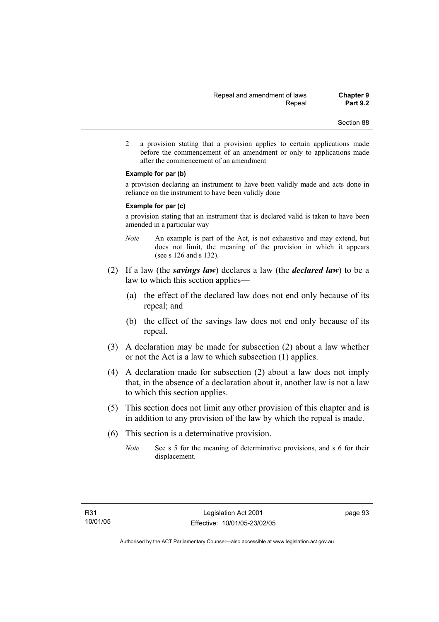2 a provision stating that a provision applies to certain applications made before the commencement of an amendment or only to applications made after the commencement of an amendment

#### **Example for par (b)**

a provision declaring an instrument to have been validly made and acts done in reliance on the instrument to have been validly done

#### **Example for par (c)**

a provision stating that an instrument that is declared valid is taken to have been amended in a particular way

- *Note* An example is part of the Act, is not exhaustive and may extend, but does not limit, the meaning of the provision in which it appears (see s 126 and s 132).
- (2) If a law (the *savings law*) declares a law (the *declared law*) to be a law to which this section applies—
	- (a) the effect of the declared law does not end only because of its repeal; and
	- (b) the effect of the savings law does not end only because of its repeal.
- (3) A declaration may be made for subsection (2) about a law whether or not the Act is a law to which subsection (1) applies.
- (4) A declaration made for subsection (2) about a law does not imply that, in the absence of a declaration about it, another law is not a law to which this section applies.
- (5) This section does not limit any other provision of this chapter and is in addition to any provision of the law by which the repeal is made.
- (6) This section is a determinative provision.
	- *Note* See s 5 for the meaning of determinative provisions, and s 6 for their displacement.

page 93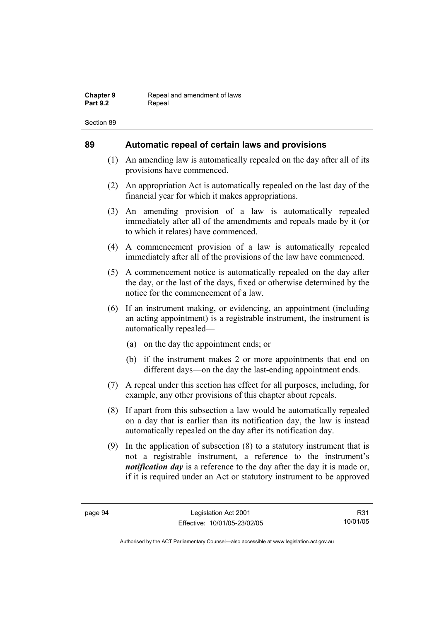## **89 Automatic repeal of certain laws and provisions**

- (1) An amending law is automatically repealed on the day after all of its provisions have commenced.
- (2) An appropriation Act is automatically repealed on the last day of the financial year for which it makes appropriations.
- (3) An amending provision of a law is automatically repealed immediately after all of the amendments and repeals made by it (or to which it relates) have commenced.
- (4) A commencement provision of a law is automatically repealed immediately after all of the provisions of the law have commenced.
- (5) A commencement notice is automatically repealed on the day after the day, or the last of the days, fixed or otherwise determined by the notice for the commencement of a law.
- (6) If an instrument making, or evidencing, an appointment (including an acting appointment) is a registrable instrument, the instrument is automatically repealed—
	- (a) on the day the appointment ends; or
	- (b) if the instrument makes 2 or more appointments that end on different days—on the day the last-ending appointment ends.
- (7) A repeal under this section has effect for all purposes, including, for example, any other provisions of this chapter about repeals.
- (8) If apart from this subsection a law would be automatically repealed on a day that is earlier than its notification day, the law is instead automatically repealed on the day after its notification day.
- (9) In the application of subsection (8) to a statutory instrument that is not a registrable instrument, a reference to the instrument's *notification day* is a reference to the day after the day it is made or, if it is required under an Act or statutory instrument to be approved

R31 10/01/05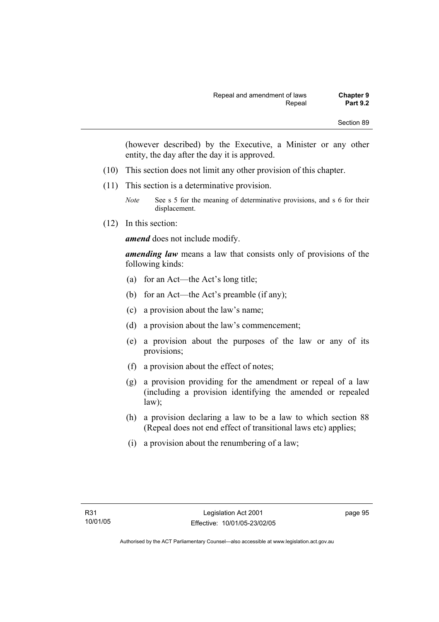(however described) by the Executive, a Minister or any other entity, the day after the day it is approved.

- (10) This section does not limit any other provision of this chapter.
- (11) This section is a determinative provision.
	- *Note* See s 5 for the meaning of determinative provisions, and s 6 for their displacement.
- (12) In this section:

*amend* does not include modify.

*amending law* means a law that consists only of provisions of the following kinds:

- (a) for an Act—the Act's long title;
- (b) for an Act—the Act's preamble (if any);
- (c) a provision about the law's name;
- (d) a provision about the law's commencement;
- (e) a provision about the purposes of the law or any of its provisions;
- (f) a provision about the effect of notes;
- (g) a provision providing for the amendment or repeal of a law (including a provision identifying the amended or repealed law);
- (h) a provision declaring a law to be a law to which section 88 (Repeal does not end effect of transitional laws etc) applies;
- (i) a provision about the renumbering of a law;

page 95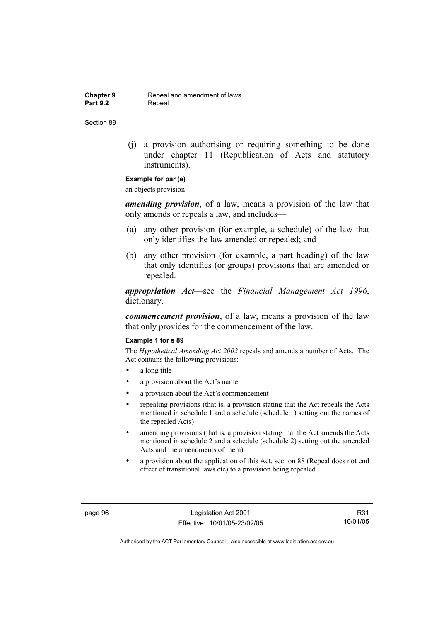**Chapter 9 Repeal and amendment of laws**<br>**Part 9.2 Repeal** Repeal

Section 89

 (j) a provision authorising or requiring something to be done under chapter 11 (Republication of Acts and statutory instruments).

## **Example for par (e)**

an objects provision

*amending provision*, of a law, means a provision of the law that only amends or repeals a law, and includes—

- (a) any other provision (for example, a schedule) of the law that only identifies the law amended or repealed; and
- (b) any other provision (for example, a part heading) of the law that only identifies (or groups) provisions that are amended or repealed.

*appropriation Act*—see the *Financial Management Act 1996*, dictionary.

*commencement provision*, of a law, means a provision of the law that only provides for the commencement of the law.

#### **Example 1 for s 89**

The *Hypothetical Amending Act 2002* repeals and amends a number of Acts. The Act contains the following provisions:

- a long title
- a provision about the Act's name
- a provision about the Act's commencement
- repealing provisions (that is, a provision stating that the Act repeals the Acts mentioned in schedule 1 and a schedule (schedule 1) setting out the names of the repealed Acts)
- amending provisions (that is, a provision stating that the Act amends the Acts mentioned in schedule 2 and a schedule (schedule 2) setting out the amended Acts and the amendments of them)
- a provision about the application of this Act, section 88 (Repeal does not end effect of transitional laws etc) to a provision being repealed

page 96 Legislation Act 2001 Effective: 10/01/05-23/02/05

R31 10/01/05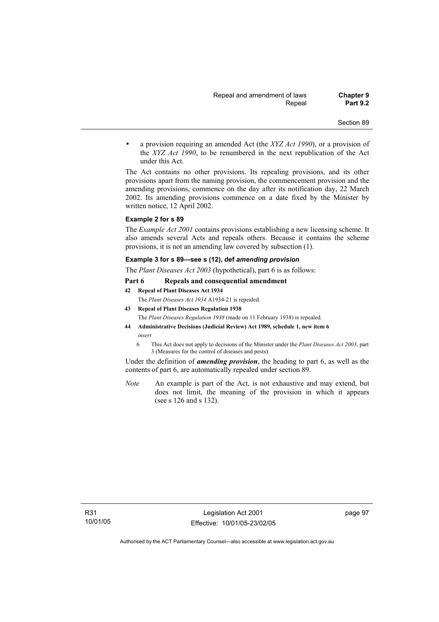• a provision requiring an amended Act (the *XYZ Act 1990*), or a provision of the *XYZ Act 1990*, to be renumbered in the next republication of the Act under this Act.

The Act contains no other provisions. Its repealing provisions, and its other provisions apart from the naming provision, the commencement provision and the amending provisions, commence on the day after its notification day, 22 March 2002. Its amending provisions commence on a date fixed by the Minister by written notice, 12 April 2002.

#### **Example 2 for s 89**

The *Example Act 2001* contains provisions establishing a new licensing scheme. It also amends several Acts and repeals others. Because it contains the scheme provisions, it is not an amending law covered by subsection (1).

#### **Example 3 for s 89—see s (12), def** *amending provision*

The *Plant Diseases Act 2003* (hypothetical), part 6 is as follows:

#### **Part 6 Repeals and consequential amendment**

- **42 Repeal of Plant Diseases Act 1934** The *Plant Diseases Act 1934* A1934-21 is repealed.
- **43 Repeal of Plant Diseases Regulation 1938**

The *Plant Diseases Regulation 1938* (made on 11 February 1938) is repealed.

- **44 Administrative Decisions (Judicial Review) Act 1989, schedule 1, new item 6**  *insert* 
	- 6 This Act does not apply to decisions of the Minister under the *Plant Diseases Act 2003*, part 3 (Measures for the control of diseases and pests).

Under the definition of *amending provision*, the heading to part 6, as well as the contents of part 6, are automatically repealed under section 89.

*Note* An example is part of the Act, is not exhaustive and may extend, but does not limit, the meaning of the provision in which it appears (see s 126 and s 132).

page 97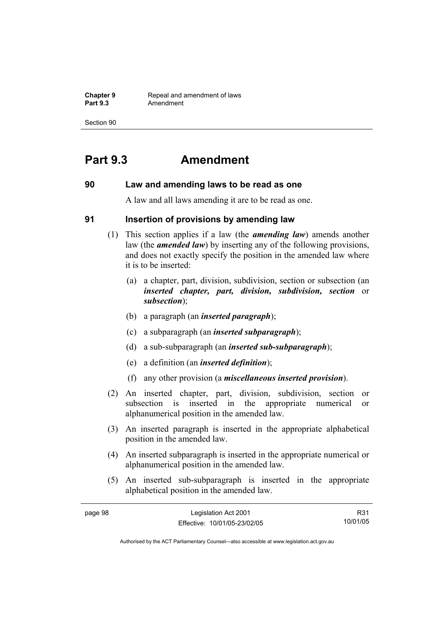**Chapter 9 Repeal and amendment of laws**<br>**Part 9.3 Amendment** Amendment

Section 90

# **Part 9.3 Amendment**

## **90 Law and amending laws to be read as one**

A law and all laws amending it are to be read as one.

## **91 Insertion of provisions by amending law**

- (1) This section applies if a law (the *amending law*) amends another law (the *amended law*) by inserting any of the following provisions, and does not exactly specify the position in the amended law where it is to be inserted:
	- (a) a chapter, part, division, subdivision, section or subsection (an *inserted chapter, part, division, subdivision, section* or *subsection*);
	- (b) a paragraph (an *inserted paragraph*);
	- (c) a subparagraph (an *inserted subparagraph*);
	- (d) a sub-subparagraph (an *inserted sub-subparagraph*);
	- (e) a definition (an *inserted definition*);
	- (f) any other provision (a *miscellaneous inserted provision*).
- (2) An inserted chapter, part, division, subdivision, section or subsection is inserted in the appropriate numerical or alphanumerical position in the amended law.
- (3) An inserted paragraph is inserted in the appropriate alphabetical position in the amended law.
- (4) An inserted subparagraph is inserted in the appropriate numerical or alphanumerical position in the amended law.
- (5) An inserted sub-subparagraph is inserted in the appropriate alphabetical position in the amended law.

| page 98 | Legislation Act 2001         | R31      |
|---------|------------------------------|----------|
|         | Effective: 10/01/05-23/02/05 | 10/01/05 |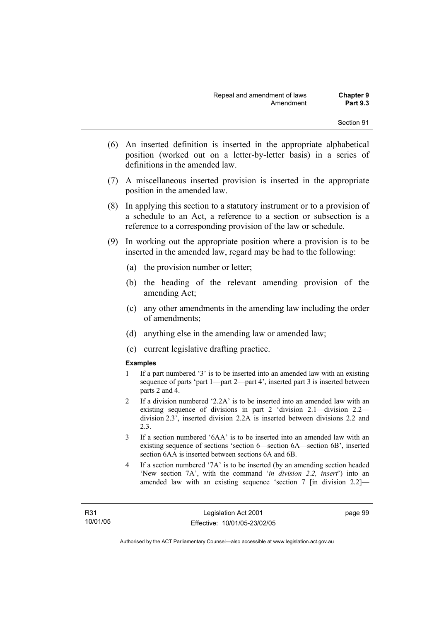- (6) An inserted definition is inserted in the appropriate alphabetical position (worked out on a letter-by-letter basis) in a series of definitions in the amended law.
- (7) A miscellaneous inserted provision is inserted in the appropriate position in the amended law.
- (8) In applying this section to a statutory instrument or to a provision of a schedule to an Act, a reference to a section or subsection is a reference to a corresponding provision of the law or schedule.
- (9) In working out the appropriate position where a provision is to be inserted in the amended law, regard may be had to the following:
	- (a) the provision number or letter;
	- (b) the heading of the relevant amending provision of the amending Act;
	- (c) any other amendments in the amending law including the order of amendments;
	- (d) anything else in the amending law or amended law;
	- (e) current legislative drafting practice.

### **Examples**

- 1 If a part numbered '3' is to be inserted into an amended law with an existing sequence of parts 'part 1—part 2—part 4', inserted part 3 is inserted between parts 2 and 4.
- 2 If a division numbered '2.2A' is to be inserted into an amended law with an existing sequence of divisions in part 2 'division 2.1—division 2.2 division 2.3', inserted division 2.2A is inserted between divisions 2.2 and 2.3.
- 3 If a section numbered '6AA' is to be inserted into an amended law with an existing sequence of sections 'section 6—section 6A—section 6B', inserted section 6AA is inserted between sections 6A and 6B.
- 4 If a section numbered '7A' is to be inserted (by an amending section headed 'New section 7A', with the command '*in division 2.2, insert*') into an amended law with an existing sequence 'section 7 [in division 2.2]—

page 99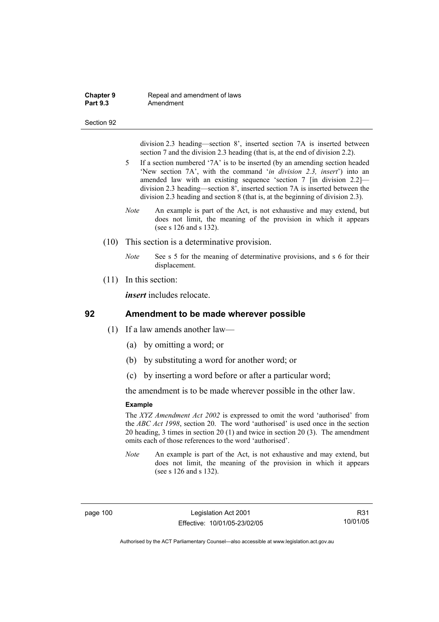#### **Chapter 9 Repeal and amendment of laws**<br>**Part 9.3 Amendment** Amendment

#### Section 92

division 2.3 heading—section 8', inserted section 7A is inserted between section 7 and the division 2.3 heading (that is, at the end of division 2.2).

- 5 If a section numbered '7A' is to be inserted (by an amending section headed 'New section 7A', with the command '*in division 2.3, insert*') into an amended law with an existing sequence 'section 7 [in division 2.2] division 2.3 heading—section 8', inserted section 7A is inserted between the division 2.3 heading and section 8 (that is, at the beginning of division 2.3).
- *Note* An example is part of the Act, is not exhaustive and may extend, but does not limit, the meaning of the provision in which it appears (see s 126 and s 132).
- (10) This section is a determinative provision.
	- *Note* See s 5 for the meaning of determinative provisions, and s 6 for their displacement.
- (11) In this section:

*insert* includes relocate.

## **92 Amendment to be made wherever possible**

- (1) If a law amends another law—
	- (a) by omitting a word; or
	- (b) by substituting a word for another word; or
	- (c) by inserting a word before or after a particular word;

the amendment is to be made wherever possible in the other law.

#### **Example**

The *XYZ Amendment Act 2002* is expressed to omit the word 'authorised' from the *ABC Act 1998*, section 20. The word 'authorised' is used once in the section 20 heading, 3 times in section 20 (1) and twice in section 20 (3). The amendment omits each of those references to the word 'authorised'.

*Note* An example is part of the Act, is not exhaustive and may extend, but does not limit, the meaning of the provision in which it appears (see s 126 and s 132).

page 100 Legislation Act 2001 Effective: 10/01/05-23/02/05

R31 10/01/05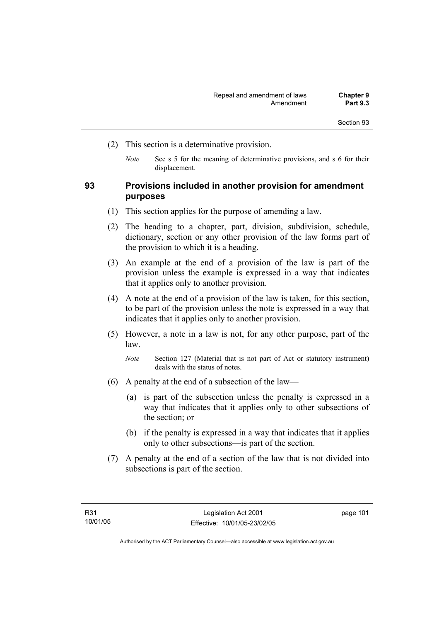- (2) This section is a determinative provision.
	- *Note* See s 5 for the meaning of determinative provisions, and s 6 for their displacement.

## **93 Provisions included in another provision for amendment purposes**

- (1) This section applies for the purpose of amending a law.
- (2) The heading to a chapter, part, division, subdivision, schedule, dictionary, section or any other provision of the law forms part of the provision to which it is a heading.
- (3) An example at the end of a provision of the law is part of the provision unless the example is expressed in a way that indicates that it applies only to another provision.
- (4) A note at the end of a provision of the law is taken, for this section, to be part of the provision unless the note is expressed in a way that indicates that it applies only to another provision.
- (5) However, a note in a law is not, for any other purpose, part of the law.

*Note* Section 127 (Material that is not part of Act or statutory instrument) deals with the status of notes.

- (6) A penalty at the end of a subsection of the law—
	- (a) is part of the subsection unless the penalty is expressed in a way that indicates that it applies only to other subsections of the section; or
	- (b) if the penalty is expressed in a way that indicates that it applies only to other subsections—is part of the section.
- (7) A penalty at the end of a section of the law that is not divided into subsections is part of the section.

page 101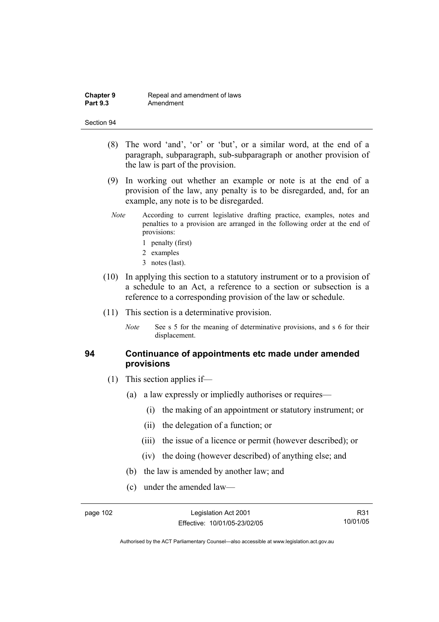- (8) The word 'and', 'or' or 'but', or a similar word, at the end of a paragraph, subparagraph, sub-subparagraph or another provision of the law is part of the provision.
- (9) In working out whether an example or note is at the end of a provision of the law, any penalty is to be disregarded, and, for an example, any note is to be disregarded.
- *Note* According to current legislative drafting practice, examples, notes and penalties to a provision are arranged in the following order at the end of provisions:
	- 1 penalty (first)
	- 2 examples
	- 3 notes (last).
- (10) In applying this section to a statutory instrument or to a provision of a schedule to an Act, a reference to a section or subsection is a reference to a corresponding provision of the law or schedule.
- (11) This section is a determinative provision.
	- *Note* See s 5 for the meaning of determinative provisions, and s 6 for their displacement.

## **94 Continuance of appointments etc made under amended provisions**

- (1) This section applies if—
	- (a) a law expressly or impliedly authorises or requires—
		- (i) the making of an appointment or statutory instrument; or
		- (ii) the delegation of a function; or
		- (iii) the issue of a licence or permit (however described); or
		- (iv) the doing (however described) of anything else; and
	- (b) the law is amended by another law; and
	- (c) under the amended law—

R31 10/01/05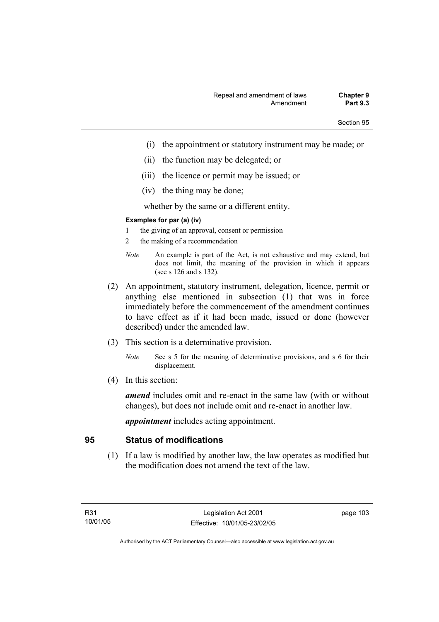- (i) the appointment or statutory instrument may be made; or
- (ii) the function may be delegated; or
- (iii) the licence or permit may be issued; or
- (iv) the thing may be done;

whether by the same or a different entity.

#### **Examples for par (a) (iv)**

- 1 the giving of an approval, consent or permission
- 2 the making of a recommendation
- *Note* An example is part of the Act, is not exhaustive and may extend, but does not limit, the meaning of the provision in which it appears (see s 126 and s 132).
- (2) An appointment, statutory instrument, delegation, licence, permit or anything else mentioned in subsection (1) that was in force immediately before the commencement of the amendment continues to have effect as if it had been made, issued or done (however described) under the amended law.
- (3) This section is a determinative provision.
	- *Note* See s 5 for the meaning of determinative provisions, and s 6 for their displacement.
- (4) In this section:

*amend* includes omit and re-enact in the same law (with or without changes), but does not include omit and re-enact in another law.

*appointment* includes acting appointment.

# **95 Status of modifications**

 (1) If a law is modified by another law, the law operates as modified but the modification does not amend the text of the law.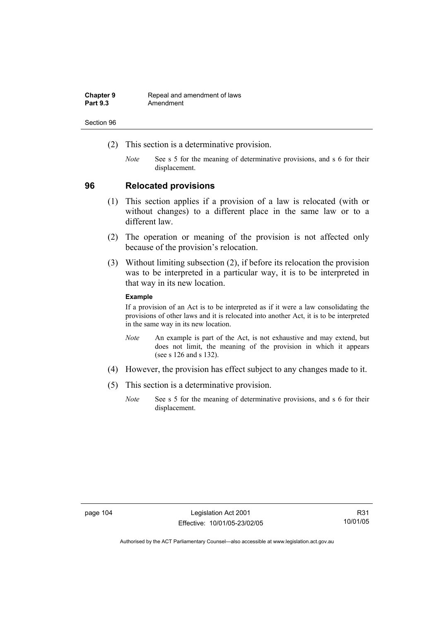| <b>Chapter 9</b> | Repeal and amendment of laws |
|------------------|------------------------------|
| <b>Part 9.3</b>  | Amendment                    |

- (2) This section is a determinative provision.
	- *Note* See s 5 for the meaning of determinative provisions, and s 6 for their displacement.

## **96 Relocated provisions**

- (1) This section applies if a provision of a law is relocated (with or without changes) to a different place in the same law or to a different law.
- (2) The operation or meaning of the provision is not affected only because of the provision's relocation.
- (3) Without limiting subsection (2), if before its relocation the provision was to be interpreted in a particular way, it is to be interpreted in that way in its new location.

### **Example**

If a provision of an Act is to be interpreted as if it were a law consolidating the provisions of other laws and it is relocated into another Act, it is to be interpreted in the same way in its new location.

- *Note* An example is part of the Act, is not exhaustive and may extend, but does not limit, the meaning of the provision in which it appears (see s 126 and s 132).
- (4) However, the provision has effect subject to any changes made to it.
- (5) This section is a determinative provision.
	- *Note* See s 5 for the meaning of determinative provisions, and s 6 for their displacement.

R31 10/01/05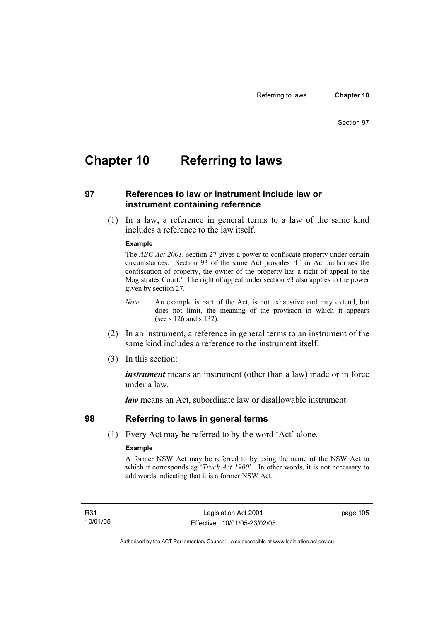# **Chapter 10 Referring to laws**

## **97 References to law or instrument include law or instrument containing reference**

 (1) In a law, a reference in general terms to a law of the same kind includes a reference to the law itself.

#### **Example**

The *ABC Act 2001*, section 27 gives a power to confiscate property under certain circumstances. Section 93 of the same Act provides 'If an Act authorises the confiscation of property, the owner of the property has a right of appeal to the Magistrates Court.' The right of appeal under section 93 also applies to the power given by section 27.

- *Note* An example is part of the Act, is not exhaustive and may extend, but does not limit, the meaning of the provision in which it appears (see s 126 and s 132).
- (2) In an instrument, a reference in general terms to an instrument of the same kind includes a reference to the instrument itself.
- (3) In this section:

*instrument* means an instrument (other than a law) made or in force under a law.

*law* means an Act, subordinate law or disallowable instrument.

## **98 Referring to laws in general terms**

(1) Every Act may be referred to by the word 'Act' alone.

### **Example**

A former NSW Act may be referred to by using the name of the NSW Act to which it corresponds eg '*Truck Act 1900*'. In other words, it is not necessary to add words indicating that it is a former NSW Act.

R31 10/01/05 page 105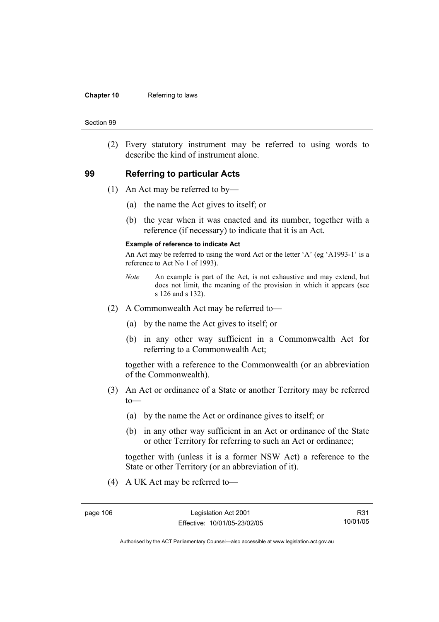#### **Chapter 10** Referring to laws

#### Section 99

 (2) Every statutory instrument may be referred to using words to describe the kind of instrument alone.

## **99 Referring to particular Acts**

- (1) An Act may be referred to by—
	- (a) the name the Act gives to itself; or
	- (b) the year when it was enacted and its number, together with a reference (if necessary) to indicate that it is an Act.

### **Example of reference to indicate Act**

An Act may be referred to using the word Act or the letter 'A' (eg 'A1993-1' is a reference to Act No 1 of 1993).

- *Note* An example is part of the Act, is not exhaustive and may extend, but does not limit, the meaning of the provision in which it appears (see s 126 and s 132).
- (2) A Commonwealth Act may be referred to—
	- (a) by the name the Act gives to itself; or
	- (b) in any other way sufficient in a Commonwealth Act for referring to a Commonwealth Act;

together with a reference to the Commonwealth (or an abbreviation of the Commonwealth).

- (3) An Act or ordinance of a State or another Territory may be referred  $to$ —
	- (a) by the name the Act or ordinance gives to itself; or
	- (b) in any other way sufficient in an Act or ordinance of the State or other Territory for referring to such an Act or ordinance;

together with (unless it is a former NSW Act) a reference to the State or other Territory (or an abbreviation of it).

(4) A UK Act may be referred to—

R31 10/01/05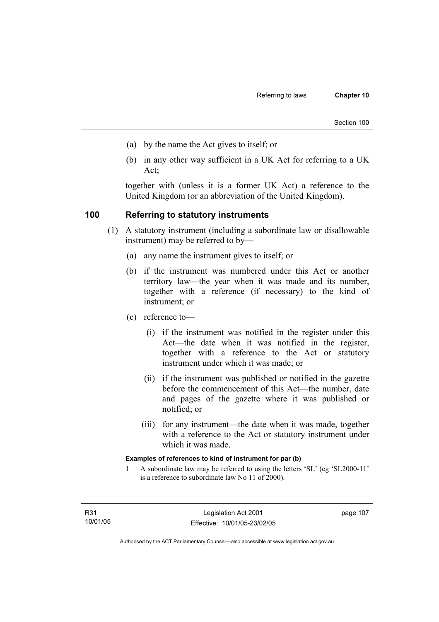- (a) by the name the Act gives to itself; or
- (b) in any other way sufficient in a UK Act for referring to a UK Act;

together with (unless it is a former UK Act) a reference to the United Kingdom (or an abbreviation of the United Kingdom).

## **100 Referring to statutory instruments**

- (1) A statutory instrument (including a subordinate law or disallowable instrument) may be referred to by—
	- (a) any name the instrument gives to itself; or
	- (b) if the instrument was numbered under this Act or another territory law—the year when it was made and its number, together with a reference (if necessary) to the kind of instrument; or
	- (c) reference to—
		- (i) if the instrument was notified in the register under this Act—the date when it was notified in the register, together with a reference to the Act or statutory instrument under which it was made; or
		- (ii) if the instrument was published or notified in the gazette before the commencement of this Act—the number, date and pages of the gazette where it was published or notified; or
		- (iii) for any instrument—the date when it was made, together with a reference to the Act or statutory instrument under which it was made.

### **Examples of references to kind of instrument for par (b)**

1 A subordinate law may be referred to using the letters 'SL' (eg 'SL2000-11' is a reference to subordinate law No 11 of 2000).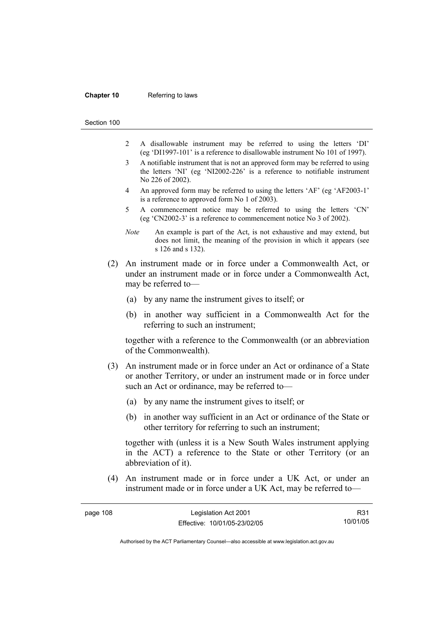#### **Chapter 10** Referring to laws

Section 100

- 2 A disallowable instrument may be referred to using the letters 'DI' (eg 'DI1997-101' is a reference to disallowable instrument No 101 of 1997).
- 3 A notifiable instrument that is not an approved form may be referred to using the letters 'NI' (eg 'NI2002-226' is a reference to notifiable instrument No 226 of 2002).
- 4 An approved form may be referred to using the letters 'AF' (eg 'AF2003-1' is a reference to approved form No 1 of 2003).
- 5 A commencement notice may be referred to using the letters 'CN' (eg 'CN2002-3' is a reference to commencement notice No 3 of 2002).
- *Note* An example is part of the Act, is not exhaustive and may extend, but does not limit, the meaning of the provision in which it appears (see s 126 and s 132).
- (2) An instrument made or in force under a Commonwealth Act, or under an instrument made or in force under a Commonwealth Act, may be referred to—
	- (a) by any name the instrument gives to itself; or
	- (b) in another way sufficient in a Commonwealth Act for the referring to such an instrument;

together with a reference to the Commonwealth (or an abbreviation of the Commonwealth).

- (3) An instrument made or in force under an Act or ordinance of a State or another Territory, or under an instrument made or in force under such an Act or ordinance, may be referred to—
	- (a) by any name the instrument gives to itself; or
	- (b) in another way sufficient in an Act or ordinance of the State or other territory for referring to such an instrument;

together with (unless it is a New South Wales instrument applying in the ACT) a reference to the State or other Territory (or an abbreviation of it).

 (4) An instrument made or in force under a UK Act, or under an instrument made or in force under a UK Act, may be referred to—

| page 108 | Legislation Act 2001         | R31      |
|----------|------------------------------|----------|
|          | Effective: 10/01/05-23/02/05 | 10/01/05 |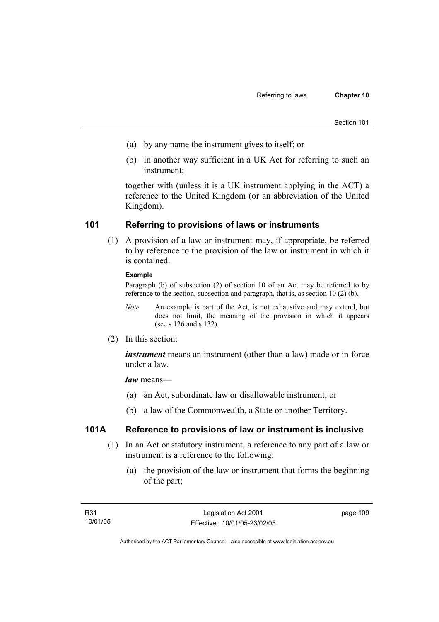- (a) by any name the instrument gives to itself; or
- (b) in another way sufficient in a UK Act for referring to such an instrument;

together with (unless it is a UK instrument applying in the ACT) a reference to the United Kingdom (or an abbreviation of the United Kingdom).

## **101 Referring to provisions of laws or instruments**

 (1) A provision of a law or instrument may, if appropriate, be referred to by reference to the provision of the law or instrument in which it is contained.

### **Example**

Paragraph (b) of subsection (2) of section 10 of an Act may be referred to by reference to the section, subsection and paragraph, that is, as section 10 (2) (b).

- *Note* An example is part of the Act, is not exhaustive and may extend, but does not limit, the meaning of the provision in which it appears (see s 126 and s 132).
- (2) In this section:

*instrument* means an instrument (other than a law) made or in force under a law.

*law* means—

- (a) an Act, subordinate law or disallowable instrument; or
- (b) a law of the Commonwealth, a State or another Territory.

## **101A Reference to provisions of law or instrument is inclusive**

- (1) In an Act or statutory instrument, a reference to any part of a law or instrument is a reference to the following:
	- (a) the provision of the law or instrument that forms the beginning of the part;

page 109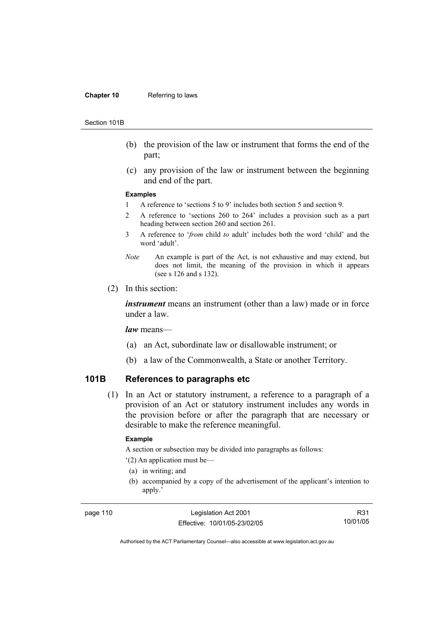#### **Chapter 10** Referring to laws

#### Section 101B

- (b) the provision of the law or instrument that forms the end of the part;
- (c) any provision of the law or instrument between the beginning and end of the part.

#### **Examples**

- 1 A reference to 'sections 5 to 9' includes both section 5 and section 9.
- 2 A reference to 'sections 260 to 264' includes a provision such as a part heading between section 260 and section 261.
- 3 A reference to '*from* child *to* adult' includes both the word 'child' and the word 'adult'.
- *Note* An example is part of the Act, is not exhaustive and may extend, but does not limit, the meaning of the provision in which it appears (see s 126 and s 132).
- (2) In this section:

*instrument* means an instrument (other than a law) made or in force under a law.

*law* means—

- (a) an Act, subordinate law or disallowable instrument; or
- (b) a law of the Commonwealth, a State or another Territory.

# **101B References to paragraphs etc**

 (1) In an Act or statutory instrument, a reference to a paragraph of a provision of an Act or statutory instrument includes any words in the provision before or after the paragraph that are necessary or desirable to make the reference meaningful.

### **Example**

A section or subsection may be divided into paragraphs as follows:

'(2) An application must be—

- (a) in writing; and
- (b) accompanied by a copy of the advertisement of the applicant's intention to apply.'

page 110 Legislation Act 2001 Effective: 10/01/05-23/02/05

R31 10/01/05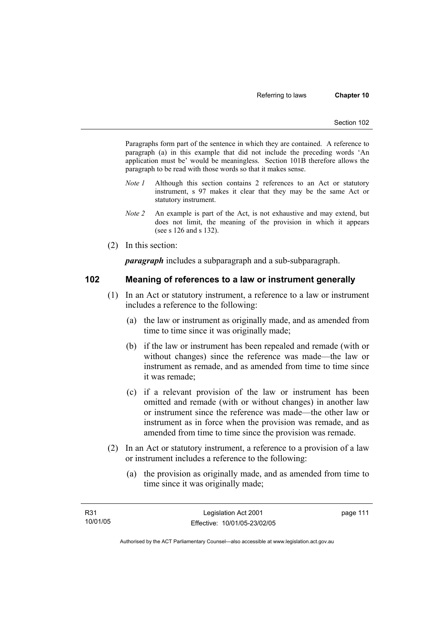Paragraphs form part of the sentence in which they are contained. A reference to paragraph (a) in this example that did not include the preceding words 'An application must be' would be meaningless. Section 101B therefore allows the paragraph to be read with those words so that it makes sense.

- *Note 1* Although this section contains 2 references to an Act or statutory instrument, s 97 makes it clear that they may be the same Act or statutory instrument.
- *Note 2* An example is part of the Act, is not exhaustive and may extend, but does not limit, the meaning of the provision in which it appears (see s 126 and s 132).
- (2) In this section:

*paragraph* includes a subparagraph and a sub-subparagraph.

## **102 Meaning of references to a law or instrument generally**

- (1) In an Act or statutory instrument, a reference to a law or instrument includes a reference to the following:
	- (a) the law or instrument as originally made, and as amended from time to time since it was originally made;
	- (b) if the law or instrument has been repealed and remade (with or without changes) since the reference was made—the law or instrument as remade, and as amended from time to time since it was remade;
	- (c) if a relevant provision of the law or instrument has been omitted and remade (with or without changes) in another law or instrument since the reference was made—the other law or instrument as in force when the provision was remade, and as amended from time to time since the provision was remade.
- (2) In an Act or statutory instrument, a reference to a provision of a law or instrument includes a reference to the following:
	- (a) the provision as originally made, and as amended from time to time since it was originally made;

page 111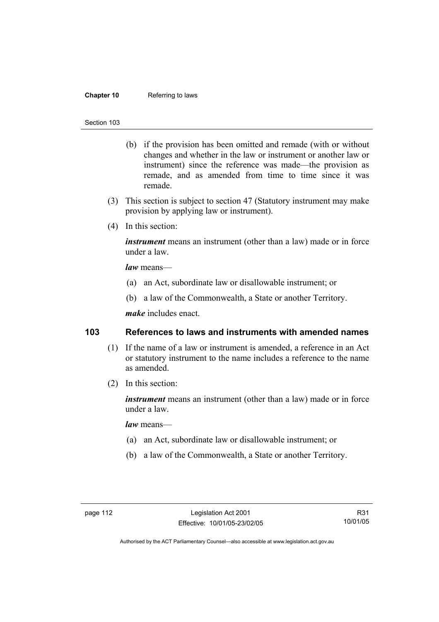### **Chapter 10** Referring to laws

#### Section 103

- (b) if the provision has been omitted and remade (with or without changes and whether in the law or instrument or another law or instrument) since the reference was made—the provision as remade, and as amended from time to time since it was remade.
- (3) This section is subject to section 47 (Statutory instrument may make provision by applying law or instrument).
- (4) In this section:

*instrument* means an instrument (other than a law) made or in force under a law.

*law* means—

- (a) an Act, subordinate law or disallowable instrument; or
- (b) a law of the Commonwealth, a State or another Territory.

*make* includes enact.

## **103 References to laws and instruments with amended names**

- (1) If the name of a law or instrument is amended, a reference in an Act or statutory instrument to the name includes a reference to the name as amended.
- (2) In this section:

*instrument* means an instrument (other than a law) made or in force under a law.

*law* means—

- (a) an Act, subordinate law or disallowable instrument; or
- (b) a law of the Commonwealth, a State or another Territory.

R31 10/01/05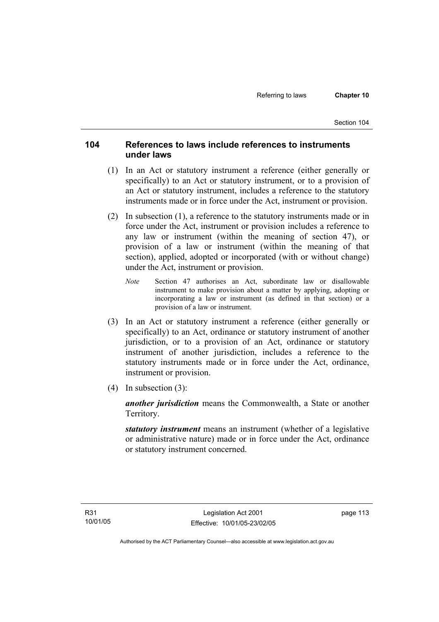# **104 References to laws include references to instruments under laws**

- (1) In an Act or statutory instrument a reference (either generally or specifically) to an Act or statutory instrument, or to a provision of an Act or statutory instrument, includes a reference to the statutory instruments made or in force under the Act, instrument or provision.
- (2) In subsection (1), a reference to the statutory instruments made or in force under the Act, instrument or provision includes a reference to any law or instrument (within the meaning of section 47), or provision of a law or instrument (within the meaning of that section), applied, adopted or incorporated (with or without change) under the Act, instrument or provision.
	- *Note* Section 47 authorises an Act, subordinate law or disallowable instrument to make provision about a matter by applying, adopting or incorporating a law or instrument (as defined in that section) or a provision of a law or instrument.
- (3) In an Act or statutory instrument a reference (either generally or specifically) to an Act, ordinance or statutory instrument of another jurisdiction, or to a provision of an Act, ordinance or statutory instrument of another jurisdiction, includes a reference to the statutory instruments made or in force under the Act, ordinance, instrument or provision.
- (4) In subsection (3):

*another jurisdiction* means the Commonwealth, a State or another Territory.

*statutory instrument* means an instrument (whether of a legislative or administrative nature) made or in force under the Act, ordinance or statutory instrument concerned.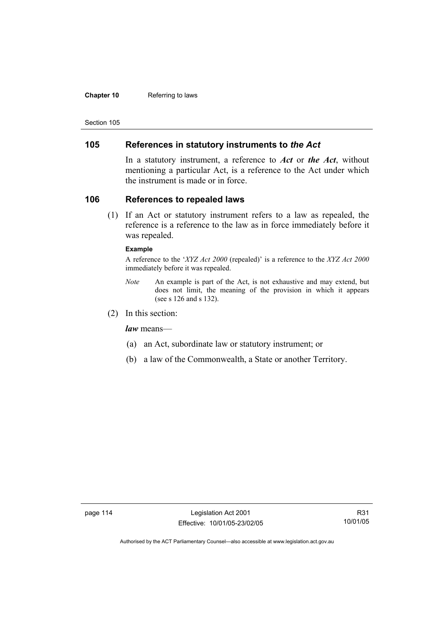### **Chapter 10** Referring to laws

Section 105

## **105 References in statutory instruments to** *the Act*

In a statutory instrument, a reference to *Act* or *the Act*, without mentioning a particular Act, is a reference to the Act under which the instrument is made or in force.

## **106 References to repealed laws**

 (1) If an Act or statutory instrument refers to a law as repealed, the reference is a reference to the law as in force immediately before it was repealed.

### **Example**

A reference to the '*XYZ Act 2000* (repealed)' is a reference to the *XYZ Act 2000* immediately before it was repealed.

- *Note* An example is part of the Act, is not exhaustive and may extend, but does not limit, the meaning of the provision in which it appears (see s 126 and s 132).
- (2) In this section:

*law* means—

- (a) an Act, subordinate law or statutory instrument; or
- (b) a law of the Commonwealth, a State or another Territory.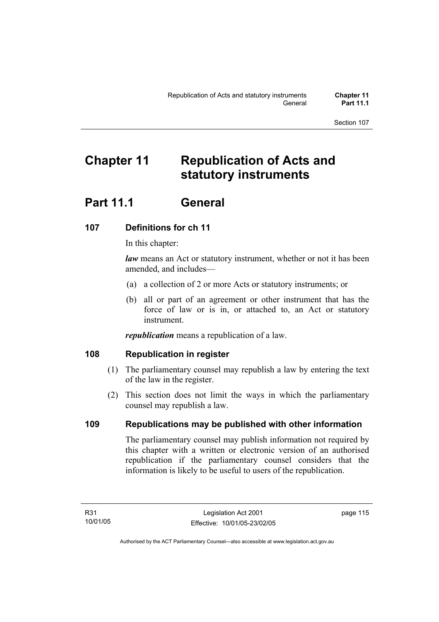# **Chapter 11 Republication of Acts and statutory instruments**

# **Part 11.1 General**

# **107 Definitions for ch 11**

In this chapter:

*law* means an Act or statutory instrument, whether or not it has been amended, and includes—

- (a) a collection of 2 or more Acts or statutory instruments; or
- (b) all or part of an agreement or other instrument that has the force of law or is in, or attached to, an Act or statutory instrument.

*republication* means a republication of a law.

# **108 Republication in register**

- (1) The parliamentary counsel may republish a law by entering the text of the law in the register.
- (2) This section does not limit the ways in which the parliamentary counsel may republish a law.

# **109 Republications may be published with other information**

The parliamentary counsel may publish information not required by this chapter with a written or electronic version of an authorised republication if the parliamentary counsel considers that the information is likely to be useful to users of the republication.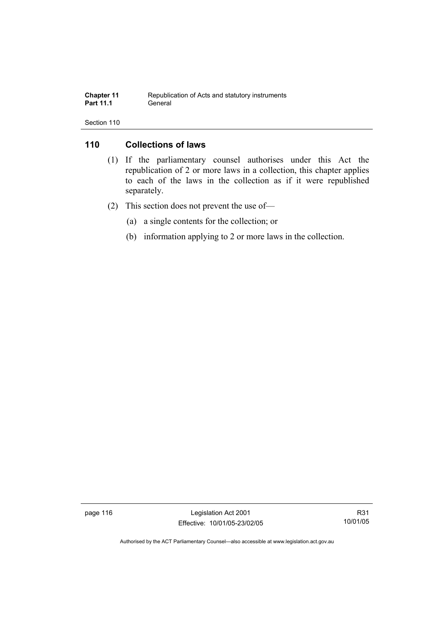| <b>Chapter 11</b> | Republication of Acts and statutory instruments |
|-------------------|-------------------------------------------------|
| <b>Part 11.1</b>  | General                                         |

## **110 Collections of laws**

- (1) If the parliamentary counsel authorises under this Act the republication of 2 or more laws in a collection, this chapter applies to each of the laws in the collection as if it were republished separately.
- (2) This section does not prevent the use of—
	- (a) a single contents for the collection; or
	- (b) information applying to 2 or more laws in the collection.

page 116 Legislation Act 2001 Effective: 10/01/05-23/02/05

R31 10/01/05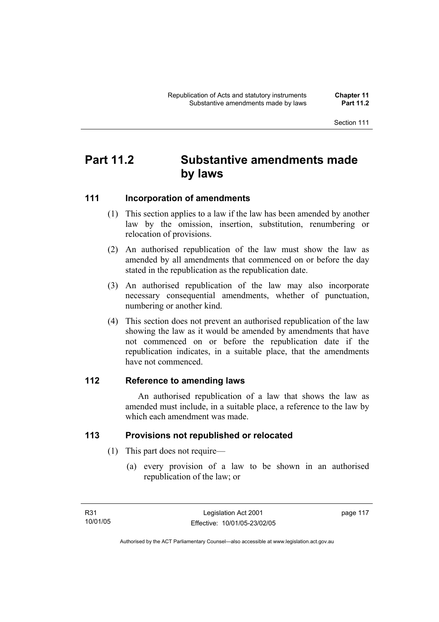# **Part 11.2 Substantive amendments made by laws**

## **111 Incorporation of amendments**

- (1) This section applies to a law if the law has been amended by another law by the omission, insertion, substitution, renumbering or relocation of provisions.
- (2) An authorised republication of the law must show the law as amended by all amendments that commenced on or before the day stated in the republication as the republication date.
- (3) An authorised republication of the law may also incorporate necessary consequential amendments, whether of punctuation, numbering or another kind.
- (4) This section does not prevent an authorised republication of the law showing the law as it would be amended by amendments that have not commenced on or before the republication date if the republication indicates, in a suitable place, that the amendments have not commenced.

# **112 Reference to amending laws**

 An authorised republication of a law that shows the law as amended must include, in a suitable place, a reference to the law by which each amendment was made.

# **113 Provisions not republished or relocated**

- (1) This part does not require—
	- (a) every provision of a law to be shown in an authorised republication of the law; or

page 117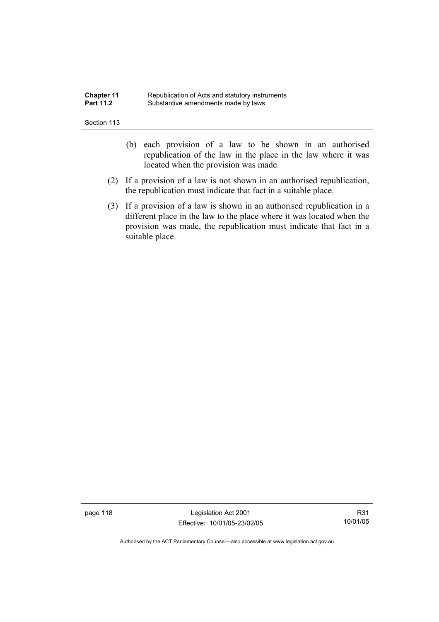| <b>Chapter 11</b> | Republication of Acts and statutory instruments |
|-------------------|-------------------------------------------------|
| <b>Part 11.2</b>  | Substantive amendments made by laws             |

- (b) each provision of a law to be shown in an authorised republication of the law in the place in the law where it was located when the provision was made.
- (2) If a provision of a law is not shown in an authorised republication, the republication must indicate that fact in a suitable place.
- (3) If a provision of a law is shown in an authorised republication in a different place in the law to the place where it was located when the provision was made, the republication must indicate that fact in a suitable place.

page 118 Legislation Act 2001 Effective: 10/01/05-23/02/05

R31 10/01/05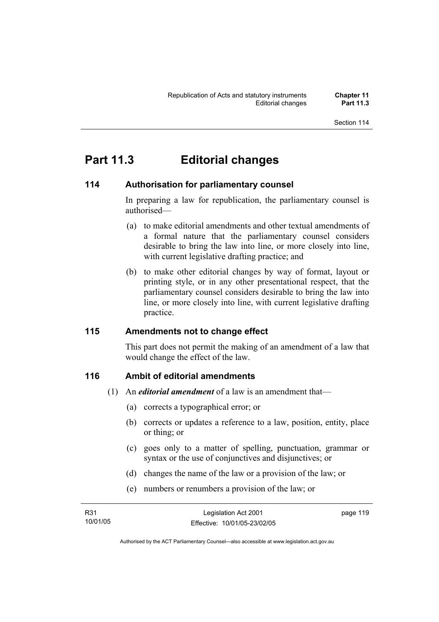# **Part 11.3 Editorial changes**

# **114 Authorisation for parliamentary counsel**

In preparing a law for republication, the parliamentary counsel is authorised—

- (a) to make editorial amendments and other textual amendments of a formal nature that the parliamentary counsel considers desirable to bring the law into line, or more closely into line, with current legislative drafting practice; and
- (b) to make other editorial changes by way of format, layout or printing style, or in any other presentational respect, that the parliamentary counsel considers desirable to bring the law into line, or more closely into line, with current legislative drafting practice.

# **115 Amendments not to change effect**

This part does not permit the making of an amendment of a law that would change the effect of the law.

# **116 Ambit of editorial amendments**

- (1) An *editorial amendment* of a law is an amendment that—
	- (a) corrects a typographical error; or
	- (b) corrects or updates a reference to a law, position, entity, place or thing; or
	- (c) goes only to a matter of spelling, punctuation, grammar or syntax or the use of conjunctives and disjunctives; or
	- (d) changes the name of the law or a provision of the law; or
	- (e) numbers or renumbers a provision of the law; or

| R31      | Legislation Act 2001         | page 119 |
|----------|------------------------------|----------|
| 10/01/05 | Effective: 10/01/05-23/02/05 |          |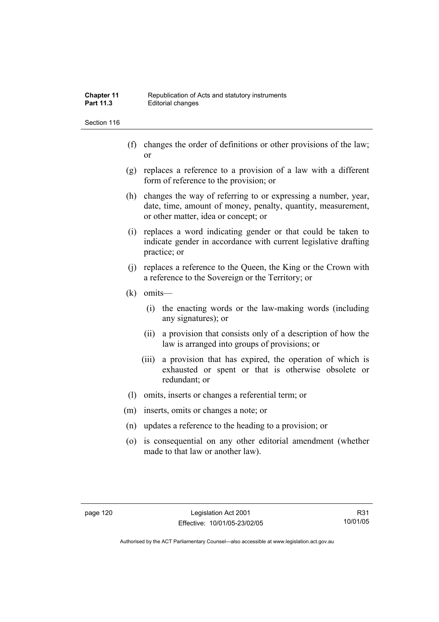- (f) changes the order of definitions or other provisions of the law; or
- (g) replaces a reference to a provision of a law with a different form of reference to the provision; or
- (h) changes the way of referring to or expressing a number, year, date, time, amount of money, penalty, quantity, measurement, or other matter, idea or concept; or
- (i) replaces a word indicating gender or that could be taken to indicate gender in accordance with current legislative drafting practice; or
- (j) replaces a reference to the Queen, the King or the Crown with a reference to the Sovereign or the Territory; or
- (k) omits—
	- (i) the enacting words or the law-making words (including any signatures); or
	- (ii) a provision that consists only of a description of how the law is arranged into groups of provisions; or
	- (iii) a provision that has expired, the operation of which is exhausted or spent or that is otherwise obsolete or redundant; or
- (l) omits, inserts or changes a referential term; or
- (m) inserts, omits or changes a note; or
- (n) updates a reference to the heading to a provision; or
- (o) is consequential on any other editorial amendment (whether made to that law or another law).

R31 10/01/05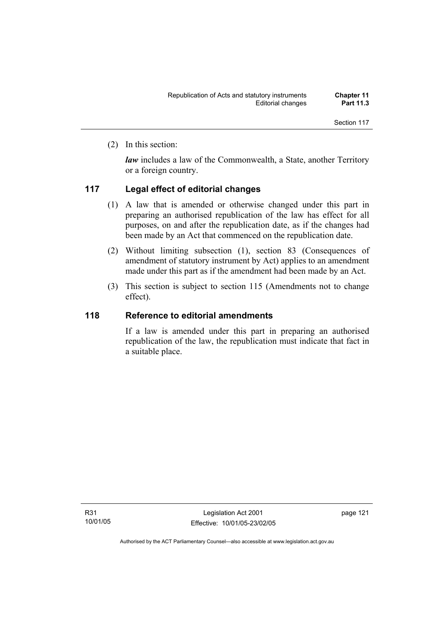(2) In this section:

*law* includes a law of the Commonwealth, a State, another Territory or a foreign country.

# **117 Legal effect of editorial changes**

- (1) A law that is amended or otherwise changed under this part in preparing an authorised republication of the law has effect for all purposes, on and after the republication date, as if the changes had been made by an Act that commenced on the republication date.
- (2) Without limiting subsection (1), section 83 (Consequences of amendment of statutory instrument by Act) applies to an amendment made under this part as if the amendment had been made by an Act.
- (3) This section is subject to section 115 (Amendments not to change effect).

## **118 Reference to editorial amendments**

If a law is amended under this part in preparing an authorised republication of the law, the republication must indicate that fact in a suitable place.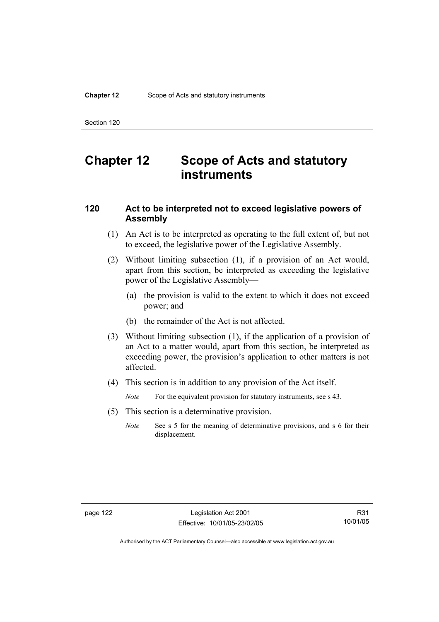# **Chapter 12 Scope of Acts and statutory instruments**

## **120 Act to be interpreted not to exceed legislative powers of Assembly**

- (1) An Act is to be interpreted as operating to the full extent of, but not to exceed, the legislative power of the Legislative Assembly.
- (2) Without limiting subsection (1), if a provision of an Act would, apart from this section, be interpreted as exceeding the legislative power of the Legislative Assembly—
	- (a) the provision is valid to the extent to which it does not exceed power; and
	- (b) the remainder of the Act is not affected.
- (3) Without limiting subsection (1), if the application of a provision of an Act to a matter would, apart from this section, be interpreted as exceeding power, the provision's application to other matters is not affected.
- (4) This section is in addition to any provision of the Act itself.

*Note* For the equivalent provision for statutory instruments, see s 43.

- (5) This section is a determinative provision.
	- *Note* See s 5 for the meaning of determinative provisions, and s 6 for their displacement.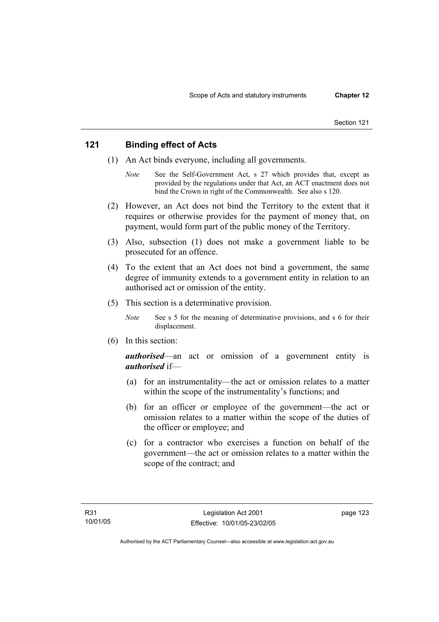## **121 Binding effect of Acts**

- (1) An Act binds everyone, including all governments.
	- *Note* See the Self-Government Act, s 27 which provides that, except as provided by the regulations under that Act, an ACT enactment does not bind the Crown in right of the Commonwealth. See also s 120.
- (2) However, an Act does not bind the Territory to the extent that it requires or otherwise provides for the payment of money that, on payment, would form part of the public money of the Territory.
- (3) Also, subsection (1) does not make a government liable to be prosecuted for an offence.
- (4) To the extent that an Act does not bind a government, the same degree of immunity extends to a government entity in relation to an authorised act or omission of the entity.
- (5) This section is a determinative provision.
	- *Note* See s 5 for the meaning of determinative provisions, and s 6 for their displacement.
- (6) In this section:

*authorised*—an act or omission of a government entity is *authorised* if—

- (a) for an instrumentality—the act or omission relates to a matter within the scope of the instrumentality's functions; and
- (b) for an officer or employee of the government—the act or omission relates to a matter within the scope of the duties of the officer or employee; and
- (c) for a contractor who exercises a function on behalf of the government—the act or omission relates to a matter within the scope of the contract; and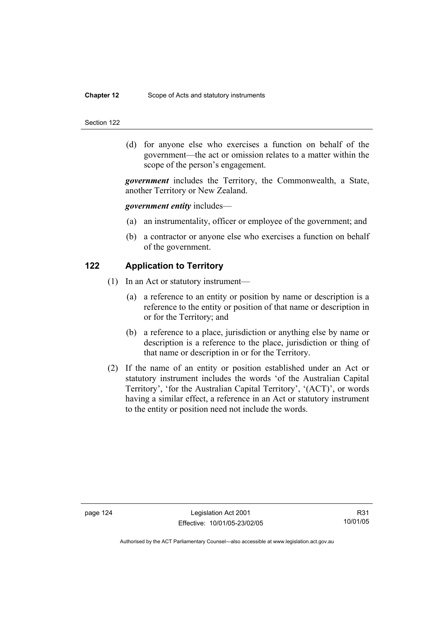### **Chapter 12** Scope of Acts and statutory instruments

#### Section 122

 (d) for anyone else who exercises a function on behalf of the government—the act or omission relates to a matter within the scope of the person's engagement.

*government* includes the Territory, the Commonwealth, a State, another Territory or New Zealand.

### *government entity* includes—

- (a) an instrumentality, officer or employee of the government; and
- (b) a contractor or anyone else who exercises a function on behalf of the government.

## **122 Application to Territory**

- (1) In an Act or statutory instrument—
	- (a) a reference to an entity or position by name or description is a reference to the entity or position of that name or description in or for the Territory; and
	- (b) a reference to a place, jurisdiction or anything else by name or description is a reference to the place, jurisdiction or thing of that name or description in or for the Territory.
- (2) If the name of an entity or position established under an Act or statutory instrument includes the words 'of the Australian Capital Territory', 'for the Australian Capital Territory', '(ACT)', or words having a similar effect, a reference in an Act or statutory instrument to the entity or position need not include the words.

R31 10/01/05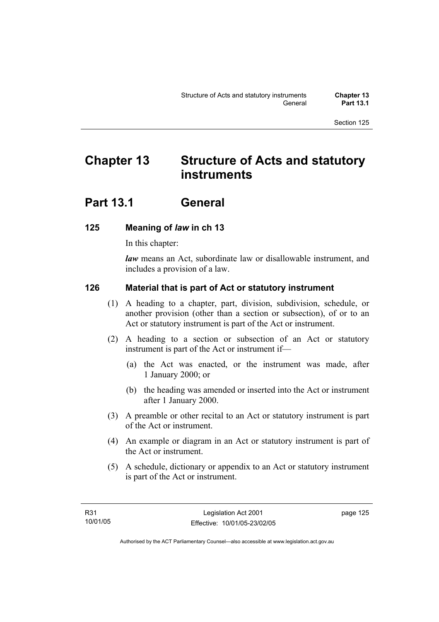# **Chapter 13 Structure of Acts and statutory instruments**

# **Part 13.1 General**

# **125 Meaning of** *law* **in ch 13**

In this chapter:

*law* means an Act, subordinate law or disallowable instrument, and includes a provision of a law.

# **126 Material that is part of Act or statutory instrument**

- (1) A heading to a chapter, part, division, subdivision, schedule, or another provision (other than a section or subsection), of or to an Act or statutory instrument is part of the Act or instrument.
- (2) A heading to a section or subsection of an Act or statutory instrument is part of the Act or instrument if—
	- (a) the Act was enacted, or the instrument was made, after 1 January 2000; or
	- (b) the heading was amended or inserted into the Act or instrument after 1 January 2000.
- (3) A preamble or other recital to an Act or statutory instrument is part of the Act or instrument.
- (4) An example or diagram in an Act or statutory instrument is part of the Act or instrument.
- (5) A schedule, dictionary or appendix to an Act or statutory instrument is part of the Act or instrument.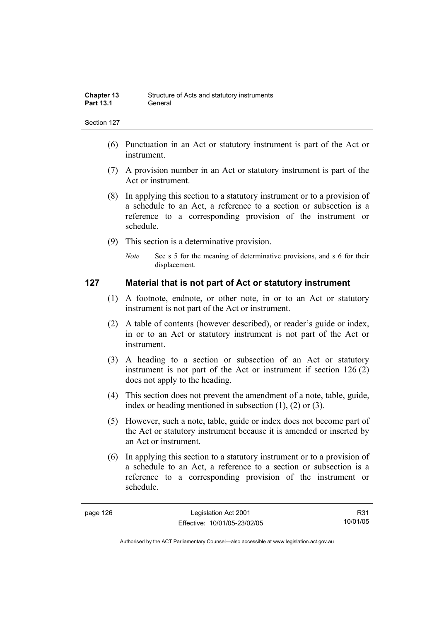- (6) Punctuation in an Act or statutory instrument is part of the Act or instrument.
- (7) A provision number in an Act or statutory instrument is part of the Act or instrument.
- (8) In applying this section to a statutory instrument or to a provision of a schedule to an Act, a reference to a section or subsection is a reference to a corresponding provision of the instrument or schedule.
- (9) This section is a determinative provision.
	- *Note* See s 5 for the meaning of determinative provisions, and s 6 for their displacement.

## **127 Material that is not part of Act or statutory instrument**

- (1) A footnote, endnote, or other note, in or to an Act or statutory instrument is not part of the Act or instrument.
- (2) A table of contents (however described), or reader's guide or index, in or to an Act or statutory instrument is not part of the Act or instrument.
- (3) A heading to a section or subsection of an Act or statutory instrument is not part of the Act or instrument if section 126 (2) does not apply to the heading.
- (4) This section does not prevent the amendment of a note, table, guide, index or heading mentioned in subsection (1), (2) or (3).
- (5) However, such a note, table, guide or index does not become part of the Act or statutory instrument because it is amended or inserted by an Act or instrument.
- (6) In applying this section to a statutory instrument or to a provision of a schedule to an Act, a reference to a section or subsection is a reference to a corresponding provision of the instrument or schedule.

R31 10/01/05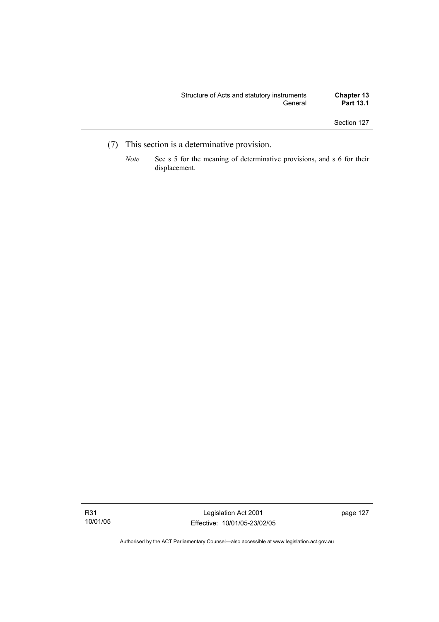- (7) This section is a determinative provision.
	- *Note* See s 5 for the meaning of determinative provisions, and s 6 for their displacement.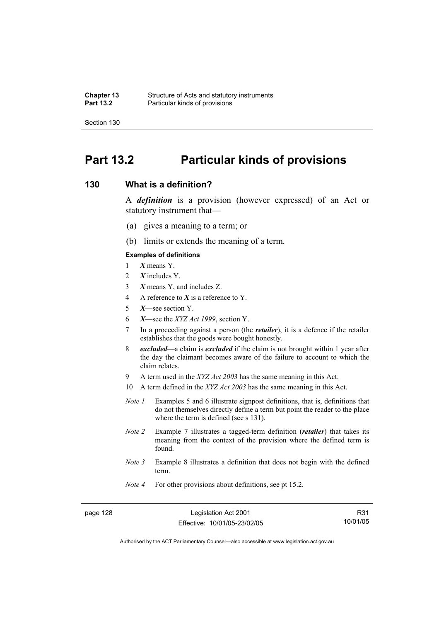# **Part 13.2 Particular kinds of provisions**

## **130 What is a definition?**

A *definition* is a provision (however expressed) of an Act or statutory instrument that—

- (a) gives a meaning to a term; or
- (b) limits or extends the meaning of a term.

### **Examples of definitions**

- 1 *X* means Y.
- 2 *X* includes Y.
- 3 *X* means Y, and includes Z.
- 4 A reference to *X* is a reference to Y.
- 5 *X*—see section Y.
- 6 *X*—see the *XYZ Act 1999*, section Y.
- 7 In a proceeding against a person (the *retailer*), it is a defence if the retailer establishes that the goods were bought honestly.
- 8 *excluded*—a claim is *excluded* if the claim is not brought within 1 year after the day the claimant becomes aware of the failure to account to which the claim relates.
- 9 A term used in the *XYZ Act 2003* has the same meaning in this Act.
- 10 A term defined in the *XYZ Act 2003* has the same meaning in this Act.
- *Note 1* Examples 5 and 6 illustrate signpost definitions, that is, definitions that do not themselves directly define a term but point the reader to the place where the term is defined (see s 131).
- *Note 2* Example 7 illustrates a tagged-term definition (*retailer*) that takes its meaning from the context of the provision where the defined term is found.
- *Note 3* Example 8 illustrates a definition that does not begin with the defined term.
- *Note 4* For other provisions about definitions, see pt 15.2.

page 128 Legislation Act 2001 Effective: 10/01/05-23/02/05

R31 10/01/05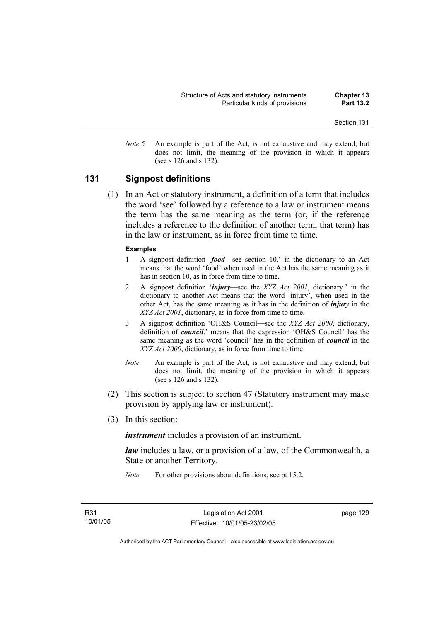- Section 131
- *Note 5* An example is part of the Act, is not exhaustive and may extend, but does not limit, the meaning of the provision in which it appears (see s 126 and s 132).

# **131 Signpost definitions**

 (1) In an Act or statutory instrument, a definition of a term that includes the word 'see' followed by a reference to a law or instrument means the term has the same meaning as the term (or, if the reference includes a reference to the definition of another term, that term) has in the law or instrument, as in force from time to time.

#### **Examples**

- 1 A signpost definition '*food*—see section 10.' in the dictionary to an Act means that the word 'food' when used in the Act has the same meaning as it has in section 10, as in force from time to time.
- 2 A signpost definition '*injury*—see the *XYZ Act 2001*, dictionary.' in the dictionary to another Act means that the word 'injury', when used in the other Act, has the same meaning as it has in the definition of *injury* in the *XYZ Act 2001*, dictionary, as in force from time to time.
- 3 A signpost definition 'OH&S Council—see the *XYZ Act 2000*, dictionary, definition of *council*.' means that the expression 'OH&S Council' has the same meaning as the word 'council' has in the definition of *council* in the *XYZ Act 2000*, dictionary, as in force from time to time.
- *Note* An example is part of the Act, is not exhaustive and may extend, but does not limit, the meaning of the provision in which it appears (see s 126 and s 132).
- (2) This section is subject to section 47 (Statutory instrument may make provision by applying law or instrument).
- (3) In this section:

*instrument* includes a provision of an instrument.

*law* includes a law, or a provision of a law, of the Commonwealth, a State or another Territory.

*Note* For other provisions about definitions, see pt 15.2.

page 129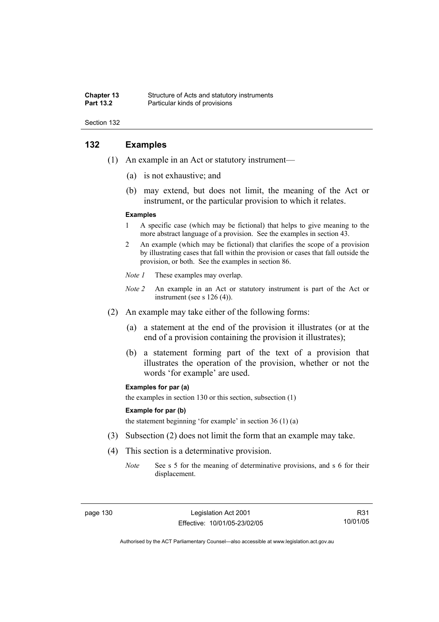#### **Chapter 13** Structure of Acts and statutory instruments<br> **Part 13.2** Particular kinds of provisions **Particular kinds of provisions**

Section 132

# **132 Examples**

- (1) An example in an Act or statutory instrument—
	- (a) is not exhaustive; and
	- (b) may extend, but does not limit, the meaning of the Act or instrument, or the particular provision to which it relates.

#### **Examples**

- 1 A specific case (which may be fictional) that helps to give meaning to the more abstract language of a provision. See the examples in section 43.
- 2 An example (which may be fictional) that clarifies the scope of a provision by illustrating cases that fall within the provision or cases that fall outside the provision, or both. See the examples in section 86.
- *Note 1* These examples may overlap.
- *Note 2* An example in an Act or statutory instrument is part of the Act or instrument (see s 126 (4)).
- (2) An example may take either of the following forms:
	- (a) a statement at the end of the provision it illustrates (or at the end of a provision containing the provision it illustrates);
	- (b) a statement forming part of the text of a provision that illustrates the operation of the provision, whether or not the words 'for example' are used.

#### **Examples for par (a)**

the examples in section 130 or this section, subsection (1)

#### **Example for par (b)**

the statement beginning 'for example' in section 36 (1) (a)

- (3) Subsection (2) does not limit the form that an example may take.
- (4) This section is a determinative provision.
	- *Note* See s 5 for the meaning of determinative provisions, and s 6 for their displacement.

R31 10/01/05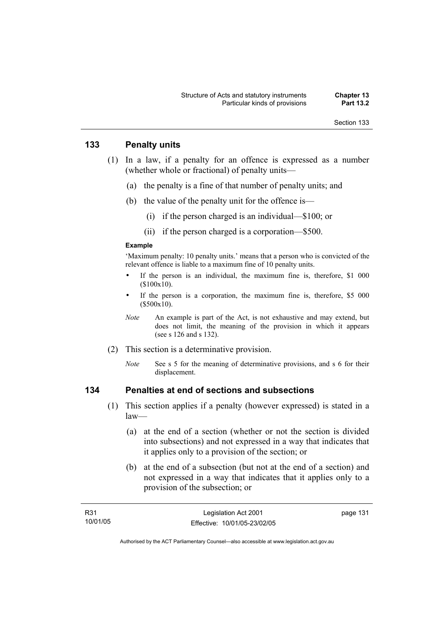## **133 Penalty units**

- (1) In a law, if a penalty for an offence is expressed as a number (whether whole or fractional) of penalty units—
	- (a) the penalty is a fine of that number of penalty units; and
	- (b) the value of the penalty unit for the offence is—
		- (i) if the person charged is an individual—\$100; or
		- (ii) if the person charged is a corporation—\$500.

#### **Example**

'Maximum penalty: 10 penalty units.' means that a person who is convicted of the relevant offence is liable to a maximum fine of 10 penalty units.

- If the person is an individual, the maximum fine is, therefore, \$1 000 (\$100x10).
- If the person is a corporation, the maximum fine is, therefore, \$5 000 (\$500x10).
- *Note* An example is part of the Act, is not exhaustive and may extend, but does not limit, the meaning of the provision in which it appears (see s 126 and s 132).
- (2) This section is a determinative provision.
	- *Note* See s 5 for the meaning of determinative provisions, and s 6 for their displacement.

# **134 Penalties at end of sections and subsections**

- (1) This section applies if a penalty (however expressed) is stated in a law—
	- (a) at the end of a section (whether or not the section is divided into subsections) and not expressed in a way that indicates that it applies only to a provision of the section; or
	- (b) at the end of a subsection (but not at the end of a section) and not expressed in a way that indicates that it applies only to a provision of the subsection; or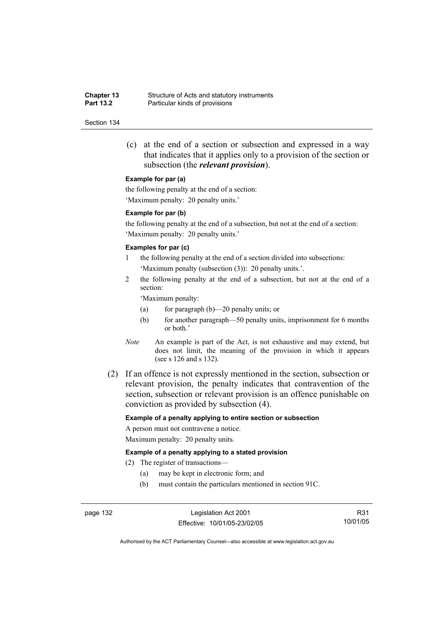**Chapter 13** Structure of Acts and statutory instruments<br> **Part 13.2** Particular kinds of provisions **Particular kinds of provisions** 

#### Section 134

 (c) at the end of a section or subsection and expressed in a way that indicates that it applies only to a provision of the section or subsection (the *relevant provision*).

#### **Example for par (a)**

the following penalty at the end of a section: 'Maximum penalty: 20 penalty units.'

#### **Example for par (b)**

the following penalty at the end of a subsection, but not at the end of a section: 'Maximum penalty: 20 penalty units.'

#### **Examples for par (c)**

- 1 the following penalty at the end of a section divided into subsections: 'Maximum penalty (subsection (3)): 20 penalty units.'.
- 2 the following penalty at the end of a subsection, but not at the end of a section:

'Maximum penalty:

- (a) for paragraph (b)—20 penalty units; or
- (b) for another paragraph—50 penalty units, imprisonment for 6 months or both.'
- *Note* An example is part of the Act, is not exhaustive and may extend, but does not limit, the meaning of the provision in which it appears (see s 126 and s 132).
- (2) If an offence is not expressly mentioned in the section, subsection or relevant provision, the penalty indicates that contravention of the section, subsection or relevant provision is an offence punishable on conviction as provided by subsection (4).

#### **Example of a penalty applying to entire section or subsection**

A person must not contravene a notice. Maximum penalty: 20 penalty units.

#### **Example of a penalty applying to a stated provision**

(2) The register of transactions—

- (a) may be kept in electronic form; and
- (b) must contain the particulars mentioned in section 91C.

page 132 Legislation Act 2001 Effective: 10/01/05-23/02/05

R31 10/01/05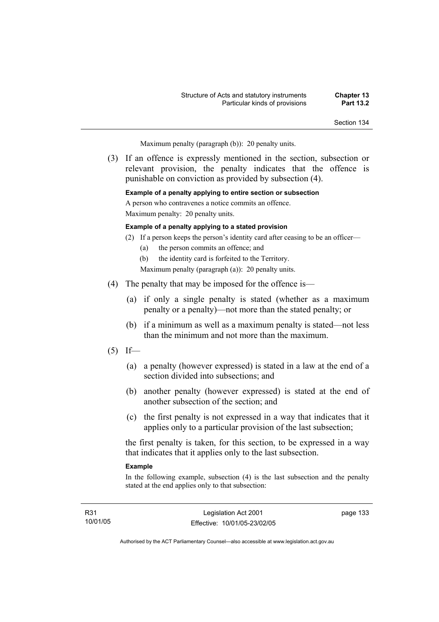Maximum penalty (paragraph (b)): 20 penalty units.

 (3) If an offence is expressly mentioned in the section, subsection or relevant provision, the penalty indicates that the offence is punishable on conviction as provided by subsection (4).

#### **Example of a penalty applying to entire section or subsection**

A person who contravenes a notice commits an offence. Maximum penalty: 20 penalty units.

#### **Example of a penalty applying to a stated provision**

- (2) If a person keeps the person's identity card after ceasing to be an officer—
	- (a) the person commits an offence; and
	- (b) the identity card is forfeited to the Territory.
	- Maximum penalty (paragraph (a)): 20 penalty units.
- (4) The penalty that may be imposed for the offence is—
	- (a) if only a single penalty is stated (whether as a maximum penalty or a penalty)—not more than the stated penalty; or
	- (b) if a minimum as well as a maximum penalty is stated—not less than the minimum and not more than the maximum.
- $(5)$  If—
	- (a) a penalty (however expressed) is stated in a law at the end of a section divided into subsections; and
	- (b) another penalty (however expressed) is stated at the end of another subsection of the section; and
	- (c) the first penalty is not expressed in a way that indicates that it applies only to a particular provision of the last subsection;

the first penalty is taken, for this section, to be expressed in a way that indicates that it applies only to the last subsection.

#### **Example**

In the following example, subsection (4) is the last subsection and the penalty stated at the end applies only to that subsection:

R31 10/01/05 page 133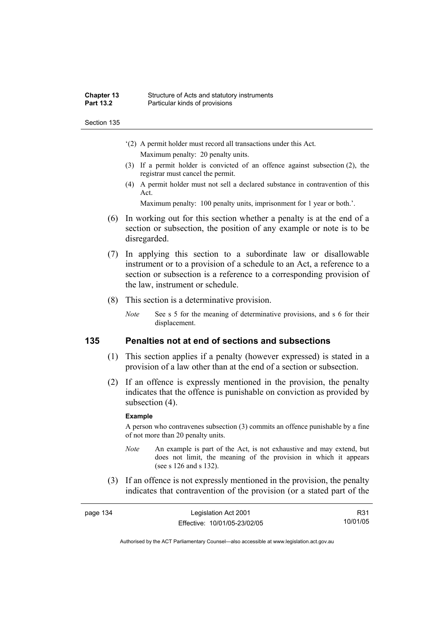#### **Chapter 13** Structure of Acts and statutory instruments<br>**Part 13.2** Particular kinds of provisions **Particular kinds of provisions**

Section 135

- '(2) A permit holder must record all transactions under this Act. Maximum penalty: 20 penalty units.
- (3) If a permit holder is convicted of an offence against subsection (2), the registrar must cancel the permit.
- (4) A permit holder must not sell a declared substance in contravention of this Act.

Maximum penalty: 100 penalty units, imprisonment for 1 year or both.'.

- (6) In working out for this section whether a penalty is at the end of a section or subsection, the position of any example or note is to be disregarded.
- (7) In applying this section to a subordinate law or disallowable instrument or to a provision of a schedule to an Act, a reference to a section or subsection is a reference to a corresponding provision of the law, instrument or schedule.
- (8) This section is a determinative provision.
	- *Note* See s 5 for the meaning of determinative provisions, and s 6 for their displacement.

# **135 Penalties not at end of sections and subsections**

- (1) This section applies if a penalty (however expressed) is stated in a provision of a law other than at the end of a section or subsection.
- (2) If an offence is expressly mentioned in the provision, the penalty indicates that the offence is punishable on conviction as provided by subsection  $(4)$ .

#### **Example**

A person who contravenes subsection (3) commits an offence punishable by a fine of not more than 20 penalty units.

- *Note* An example is part of the Act, is not exhaustive and may extend, but does not limit, the meaning of the provision in which it appears (see s 126 and s 132).
- (3) If an offence is not expressly mentioned in the provision, the penalty indicates that contravention of the provision (or a stated part of the

| page 134 | Legislation Act 2001         | R31      |
|----------|------------------------------|----------|
|          | Effective: 10/01/05-23/02/05 | 10/01/05 |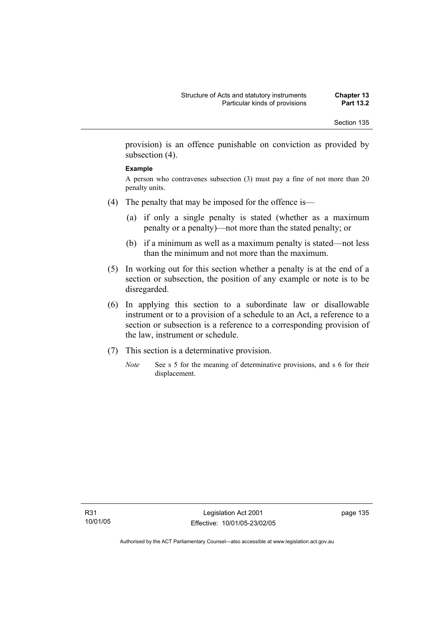provision) is an offence punishable on conviction as provided by subsection (4).

#### **Example**

A person who contravenes subsection (3) must pay a fine of not more than 20 penalty units.

- (4) The penalty that may be imposed for the offence is—
	- (a) if only a single penalty is stated (whether as a maximum penalty or a penalty)—not more than the stated penalty; or
	- (b) if a minimum as well as a maximum penalty is stated—not less than the minimum and not more than the maximum.
- (5) In working out for this section whether a penalty is at the end of a section or subsection, the position of any example or note is to be disregarded.
- (6) In applying this section to a subordinate law or disallowable instrument or to a provision of a schedule to an Act, a reference to a section or subsection is a reference to a corresponding provision of the law, instrument or schedule.
- (7) This section is a determinative provision.
	- *Note* See s 5 for the meaning of determinative provisions, and s 6 for their displacement.

page 135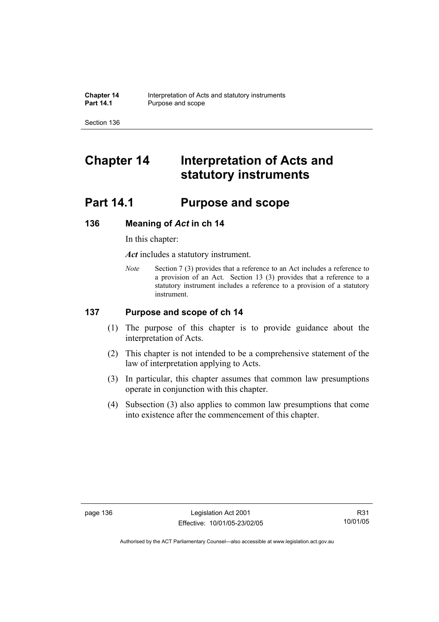# **Chapter 14 Interpretation of Acts and statutory instruments**

# **Part 14.1 Purpose and scope**

# **136 Meaning of** *Act* **in ch 14**

In this chapter:

*Act* includes a statutory instrument.

*Note* Section 7 (3) provides that a reference to an Act includes a reference to a provision of an Act. Section 13 (3) provides that a reference to a statutory instrument includes a reference to a provision of a statutory instrument.

# **137 Purpose and scope of ch 14**

- (1) The purpose of this chapter is to provide guidance about the interpretation of Acts.
- (2) This chapter is not intended to be a comprehensive statement of the law of interpretation applying to Acts.
- (3) In particular, this chapter assumes that common law presumptions operate in conjunction with this chapter.
- (4) Subsection (3) also applies to common law presumptions that come into existence after the commencement of this chapter.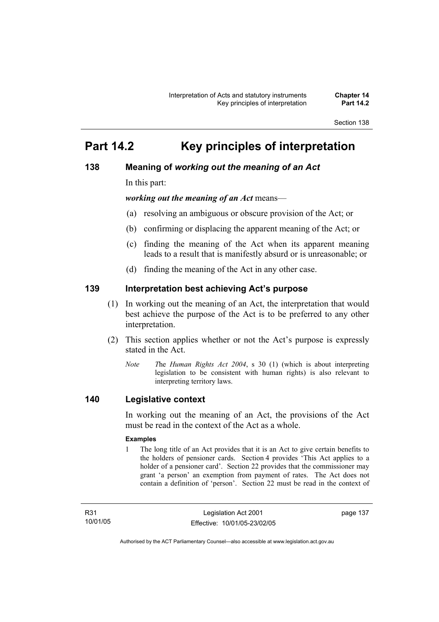# **Part 14.2 Key principles of interpretation**

# **138 Meaning of** *working out the meaning of an Act*

In this part:

*working out the meaning of an Act* means—

- (a) resolving an ambiguous or obscure provision of the Act; or
- (b) confirming or displacing the apparent meaning of the Act; or
- (c) finding the meaning of the Act when its apparent meaning leads to a result that is manifestly absurd or is unreasonable; or
- (d) finding the meaning of the Act in any other case.

# **139 Interpretation best achieving Act's purpose**

- (1) In working out the meaning of an Act, the interpretation that would best achieve the purpose of the Act is to be preferred to any other interpretation.
- (2) This section applies whether or not the Act's purpose is expressly stated in the Act.
	- *Note T*he *Human Rights Act 2004*, s 30 (1) (which is about interpreting legislation to be consistent with human rights) is also relevant to interpreting territory laws.

# **140 Legislative context**

In working out the meaning of an Act, the provisions of the Act must be read in the context of the Act as a whole.

#### **Examples**

1 The long title of an Act provides that it is an Act to give certain benefits to the holders of pensioner cards. Section 4 provides 'This Act applies to a holder of a pensioner card'. Section 22 provides that the commissioner may grant 'a person' an exemption from payment of rates. The Act does not contain a definition of 'person'. Section 22 must be read in the context of

R31 10/01/05 page 137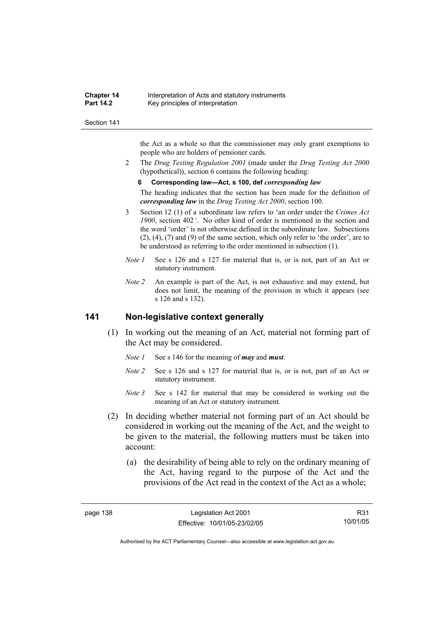#### **Chapter 14** Interpretation of Acts and statutory instruments<br>**Part 14.2** Key principles of interpretation **Key principles of interpretation**

#### Section 141

the Act as a whole so that the commissioner may only grant exemptions to people who are holders of pensioner cards.

2 The *Drug Testing Regulation 2001* (made under the *Drug Testing Act 2000* (hypothetical)), section 6 contains the following heading:

#### **6 Corresponding law—Act, s 100, def** *corresponding law*

The heading indicates that the section has been made for the definition of *corresponding law* in the *Drug Testing Act 2000*, section 100.

- 3 Section 12 (1) of a subordinate law refers to 'an order under the *Crimes Act 1900*, section 402*'*. No other kind of order is mentioned in the section and the word 'order' is not otherwise defined in the subordinate law. Subsections (2), (4), (7) and (9) of the same section, which only refer to 'the order', are to be understood as referring to the order mentioned in subsection (1).
- *Note 1* See s 126 and s 127 for material that is, or is not, part of an Act or statutory instrument.
- *Note 2* An example is part of the Act, is not exhaustive and may extend, but does not limit, the meaning of the provision in which it appears (see s 126 and s 132).

#### **141 Non-legislative context generally**

- (1) In working out the meaning of an Act, material not forming part of the Act may be considered.
	- *Note 1* See s 146 for the meaning of *may* and *must*.
	- *Note 2* See s 126 and s 127 for material that is, or is not, part of an Act or statutory instrument.
	- *Note* 3 See s 142 for material that may be considered in working out the meaning of an Act or statutory instrument.
- (2) In deciding whether material not forming part of an Act should be considered in working out the meaning of the Act, and the weight to be given to the material, the following matters must be taken into account:
	- (a) the desirability of being able to rely on the ordinary meaning of the Act, having regard to the purpose of the Act and the provisions of the Act read in the context of the Act as a whole;

R31 10/01/05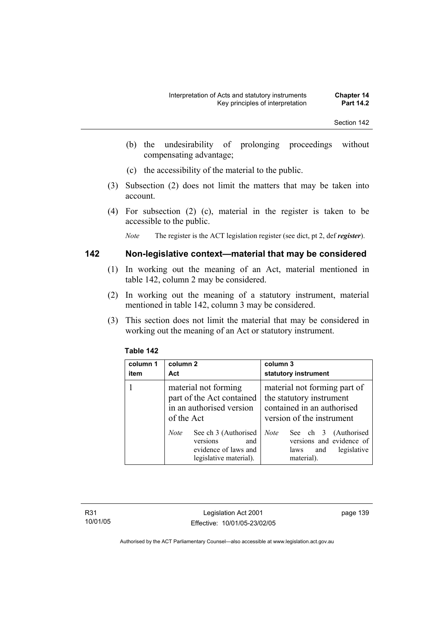- (b) the undesirability of prolonging proceedings without compensating advantage;
- (c) the accessibility of the material to the public.
- (3) Subsection (2) does not limit the matters that may be taken into account.
- (4) For subsection (2) (c), material in the register is taken to be accessible to the public.

*Note* The register is the ACT legislation register (see dict, pt 2, def *register*).

## **142 Non-legislative context—material that may be considered**

- (1) In working out the meaning of an Act, material mentioned in table 142, column 2 may be considered.
- (2) In working out the meaning of a statutory instrument, material mentioned in table 142, column 3 may be considered.
- (3) This section does not limit the material that may be considered in working out the meaning of an Act or statutory instrument.

| column 1<br>item | column 2<br>Act                                                                                          | column 3<br>statutory instrument                                                                                    |
|------------------|----------------------------------------------------------------------------------------------------------|---------------------------------------------------------------------------------------------------------------------|
|                  | material not forming<br>part of the Act contained<br>in an authorised version<br>of the Act              | material not forming part of<br>the statutory instrument<br>contained in an authorised<br>version of the instrument |
|                  | See ch 3 (Authorised<br><b>Note</b><br>versions<br>and<br>evidence of laws and<br>legislative material). | See ch 3 (Authorised<br><b>Note</b><br>versions and evidence of<br>legislative<br>laws<br>and<br>material).         |

#### **Table 142**

R31 10/01/05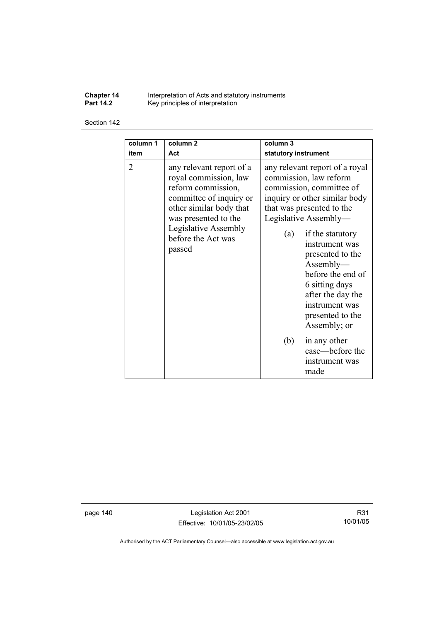**Chapter 14** Interpretation of Acts and statutory instruments **Part 14.2 Key principles of interpretation** 

#### Section 142

| column 1       | column <sub>2</sub>                                                                                                                                                                                           | column 3                                                                                                                                                                                                                                                                                                                                                                                           |
|----------------|---------------------------------------------------------------------------------------------------------------------------------------------------------------------------------------------------------------|----------------------------------------------------------------------------------------------------------------------------------------------------------------------------------------------------------------------------------------------------------------------------------------------------------------------------------------------------------------------------------------------------|
| item           | Act                                                                                                                                                                                                           | statutory instrument                                                                                                                                                                                                                                                                                                                                                                               |
| $\overline{2}$ | any relevant report of a<br>royal commission, law<br>reform commission,<br>committee of inquiry or<br>other similar body that<br>was presented to the<br>Legislative Assembly<br>before the Act was<br>passed | any relevant report of a royal<br>commission, law reform<br>commission, committee of<br>inquiry or other similar body<br>that was presented to the<br>Legislative Assembly-<br>if the statutory<br>(a)<br>instrument was<br>presented to the<br>Assently—<br>before the end of<br>6 sitting days<br>after the day the<br>instrument was<br>presented to the<br>Assembly; or<br>in any other<br>(b) |
|                |                                                                                                                                                                                                               | case—before the<br>instrument was<br>made                                                                                                                                                                                                                                                                                                                                                          |

page 140 Legislation Act 2001 Effective: 10/01/05-23/02/05

R31 10/01/05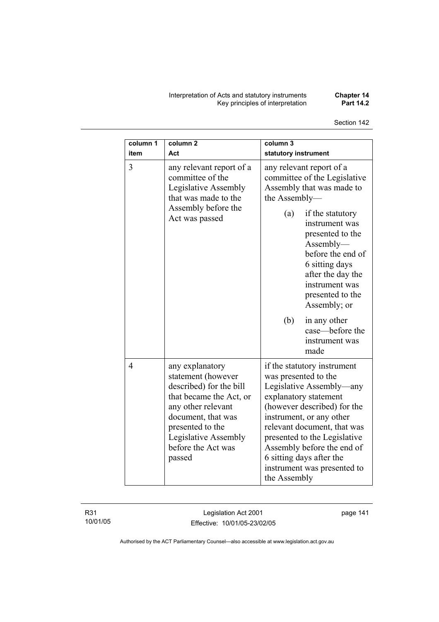Interpretation of Acts and statutory instruments **Chapter 14**  Key principles of interpretation **Part 14.2** 

| column 1<br>item | column <sub>2</sub><br>Act                                                                                                                                                                                          | column 3<br>statutory instrument                                                                                                                                                                                                                                                                                                            |  |
|------------------|---------------------------------------------------------------------------------------------------------------------------------------------------------------------------------------------------------------------|---------------------------------------------------------------------------------------------------------------------------------------------------------------------------------------------------------------------------------------------------------------------------------------------------------------------------------------------|--|
| 3                | any relevant report of a<br>committee of the<br>Legislative Assembly<br>that was made to the                                                                                                                        | any relevant report of a<br>committee of the Legislative<br>Assembly that was made to<br>the Assembly-                                                                                                                                                                                                                                      |  |
|                  | Assembly before the<br>Act was passed                                                                                                                                                                               | (a)<br>if the statutory<br>instrument was<br>presented to the<br>$\Lambda$ ssembly—<br>before the end of<br>6 sitting days<br>after the day the<br>instrument was<br>presented to the<br>Assembly; or                                                                                                                                       |  |
|                  |                                                                                                                                                                                                                     | (b)<br>in any other<br>case-before the<br>instrument was<br>made                                                                                                                                                                                                                                                                            |  |
| $\overline{4}$   | any explanatory<br>statement (however<br>described) for the bill<br>that became the Act, or<br>any other relevant<br>document, that was<br>presented to the<br>Legislative Assembly<br>before the Act was<br>passed | if the statutory instrument<br>was presented to the<br>Legislative Assembly—any<br>explanatory statement<br>(however described) for the<br>instrument, or any other<br>relevant document, that was<br>presented to the Legislative<br>Assembly before the end of<br>6 sitting days after the<br>instrument was presented to<br>the Assembly |  |

R31 10/01/05

Legislation Act 2001 Effective: 10/01/05-23/02/05 page 141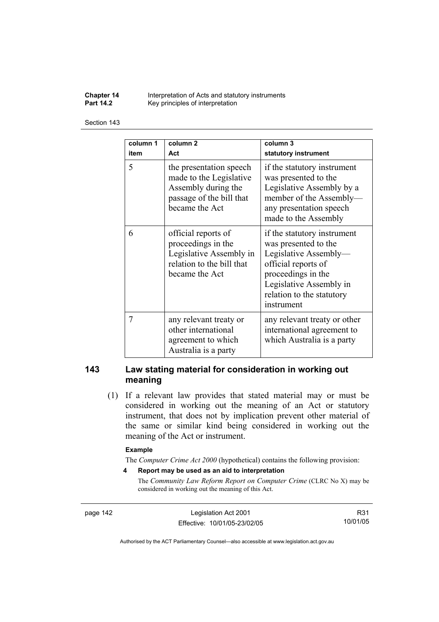**Chapter 14** Interpretation of Acts and statutory instruments<br>**Part 14.2** Key principles of interpretation Key principles of interpretation

#### Section 143

| column 1<br>item | column 2<br>Act                                                                                                         | column 3<br>statutory instrument                                                                                                                                                                |
|------------------|-------------------------------------------------------------------------------------------------------------------------|-------------------------------------------------------------------------------------------------------------------------------------------------------------------------------------------------|
| 5                | the presentation speech<br>made to the Legislative<br>Assembly during the<br>passage of the bill that<br>became the Act | if the statutory instrument<br>was presented to the<br>Legislative Assembly by a<br>member of the Assembly-<br>any presentation speech<br>made to the Assembly                                  |
| 6                | official reports of<br>proceedings in the<br>Legislative Assembly in<br>relation to the bill that<br>became the Act     | if the statutory instrument<br>was presented to the<br>Legislative Assembly-<br>official reports of<br>proceedings in the<br>Legislative Assembly in<br>relation to the statutory<br>instrument |
| 7                | any relevant treaty or<br>other international<br>agreement to which<br>Australia is a party                             | any relevant treaty or other<br>international agreement to<br>which Australia is a party                                                                                                        |

## **143 Law stating material for consideration in working out meaning**

 (1) If a relevant law provides that stated material may or must be considered in working out the meaning of an Act or statutory instrument, that does not by implication prevent other material of the same or similar kind being considered in working out the meaning of the Act or instrument.

#### **Example**

The *Computer Crime Act 2000* (hypothetical) contains the following provision:

**4 Report may be used as an aid to interpretation** 

The *Community Law Reform Report on Computer Crime* (CLRC No X) may be considered in working out the meaning of this Act.

page 142 Legislation Act 2001 Effective: 10/01/05-23/02/05

R31 10/01/05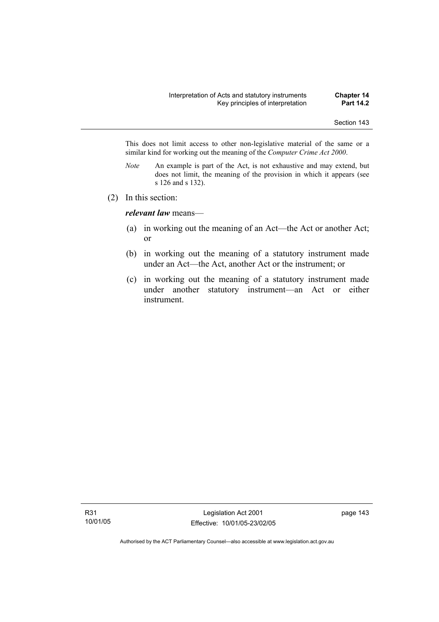This does not limit access to other non-legislative material of the same or a similar kind for working out the meaning of the *Computer Crime Act 2000*.

- *Note* An example is part of the Act, is not exhaustive and may extend, but does not limit, the meaning of the provision in which it appears (see s 126 and s 132).
- (2) In this section:

*relevant law* means—

- (a) in working out the meaning of an Act—the Act or another Act; or
- (b) in working out the meaning of a statutory instrument made under an Act—the Act, another Act or the instrument; or
- (c) in working out the meaning of a statutory instrument made under another statutory instrument—an Act or either instrument.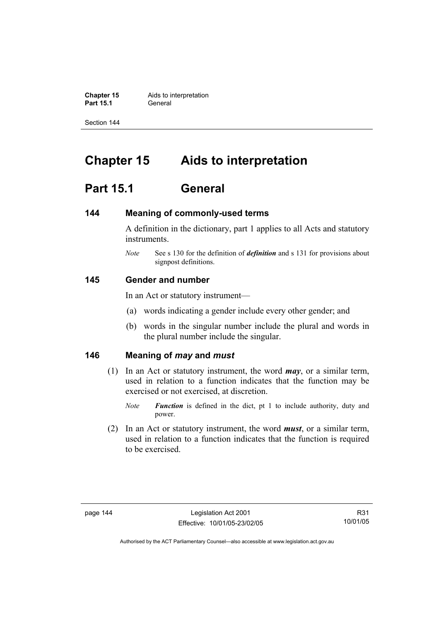**Chapter 15** Aids to interpretation **Part 15.1** General

Section 144

# **Chapter 15 Aids to interpretation**

# **Part 15.1 General**

#### **144 Meaning of commonly-used terms**

A definition in the dictionary, part 1 applies to all Acts and statutory instruments.

*Note* See s 130 for the definition of *definition* and s 131 for provisions about signpost definitions.

### **145 Gender and number**

In an Act or statutory instrument—

- (a) words indicating a gender include every other gender; and
- (b) words in the singular number include the plural and words in the plural number include the singular.

# **146 Meaning of** *may* **and** *must*

- (1) In an Act or statutory instrument, the word *may*, or a similar term, used in relation to a function indicates that the function may be exercised or not exercised, at discretion.
	- *Note Function* is defined in the dict, pt 1 to include authority, duty and power.
- (2) In an Act or statutory instrument, the word *must*, or a similar term, used in relation to a function indicates that the function is required to be exercised.

R31 10/01/05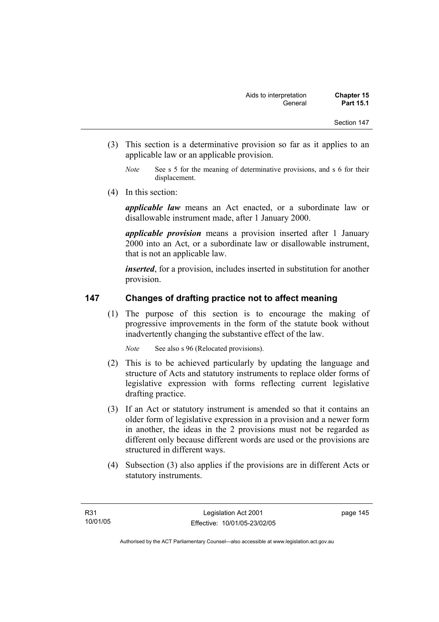- (3) This section is a determinative provision so far as it applies to an applicable law or an applicable provision.
	- *Note* See s 5 for the meaning of determinative provisions, and s 6 for their displacement.
- (4) In this section:

*applicable law* means an Act enacted, or a subordinate law or disallowable instrument made, after 1 January 2000.

*applicable provision* means a provision inserted after 1 January 2000 into an Act, or a subordinate law or disallowable instrument, that is not an applicable law.

*inserted*, for a provision, includes inserted in substitution for another provision.

# **147 Changes of drafting practice not to affect meaning**

 (1) The purpose of this section is to encourage the making of progressive improvements in the form of the statute book without inadvertently changing the substantive effect of the law.

*Note* See also s 96 (Relocated provisions).

- (2) This is to be achieved particularly by updating the language and structure of Acts and statutory instruments to replace older forms of legislative expression with forms reflecting current legislative drafting practice.
- (3) If an Act or statutory instrument is amended so that it contains an older form of legislative expression in a provision and a newer form in another, the ideas in the 2 provisions must not be regarded as different only because different words are used or the provisions are structured in different ways.
- (4) Subsection (3) also applies if the provisions are in different Acts or statutory instruments.

page 145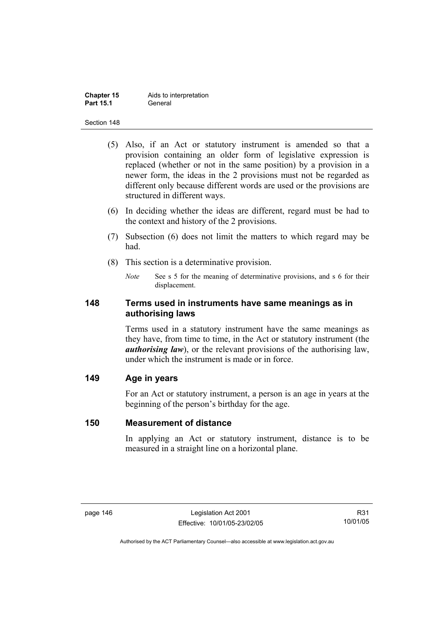| <b>Chapter 15</b> | Aids to interpretation |
|-------------------|------------------------|
| <b>Part 15.1</b>  | General                |

- (5) Also, if an Act or statutory instrument is amended so that a provision containing an older form of legislative expression is replaced (whether or not in the same position) by a provision in a newer form, the ideas in the 2 provisions must not be regarded as different only because different words are used or the provisions are structured in different ways.
- (6) In deciding whether the ideas are different, regard must be had to the context and history of the 2 provisions.
- (7) Subsection (6) does not limit the matters to which regard may be had.
- (8) This section is a determinative provision.
	- *Note* See s 5 for the meaning of determinative provisions, and s 6 for their displacement.

# **148 Terms used in instruments have same meanings as in authorising laws**

Terms used in a statutory instrument have the same meanings as they have, from time to time, in the Act or statutory instrument (the *authorising law*), or the relevant provisions of the authorising law, under which the instrument is made or in force.

# **149 Age in years**

For an Act or statutory instrument, a person is an age in years at the beginning of the person's birthday for the age.

#### **150 Measurement of distance**

In applying an Act or statutory instrument, distance is to be measured in a straight line on a horizontal plane.

R31 10/01/05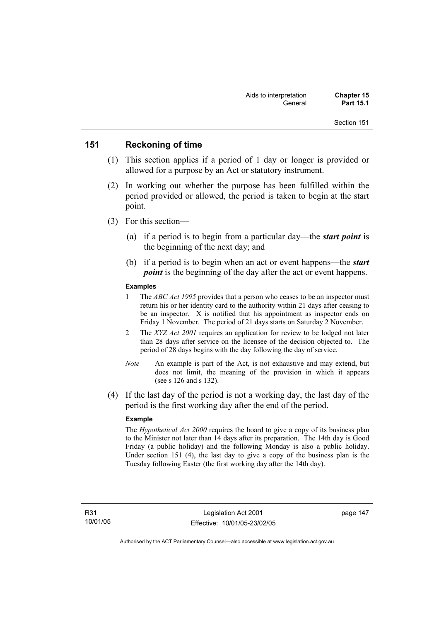# **151 Reckoning of time**

- (1) This section applies if a period of 1 day or longer is provided or allowed for a purpose by an Act or statutory instrument.
- (2) In working out whether the purpose has been fulfilled within the period provided or allowed, the period is taken to begin at the start point.
- (3) For this section—
	- (a) if a period is to begin from a particular day—the *start point* is the beginning of the next day; and
	- (b) if a period is to begin when an act or event happens—the *start point* is the beginning of the day after the act or event happens.

#### **Examples**

- 1 The *ABC Act 1995* provides that a person who ceases to be an inspector must return his or her identity card to the authority within 21 days after ceasing to be an inspector. X is notified that his appointment as inspector ends on Friday 1 November. The period of 21 days starts on Saturday 2 November.
- 2 The *XYZ Act 2001* requires an application for review to be lodged not later than 28 days after service on the licensee of the decision objected to. The period of 28 days begins with the day following the day of service.
- *Note* An example is part of the Act, is not exhaustive and may extend, but does not limit, the meaning of the provision in which it appears (see s 126 and s 132).
- (4) If the last day of the period is not a working day, the last day of the period is the first working day after the end of the period.

#### **Example**

The *Hypothetical Act 2000* requires the board to give a copy of its business plan to the Minister not later than 14 days after its preparation. The 14th day is Good Friday (a public holiday) and the following Monday is also a public holiday. Under section 151 (4), the last day to give a copy of the business plan is the Tuesday following Easter (the first working day after the 14th day).

page 147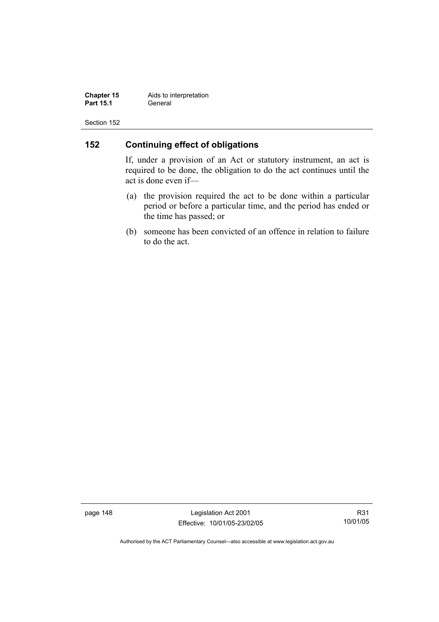**Chapter 15** Aids to interpretation<br>**Part 15.1** General **Part 15.1** 

Section 152

# **152 Continuing effect of obligations**

If, under a provision of an Act or statutory instrument, an act is required to be done, the obligation to do the act continues until the act is done even if—

- (a) the provision required the act to be done within a particular period or before a particular time, and the period has ended or the time has passed; or
- (b) someone has been convicted of an offence in relation to failure to do the act.

page 148 Legislation Act 2001 Effective: 10/01/05-23/02/05

R31 10/01/05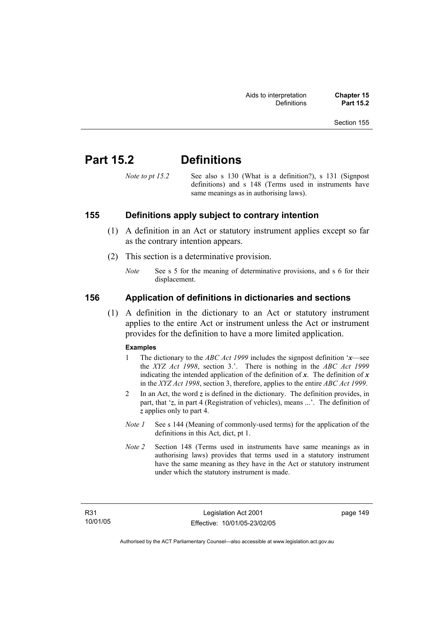# **Part 15.2 Definitions**

*Note to pt 15.2* See also s 130 (What is a definition?), s 131 (Signpost definitions) and s 148 (Terms used in instruments have same meanings as in authorising laws).

# **155 Definitions apply subject to contrary intention**

- (1) A definition in an Act or statutory instrument applies except so far as the contrary intention appears.
- (2) This section is a determinative provision.
	- *Note* See s 5 for the meaning of determinative provisions, and s 6 for their displacement.

# **156 Application of definitions in dictionaries and sections**

 (1) A definition in the dictionary to an Act or statutory instrument applies to the entire Act or instrument unless the Act or instrument provides for the definition to have a more limited application.

#### **Examples**

- 1 The dictionary to the *ABC Act 1999* includes the signpost definition '*x*—see the *XYZ Act 1998*, section 3.'. There is nothing in the *ABC Act 1999* indicating the intended application of the definition of  $x$ . The definition of  $x$ in the *XYZ Act 1998*, section 3, therefore, applies to the entire *ABC Act 1999*.
- 2 In an Act, the word *z* is defined in the dictionary. The definition provides, in part, that '*z*, in part 4 (Registration of vehicles), means ...'. The definition of *z* applies only to part 4.
- *Note 1* See s 144 (Meaning of commonly-used terms) for the application of the definitions in this Act, dict, pt 1.
- *Note 2* Section 148 (Terms used in instruments have same meanings as in authorising laws) provides that terms used in a statutory instrument have the same meaning as they have in the Act or statutory instrument under which the statutory instrument is made.

page 149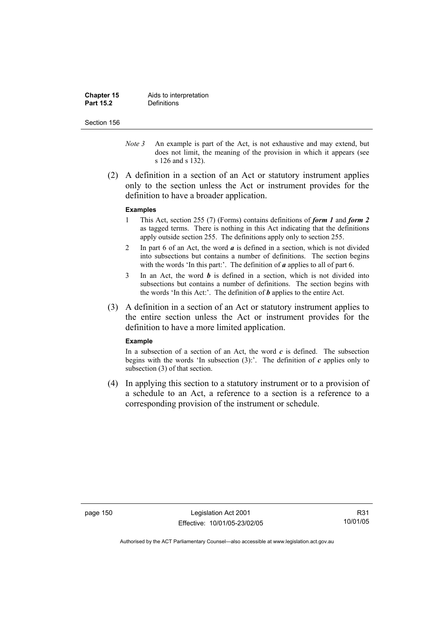| <b>Chapter 15</b> | Aids to interpretation |
|-------------------|------------------------|
| <b>Part 15.2</b>  | Definitions            |

- *Note 3* An example is part of the Act, is not exhaustive and may extend, but does not limit, the meaning of the provision in which it appears (see s 126 and s 132).
- (2) A definition in a section of an Act or statutory instrument applies only to the section unless the Act or instrument provides for the definition to have a broader application.

#### **Examples**

- 1 This Act, section 255 (7) (Forms) contains definitions of *form 1* and *form 2* as tagged terms. There is nothing in this Act indicating that the definitions apply outside section 255. The definitions apply only to section 255.
- 2 In part 6 of an Act, the word *a* is defined in a section, which is not divided into subsections but contains a number of definitions. The section begins with the words 'In this part:'. The definition of *a* applies to all of part 6.
- 3 In an Act, the word *b* is defined in a section, which is not divided into subsections but contains a number of definitions. The section begins with the words 'In this Act:'. The definition of *b* applies to the entire Act.
- (3) A definition in a section of an Act or statutory instrument applies to the entire section unless the Act or instrument provides for the definition to have a more limited application.

#### **Example**

In a subsection of a section of an Act, the word  $c$  is defined. The subsection begins with the words 'In subsection  $(3)$ :'. The definition of  $c$  applies only to subsection (3) of that section.

 (4) In applying this section to a statutory instrument or to a provision of a schedule to an Act, a reference to a section is a reference to a corresponding provision of the instrument or schedule.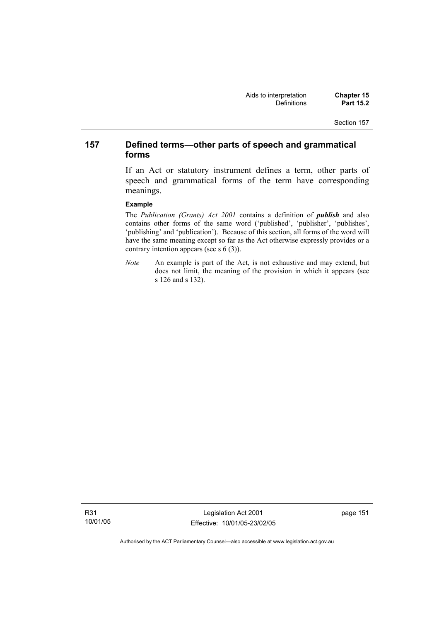# **157 Defined terms—other parts of speech and grammatical forms**

If an Act or statutory instrument defines a term, other parts of speech and grammatical forms of the term have corresponding meanings.

#### **Example**

The *Publication (Grants) Act 2001* contains a definition of *publish* and also contains other forms of the same word ('published', 'publisher', 'publishes', 'publishing' and 'publication'). Because of this section, all forms of the word will have the same meaning except so far as the Act otherwise expressly provides or a contrary intention appears (see s 6 (3)).

*Note* An example is part of the Act, is not exhaustive and may extend, but does not limit, the meaning of the provision in which it appears (see s 126 and s 132).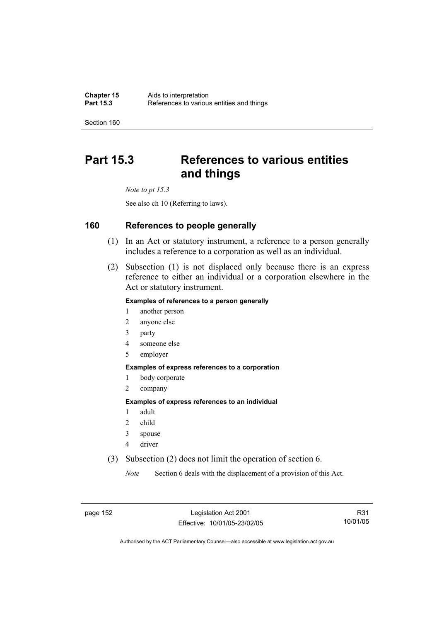# **Part 15.3 References to various entities and things**

*Note to pt 15.3* 

See also ch 10 (Referring to laws).

# **160 References to people generally**

- (1) In an Act or statutory instrument, a reference to a person generally includes a reference to a corporation as well as an individual.
- (2) Subsection (1) is not displaced only because there is an express reference to either an individual or a corporation elsewhere in the Act or statutory instrument.

#### **Examples of references to a person generally**

- 1 another person
- 2 anyone else
- 3 party
- 4 someone else
- 5 employer

#### **Examples of express references to a corporation**

- 1 body corporate
- 2 company

#### **Examples of express references to an individual**

- 1 adult
- 2 child
- 3 spouse
- 4 driver
- (3) Subsection (2) does not limit the operation of section 6.

*Note* Section 6 deals with the displacement of a provision of this Act.

page 152 Legislation Act 2001 Effective: 10/01/05-23/02/05

R31 10/01/05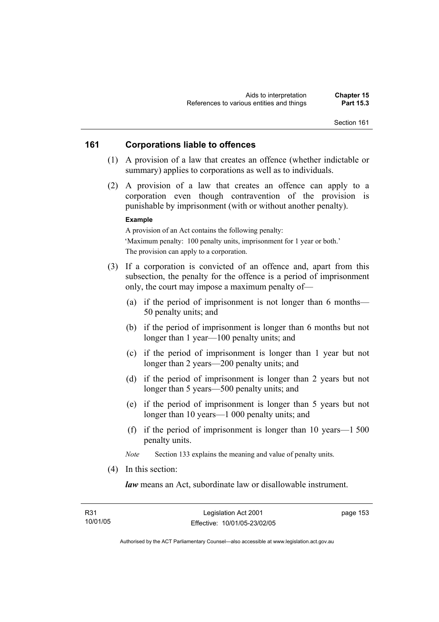# **161 Corporations liable to offences**

- (1) A provision of a law that creates an offence (whether indictable or summary) applies to corporations as well as to individuals.
- (2) A provision of a law that creates an offence can apply to a corporation even though contravention of the provision is punishable by imprisonment (with or without another penalty).

#### **Example**

A provision of an Act contains the following penalty: 'Maximum penalty: 100 penalty units, imprisonment for 1 year or both.' The provision can apply to a corporation.

- (3) If a corporation is convicted of an offence and, apart from this subsection, the penalty for the offence is a period of imprisonment only, the court may impose a maximum penalty of—
	- (a) if the period of imprisonment is not longer than 6 months— 50 penalty units; and
	- (b) if the period of imprisonment is longer than 6 months but not longer than 1 year—100 penalty units; and
	- (c) if the period of imprisonment is longer than 1 year but not longer than 2 years—200 penalty units; and
	- (d) if the period of imprisonment is longer than 2 years but not longer than 5 years—500 penalty units; and
	- (e) if the period of imprisonment is longer than 5 years but not longer than 10 years—1 000 penalty units; and
	- (f) if the period of imprisonment is longer than 10 years—1 500 penalty units.

*Note* Section 133 explains the meaning and value of penalty units.

(4) In this section:

*law* means an Act, subordinate law or disallowable instrument.

page 153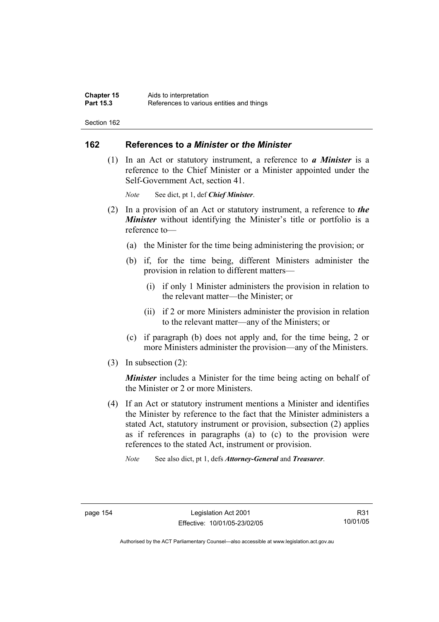## **162 References to** *a Minister* **or** *the Minister*

 (1) In an Act or statutory instrument, a reference to *a Minister* is a reference to the Chief Minister or a Minister appointed under the Self-Government Act, section 41.

*Note* See dict, pt 1, def *Chief Minister*.

- (2) In a provision of an Act or statutory instrument, a reference to *the Minister* without identifying the Minister's title or portfolio is a reference to—
	- (a) the Minister for the time being administering the provision; or
	- (b) if, for the time being, different Ministers administer the provision in relation to different matters—
		- (i) if only 1 Minister administers the provision in relation to the relevant matter—the Minister; or
		- (ii) if 2 or more Ministers administer the provision in relation to the relevant matter—any of the Ministers; or
	- (c) if paragraph (b) does not apply and, for the time being, 2 or more Ministers administer the provision—any of the Ministers.
- (3) In subsection (2):

*Minister* includes a Minister for the time being acting on behalf of the Minister or 2 or more Ministers.

 (4) If an Act or statutory instrument mentions a Minister and identifies the Minister by reference to the fact that the Minister administers a stated Act, statutory instrument or provision, subsection (2) applies as if references in paragraphs (a) to (c) to the provision were references to the stated Act, instrument or provision.

*Note* See also dict, pt 1, defs *Attorney-General* and *Treasurer*.

R31 10/01/05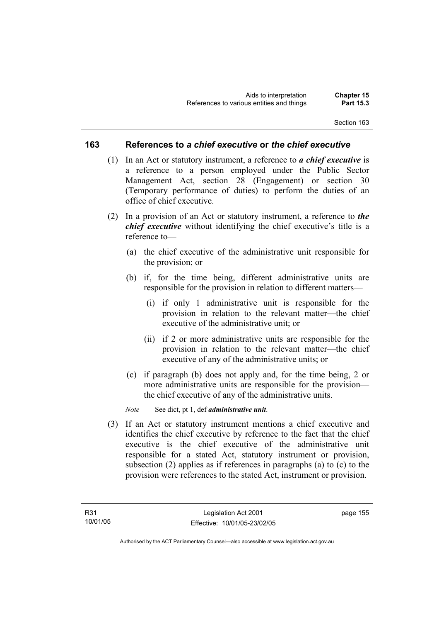## **163 References to** *a chief executive* **or** *the chief executive*

- (1) In an Act or statutory instrument, a reference to *a chief executive* is a reference to a person employed under the Public Sector Management Act, section 28 (Engagement) or section 30 (Temporary performance of duties) to perform the duties of an office of chief executive.
- (2) In a provision of an Act or statutory instrument, a reference to *the chief executive* without identifying the chief executive's title is a reference to—
	- (a) the chief executive of the administrative unit responsible for the provision; or
	- (b) if, for the time being, different administrative units are responsible for the provision in relation to different matters—
		- (i) if only 1 administrative unit is responsible for the provision in relation to the relevant matter—the chief executive of the administrative unit; or
		- (ii) if 2 or more administrative units are responsible for the provision in relation to the relevant matter—the chief executive of any of the administrative units; or
	- (c) if paragraph (b) does not apply and, for the time being, 2 or more administrative units are responsible for the provision the chief executive of any of the administrative units.

*Note* See dict, pt 1, def *administrative unit*.

 (3) If an Act or statutory instrument mentions a chief executive and identifies the chief executive by reference to the fact that the chief executive is the chief executive of the administrative unit responsible for a stated Act, statutory instrument or provision, subsection (2) applies as if references in paragraphs (a) to (c) to the provision were references to the stated Act, instrument or provision.

page 155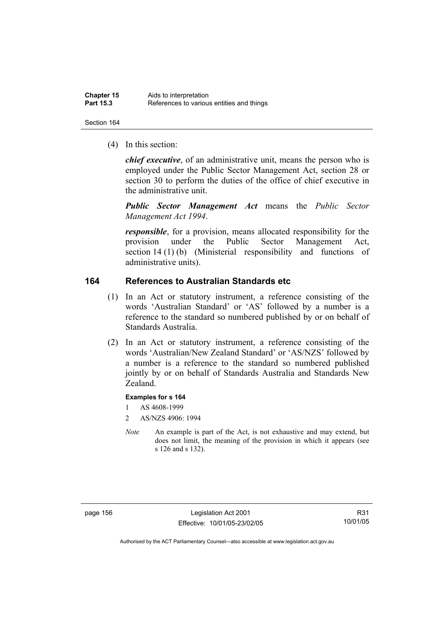(4) In this section:

*chief executive*, of an administrative unit, means the person who is employed under the Public Sector Management Act, section 28 or section 30 to perform the duties of the office of chief executive in the administrative unit.

*Public Sector Management Act* means the *Public Sector Management Act 1994*.

*responsible*, for a provision, means allocated responsibility for the provision under the Public Sector Management Act, section 14 (1) (b) (Ministerial responsibility and functions of administrative units).

# **164 References to Australian Standards etc**

- (1) In an Act or statutory instrument, a reference consisting of the words 'Australian Standard' or 'AS' followed by a number is a reference to the standard so numbered published by or on behalf of Standards Australia.
- (2) In an Act or statutory instrument, a reference consisting of the words 'Australian/New Zealand Standard' or 'AS/NZS' followed by a number is a reference to the standard so numbered published jointly by or on behalf of Standards Australia and Standards New Zealand.

#### **Examples for s 164**

- 1 AS 4608-1999
- 2 AS/NZS 4906: 1994
- *Note* An example is part of the Act, is not exhaustive and may extend, but does not limit, the meaning of the provision in which it appears (see s 126 and s 132).

page 156 Legislation Act 2001 Effective: 10/01/05-23/02/05

R31 10/01/05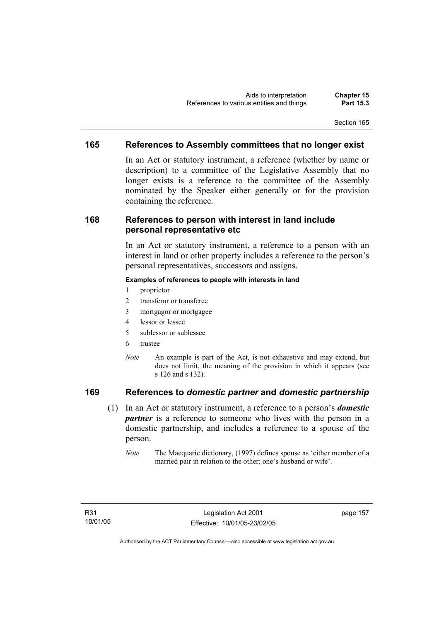# **165 References to Assembly committees that no longer exist**

In an Act or statutory instrument, a reference (whether by name or description) to a committee of the Legislative Assembly that no longer exists is a reference to the committee of the Assembly nominated by the Speaker either generally or for the provision containing the reference.

# **168 References to person with interest in land include personal representative etc**

In an Act or statutory instrument, a reference to a person with an interest in land or other property includes a reference to the person's personal representatives, successors and assigns.

#### **Examples of references to people with interests in land**

- 1 proprietor
- 2 transferor or transferee
- 3 mortgagor or mortgagee
- 4 lessor or lessee
- 5 sublessor or sublessee
- 6 trustee
- *Note* An example is part of the Act, is not exhaustive and may extend, but does not limit, the meaning of the provision in which it appears (see s 126 and s 132).

# **169 References to** *domestic partner* **and** *domestic partnership*

- (1) In an Act or statutory instrument, a reference to a person's *domestic partner* is a reference to someone who lives with the person in a domestic partnership, and includes a reference to a spouse of the person.
	- *Note* The Macquarie dictionary, (1997) defines spouse as 'either member of a married pair in relation to the other; one's husband or wife'.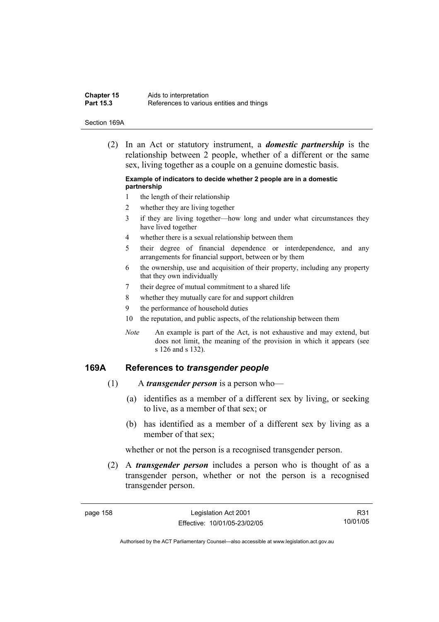| <b>Chapter 15</b> | Aids to interpretation                    |
|-------------------|-------------------------------------------|
| <b>Part 15.3</b>  | References to various entities and things |

#### Section 169A

 (2) In an Act or statutory instrument, a *domestic partnership* is the relationship between 2 people, whether of a different or the same sex, living together as a couple on a genuine domestic basis.

#### **Example of indicators to decide whether 2 people are in a domestic partnership**

- 1 the length of their relationship
- 2 whether they are living together
- 3 if they are living together—how long and under what circumstances they have lived together
- 4 whether there is a sexual relationship between them
- 5 their degree of financial dependence or interdependence, and any arrangements for financial support, between or by them
- 6 the ownership, use and acquisition of their property, including any property that they own individually
- 7 their degree of mutual commitment to a shared life
- 8 whether they mutually care for and support children
- 9 the performance of household duties
- 10 the reputation, and public aspects, of the relationship between them
- *Note* An example is part of the Act, is not exhaustive and may extend, but does not limit, the meaning of the provision in which it appears (see s 126 and s 132).

#### **169A References to** *transgender people*

- (1) A *transgender person* is a person who—
	- (a) identifies as a member of a different sex by living, or seeking to live, as a member of that sex; or
	- (b) has identified as a member of a different sex by living as a member of that sex;

whether or not the person is a recognised transgender person.

 (2) A *transgender person* includes a person who is thought of as a transgender person, whether or not the person is a recognised transgender person.

R31 10/01/05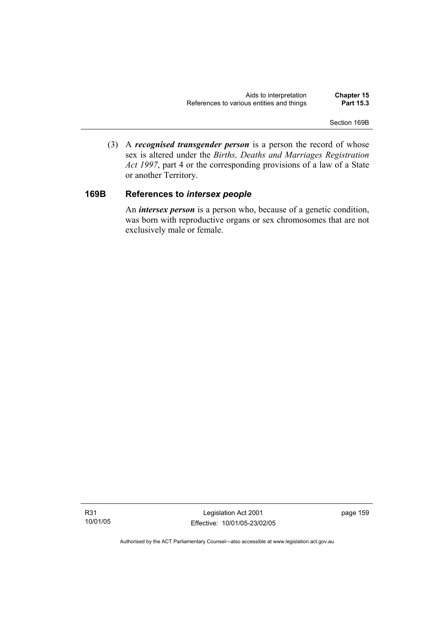(3) A *recognised transgender person* is a person the record of whose sex is altered under the *Births, Deaths and Marriages Registration Act 1997*, part 4 or the corresponding provisions of a law of a State or another Territory.

# **169B References to** *intersex people*

 An *intersex person* is a person who, because of a genetic condition, was born with reproductive organs or sex chromosomes that are not exclusively male or female.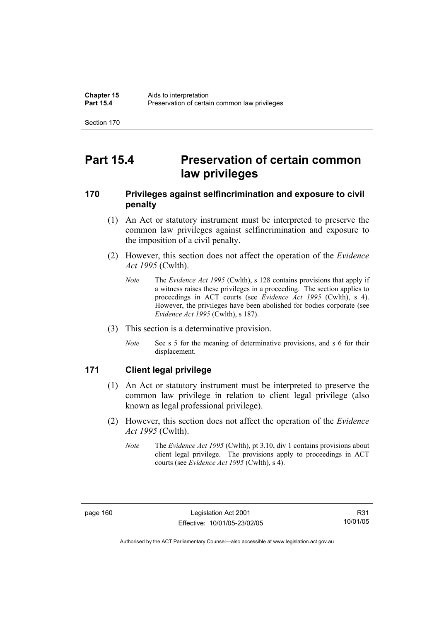# **Part 15.4 Preservation of certain common law privileges**

# **170 Privileges against selfincrimination and exposure to civil penalty**

- (1) An Act or statutory instrument must be interpreted to preserve the common law privileges against selfincrimination and exposure to the imposition of a civil penalty.
- (2) However, this section does not affect the operation of the *Evidence Act 1995* (Cwlth).
	- *Note* The *Evidence Act 1995* (Cwlth), s 128 contains provisions that apply if a witness raises these privileges in a proceeding. The section applies to proceedings in ACT courts (see *Evidence Act 1995* (Cwlth), s 4). However, the privileges have been abolished for bodies corporate (see *Evidence Act 1995* (Cwlth), s 187).
- (3) This section is a determinative provision.
	- *Note* See s 5 for the meaning of determinative provisions, and s 6 for their displacement.

# **171 Client legal privilege**

- (1) An Act or statutory instrument must be interpreted to preserve the common law privilege in relation to client legal privilege (also known as legal professional privilege).
- (2) However, this section does not affect the operation of the *Evidence Act 1995* (Cwlth).
	- *Note* The *Evidence Act 1995* (Cwlth), pt 3.10, div 1 contains provisions about client legal privilege. The provisions apply to proceedings in ACT courts (see *Evidence Act 1995* (Cwlth), s 4).

R31 10/01/05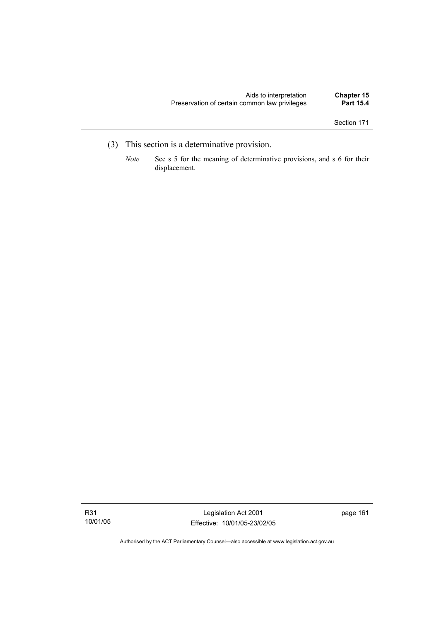- (3) This section is a determinative provision.
	- *Note* See s 5 for the meaning of determinative provisions, and s 6 for their displacement.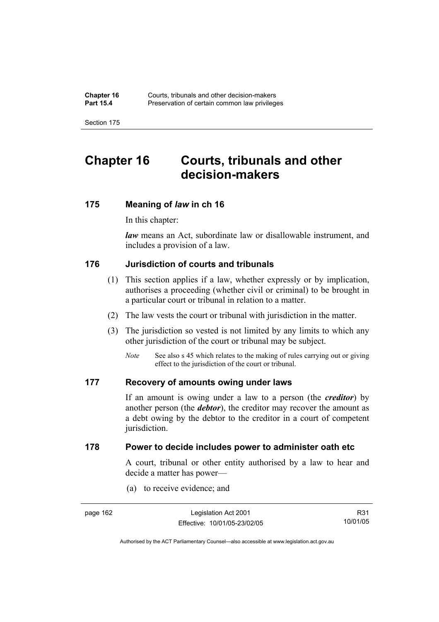# **Chapter 16 Courts, tribunals and other decision-makers**

# **175 Meaning of** *law* **in ch 16**

In this chapter:

*law* means an Act, subordinate law or disallowable instrument, and includes a provision of a law.

# **176 Jurisdiction of courts and tribunals**

- (1) This section applies if a law, whether expressly or by implication, authorises a proceeding (whether civil or criminal) to be brought in a particular court or tribunal in relation to a matter.
- (2) The law vests the court or tribunal with jurisdiction in the matter.
- (3) The jurisdiction so vested is not limited by any limits to which any other jurisdiction of the court or tribunal may be subject.
	- *Note* See also s 45 which relates to the making of rules carrying out or giving effect to the jurisdiction of the court or tribunal.

# **177 Recovery of amounts owing under laws**

If an amount is owing under a law to a person (the *creditor*) by another person (the *debtor*), the creditor may recover the amount as a debt owing by the debtor to the creditor in a court of competent jurisdiction.

# **178 Power to decide includes power to administer oath etc**

A court, tribunal or other entity authorised by a law to hear and decide a matter has power—

(a) to receive evidence; and

| page 162 | Legislation Act 2001         | R31      |
|----------|------------------------------|----------|
|          | Effective: 10/01/05-23/02/05 | 10/01/05 |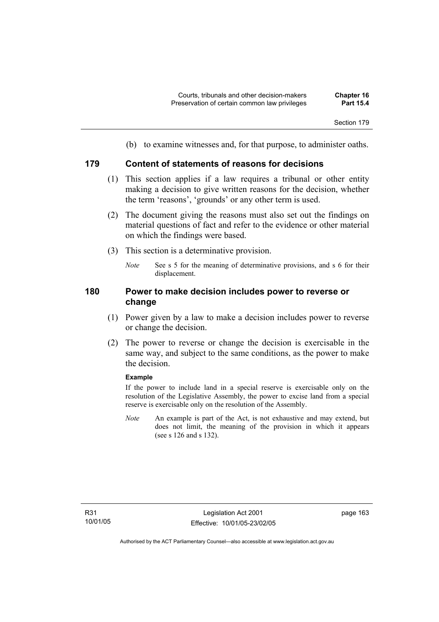(b) to examine witnesses and, for that purpose, to administer oaths.

# **179 Content of statements of reasons for decisions**

- (1) This section applies if a law requires a tribunal or other entity making a decision to give written reasons for the decision, whether the term 'reasons', 'grounds' or any other term is used.
- (2) The document giving the reasons must also set out the findings on material questions of fact and refer to the evidence or other material on which the findings were based.
- (3) This section is a determinative provision.
	- *Note* See s 5 for the meaning of determinative provisions, and s 6 for their displacement.

# **180 Power to make decision includes power to reverse or change**

- (1) Power given by a law to make a decision includes power to reverse or change the decision.
- (2) The power to reverse or change the decision is exercisable in the same way, and subject to the same conditions, as the power to make the decision.

#### **Example**

If the power to include land in a special reserve is exercisable only on the resolution of the Legislative Assembly, the power to excise land from a special reserve is exercisable only on the resolution of the Assembly.

*Note* An example is part of the Act, is not exhaustive and may extend, but does not limit, the meaning of the provision in which it appears (see s 126 and s 132).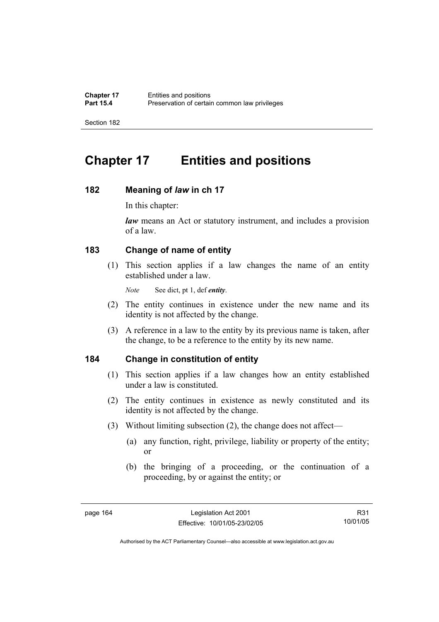# **Chapter 17 Entities and positions**

# **182 Meaning of** *law* **in ch 17**

In this chapter:

*law* means an Act or statutory instrument, and includes a provision of a law.

# **183 Change of name of entity**

 (1) This section applies if a law changes the name of an entity established under a law.

*Note* See dict, pt 1, def *entity*.

- (2) The entity continues in existence under the new name and its identity is not affected by the change.
- (3) A reference in a law to the entity by its previous name is taken, after the change, to be a reference to the entity by its new name.

# **184 Change in constitution of entity**

- (1) This section applies if a law changes how an entity established under a law is constituted.
- (2) The entity continues in existence as newly constituted and its identity is not affected by the change.
- (3) Without limiting subsection (2), the change does not affect—
	- (a) any function, right, privilege, liability or property of the entity; or
	- (b) the bringing of a proceeding, or the continuation of a proceeding, by or against the entity; or

R31 10/01/05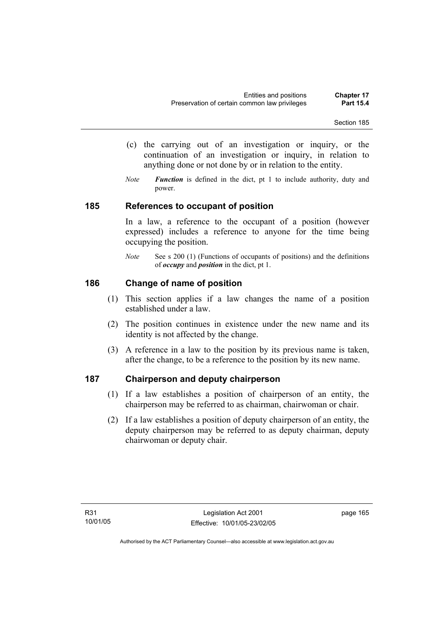- (c) the carrying out of an investigation or inquiry, or the continuation of an investigation or inquiry, in relation to anything done or not done by or in relation to the entity.
- *Note Function* is defined in the dict, pt 1 to include authority, duty and power.

## **185 References to occupant of position**

In a law, a reference to the occupant of a position (however expressed) includes a reference to anyone for the time being occupying the position.

*Note* See s 200 (1) (Functions of occupants of positions) and the definitions of *occupy* and *position* in the dict, pt 1.

## **186 Change of name of position**

- (1) This section applies if a law changes the name of a position established under a law.
- (2) The position continues in existence under the new name and its identity is not affected by the change.
- (3) A reference in a law to the position by its previous name is taken, after the change, to be a reference to the position by its new name.

## **187 Chairperson and deputy chairperson**

- (1) If a law establishes a position of chairperson of an entity, the chairperson may be referred to as chairman, chairwoman or chair.
- (2) If a law establishes a position of deputy chairperson of an entity, the deputy chairperson may be referred to as deputy chairman, deputy chairwoman or deputy chair.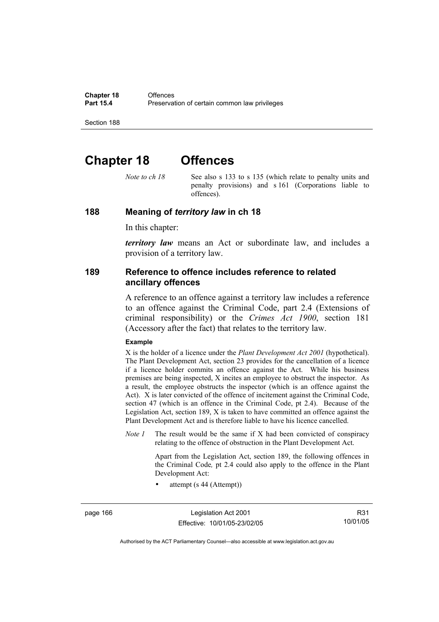# **Chapter 18 Offences**

*Note to ch 18* See also s 133 to s 135 (which relate to penalty units and penalty provisions) and s 161 (Corporations liable to offences).

#### **188 Meaning of** *territory law* **in ch 18**

In this chapter:

*territory law* means an Act or subordinate law, and includes a provision of a territory law.

#### **189 Reference to offence includes reference to related ancillary offences**

A reference to an offence against a territory law includes a reference to an offence against the Criminal Code, part 2.4 (Extensions of criminal responsibility) or the *Crimes Act 1900*, section 181 (Accessory after the fact) that relates to the territory law.

#### **Example**

X is the holder of a licence under the *Plant Development Act 2001* (hypothetical). The Plant Development Act, section 23 provides for the cancellation of a licence if a licence holder commits an offence against the Act. While his business premises are being inspected, X incites an employee to obstruct the inspector. As a result, the employee obstructs the inspector (which is an offence against the Act). X is later convicted of the offence of incitement against the Criminal Code, section 47 (which is an offence in the Criminal Code, pt 2.4). Because of the Legislation Act, section 189, X is taken to have committed an offence against the Plant Development Act and is therefore liable to have his licence cancelled.

*Note 1* The result would be the same if X had been convicted of conspiracy relating to the offence of obstruction in the Plant Development Act.

> Apart from the Legislation Act, section 189, the following offences in the Criminal Code*,* pt 2.4 could also apply to the offence in the Plant Development Act:

• attempt (s 44 (Attempt))

page 166 Legislation Act 2001 Effective: 10/01/05-23/02/05

R31 10/01/05

Authorised by the ACT Parliamentary Counsel—also accessible at www.legislation.act.gov.au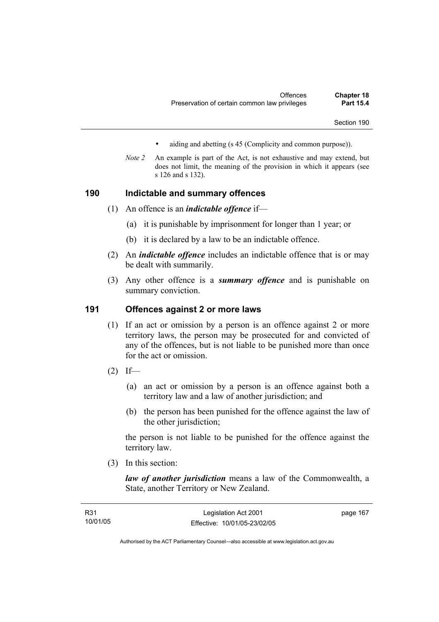- aiding and abetting (s 45 (Complicity and common purpose)).
- *Note 2* An example is part of the Act, is not exhaustive and may extend, but does not limit, the meaning of the provision in which it appears (see s 126 and s 132).

#### **190 Indictable and summary offences**

- (1) An offence is an *indictable offence* if—
	- (a) it is punishable by imprisonment for longer than 1 year; or
	- (b) it is declared by a law to be an indictable offence.
- (2) An *indictable offence* includes an indictable offence that is or may be dealt with summarily.
- (3) Any other offence is a *summary offence* and is punishable on summary conviction.

#### **191 Offences against 2 or more laws**

- (1) If an act or omission by a person is an offence against 2 or more territory laws, the person may be prosecuted for and convicted of any of the offences, but is not liable to be punished more than once for the act or omission.
- $(2)$  If—
	- (a) an act or omission by a person is an offence against both a territory law and a law of another jurisdiction; and
	- (b) the person has been punished for the offence against the law of the other jurisdiction;

the person is not liable to be punished for the offence against the territory law.

(3) In this section:

*law of another jurisdiction* means a law of the Commonwealth, a State, another Territory or New Zealand.

| R31      | Legislation Act 2001         | page 167 |
|----------|------------------------------|----------|
| 10/01/05 | Effective: 10/01/05-23/02/05 |          |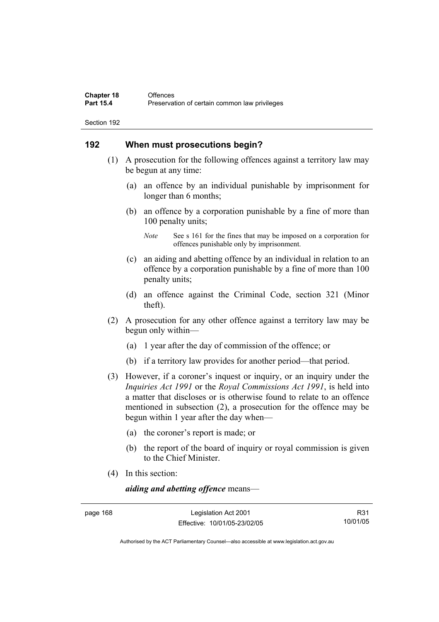#### **192 When must prosecutions begin?**

- (1) A prosecution for the following offences against a territory law may be begun at any time:
	- (a) an offence by an individual punishable by imprisonment for longer than 6 months;
	- (b) an offence by a corporation punishable by a fine of more than 100 penalty units;

- (c) an aiding and abetting offence by an individual in relation to an offence by a corporation punishable by a fine of more than 100 penalty units;
- (d) an offence against the Criminal Code, section 321 (Minor theft).
- (2) A prosecution for any other offence against a territory law may be begun only within—
	- (a) 1 year after the day of commission of the offence; or
	- (b) if a territory law provides for another period—that period.
- (3) However, if a coroner's inquest or inquiry, or an inquiry under the *Inquiries Act 1991* or the *Royal Commissions Act 1991*, is held into a matter that discloses or is otherwise found to relate to an offence mentioned in subsection (2), a prosecution for the offence may be begun within 1 year after the day when—
	- (a) the coroner's report is made; or
	- (b) the report of the board of inquiry or royal commission is given to the Chief Minister.
- (4) In this section:

*aiding and abetting offence* means—

page 168 Legislation Act 2001 Effective: 10/01/05-23/02/05

R31 10/01/05

Authorised by the ACT Parliamentary Counsel—also accessible at www.legislation.act.gov.au

*Note* See s 161 for the fines that may be imposed on a corporation for offences punishable only by imprisonment.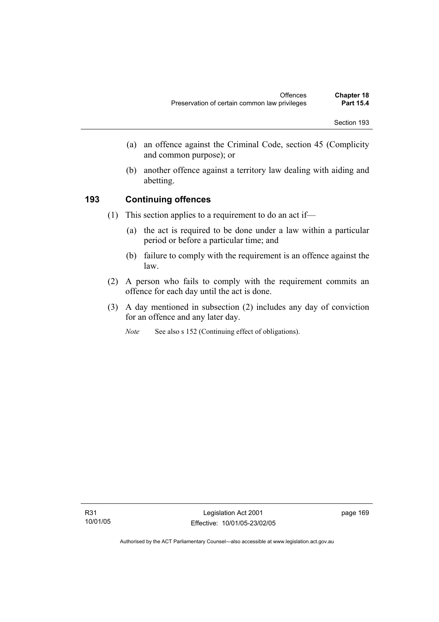- (a) an offence against the Criminal Code, section 45 (Complicity and common purpose); or
- (b) another offence against a territory law dealing with aiding and abetting.

## **193 Continuing offences**

- (1) This section applies to a requirement to do an act if—
	- (a) the act is required to be done under a law within a particular period or before a particular time; and
	- (b) failure to comply with the requirement is an offence against the law.
- (2) A person who fails to comply with the requirement commits an offence for each day until the act is done.
- (3) A day mentioned in subsection (2) includes any day of conviction for an offence and any later day.
	- *Note* See also s 152 (Continuing effect of obligations).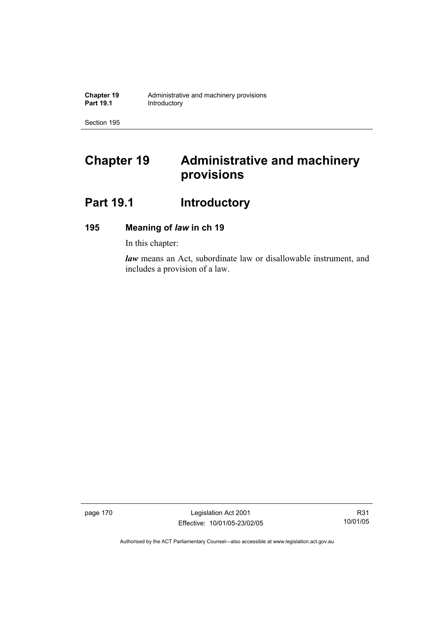# **Chapter 19 Administrative and machinery provisions**

# Part 19.1 **Introductory**

## **195 Meaning of** *law* **in ch 19**

In this chapter:

*law* means an Act, subordinate law or disallowable instrument, and includes a provision of a law.

page 170 Legislation Act 2001 Effective: 10/01/05-23/02/05

R31 10/01/05

Authorised by the ACT Parliamentary Counsel—also accessible at www.legislation.act.gov.au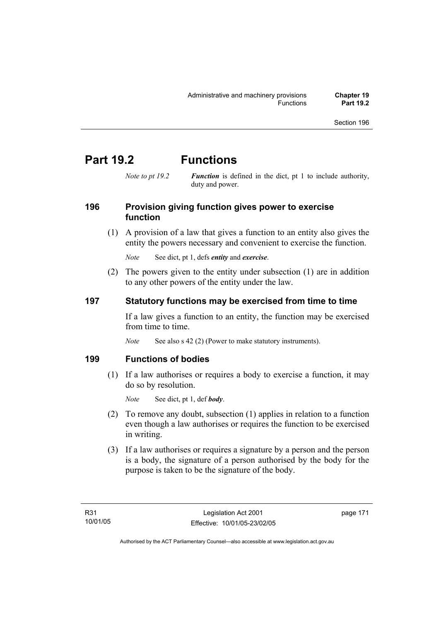# **Part 19.2 Functions**

*Note to pt 19.2 Function* is defined in the dict, pt 1 to include authority, duty and power.

## **196 Provision giving function gives power to exercise function**

 (1) A provision of a law that gives a function to an entity also gives the entity the powers necessary and convenient to exercise the function.

*Note* See dict, pt 1, defs *entity* and *exercise*.

 (2) The powers given to the entity under subsection (1) are in addition to any other powers of the entity under the law.

## **197 Statutory functions may be exercised from time to time**

If a law gives a function to an entity, the function may be exercised from time to time.

*Note* See also s 42 (2) (Power to make statutory instruments).

#### **199 Functions of bodies**

 (1) If a law authorises or requires a body to exercise a function, it may do so by resolution.

*Note* See dict, pt 1, def *body*.

- (2) To remove any doubt, subsection (1) applies in relation to a function even though a law authorises or requires the function to be exercised in writing.
- (3) If a law authorises or requires a signature by a person and the person is a body, the signature of a person authorised by the body for the purpose is taken to be the signature of the body.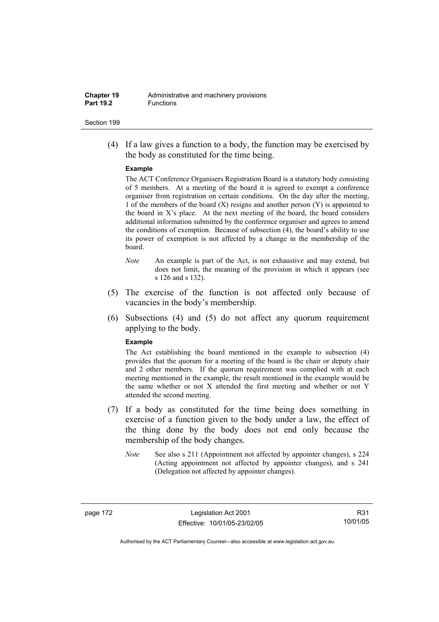(4) If a law gives a function to a body, the function may be exercised by the body as constituted for the time being.

#### **Example**

The ACT Conference Organisers Registration Board is a statutory body consisting of 5 members. At a meeting of the board it is agreed to exempt a conference organiser from registration on certain conditions. On the day after the meeting, 1 of the members of the board  $(X)$  resigns and another person  $(Y)$  is appointed to the board in  $X$ 's place. At the next meeting of the board, the board considers additional information submitted by the conference organiser and agrees to amend the conditions of exemption. Because of subsection (4), the board's ability to use its power of exemption is not affected by a change in the membership of the board.

- *Note* An example is part of the Act, is not exhaustive and may extend, but does not limit, the meaning of the provision in which it appears (see s 126 and s 132).
- (5) The exercise of the function is not affected only because of vacancies in the body's membership.
- (6) Subsections (4) and (5) do not affect any quorum requirement applying to the body.

#### **Example**

The Act establishing the board mentioned in the example to subsection (4) provides that the quorum for a meeting of the board is the chair or deputy chair and 2 other members. If the quorum requirement was complied with at each meeting mentioned in the example, the result mentioned in the example would be the same whether or not X attended the first meeting and whether or not Y attended the second meeting.

- (7) If a body as constituted for the time being does something in exercise of a function given to the body under a law, the effect of the thing done by the body does not end only because the membership of the body changes.
	- *Note* See also s 211 (Appointment not affected by appointer changes), s 224 (Acting appointment not affected by appointer changes), and s 241 (Delegation not affected by appointer changes).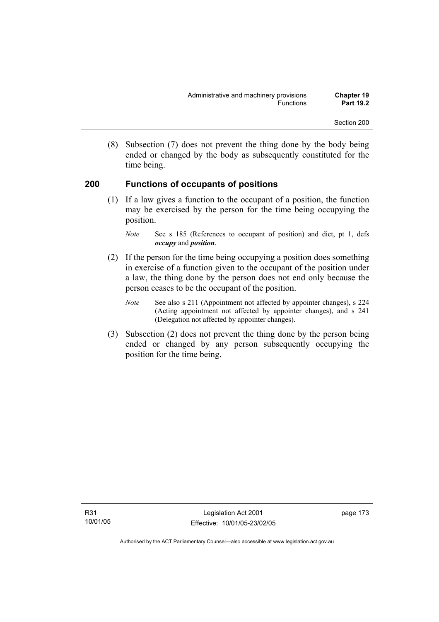(8) Subsection (7) does not prevent the thing done by the body being ended or changed by the body as subsequently constituted for the time being.

#### **200 Functions of occupants of positions**

 (1) If a law gives a function to the occupant of a position, the function may be exercised by the person for the time being occupying the position.

- (2) If the person for the time being occupying a position does something in exercise of a function given to the occupant of the position under a law, the thing done by the person does not end only because the person ceases to be the occupant of the position.
	- *Note* See also s 211 (Appointment not affected by appointer changes), s 224 (Acting appointment not affected by appointer changes), and s 241 (Delegation not affected by appointer changes).
- (3) Subsection (2) does not prevent the thing done by the person being ended or changed by any person subsequently occupying the position for the time being.

*Note* See s 185 (References to occupant of position) and dict, pt 1, defs *occupy* and *position*.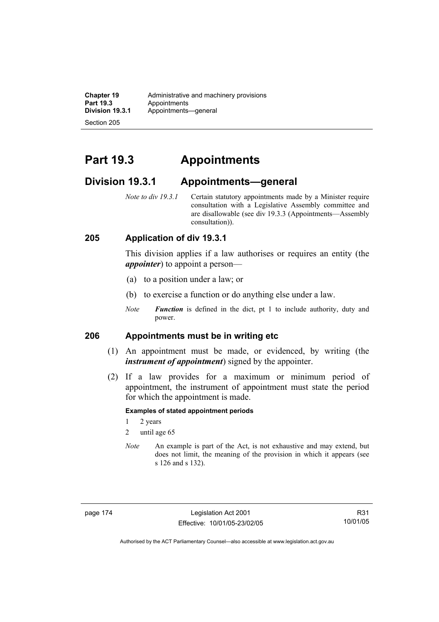**Chapter 19** Administrative and machinery provisions<br>**Part 19.3** Appointments **Part 19.3 Appointments**<br>**Division 19.3.1 Appointments Division 19.3.1** Appointments—general

Section 205

# **Part 19.3 Appointments**

## **Division 19.3.1 Appointments—general**

*Note to div 19.3.1* Certain statutory appointments made by a Minister require consultation with a Legislative Assembly committee and are disallowable (see div 19.3.3 (Appointments—Assembly consultation)).

#### **205 Application of div 19.3.1**

This division applies if a law authorises or requires an entity (the *appointer*) to appoint a person—

- (a) to a position under a law; or
- (b) to exercise a function or do anything else under a law.
- *Note Function* is defined in the dict, pt 1 to include authority, duty and power.

### **206 Appointments must be in writing etc**

- (1) An appointment must be made, or evidenced, by writing (the *instrument of appointment*) signed by the appointer.
- (2) If a law provides for a maximum or minimum period of appointment, the instrument of appointment must state the period for which the appointment is made.

#### **Examples of stated appointment periods**

- 1 2 years
- 2 until age 65
- *Note* An example is part of the Act, is not exhaustive and may extend, but does not limit, the meaning of the provision in which it appears (see s 126 and s 132).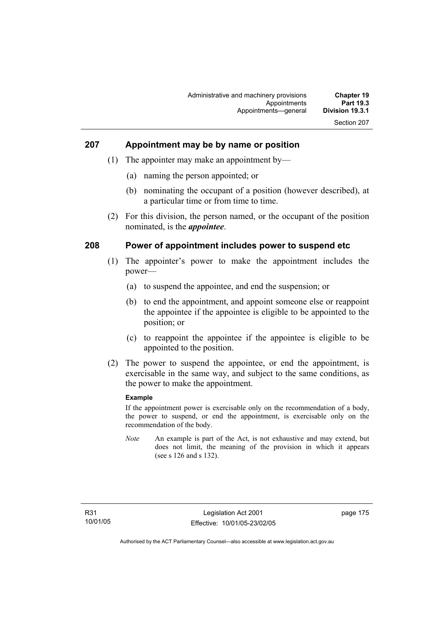## **207 Appointment may be by name or position**

- (1) The appointer may make an appointment by—
	- (a) naming the person appointed; or
	- (b) nominating the occupant of a position (however described), at a particular time or from time to time.
- (2) For this division, the person named, or the occupant of the position nominated, is the *appointee*.

#### **208 Power of appointment includes power to suspend etc**

- (1) The appointer's power to make the appointment includes the power—
	- (a) to suspend the appointee, and end the suspension; or
	- (b) to end the appointment, and appoint someone else or reappoint the appointee if the appointee is eligible to be appointed to the position; or
	- (c) to reappoint the appointee if the appointee is eligible to be appointed to the position.
- (2) The power to suspend the appointee, or end the appointment, is exercisable in the same way, and subject to the same conditions, as the power to make the appointment.

#### **Example**

If the appointment power is exercisable only on the recommendation of a body, the power to suspend, or end the appointment, is exercisable only on the recommendation of the body.

*Note* An example is part of the Act, is not exhaustive and may extend, but does not limit, the meaning of the provision in which it appears (see s 126 and s 132).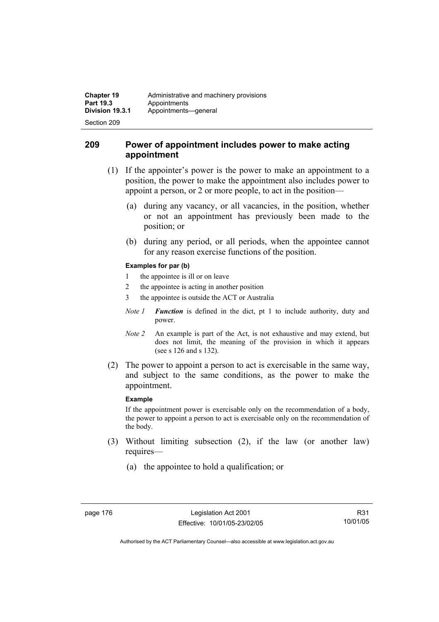#### **209 Power of appointment includes power to make acting appointment**

- (1) If the appointer's power is the power to make an appointment to a position, the power to make the appointment also includes power to appoint a person, or 2 or more people, to act in the position—
	- (a) during any vacancy, or all vacancies, in the position, whether or not an appointment has previously been made to the position; or
	- (b) during any period, or all periods, when the appointee cannot for any reason exercise functions of the position.

#### **Examples for par (b)**

- 1 the appointee is ill or on leave
- 2 the appointee is acting in another position
- 3 the appointee is outside the ACT or Australia
- *Note 1 Function* is defined in the dict, pt 1 to include authority, duty and power.
- *Note 2* An example is part of the Act, is not exhaustive and may extend, but does not limit, the meaning of the provision in which it appears (see s 126 and s 132).
- (2) The power to appoint a person to act is exercisable in the same way, and subject to the same conditions, as the power to make the appointment.

#### **Example**

If the appointment power is exercisable only on the recommendation of a body, the power to appoint a person to act is exercisable only on the recommendation of the body.

- (3) Without limiting subsection (2), if the law (or another law) requires—
	- (a) the appointee to hold a qualification; or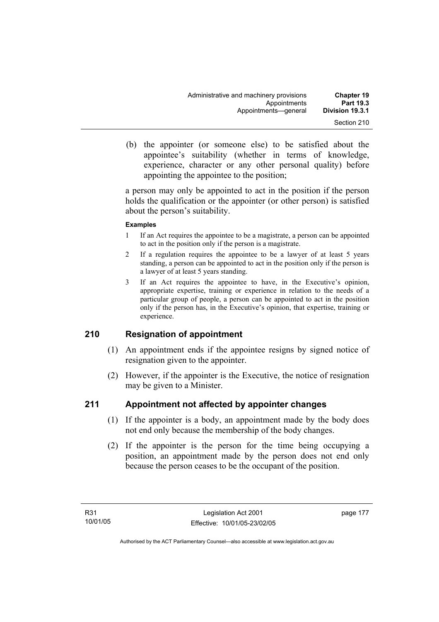- 
- (b) the appointer (or someone else) to be satisfied about the appointee's suitability (whether in terms of knowledge, experience, character or any other personal quality) before appointing the appointee to the position;

a person may only be appointed to act in the position if the person holds the qualification or the appointer (or other person) is satisfied about the person's suitability.

#### **Examples**

- 1 If an Act requires the appointee to be a magistrate, a person can be appointed to act in the position only if the person is a magistrate.
- 2 If a regulation requires the appointee to be a lawyer of at least 5 years standing, a person can be appointed to act in the position only if the person is a lawyer of at least 5 years standing.
- 3 If an Act requires the appointee to have, in the Executive's opinion, appropriate expertise, training or experience in relation to the needs of a particular group of people, a person can be appointed to act in the position only if the person has, in the Executive's opinion, that expertise, training or experience.

## **210 Resignation of appointment**

- (1) An appointment ends if the appointee resigns by signed notice of resignation given to the appointer.
- (2) However, if the appointer is the Executive, the notice of resignation may be given to a Minister.

## **211 Appointment not affected by appointer changes**

- (1) If the appointer is a body, an appointment made by the body does not end only because the membership of the body changes.
- (2) If the appointer is the person for the time being occupying a position, an appointment made by the person does not end only because the person ceases to be the occupant of the position.

page 177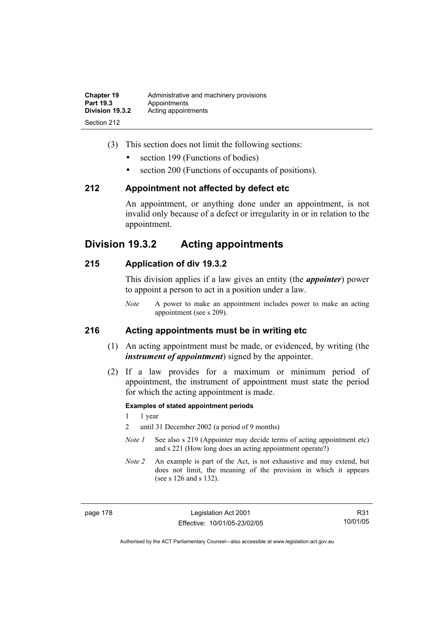| <b>Chapter 19</b> | Administrative and machinery provisions |
|-------------------|-----------------------------------------|
| Part 19.3         | Appointments                            |
| Division 19.3.2   | Acting appointments                     |
| Section 212       |                                         |

- (3) This section does not limit the following sections:
	- section 199 (Functions of bodies)
	- section 200 (Functions of occupants of positions).

#### **212 Appointment not affected by defect etc**

An appointment, or anything done under an appointment, is not invalid only because of a defect or irregularity in or in relation to the appointment.

## **Division 19.3.2 Acting appointments**

#### **215 Application of div 19.3.2**

This division applies if a law gives an entity (the *appointer*) power to appoint a person to act in a position under a law.

*Note* A power to make an appointment includes power to make an acting appointment (see s 209).

#### **216 Acting appointments must be in writing etc**

- (1) An acting appointment must be made, or evidenced, by writing (the *instrument of appointment*) signed by the appointer.
- (2) If a law provides for a maximum or minimum period of appointment, the instrument of appointment must state the period for which the acting appointment is made.

#### **Examples of stated appointment periods**

- 1 1 year
- 2 until 31 December 2002 (a period of 9 months)
- *Note 1* See also s 219 (Appointer may decide terms of acting appointment etc) and s 221 (How long does an acting appointment operate?)
- *Note 2* An example is part of the Act, is not exhaustive and may extend, but does not limit, the meaning of the provision in which it appears (see s 126 and s 132).

page 178 Legislation Act 2001 Effective: 10/01/05-23/02/05

R31 10/01/05

Authorised by the ACT Parliamentary Counsel—also accessible at www.legislation.act.gov.au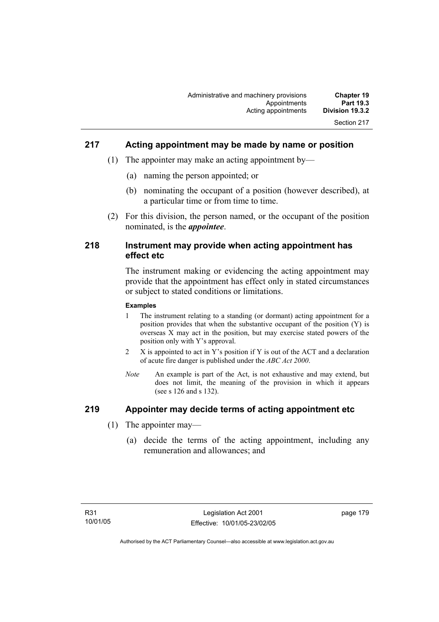## **217 Acting appointment may be made by name or position**

- (1) The appointer may make an acting appointment by—
	- (a) naming the person appointed; or
	- (b) nominating the occupant of a position (however described), at a particular time or from time to time.
- (2) For this division, the person named, or the occupant of the position nominated, is the *appointee*.

#### **218 Instrument may provide when acting appointment has effect etc**

The instrument making or evidencing the acting appointment may provide that the appointment has effect only in stated circumstances or subject to stated conditions or limitations.

#### **Examples**

- 1 The instrument relating to a standing (or dormant) acting appointment for a position provides that when the substantive occupant of the position (Y) is overseas X may act in the position, but may exercise stated powers of the position only with Y's approval.
- 2 X is appointed to act in Y's position if Y is out of the ACT and a declaration of acute fire danger is published under the *ABC Act 2000*.
- *Note* An example is part of the Act, is not exhaustive and may extend, but does not limit, the meaning of the provision in which it appears (see s 126 and s 132).

## **219 Appointer may decide terms of acting appointment etc**

- (1) The appointer may—
	- (a) decide the terms of the acting appointment, including any remuneration and allowances; and

page 179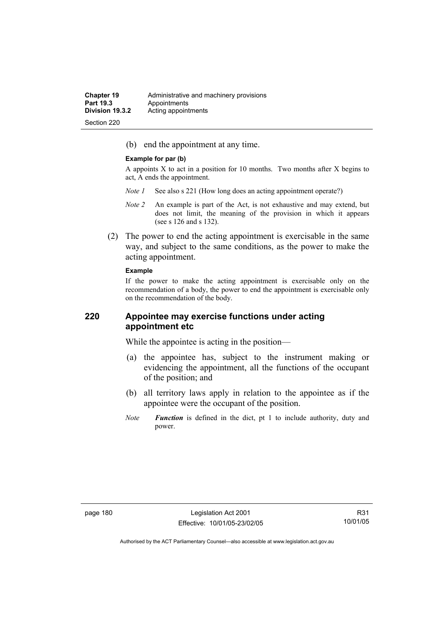(b) end the appointment at any time.

#### **Example for par (b)**

A appoints X to act in a position for 10 months. Two months after X begins to act, A ends the appointment.

- *Note 1* See also s 221 (How long does an acting appointment operate?)
- *Note 2* An example is part of the Act, is not exhaustive and may extend, but does not limit, the meaning of the provision in which it appears (see s 126 and s 132).
- (2) The power to end the acting appointment is exercisable in the same way, and subject to the same conditions, as the power to make the acting appointment.

#### **Example**

If the power to make the acting appointment is exercisable only on the recommendation of a body, the power to end the appointment is exercisable only on the recommendation of the body.

#### **220 Appointee may exercise functions under acting appointment etc**

While the appointee is acting in the position—

- (a) the appointee has, subject to the instrument making or evidencing the appointment, all the functions of the occupant of the position; and
- (b) all territory laws apply in relation to the appointee as if the appointee were the occupant of the position.
- *Note Function* is defined in the dict, pt 1 to include authority, duty and power.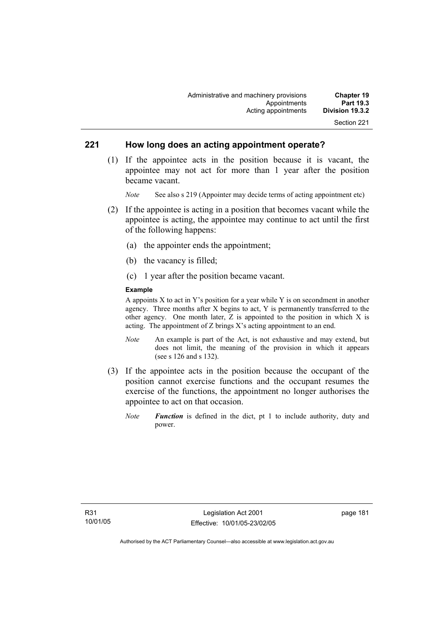#### **221 How long does an acting appointment operate?**

 (1) If the appointee acts in the position because it is vacant, the appointee may not act for more than 1 year after the position became vacant.

*Note* See also s 219 (Appointer may decide terms of acting appointment etc)

- (2) If the appointee is acting in a position that becomes vacant while the appointee is acting, the appointee may continue to act until the first of the following happens:
	- (a) the appointer ends the appointment;
	- (b) the vacancy is filled;
	- (c) 1 year after the position became vacant.

#### **Example**

A appoints  $X$  to act in Y's position for a year while Y is on secondment in another agency. Three months after X begins to act, Y is permanently transferred to the other agency. One month later, Z is appointed to the position in which X is acting. The appointment of Z brings X's acting appointment to an end.

- *Note* An example is part of the Act, is not exhaustive and may extend, but does not limit, the meaning of the provision in which it appears (see s 126 and s 132).
- (3) If the appointee acts in the position because the occupant of the position cannot exercise functions and the occupant resumes the exercise of the functions, the appointment no longer authorises the appointee to act on that occasion.
	- *Note Function* is defined in the dict, pt 1 to include authority, duty and power.

page 181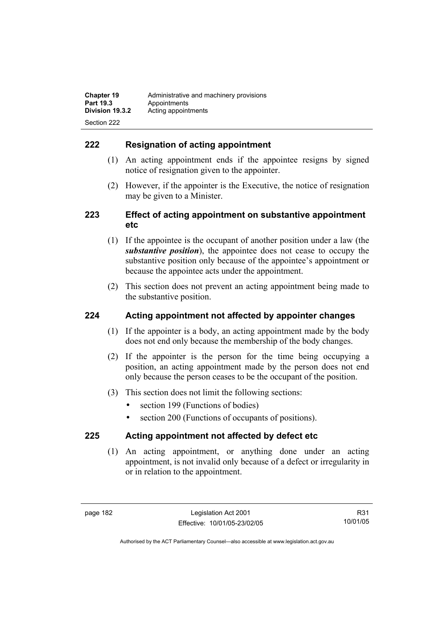## **222 Resignation of acting appointment**

- (1) An acting appointment ends if the appointee resigns by signed notice of resignation given to the appointer.
- (2) However, if the appointer is the Executive, the notice of resignation may be given to a Minister.

## **223 Effect of acting appointment on substantive appointment etc**

- (1) If the appointee is the occupant of another position under a law (the *substantive position*), the appointee does not cease to occupy the substantive position only because of the appointee's appointment or because the appointee acts under the appointment.
- (2) This section does not prevent an acting appointment being made to the substantive position.

## **224 Acting appointment not affected by appointer changes**

- (1) If the appointer is a body, an acting appointment made by the body does not end only because the membership of the body changes.
- (2) If the appointer is the person for the time being occupying a position, an acting appointment made by the person does not end only because the person ceases to be the occupant of the position.
- (3) This section does not limit the following sections:
	- section 199 (Functions of bodies)
	- section 200 (Functions of occupants of positions).

## **225 Acting appointment not affected by defect etc**

 (1) An acting appointment, or anything done under an acting appointment, is not invalid only because of a defect or irregularity in or in relation to the appointment.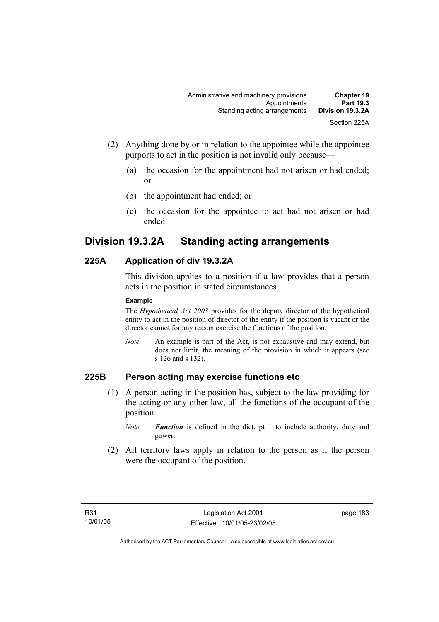- (2) Anything done by or in relation to the appointee while the appointee purports to act in the position is not invalid only because—
	- (a) the occasion for the appointment had not arisen or had ended; or
	- (b) the appointment had ended; or
	- (c) the occasion for the appointee to act had not arisen or had ended.

## **Division 19.3.2A Standing acting arrangements**

## **225A Application of div 19.3.2A**

This division applies to a position if a law provides that a person acts in the position in stated circumstances.

#### **Example**

The *Hypothetical Act 2003* provides for the deputy director of the hypothetical entity to act in the position of director of the entity if the position is vacant or the director cannot for any reason exercise the functions of the position.

*Note* An example is part of the Act, is not exhaustive and may extend, but does not limit, the meaning of the provision in which it appears (see s 126 and s 132).

## **225B Person acting may exercise functions etc**

- (1) A person acting in the position has, subject to the law providing for the acting or any other law, all the functions of the occupant of the position.
	- *Note Function* is defined in the dict, pt 1 to include authority, duty and power.
- (2) All territory laws apply in relation to the person as if the person were the occupant of the position.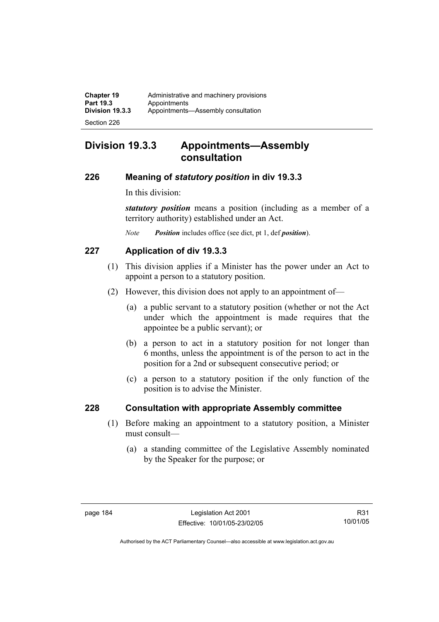## **Division 19.3.3 Appointments—Assembly consultation**

#### **226 Meaning of** *statutory position* **in div 19.3.3**

In this division:

*statutory position* means a position (including as a member of a territory authority) established under an Act.

*Note Position* includes office (see dict, pt 1, def *position*).

## **227 Application of div 19.3.3**

- (1) This division applies if a Minister has the power under an Act to appoint a person to a statutory position.
- (2) However, this division does not apply to an appointment of—
	- (a) a public servant to a statutory position (whether or not the Act under which the appointment is made requires that the appointee be a public servant); or
	- (b) a person to act in a statutory position for not longer than 6 months, unless the appointment is of the person to act in the position for a 2nd or subsequent consecutive period; or
	- (c) a person to a statutory position if the only function of the position is to advise the Minister.

## **228 Consultation with appropriate Assembly committee**

- (1) Before making an appointment to a statutory position, a Minister must consult—
	- (a) a standing committee of the Legislative Assembly nominated by the Speaker for the purpose; or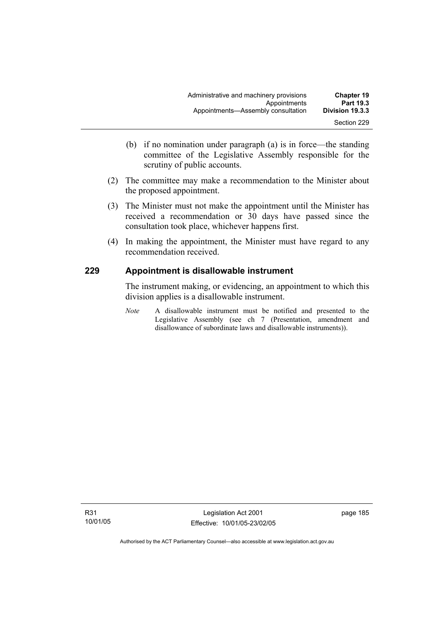- (b) if no nomination under paragraph (a) is in force—the standing committee of the Legislative Assembly responsible for the scrutiny of public accounts.
- (2) The committee may make a recommendation to the Minister about the proposed appointment.
- (3) The Minister must not make the appointment until the Minister has received a recommendation or 30 days have passed since the consultation took place, whichever happens first.
- (4) In making the appointment, the Minister must have regard to any recommendation received.

## **229 Appointment is disallowable instrument**

The instrument making, or evidencing, an appointment to which this division applies is a disallowable instrument.

*Note* A disallowable instrument must be notified and presented to the Legislative Assembly (see ch 7 (Presentation, amendment and disallowance of subordinate laws and disallowable instruments)).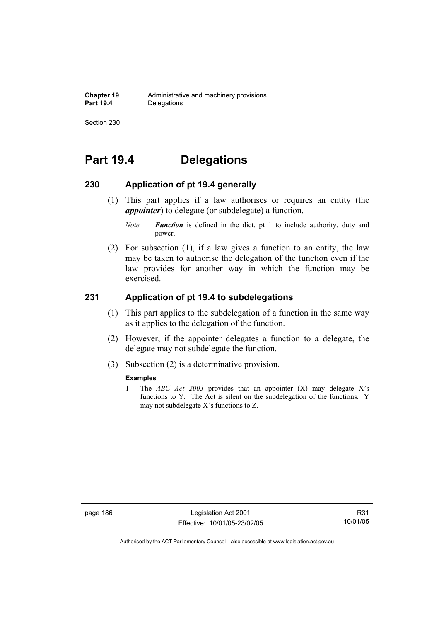# **Part 19.4 Delegations**

#### **230 Application of pt 19.4 generally**

- (1) This part applies if a law authorises or requires an entity (the *appointer*) to delegate (or subdelegate) a function.
	- *Note Function* is defined in the dict, pt 1 to include authority, duty and power.
- (2) For subsection (1), if a law gives a function to an entity, the law may be taken to authorise the delegation of the function even if the law provides for another way in which the function may be exercised.

## **231 Application of pt 19.4 to subdelegations**

- (1) This part applies to the subdelegation of a function in the same way as it applies to the delegation of the function.
- (2) However, if the appointer delegates a function to a delegate, the delegate may not subdelegate the function.
- (3) Subsection (2) is a determinative provision.

#### **Examples**

1 The *ABC Act 2003* provides that an appointer (X) may delegate X's functions to Y. The Act is silent on the subdelegation of the functions. Y may not subdelegate X's functions to Z.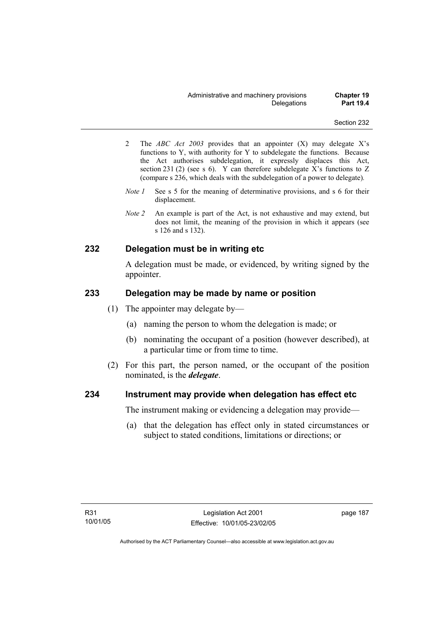- 2 The *ABC Act 2003* provides that an appointer (X) may delegate X's functions to Y, with authority for Y to subdelegate the functions. Because the Act authorises subdelegation, it expressly displaces this Act, section 231 (2) (see s 6). Y can therefore subdelegate X's functions to Z (compare s 236, which deals with the subdelegation of a power to delegate)*.*
- *Note 1* See s 5 for the meaning of determinative provisions, and s 6 for their displacement.
- *Note 2* An example is part of the Act, is not exhaustive and may extend, but does not limit, the meaning of the provision in which it appears (see s 126 and s 132).

#### **232 Delegation must be in writing etc**

A delegation must be made, or evidenced, by writing signed by the appointer.

#### **233 Delegation may be made by name or position**

- (1) The appointer may delegate by—
	- (a) naming the person to whom the delegation is made; or
	- (b) nominating the occupant of a position (however described), at a particular time or from time to time.
- (2) For this part, the person named, or the occupant of the position nominated, is the *delegate*.

#### **234 Instrument may provide when delegation has effect etc**

The instrument making or evidencing a delegation may provide—

 (a) that the delegation has effect only in stated circumstances or subject to stated conditions, limitations or directions; or

page 187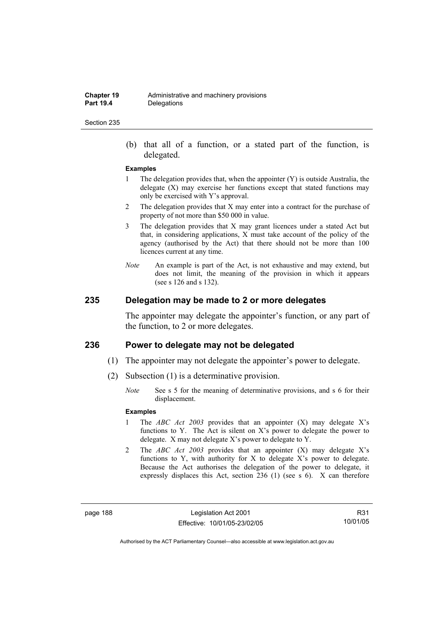(b) that all of a function, or a stated part of the function, is delegated.

#### **Examples**

- 1 The delegation provides that, when the appointer (Y) is outside Australia, the delegate  $(X)$  may exercise her functions except that stated functions may only be exercised with Y's approval.
- 2 The delegation provides that X may enter into a contract for the purchase of property of not more than \$50 000 in value.
- 3 The delegation provides that X may grant licences under a stated Act but that, in considering applications, X must take account of the policy of the agency (authorised by the Act) that there should not be more than 100 licences current at any time.
- *Note* An example is part of the Act, is not exhaustive and may extend, but does not limit, the meaning of the provision in which it appears (see s 126 and s 132).

#### **235 Delegation may be made to 2 or more delegates**

The appointer may delegate the appointer's function, or any part of the function, to 2 or more delegates.

#### **236 Power to delegate may not be delegated**

- (1) The appointer may not delegate the appointer's power to delegate.
- (2) Subsection (1) is a determinative provision.
	- *Note* See s 5 for the meaning of determinative provisions, and s 6 for their displacement.

#### **Examples**

- 1 The *ABC Act 2003* provides that an appointer (X) may delegate X's functions to Y. The Act is silent on X's power to delegate the power to delegate. X may not delegate X's power to delegate to Y.
- 2 The *ABC Act 2003* provides that an appointer (X) may delegate X's functions to Y, with authority for X to delegate X's power to delegate. Because the Act authorises the delegation of the power to delegate, it expressly displaces this Act, section 236 (1) (see s 6). X can therefore

page 188 Legislation Act 2001 Effective: 10/01/05-23/02/05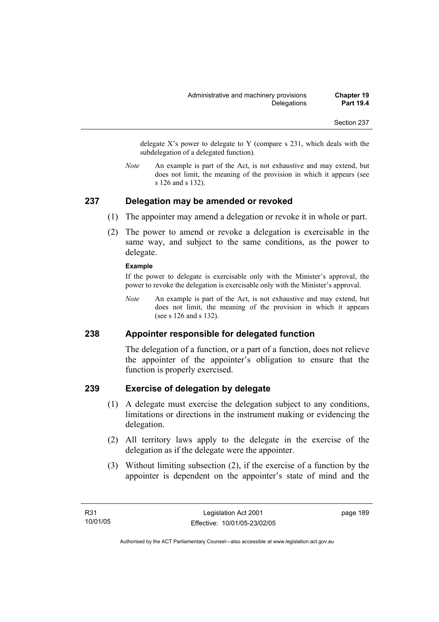delegate  $X$ 's power to delegate to Y (compare s 231, which deals with the subdelegation of a delegated function)*.* 

*Note* An example is part of the Act, is not exhaustive and may extend, but does not limit, the meaning of the provision in which it appears (see s 126 and s 132).

#### **237 Delegation may be amended or revoked**

- (1) The appointer may amend a delegation or revoke it in whole or part.
- (2) The power to amend or revoke a delegation is exercisable in the same way, and subject to the same conditions, as the power to delegate.

#### **Example**

If the power to delegate is exercisable only with the Minister's approval, the power to revoke the delegation is exercisable only with the Minister's approval.

*Note* An example is part of the Act, is not exhaustive and may extend, but does not limit, the meaning of the provision in which it appears (see s 126 and s 132).

#### **238 Appointer responsible for delegated function**

The delegation of a function, or a part of a function, does not relieve the appointer of the appointer's obligation to ensure that the function is properly exercised.

#### **239 Exercise of delegation by delegate**

- (1) A delegate must exercise the delegation subject to any conditions, limitations or directions in the instrument making or evidencing the delegation.
- (2) All territory laws apply to the delegate in the exercise of the delegation as if the delegate were the appointer.
- (3) Without limiting subsection (2), if the exercise of a function by the appointer is dependent on the appointer's state of mind and the

page 189

Authorised by the ACT Parliamentary Counsel—also accessible at www.legislation.act.gov.au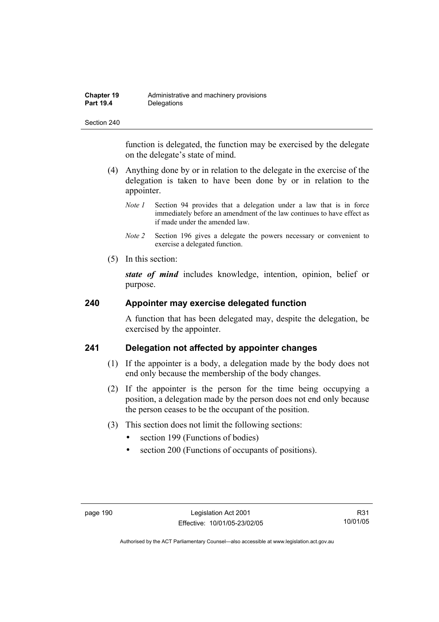function is delegated, the function may be exercised by the delegate on the delegate's state of mind.

- (4) Anything done by or in relation to the delegate in the exercise of the delegation is taken to have been done by or in relation to the appointer.
	- *Note 1* Section 94 provides that a delegation under a law that is in force immediately before an amendment of the law continues to have effect as if made under the amended law.
	- *Note 2* Section 196 gives a delegate the powers necessary or convenient to exercise a delegated function.
- (5) In this section:

*state of mind* includes knowledge, intention, opinion, belief or purpose.

#### **240 Appointer may exercise delegated function**

A function that has been delegated may, despite the delegation, be exercised by the appointer.

## **241 Delegation not affected by appointer changes**

- (1) If the appointer is a body, a delegation made by the body does not end only because the membership of the body changes.
- (2) If the appointer is the person for the time being occupying a position, a delegation made by the person does not end only because the person ceases to be the occupant of the position.
- (3) This section does not limit the following sections:
	- section 199 (Functions of bodies)
	- section 200 (Functions of occupants of positions).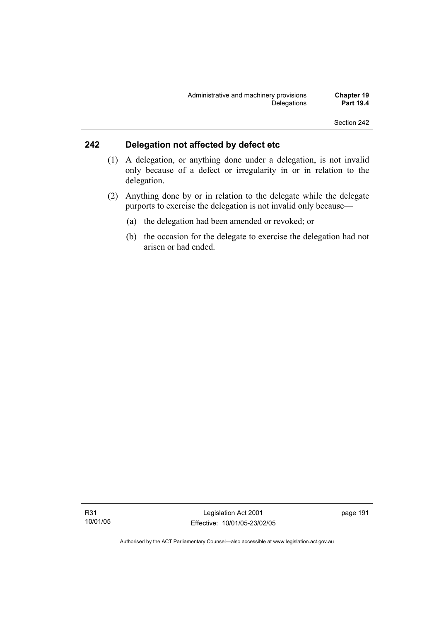## **242 Delegation not affected by defect etc**

- (1) A delegation, or anything done under a delegation, is not invalid only because of a defect or irregularity in or in relation to the delegation.
- (2) Anything done by or in relation to the delegate while the delegate purports to exercise the delegation is not invalid only because—
	- (a) the delegation had been amended or revoked; or
	- (b) the occasion for the delegate to exercise the delegation had not arisen or had ended.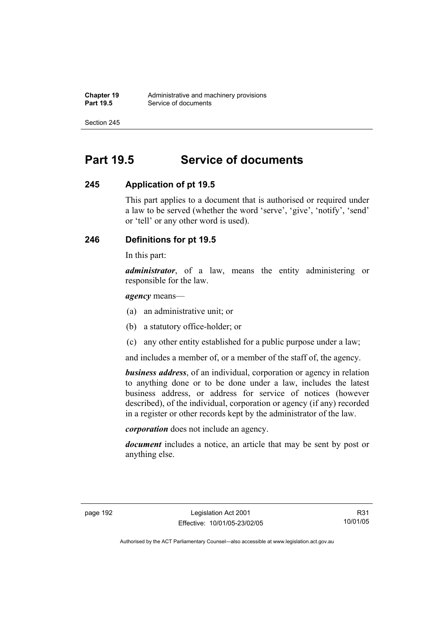# **Part 19.5 Service of documents**

#### **245 Application of pt 19.5**

This part applies to a document that is authorised or required under a law to be served (whether the word 'serve', 'give', 'notify', 'send' or 'tell' or any other word is used).

## **246 Definitions for pt 19.5**

In this part:

*administrator*, of a law, means the entity administering or responsible for the law.

*agency* means—

- (a) an administrative unit; or
- (b) a statutory office-holder; or
- (c) any other entity established for a public purpose under a law;

and includes a member of, or a member of the staff of, the agency.

*business address*, of an individual, corporation or agency in relation to anything done or to be done under a law, includes the latest business address, or address for service of notices (however described), of the individual, corporation or agency (if any) recorded in a register or other records kept by the administrator of the law.

*corporation* does not include an agency.

*document* includes a notice, an article that may be sent by post or anything else.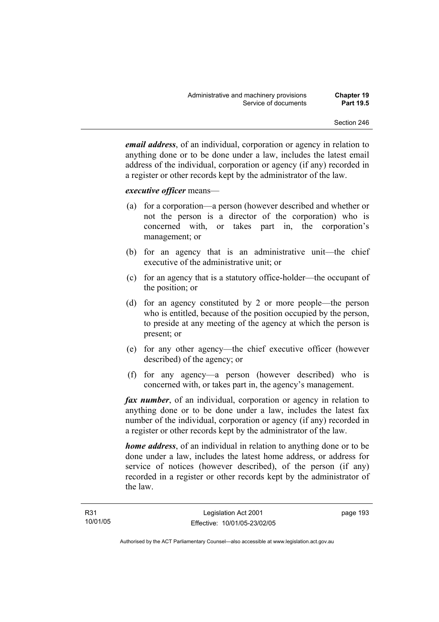*email address*, of an individual, corporation or agency in relation to anything done or to be done under a law, includes the latest email address of the individual, corporation or agency (if any) recorded in a register or other records kept by the administrator of the law.

#### *executive officer* means—

- (a) for a corporation—a person (however described and whether or not the person is a director of the corporation) who is concerned with, or takes part in, the corporation's management; or
- (b) for an agency that is an administrative unit—the chief executive of the administrative unit; or
- (c) for an agency that is a statutory office-holder—the occupant of the position; or
- (d) for an agency constituted by 2 or more people—the person who is entitled, because of the position occupied by the person, to preside at any meeting of the agency at which the person is present; or
- (e) for any other agency—the chief executive officer (however described) of the agency; or
- (f) for any agency—a person (however described) who is concerned with, or takes part in, the agency's management.

*fax number*, of an individual, corporation or agency in relation to anything done or to be done under a law, includes the latest fax number of the individual, corporation or agency (if any) recorded in a register or other records kept by the administrator of the law.

*home address*, of an individual in relation to anything done or to be done under a law, includes the latest home address, or address for service of notices (however described), of the person (if any) recorded in a register or other records kept by the administrator of the law.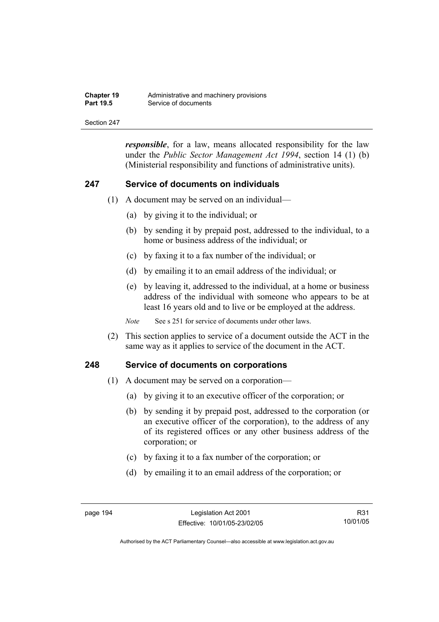| <b>Chapter 19</b> | Administrative and machinery provisions |
|-------------------|-----------------------------------------|
| <b>Part 19.5</b>  | Service of documents                    |

*responsible*, for a law, means allocated responsibility for the law under the *Public Sector Management Act 1994*, section 14 (1) (b) (Ministerial responsibility and functions of administrative units).

#### **247 Service of documents on individuals**

- (1) A document may be served on an individual—
	- (a) by giving it to the individual; or
	- (b) by sending it by prepaid post, addressed to the individual, to a home or business address of the individual; or
	- (c) by faxing it to a fax number of the individual; or
	- (d) by emailing it to an email address of the individual; or
	- (e) by leaving it, addressed to the individual, at a home or business address of the individual with someone who appears to be at least 16 years old and to live or be employed at the address.

*Note* See s 251 for service of documents under other laws.

 (2) This section applies to service of a document outside the ACT in the same way as it applies to service of the document in the ACT.

#### **248 Service of documents on corporations**

- (1) A document may be served on a corporation—
	- (a) by giving it to an executive officer of the corporation; or
	- (b) by sending it by prepaid post, addressed to the corporation (or an executive officer of the corporation), to the address of any of its registered offices or any other business address of the corporation; or
	- (c) by faxing it to a fax number of the corporation; or
	- (d) by emailing it to an email address of the corporation; or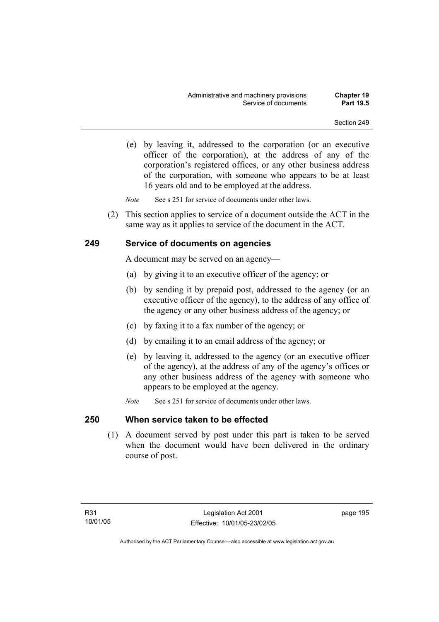(e) by leaving it, addressed to the corporation (or an executive officer of the corporation), at the address of any of the corporation's registered offices, or any other business address of the corporation, with someone who appears to be at least 16 years old and to be employed at the address.

*Note* See s 251 for service of documents under other laws.

 (2) This section applies to service of a document outside the ACT in the same way as it applies to service of the document in the ACT.

#### **249 Service of documents on agencies**

A document may be served on an agency—

- (a) by giving it to an executive officer of the agency; or
- (b) by sending it by prepaid post, addressed to the agency (or an executive officer of the agency), to the address of any office of the agency or any other business address of the agency; or
- (c) by faxing it to a fax number of the agency; or
- (d) by emailing it to an email address of the agency; or
- (e) by leaving it, addressed to the agency (or an executive officer of the agency), at the address of any of the agency's offices or any other business address of the agency with someone who appears to be employed at the agency.
- *Note* See s 251 for service of documents under other laws.

## **250 When service taken to be effected**

 (1) A document served by post under this part is taken to be served when the document would have been delivered in the ordinary course of post.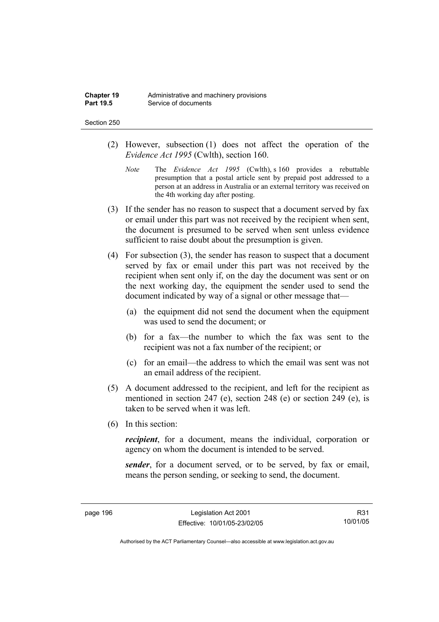- (2) However, subsection (1) does not affect the operation of the *Evidence Act 1995* (Cwlth), section 160.
	- *Note* The *Evidence Act 1995* (Cwlth), s 160 provides a rebuttable presumption that a postal article sent by prepaid post addressed to a person at an address in Australia or an external territory was received on the 4th working day after posting.
- (3) If the sender has no reason to suspect that a document served by fax or email under this part was not received by the recipient when sent, the document is presumed to be served when sent unless evidence sufficient to raise doubt about the presumption is given.
- (4) For subsection (3), the sender has reason to suspect that a document served by fax or email under this part was not received by the recipient when sent only if, on the day the document was sent or on the next working day, the equipment the sender used to send the document indicated by way of a signal or other message that—
	- (a) the equipment did not send the document when the equipment was used to send the document; or
	- (b) for a fax—the number to which the fax was sent to the recipient was not a fax number of the recipient; or
	- (c) for an email—the address to which the email was sent was not an email address of the recipient.
- (5) A document addressed to the recipient, and left for the recipient as mentioned in section 247 (e), section 248 (e) or section 249 (e), is taken to be served when it was left.
- (6) In this section:

*recipient*, for a document, means the individual, corporation or agency on whom the document is intended to be served.

*sender*, for a document served, or to be served, by fax or email, means the person sending, or seeking to send, the document.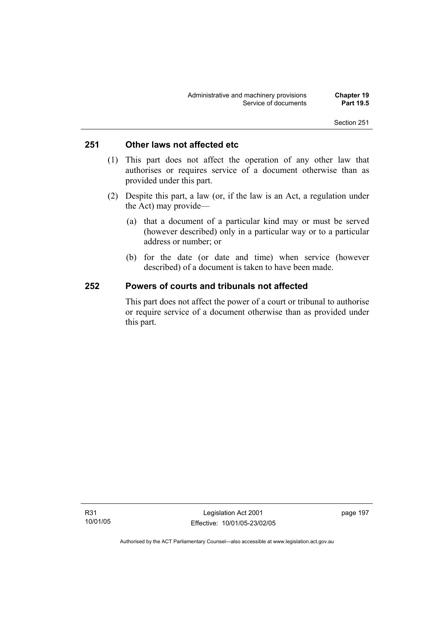## **251 Other laws not affected etc**

- (1) This part does not affect the operation of any other law that authorises or requires service of a document otherwise than as provided under this part.
- (2) Despite this part, a law (or, if the law is an Act, a regulation under the Act) may provide—
	- (a) that a document of a particular kind may or must be served (however described) only in a particular way or to a particular address or number; or
	- (b) for the date (or date and time) when service (however described) of a document is taken to have been made.

#### **252 Powers of courts and tribunals not affected**

This part does not affect the power of a court or tribunal to authorise or require service of a document otherwise than as provided under this part.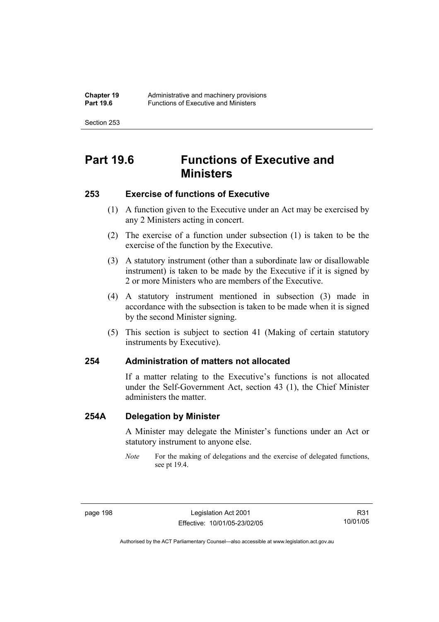# **Part 19.6 Functions of Executive and Ministers**

#### **253 Exercise of functions of Executive**

- (1) A function given to the Executive under an Act may be exercised by any 2 Ministers acting in concert.
- (2) The exercise of a function under subsection (1) is taken to be the exercise of the function by the Executive.
- (3) A statutory instrument (other than a subordinate law or disallowable instrument) is taken to be made by the Executive if it is signed by 2 or more Ministers who are members of the Executive.
- (4) A statutory instrument mentioned in subsection (3) made in accordance with the subsection is taken to be made when it is signed by the second Minister signing.
- (5) This section is subject to section 41 (Making of certain statutory instruments by Executive).

#### **254 Administration of matters not allocated**

If a matter relating to the Executive's functions is not allocated under the Self-Government Act, section 43 (1), the Chief Minister administers the matter.

#### **254A Delegation by Minister**

A Minister may delegate the Minister's functions under an Act or statutory instrument to anyone else.

*Note* For the making of delegations and the exercise of delegated functions, see pt 19.4.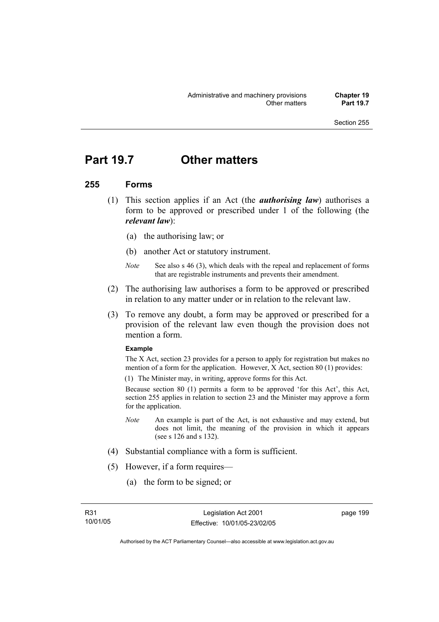## **Part 19.7 Other matters**

#### **255 Forms**

- (1) This section applies if an Act (the *authorising law*) authorises a form to be approved or prescribed under 1 of the following (the *relevant law*):
	- (a) the authorising law; or
	- (b) another Act or statutory instrument.
	- *Note* See also s 46 (3), which deals with the repeal and replacement of forms that are registrable instruments and prevents their amendment.
- (2) The authorising law authorises a form to be approved or prescribed in relation to any matter under or in relation to the relevant law.
- (3) To remove any doubt, a form may be approved or prescribed for a provision of the relevant law even though the provision does not mention a form.

#### **Example**

The X Act, section 23 provides for a person to apply for registration but makes no mention of a form for the application. However, X Act, section 80 (1) provides:

(1) The Minister may, in writing, approve forms for this Act.

Because section 80 (1) permits a form to be approved 'for this Act', this Act, section 255 applies in relation to section 23 and the Minister may approve a form for the application.

- *Note* An example is part of the Act, is not exhaustive and may extend, but does not limit, the meaning of the provision in which it appears (see s 126 and s 132).
- (4) Substantial compliance with a form is sufficient.
- (5) However, if a form requires—
	- (a) the form to be signed; or

page 199

Authorised by the ACT Parliamentary Counsel—also accessible at www.legislation.act.gov.au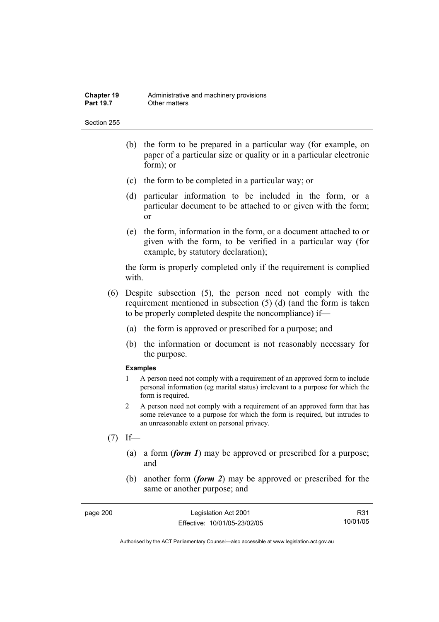- (b) the form to be prepared in a particular way (for example, on paper of a particular size or quality or in a particular electronic form); or
- (c) the form to be completed in a particular way; or
- (d) particular information to be included in the form, or a particular document to be attached to or given with the form; or
- (e) the form, information in the form, or a document attached to or given with the form, to be verified in a particular way (for example, by statutory declaration);

the form is properly completed only if the requirement is complied with.

- (6) Despite subsection (5), the person need not comply with the requirement mentioned in subsection (5) (d) (and the form is taken to be properly completed despite the noncompliance) if—
	- (a) the form is approved or prescribed for a purpose; and
	- (b) the information or document is not reasonably necessary for the purpose.

#### **Examples**

- 1 A person need not comply with a requirement of an approved form to include personal information (eg marital status) irrelevant to a purpose for which the form is required.
- 2 A person need not comply with a requirement of an approved form that has some relevance to a purpose for which the form is required, but intrudes to an unreasonable extent on personal privacy.
- $(7)$  If—
	- (a) a form (*form 1*) may be approved or prescribed for a purpose; and
	- (b) another form (*form 2*) may be approved or prescribed for the same or another purpose; and

| page 200 | Legislation Act 2001         | R31      |
|----------|------------------------------|----------|
|          | Effective: 10/01/05-23/02/05 | 10/01/05 |

Authorised by the ACT Parliamentary Counsel—also accessible at www.legislation.act.gov.au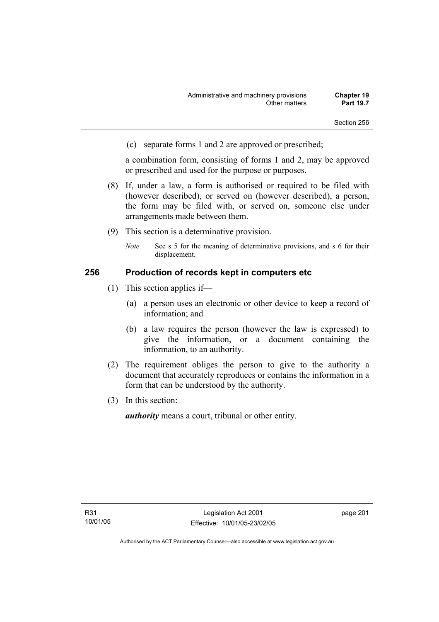(c) separate forms 1 and 2 are approved or prescribed;

a combination form, consisting of forms 1 and 2, may be approved or prescribed and used for the purpose or purposes.

- (8) If, under a law, a form is authorised or required to be filed with (however described), or served on (however described), a person, the form may be filed with, or served on, someone else under arrangements made between them.
- (9) This section is a determinative provision.
	- *Note* See s 5 for the meaning of determinative provisions, and s 6 for their displacement.

## **256 Production of records kept in computers etc**

- (1) This section applies if—
	- (a) a person uses an electronic or other device to keep a record of information; and
	- (b) a law requires the person (however the law is expressed) to give the information, or a document containing the information, to an authority.
- (2) The requirement obliges the person to give to the authority a document that accurately reproduces or contains the information in a form that can be understood by the authority.
- (3) In this section:

*authority* means a court, tribunal or other entity.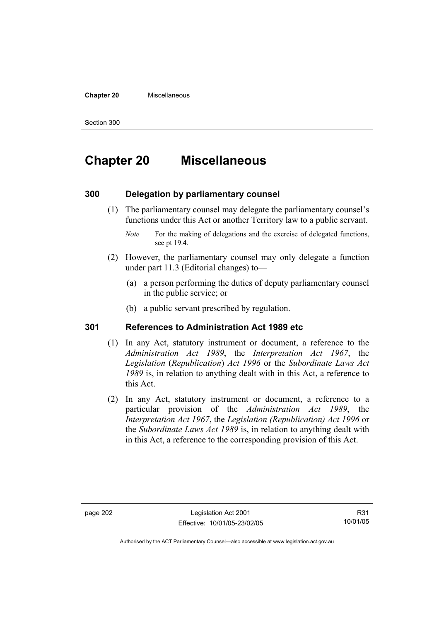#### **Chapter 20** Miscellaneous

Section 300

# **Chapter 20 Miscellaneous**

## **300 Delegation by parliamentary counsel**

 (1) The parliamentary counsel may delegate the parliamentary counsel's functions under this Act or another Territory law to a public servant.

- (2) However, the parliamentary counsel may only delegate a function under part 11.3 (Editorial changes) to—
	- (a) a person performing the duties of deputy parliamentary counsel in the public service; or
	- (b) a public servant prescribed by regulation.

## **301 References to Administration Act 1989 etc**

- (1) In any Act, statutory instrument or document, a reference to the *Administration Act 1989*, the *Interpretation Act 1967*, the *Legislation* (*Republication*) *Act 1996* or the *Subordinate Laws Act 1989* is, in relation to anything dealt with in this Act, a reference to this Act.
- (2) In any Act, statutory instrument or document, a reference to a particular provision of the *Administration Act 1989*, the *Interpretation Act 1967*, the *Legislation (Republication) Act 1996* or the *Subordinate Laws Act 1989* is, in relation to anything dealt with in this Act, a reference to the corresponding provision of this Act.

R31 10/01/05

*Note* For the making of delegations and the exercise of delegated functions, see pt 19.4.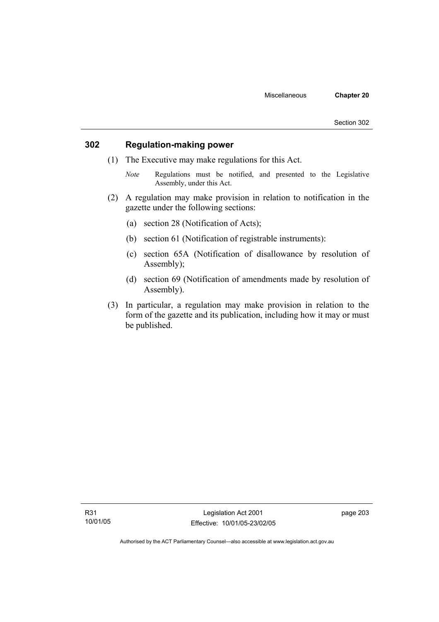## **302 Regulation-making power**

- (1) The Executive may make regulations for this Act.
	- *Note* Regulations must be notified, and presented to the Legislative Assembly, under this Act.
- (2) A regulation may make provision in relation to notification in the gazette under the following sections:
	- (a) section 28 (Notification of Acts);
	- (b) section 61 (Notification of registrable instruments):
	- (c) section 65A (Notification of disallowance by resolution of Assembly);
	- (d) section 69 (Notification of amendments made by resolution of Assembly).
- (3) In particular, a regulation may make provision in relation to the form of the gazette and its publication, including how it may or must be published.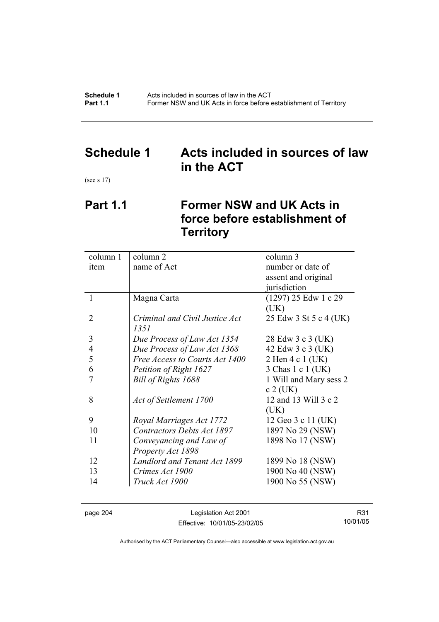**Schedule 1** Acts included in sources of law in the ACT<br>**Part 1.1** Former NSW and UK Acts in force before **Part 1.1** Former NSW and UK Acts in force before establishment of Territory

## **Schedule 1 Acts included in sources of law in the ACT**

(see s 17)

# **Part 1.1 Former NSW and UK Acts in force before establishment of Territory**

| column 1       | column 2                          | column 3               |  |
|----------------|-----------------------------------|------------------------|--|
| item           | name of Act                       | number or date of      |  |
|                |                                   | assent and original    |  |
|                |                                   | jurisdiction           |  |
| 1              | Magna Carta                       | (1297) 25 Edw 1 c 29   |  |
|                |                                   | (UK)                   |  |
| 2              | Criminal and Civil Justice Act    | 25 Edw 3 St 5 c 4 (UK) |  |
|                | 1351                              |                        |  |
| 3              | Due Process of Law Act 1354       | 28 Edw 3 c 3 (UK)      |  |
| $\overline{4}$ | Due Process of Law Act 1368       | 42 Edw 3 c 3 (UK)      |  |
| 5              | Free Access to Courts Act 1400    | 2 Hen 4 c 1 (UK)       |  |
| 6              | Petition of Right 1627            | 3 Chas 1 c 1 (UK)      |  |
|                | Bill of Rights 1688               | 1 Will and Mary sess 2 |  |
|                |                                   | $c$ 2 (UK)             |  |
| 8              | Act of Settlement 1700            | 12 and 13 Will 3 c 2   |  |
|                |                                   | (UK)                   |  |
| 9              | Royal Marriages Act 1772          | 12 Geo 3 c 11 (UK)     |  |
| 10             | <b>Contractors Debts Act 1897</b> | 1897 No 29 (NSW)       |  |
| 11             | Conveyancing and Law of           | 1898 No 17 (NSW)       |  |
|                | Property Act 1898                 |                        |  |
| 12             | Landlord and Tenant Act 1899      | 1899 No 18 (NSW)       |  |
| 13             | Crimes Act 1900                   | 1900 No 40 (NSW)       |  |
| 14             | Truck Act 1900                    | 1900 No 55 (NSW)       |  |
|                |                                   |                        |  |

page 204 Legislation Act 2001 Effective: 10/01/05-23/02/05

R31 10/01/05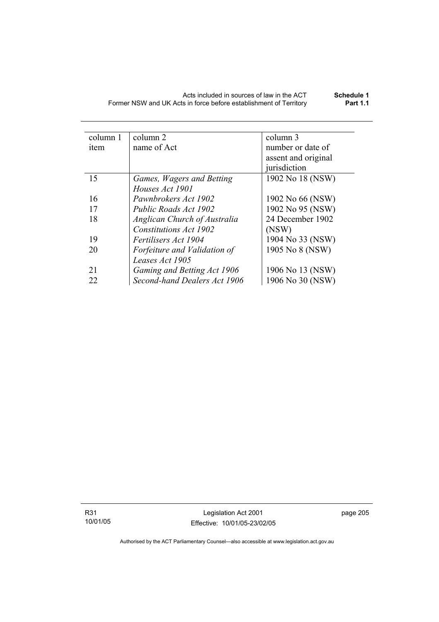| column 1 | column 2                            | column 3            |
|----------|-------------------------------------|---------------------|
| item     | name of Act                         | number or date of   |
|          |                                     | assent and original |
|          |                                     | jurisdiction        |
| 15       | Games, Wagers and Betting           | 1902 No 18 (NSW)    |
|          | Houses Act 1901                     |                     |
| 16       | Pawnbrokers Act 1902                | 1902 No 66 (NSW)    |
| 17       | Public Roads Act 1902               | 1902 No 95 (NSW)    |
| 18       | <b>Anglican Church of Australia</b> | 24 December 1902    |
|          | <b>Constitutions Act 1902</b>       | (NSW)               |
| 19       | <i>Fertilisers Act 1904</i>         | 1904 No 33 (NSW)    |
| 20       | Forfeiture and Validation of        | 1905 No 8 (NSW)     |
|          | Leases Act 1905                     |                     |
| 21       | Gaming and Betting Act 1906         | 1906 No 13 (NSW)    |
| 22       | Second-hand Dealers Act 1906        | 1906 No 30 (NSW)    |

R31 10/01/05

Legislation Act 2001 Effective: 10/01/05-23/02/05 page 205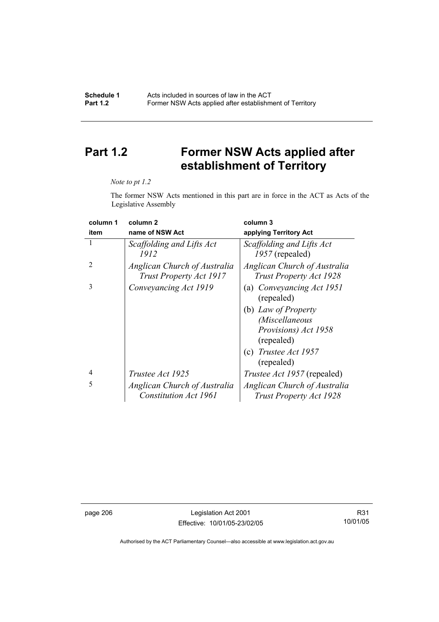# **Part 1.2 Former NSW Acts applied after establishment of Territory**

#### *Note to pt 1.2*

The former NSW Acts mentioned in this part are in force in the ACT as Acts of the Legislative Assembly

| column 1                    | column <sub>2</sub>                                            | column 3                                                |
|-----------------------------|----------------------------------------------------------------|---------------------------------------------------------|
| item                        | name of NSW Act                                                | applying Territory Act                                  |
|                             | Scaffolding and Lifts Act<br>1912                              | Scaffolding and Lifts Act<br>1957 (repealed)            |
| $\mathcal{D}_{\mathcal{A}}$ | Anglican Church of Australia<br><b>Trust Property Act 1917</b> | Anglican Church of Australia<br>Trust Property Act 1928 |
| 3                           | Conveyancing Act 1919                                          | (a) Conveyancing Act 1951<br>(repealed)                 |
|                             |                                                                | (b) Law of Property                                     |
|                             |                                                                | <i>(Miscellaneous</i>                                   |
|                             |                                                                | Provisions) Act 1958<br>(repealed)                      |
|                             |                                                                | (c) Trustee Act $1957$<br>(repealed)                    |
| $\overline{4}$              | <i>Trustee Act 1925</i>                                        | <i>Trustee Act 1957</i> (repealed)                      |
| 5                           | Anglican Church of Australia                                   | Anglican Church of Australia                            |
|                             | <b>Constitution Act 1961</b>                                   | <b>Trust Property Act 1928</b>                          |

page 206 Legislation Act 2001 Effective: 10/01/05-23/02/05

R31 10/01/05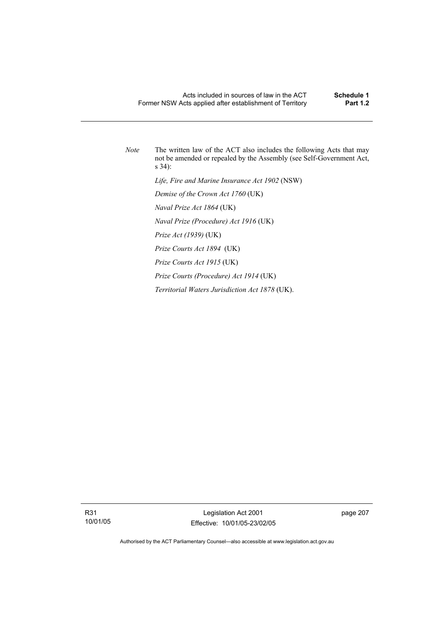*Note* The written law of the ACT also includes the following Acts that may not be amended or repealed by the Assembly (see Self-Government Act, s 34):  *Life, Fire and Marine Insurance Act 1902* (NSW)  *Demise of the Crown Act 1760* (UK)  *Naval Prize Act 1864* (UK)  *Naval Prize (Procedure) Act 1916* (UK)  *Prize Act (1939)* (UK)  *Prize Courts Act 1894* (UK)  *Prize Courts Act 1915* (UK)  *Prize Courts (Procedure) Act 1914* (UK)  *Territorial Waters Jurisdiction Act 1878* (UK).

R31 10/01/05 page 207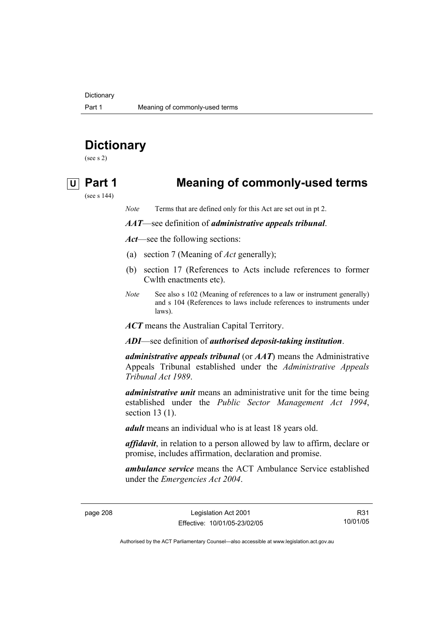**Dictionary** 

# **Dictionary**

(see s 2)

## **U Part 1 Meaning of commonly-used terms**

(see s 144)

*Note* Terms that are defined only for this Act are set out in pt 2.

*AAT*—see definition of *administrative appeals tribunal*.

*Act*—see the following sections:

- (a) section 7 (Meaning of *Act* generally);
- (b) section 17 (References to Acts include references to former Cwlth enactments etc).
- *Note* See also s 102 (Meaning of references to a law or instrument generally) and s 104 (References to laws include references to instruments under laws).

*ACT* means the Australian Capital Territory.

*ADI*—see definition of *authorised deposit-taking institution*.

*administrative appeals tribunal* (or *AAT*) means the Administrative Appeals Tribunal established under the *Administrative Appeals Tribunal Act 1989*.

*administrative unit* means an administrative unit for the time being established under the *Public Sector Management Act 1994*, section 13 (1).

*adult* means an individual who is at least 18 years old.

*affidavit*, in relation to a person allowed by law to affirm, declare or promise, includes affirmation, declaration and promise.

*ambulance service* means the ACT Ambulance Service established under the *Emergencies Act 2004*.

page 208 Legislation Act 2001 Effective: 10/01/05-23/02/05

R31 10/01/05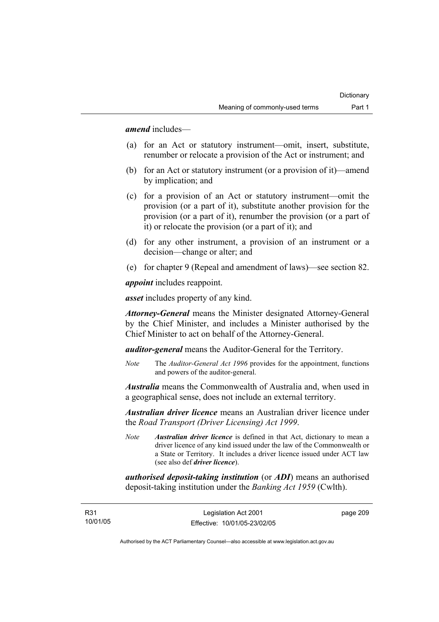*amend* includes—

- (a) for an Act or statutory instrument—omit, insert, substitute, renumber or relocate a provision of the Act or instrument; and
- (b) for an Act or statutory instrument (or a provision of it)—amend by implication; and
- (c) for a provision of an Act or statutory instrument—omit the provision (or a part of it), substitute another provision for the provision (or a part of it), renumber the provision (or a part of it) or relocate the provision (or a part of it); and
- (d) for any other instrument, a provision of an instrument or a decision—change or alter; and
- (e) for chapter 9 (Repeal and amendment of laws)—see section 82.

*appoint* includes reappoint.

*asset* includes property of any kind.

*Attorney-General* means the Minister designated Attorney-General by the Chief Minister, and includes a Minister authorised by the Chief Minister to act on behalf of the Attorney-General.

*auditor-general* means the Auditor-General for the Territory.

*Note* The *Auditor-General Act 1996* provides for the appointment, functions and powers of the auditor-general.

*Australia* means the Commonwealth of Australia and, when used in a geographical sense, does not include an external territory.

*Australian driver licence* means an Australian driver licence under the *Road Transport (Driver Licensing) Act 1999*.

*Note Australian driver licence* is defined in that Act, dictionary to mean a driver licence of any kind issued under the law of the Commonwealth or a State or Territory. It includes a driver licence issued under ACT law (see also def *driver licence*).

*authorised deposit-taking institution* (or *ADI*) means an authorised deposit-taking institution under the *Banking Act 1959* (Cwlth).

page 209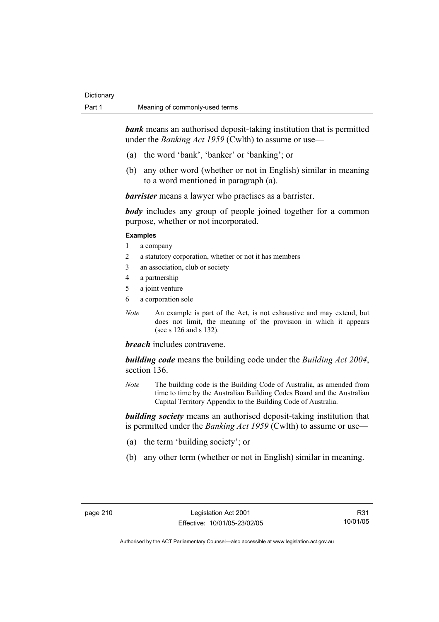*bank* means an authorised deposit-taking institution that is permitted under the *Banking Act 1959* (Cwlth) to assume or use—

- (a) the word 'bank', 'banker' or 'banking'; or
- (b) any other word (whether or not in English) similar in meaning to a word mentioned in paragraph (a).

*barrister* means a lawyer who practises as a barrister.

*body* includes any group of people joined together for a common purpose, whether or not incorporated.

#### **Examples**

- 1 a company
- 2 a statutory corporation, whether or not it has members
- 3 an association, club or society
- 4 a partnership
- 5 a joint venture
- 6 a corporation sole
- *Note* An example is part of the Act, is not exhaustive and may extend, but does not limit, the meaning of the provision in which it appears (see s 126 and s 132).

*breach* includes contravene.

*building code* means the building code under the *Building Act 2004*, section 136.

*Note* The building code is the Building Code of Australia, as amended from time to time by the Australian Building Codes Board and the Australian Capital Territory Appendix to the Building Code of Australia.

*building society* means an authorised deposit-taking institution that is permitted under the *Banking Act 1959* (Cwlth) to assume or use—

- (a) the term 'building society'; or
- (b) any other term (whether or not in English) similar in meaning.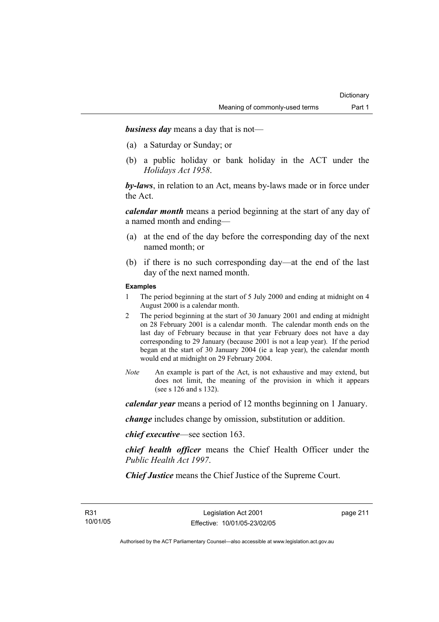*business day* means a day that is not—

- (a) a Saturday or Sunday; or
- (b) a public holiday or bank holiday in the ACT under the *Holidays Act 1958*.

*by-laws*, in relation to an Act, means by-laws made or in force under the Act.

*calendar month* means a period beginning at the start of any day of a named month and ending—

- (a) at the end of the day before the corresponding day of the next named month; or
- (b) if there is no such corresponding day—at the end of the last day of the next named month.

#### **Examples**

- 1 The period beginning at the start of 5 July 2000 and ending at midnight on 4 August 2000 is a calendar month.
- 2 The period beginning at the start of 30 January 2001 and ending at midnight on 28 February 2001 is a calendar month. The calendar month ends on the last day of February because in that year February does not have a day corresponding to 29 January (because 2001 is not a leap year). If the period began at the start of 30 January 2004 (ie a leap year), the calendar month would end at midnight on 29 February 2004.
- *Note* An example is part of the Act, is not exhaustive and may extend, but does not limit, the meaning of the provision in which it appears (see s 126 and s 132).

*calendar year* means a period of 12 months beginning on 1 January.

*change* includes change by omission, substitution or addition.

*chief executive*—see section 163.

*chief health officer* means the Chief Health Officer under the *Public Health Act 1997*.

*Chief Justice* means the Chief Justice of the Supreme Court.

page 211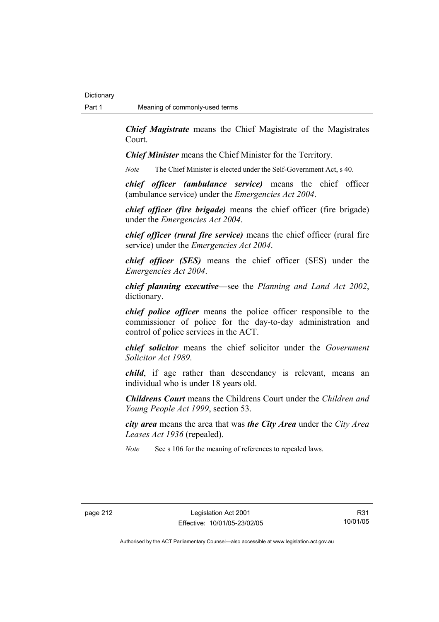*Chief Magistrate* means the Chief Magistrate of the Magistrates Court.

*Chief Minister* means the Chief Minister for the Territory.

*Note* The Chief Minister is elected under the Self-Government Act, s 40.

*chief officer (ambulance service)* means the chief officer (ambulance service) under the *Emergencies Act 2004*.

*chief officer (fire brigade)* means the chief officer (fire brigade) under the *Emergencies Act 2004*.

*chief officer (rural fire service)* means the chief officer (rural fire service) under the *Emergencies Act 2004*.

*chief officer (SES)* means the chief officer (SES) under the *Emergencies Act 2004*.

*chief planning executive*—see the *Planning and Land Act 2002*, dictionary.

*chief police officer* means the police officer responsible to the commissioner of police for the day-to-day administration and control of police services in the ACT.

*chief solicitor* means the chief solicitor under the *Government Solicitor Act 1989*.

*child*, if age rather than descendancy is relevant, means an individual who is under 18 years old.

*Childrens Court* means the Childrens Court under the *Children and Young People Act 1999*, section 53.

*city area* means the area that was *the City Area* under the *City Area Leases Act 1936* (repealed).

*Note* See s 106 for the meaning of references to repealed laws.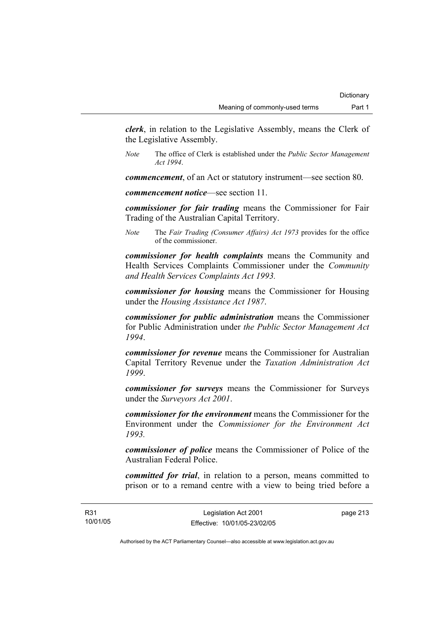*clerk*, in relation to the Legislative Assembly, means the Clerk of the Legislative Assembly.

*Note* The office of Clerk is established under the *Public Sector Management Act 1994*.

*commencement*, of an Act or statutory instrument—see section 80.

*commencement notice*—see section 11.

*commissioner for fair trading* means the Commissioner for Fair Trading of the Australian Capital Territory.

*Note* The *Fair Trading (Consumer Affairs) Act 1973* provides for the office of the commissioner.

*commissioner for health complaints* means the Community and Health Services Complaints Commissioner under the *Community and Health Services Complaints Act 1993.* 

*commissioner for housing* means the Commissioner for Housing under the *Housing Assistance Act 1987*.

*commissioner for public administration* means the Commissioner for Public Administration under *the Public Sector Management Act 1994*.

*commissioner for revenue* means the Commissioner for Australian Capital Territory Revenue under the *Taxation Administration Act 1999*.

*commissioner for surveys* means the Commissioner for Surveys under the *Surveyors Act 2001*.

*commissioner for the environment* means the Commissioner for the Environment under the *Commissioner for the Environment Act 1993.* 

*commissioner of police* means the Commissioner of Police of the Australian Federal Police.

*committed for trial*, in relation to a person, means committed to prison or to a remand centre with a view to being tried before a

page 213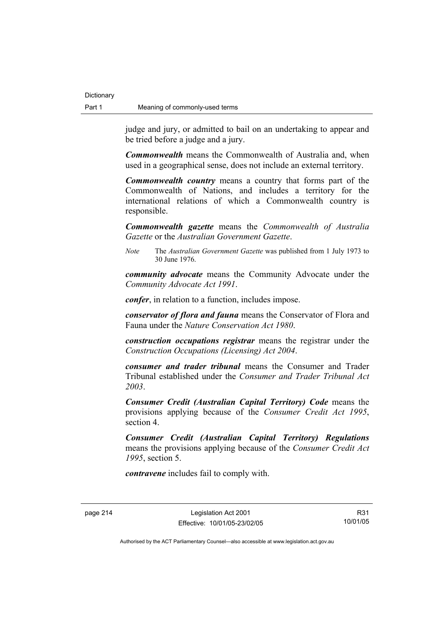**Dictionary** 

judge and jury, or admitted to bail on an undertaking to appear and be tried before a judge and a jury.

*Commonwealth* means the Commonwealth of Australia and, when used in a geographical sense, does not include an external territory.

*Commonwealth country* means a country that forms part of the Commonwealth of Nations, and includes a territory for the international relations of which a Commonwealth country is responsible.

*Commonwealth gazette* means the *Commonwealth of Australia Gazette* or the *Australian Government Gazette*.

*Note* The *Australian Government Gazette* was published from 1 July 1973 to 30 June 1976.

*community advocate* means the Community Advocate under the *Community Advocate Act 1991*.

*confer*, in relation to a function, includes impose.

*conservator of flora and fauna* means the Conservator of Flora and Fauna under the *Nature Conservation Act 1980*.

*construction occupations registrar* means the registrar under the *Construction Occupations (Licensing) Act 2004*.

*consumer and trader tribunal* means the Consumer and Trader Tribunal established under the *Consumer and Trader Tribunal Act 2003*.

*Consumer Credit (Australian Capital Territory) Code* means the provisions applying because of the *Consumer Credit Act 1995*, section 4.

*Consumer Credit (Australian Capital Territory) Regulations* means the provisions applying because of the *Consumer Credit Act 1995*, section 5.

*contravene* includes fail to comply with.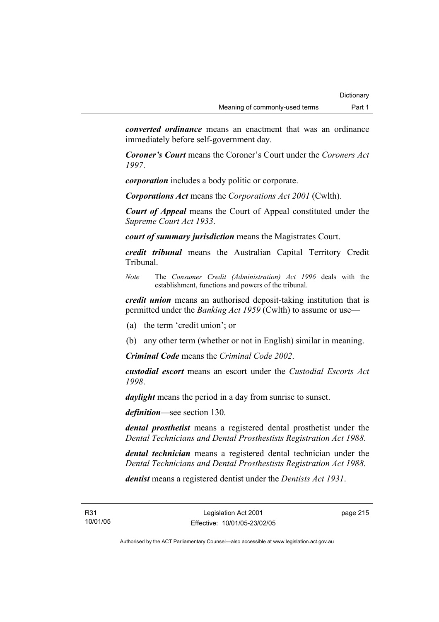*converted ordinance* means an enactment that was an ordinance immediately before self-government day.

*Coroner's Court* means the Coroner's Court under the *Coroners Act 1997*.

*corporation* includes a body politic or corporate.

*Corporations Act* means the *Corporations Act 2001* (Cwlth).

*Court of Appeal* means the Court of Appeal constituted under the *Supreme Court Act 1933*.

*court of summary jurisdiction* means the Magistrates Court.

*credit tribunal* means the Australian Capital Territory Credit Tribunal.

*Note* The *Consumer Credit (Administration) Act 1996* deals with the establishment, functions and powers of the tribunal.

*credit union* means an authorised deposit-taking institution that is permitted under the *Banking Act 1959* (Cwlth) to assume or use—

(a) the term 'credit union'; or

(b) any other term (whether or not in English) similar in meaning.

*Criminal Code* means the *Criminal Code 2002*.

*custodial escort* means an escort under the *Custodial Escorts Act 1998*.

*daylight* means the period in a day from sunrise to sunset.

*definition*—see section 130.

*dental prosthetist* means a registered dental prosthetist under the *Dental Technicians and Dental Prosthestists Registration Act 1988*.

*dental technician* means a registered dental technician under the *Dental Technicians and Dental Prosthestists Registration Act 1988*.

*dentist* means a registered dentist under the *Dentists Act 1931*.

page 215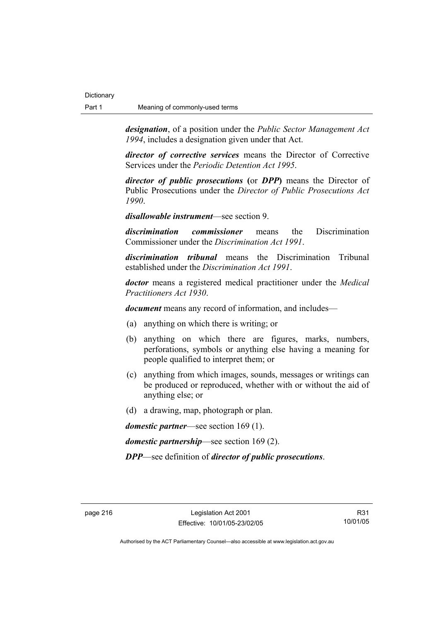*designation*, of a position under the *Public Sector Management Act 1994*, includes a designation given under that Act.

*director of corrective services* means the Director of Corrective Services under the *Periodic Detention Act 1995*.

*director of public prosecutions* **(**or *DPP***)** means the Director of Public Prosecutions under the *Director of Public Prosecutions Act 1990*.

*disallowable instrument*—see section 9.

*discrimination commissioner* means the Discrimination Commissioner under the *Discrimination Act 1991*.

*discrimination tribunal* means the Discrimination Tribunal established under the *Discrimination Act 1991*.

*doctor* means a registered medical practitioner under the *Medical Practitioners Act 1930*.

*document* means any record of information, and includes—

- (a) anything on which there is writing; or
- (b) anything on which there are figures, marks, numbers, perforations, symbols or anything else having a meaning for people qualified to interpret them; or
- (c) anything from which images, sounds, messages or writings can be produced or reproduced, whether with or without the aid of anything else; or
- (d) a drawing, map, photograph or plan.

*domestic partner*—see section 169 (1).

*domestic partnership*—see section 169 (2).

*DPP*—see definition of *director of public prosecutions*.

R31 10/01/05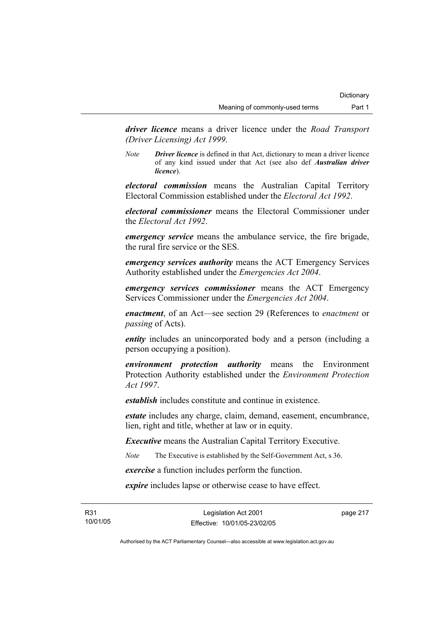*driver licence* means a driver licence under the *Road Transport (Driver Licensing) Act 1999*.

*Note Driver licence* is defined in that Act, dictionary to mean a driver licence of any kind issued under that Act (see also def *Australian driver licence*).

*electoral commission* means the Australian Capital Territory Electoral Commission established under the *Electoral Act 1992*.

*electoral commissioner* means the Electoral Commissioner under the *Electoral Act 1992*.

*emergency service* means the ambulance service, the fire brigade, the rural fire service or the SES.

*emergency services authority* means the ACT Emergency Services Authority established under the *Emergencies Act 2004*.

*emergency services commissioner* means the ACT Emergency Services Commissioner under the *Emergencies Act 2004*.

*enactment*, of an Act—see section 29 (References to *enactment* or *passing* of Acts).

*entity* includes an unincorporated body and a person (including a person occupying a position).

*environment protection authority* means the Environment Protection Authority established under the *Environment Protection Act 1997*.

*establish* includes constitute and continue in existence.

*estate* includes any charge, claim, demand, easement, encumbrance, lien, right and title, whether at law or in equity.

*Executive* means the Australian Capital Territory Executive.

*Note* The Executive is established by the Self-Government Act, s 36.

*exercise* a function includes perform the function.

*expire* includes lapse or otherwise cease to have effect.

R31 10/01/05 page 217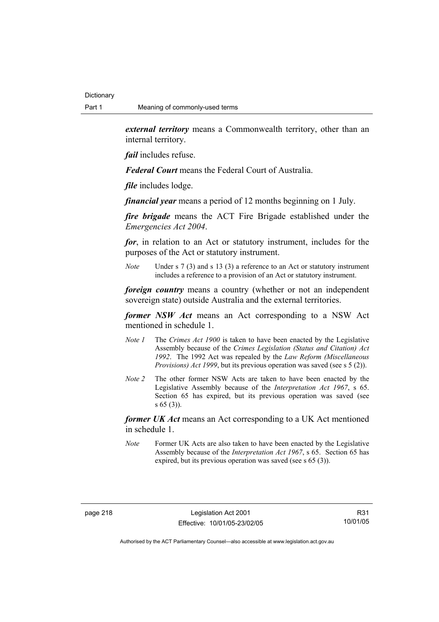*external territory* means a Commonwealth territory, other than an internal territory.

*fail* includes refuse.

*Federal Court* means the Federal Court of Australia.

*file* includes lodge.

*financial year* means a period of 12 months beginning on 1 July.

*fire brigade* means the ACT Fire Brigade established under the *Emergencies Act 2004*.

*for*, in relation to an Act or statutory instrument, includes for the purposes of the Act or statutory instrument.

*Note* Under s 7 (3) and s 13 (3) a reference to an Act or statutory instrument includes a reference to a provision of an Act or statutory instrument.

*foreign country* means a country (whether or not an independent sovereign state) outside Australia and the external territories.

*former NSW Act* means an Act corresponding to a NSW Act mentioned in schedule 1.

- *Note 1* The *Crimes Act 1900* is taken to have been enacted by the Legislative Assembly because of the *Crimes Legislation (Status and Citation) Act 1992*. The 1992 Act was repealed by the *Law Reform (Miscellaneous Provisions) Act 1999*, but its previous operation was saved (see s 5 (2)).
- *Note 2* The other former NSW Acts are taken to have been enacted by the Legislative Assembly because of the *Interpretation Act 1967*, s 65. Section 65 has expired, but its previous operation was saved (see s 65 (3)).

*former UK Act* means an Act corresponding to a UK Act mentioned in schedule 1.

*Note* Former UK Acts are also taken to have been enacted by the Legislative Assembly because of the *Interpretation Act 1967*, s 65. Section 65 has expired, but its previous operation was saved (see s 65 (3)).

R31 10/01/05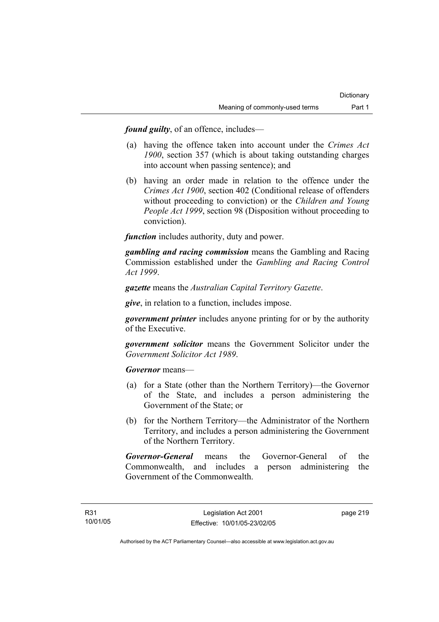*found guilty*, of an offence, includes—

- (a) having the offence taken into account under the *Crimes Act 1900*, section 357 (which is about taking outstanding charges into account when passing sentence); and
- (b) having an order made in relation to the offence under the *Crimes Act 1900*, section 402 (Conditional release of offenders without proceeding to conviction) or the *Children and Young People Act 1999*, section 98 (Disposition without proceeding to conviction).

*function* includes authority, duty and power.

*gambling and racing commission* means the Gambling and Racing Commission established under the *Gambling and Racing Control Act 1999*.

*gazette* means the *Australian Capital Territory Gazette*.

*give*, in relation to a function, includes impose.

*government printer* includes anyone printing for or by the authority of the Executive.

*government solicitor* means the Government Solicitor under the *Government Solicitor Act 1989*.

*Governor* means—

- (a) for a State (other than the Northern Territory)—the Governor of the State, and includes a person administering the Government of the State; or
- (b) for the Northern Territory—the Administrator of the Northern Territory, and includes a person administering the Government of the Northern Territory.

*Governor-General* means the Governor-General of the Commonwealth, and includes a person administering the Government of the Commonwealth.

page 219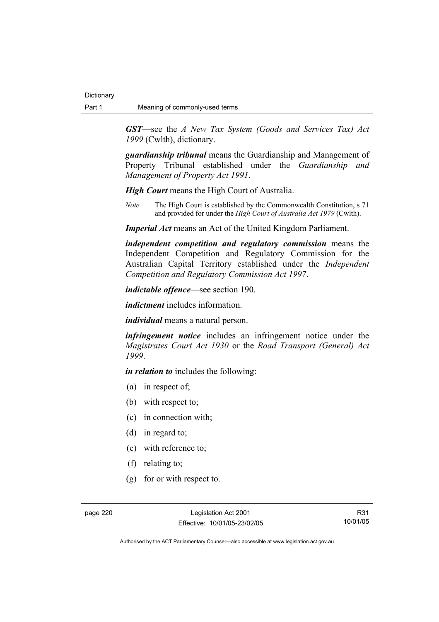*GST*—see the *A New Tax System (Goods and Services Tax) Act 1999* (Cwlth), dictionary.

*guardianship tribunal* means the Guardianship and Management of Property Tribunal established under the *Guardianship and Management of Property Act 1991*.

*High Court* means the High Court of Australia.

*Note* The High Court is established by the Commonwealth Constitution, s 71 and provided for under the *High Court of Australia Act 1979* (Cwlth).

*Imperial Act* means an Act of the United Kingdom Parliament.

*independent competition and regulatory commission* means the Independent Competition and Regulatory Commission for the Australian Capital Territory established under the *Independent Competition and Regulatory Commission Act 1997*.

*indictable offence*—see section 190.

*indictment* includes information.

*individual* means a natural person.

*infringement notice* includes an infringement notice under the *Magistrates Court Act 1930* or the *Road Transport (General) Act 1999*.

*in relation to* includes the following:

- (a) in respect of;
- (b) with respect to;
- (c) in connection with;
- (d) in regard to;
- (e) with reference to;
- (f) relating to;
- (g) for or with respect to.

page 220 Legislation Act 2001 Effective: 10/01/05-23/02/05

R31 10/01/05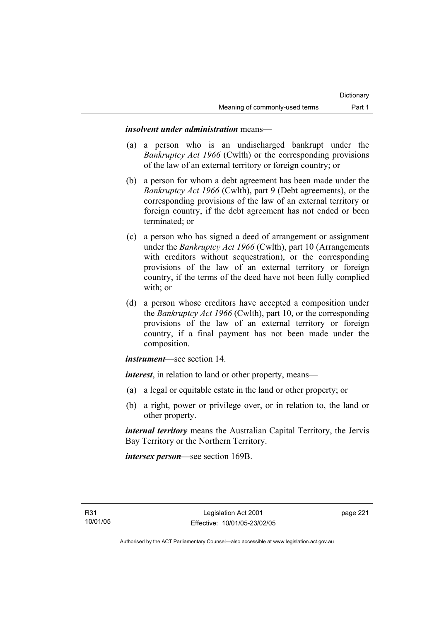## *insolvent under administration* means—

- (a) a person who is an undischarged bankrupt under the *Bankruptcy Act 1966* (Cwlth) or the corresponding provisions of the law of an external territory or foreign country; or
- (b) a person for whom a debt agreement has been made under the *Bankruptcy Act 1966* (Cwlth), part 9 (Debt agreements), or the corresponding provisions of the law of an external territory or foreign country, if the debt agreement has not ended or been terminated; or
- (c) a person who has signed a deed of arrangement or assignment under the *Bankruptcy Act 1966* (Cwlth), part 10 (Arrangements with creditors without sequestration), or the corresponding provisions of the law of an external territory or foreign country, if the terms of the deed have not been fully complied with; or
- (d) a person whose creditors have accepted a composition under the *Bankruptcy Act 1966* (Cwlth), part 10, or the corresponding provisions of the law of an external territory or foreign country, if a final payment has not been made under the composition.

*instrument*—see section 14.

*interest*, in relation to land or other property, means—

- (a) a legal or equitable estate in the land or other property; or
- (b) a right, power or privilege over, or in relation to, the land or other property.

*internal territory* means the Australian Capital Territory, the Jervis Bay Territory or the Northern Territory.

*intersex person*—see section 169B.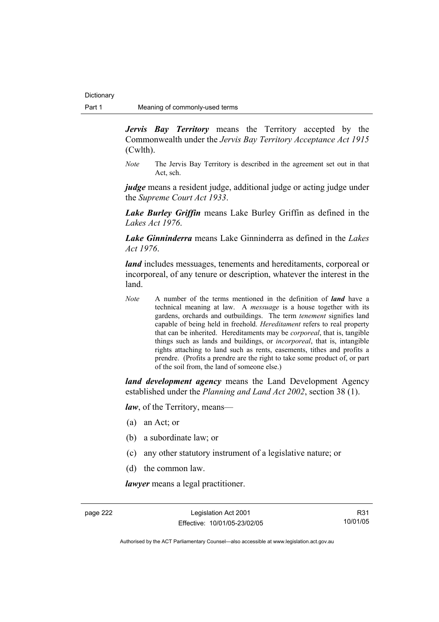*Jervis Bay Territory* means the Territory accepted by the Commonwealth under the *Jervis Bay Territory Acceptance Act 1915* (Cwlth).

*Note* The Jervis Bay Territory is described in the agreement set out in that Act, sch.

*judge* means a resident judge, additional judge or acting judge under the *Supreme Court Act 1933*.

*Lake Burley Griffin* means Lake Burley Griffin as defined in the *Lakes Act 1976*.

*Lake Ginninderra* means Lake Ginninderra as defined in the *Lakes Act 1976*.

*land* includes messuages, tenements and hereditaments, corporeal or incorporeal, of any tenure or description, whatever the interest in the land.

*Note* A number of the terms mentioned in the definition of *land* have a technical meaning at law. A *messuage* is a house together with its gardens, orchards and outbuildings. The term *tenement* signifies land capable of being held in freehold. *Hereditament* refers to real property that can be inherited. Hereditaments may be *corporeal*, that is, tangible things such as lands and buildings, or *incorporeal*, that is, intangible rights attaching to land such as rents, easements, tithes and profits a prendre. (Profits a prendre are the right to take some product of, or part of the soil from, the land of someone else.)

*land development agency* means the Land Development Agency established under the *Planning and Land Act 2002*, section 38 (1).

*law*, of the Territory, means—

- (a) an Act; or
- (b) a subordinate law; or
- (c) any other statutory instrument of a legislative nature; or
- (d) the common law.

*lawyer* means a legal practitioner.

page 222 Legislation Act 2001 Effective: 10/01/05-23/02/05

R31 10/01/05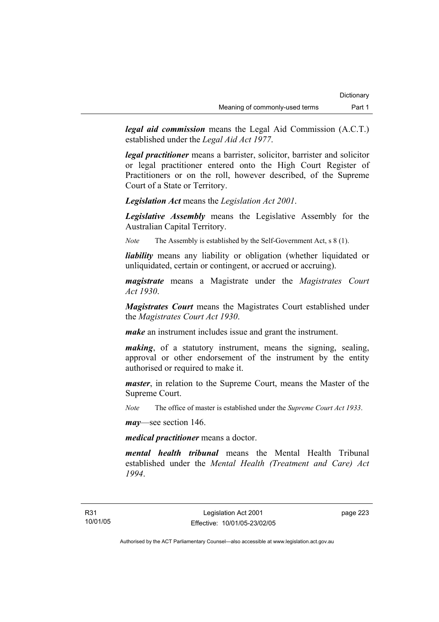*legal aid commission* means the Legal Aid Commission (A.C.T.) established under the *Legal Aid Act 1977*.

*legal practitioner* means a barrister, solicitor, barrister and solicitor or legal practitioner entered onto the High Court Register of Practitioners or on the roll, however described, of the Supreme Court of a State or Territory.

*Legislation Act* means the *Legislation Act 2001*.

*Legislative Assembly* means the Legislative Assembly for the Australian Capital Territory.

*Note* The Assembly is established by the Self-Government Act, s 8 (1).

*liability* means any liability or obligation (whether liquidated or unliquidated, certain or contingent, or accrued or accruing).

*magistrate* means a Magistrate under the *Magistrates Court Act 1930*.

*Magistrates Court* means the Magistrates Court established under the *Magistrates Court Act 1930*.

*make* an instrument includes issue and grant the instrument.

*making*, of a statutory instrument, means the signing, sealing, approval or other endorsement of the instrument by the entity authorised or required to make it.

*master*, in relation to the Supreme Court, means the Master of the Supreme Court.

*Note* The office of master is established under the *Supreme Court Act 1933*.

*may*—see section 146.

*medical practitioner* means a doctor.

*mental health tribunal* means the Mental Health Tribunal established under the *Mental Health (Treatment and Care) Act 1994*.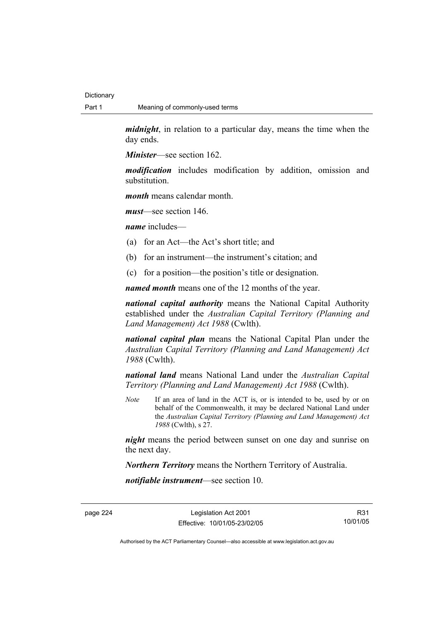*midnight*, in relation to a particular day, means the time when the day ends.

*Minister*—see section 162.

*modification* includes modification by addition, omission and substitution.

*month* means calendar month.

*must*—see section 146.

*name* includes—

- (a) for an Act—the Act's short title; and
- (b) for an instrument—the instrument's citation; and
- (c) for a position—the position's title or designation.

*named month* means one of the 12 months of the year.

*national capital authority* means the National Capital Authority established under the *Australian Capital Territory (Planning and Land Management) Act 1988* (Cwlth).

*national capital plan* means the National Capital Plan under the *Australian Capital Territory (Planning and Land Management) Act 1988* (Cwlth).

*national land* means National Land under the *Australian Capital Territory (Planning and Land Management) Act 1988* (Cwlth).

*Note* If an area of land in the ACT is, or is intended to be, used by or on behalf of the Commonwealth, it may be declared National Land under the *Australian Capital Territory (Planning and Land Management) Act 1988* (Cwlth), s 27.

*night* means the period between sunset on one day and sunrise on the next day.

*Northern Territory* means the Northern Territory of Australia.

*notifiable instrument*—see section 10.

page 224 Legislation Act 2001 Effective: 10/01/05-23/02/05

R31 10/01/05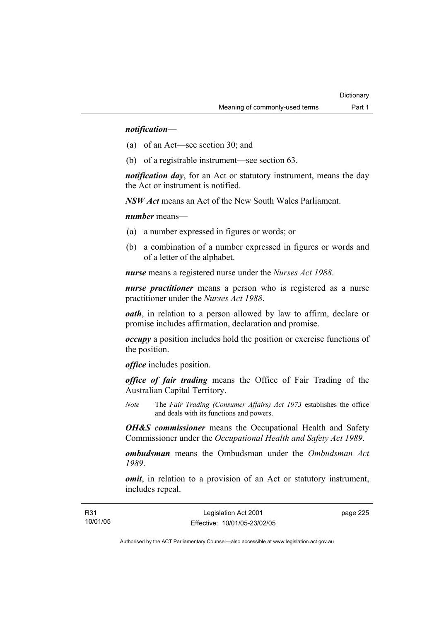## *notification*—

- (a) of an Act—see section 30; and
- (b) of a registrable instrument—see section 63.

*notification day*, for an Act or statutory instrument, means the day the Act or instrument is notified.

*NSW Act* means an Act of the New South Wales Parliament.

#### *number* means—

- (a) a number expressed in figures or words; or
- (b) a combination of a number expressed in figures or words and of a letter of the alphabet.

*nurse* means a registered nurse under the *Nurses Act 1988*.

*nurse practitioner* means a person who is registered as a nurse practitioner under the *Nurses Act 1988*.

*oath*, in relation to a person allowed by law to affirm, declare or promise includes affirmation, declaration and promise.

*occupy* a position includes hold the position or exercise functions of the position.

*office* includes position.

*office of fair trading* means the Office of Fair Trading of the Australian Capital Territory.

*Note* The *Fair Trading (Consumer Affairs) Act 1973* establishes the office and deals with its functions and powers.

*OH&S commissioner* means the Occupational Health and Safety Commissioner under the *Occupational Health and Safety Act 1989*.

*ombudsman* means the Ombudsman under the *Ombudsman Act 1989*.

*omit*, in relation to a provision of an Act or statutory instrument, includes repeal.

| R31      | Legislation Act 2001         | page 225 |
|----------|------------------------------|----------|
| 10/01/05 | Effective: 10/01/05-23/02/05 |          |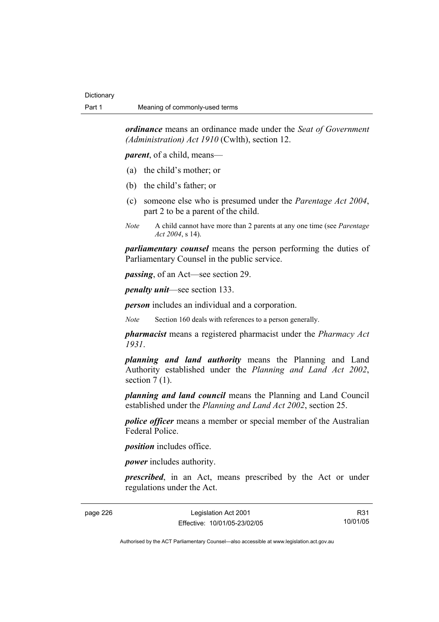*ordinance* means an ordinance made under the *Seat of Government (Administration) Act 1910* (Cwlth), section 12.

*parent*, of a child, means—

- (a) the child's mother; or
- (b) the child's father; or
- (c) someone else who is presumed under the *Parentage Act 2004*, part 2 to be a parent of the child.
- *Note* A child cannot have more than 2 parents at any one time (see *Parentage Act 2004*, s 14).

*parliamentary counsel* means the person performing the duties of Parliamentary Counsel in the public service.

*passing*, of an Act—see section 29.

*penalty unit*—see section 133.

*person* includes an individual and a corporation.

*Note* Section 160 deals with references to a person generally.

*pharmacist* means a registered pharmacist under the *Pharmacy Act 1931*.

*planning and land authority* means the Planning and Land Authority established under the *Planning and Land Act 2002*, section  $7(1)$ .

*planning and land council* means the Planning and Land Council established under the *Planning and Land Act 2002*, section 25.

*police officer* means a member or special member of the Australian Federal Police.

*position* includes office.

*power* includes authority.

*prescribed*, in an Act, means prescribed by the Act or under regulations under the Act.

| page 226 |  |  |
|----------|--|--|
|----------|--|--|

page 226 Legislation Act 2001 Effective: 10/01/05-23/02/05

R31 10/01/05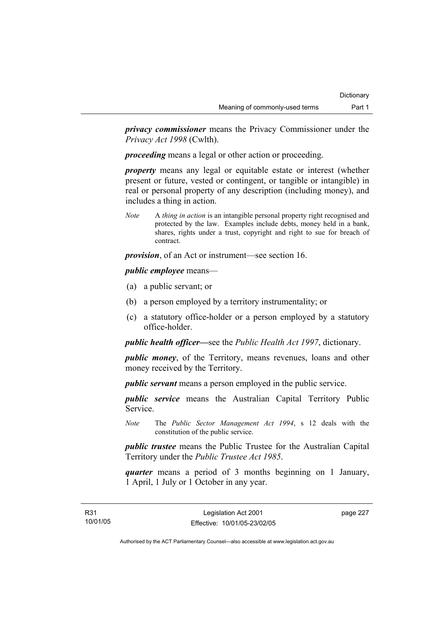*privacy commissioner* means the Privacy Commissioner under the *Privacy Act 1998* (Cwlth).

*proceeding* means a legal or other action or proceeding.

*property* means any legal or equitable estate or interest (whether present or future, vested or contingent, or tangible or intangible) in real or personal property of any description (including money), and includes a thing in action.

*Note* A *thing in action* is an intangible personal property right recognised and protected by the law. Examples include debts, money held in a bank, shares, rights under a trust, copyright and right to sue for breach of contract.

*provision*, of an Act or instrument—see section 16.

## *public employee* means—

- (a) a public servant; or
- (b) a person employed by a territory instrumentality; or
- (c) a statutory office-holder or a person employed by a statutory office-holder.

*public health officer—*see the *Public Health Act 1997*, dictionary.

*public money*, of the Territory, means revenues, loans and other money received by the Territory.

*public servant* means a person employed in the public service.

*public service* means the Australian Capital Territory Public Service.

*Note* The *Public Sector Management Act 1994*, s 12 deals with the constitution of the public service.

*public trustee* means the Public Trustee for the Australian Capital Territory under the *Public Trustee Act 1985*.

*quarter* means a period of 3 months beginning on 1 January, 1 April, 1 July or 1 October in any year.

page 227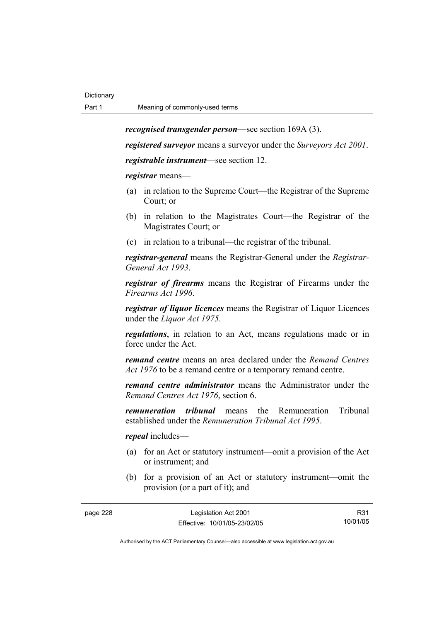*recognised transgender person*—see section 169A (3).

*registered surveyor* means a surveyor under the *Surveyors Act 2001*.

*registrable instrument*—see section 12.

*registrar* means—

- (a) in relation to the Supreme Court—the Registrar of the Supreme Court; or
- (b) in relation to the Magistrates Court—the Registrar of the Magistrates Court; or
- (c) in relation to a tribunal—the registrar of the tribunal.

*registrar-general* means the Registrar-General under the *Registrar-General Act 1993*.

*registrar of firearms* means the Registrar of Firearms under the *Firearms Act 1996*.

*registrar of liquor licences* means the Registrar of Liquor Licences under the *Liquor Act 1975*.

*regulations*, in relation to an Act, means regulations made or in force under the Act.

*remand centre* means an area declared under the *Remand Centres Act 1976* to be a remand centre or a temporary remand centre.

*remand centre administrator* means the Administrator under the *Remand Centres Act 1976*, section 6.

*remuneration tribunal* means the Remuneration Tribunal established under the *Remuneration Tribunal Act 1995*.

*repeal* includes—

- (a) for an Act or statutory instrument—omit a provision of the Act or instrument; and
- (b) for a provision of an Act or statutory instrument—omit the provision (or a part of it); and

| page 228 | Legislation Act 2001         | R31      |
|----------|------------------------------|----------|
|          | Effective: 10/01/05-23/02/05 | 10/01/05 |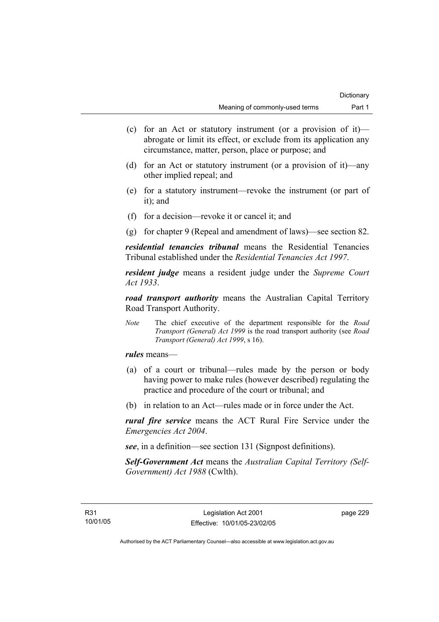- (c) for an Act or statutory instrument (or a provision of it) abrogate or limit its effect, or exclude from its application any circumstance, matter, person, place or purpose; and
- (d) for an Act or statutory instrument (or a provision of it)—any other implied repeal; and
- (e) for a statutory instrument—revoke the instrument (or part of it); and
- (f) for a decision—revoke it or cancel it; and
- (g) for chapter 9 (Repeal and amendment of laws)—see section 82.

*residential tenancies tribunal* means the Residential Tenancies Tribunal established under the *Residential Tenancies Act 1997*.

*resident judge* means a resident judge under the *Supreme Court Act 1933*.

*road transport authority* means the Australian Capital Territory Road Transport Authority.

*Note* The chief executive of the department responsible for the *Road Transport (General) Act 1999* is the road transport authority (see *Road Transport (General) Act 1999*, s 16).

*rules* means—

- (a) of a court or tribunal—rules made by the person or body having power to make rules (however described) regulating the practice and procedure of the court or tribunal; and
- (b) in relation to an Act—rules made or in force under the Act.

*rural fire service* means the ACT Rural Fire Service under the *Emergencies Act 2004*.

*see*, in a definition—see section 131 (Signpost definitions).

*Self-Government Act* means the *Australian Capital Territory (Self-Government) Act 1988* (Cwlth).

page 229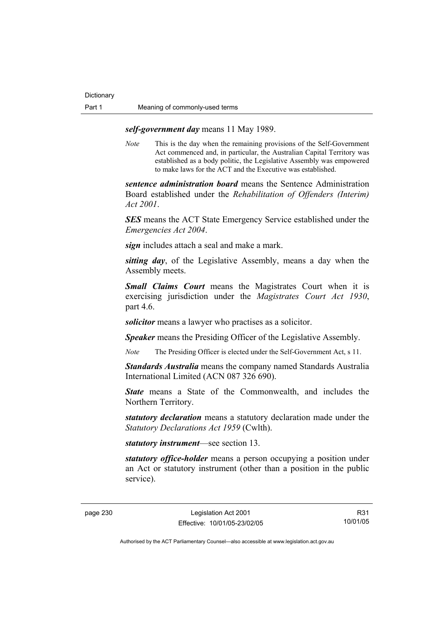## *self-government day* means 11 May 1989.

*Note* This is the day when the remaining provisions of the Self-Government Act commenced and, in particular, the Australian Capital Territory was established as a body politic, the Legislative Assembly was empowered to make laws for the ACT and the Executive was established.

*sentence administration board* means the Sentence Administration Board established under the *Rehabilitation of Offenders (Interim) Act 2001*.

*SES* means the ACT State Emergency Service established under the *Emergencies Act 2004*.

*sign* includes attach a seal and make a mark.

*sitting day*, of the Legislative Assembly, means a day when the Assembly meets.

*Small Claims Court* means the Magistrates Court when it is exercising jurisdiction under the *Magistrates Court Act 1930*, part 4.6.

*solicitor* means a lawyer who practises as a solicitor.

*Speaker* means the Presiding Officer of the Legislative Assembly.

*Note* The Presiding Officer is elected under the Self-Government Act, s 11.

*Standards Australia* means the company named Standards Australia International Limited (ACN 087 326 690).

*State* means a State of the Commonwealth, and includes the Northern Territory.

*statutory declaration* means a statutory declaration made under the *Statutory Declarations Act 1959* (Cwlth).

*statutory instrument*—see section 13.

*statutory office-holder* means a person occupying a position under an Act or statutory instrument (other than a position in the public service).

R31 10/01/05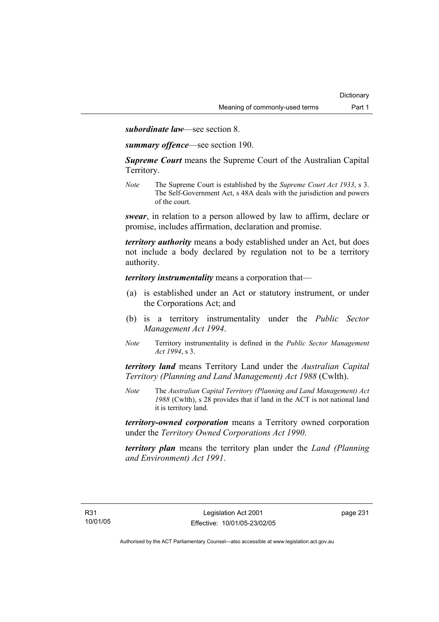*subordinate law*—see section 8.

*summary offence*—see section 190.

*Supreme Court* means the Supreme Court of the Australian Capital Territory.

*Note* The Supreme Court is established by the *Supreme Court Act 1933*, s 3. The Self-Government Act, s 48A deals with the jurisdiction and powers of the court.

*swear*, in relation to a person allowed by law to affirm, declare or promise, includes affirmation, declaration and promise.

*territory authority* means a body established under an Act, but does not include a body declared by regulation not to be a territory authority.

*territory instrumentality* means a corporation that—

- (a) is established under an Act or statutory instrument, or under the Corporations Act; and
- (b) is a territory instrumentality under the *Public Sector Management Act 1994*.
- *Note* Territory instrumentality is defined in the *Public Sector Management Act 1994*, s 3.

*territory land* means Territory Land under the *Australian Capital Territory (Planning and Land Management) Act 1988* (Cwlth).

*Note* The *Australian Capital Territory (Planning and Land Management) Act 1988* (Cwlth), s 28 provides that if land in the ACT is not national land it is territory land.

*territory-owned corporation* means a Territory owned corporation under the *Territory Owned Corporations Act 1990*.

*territory plan* means the territory plan under the *Land (Planning and Environment) Act 1991*.

page 231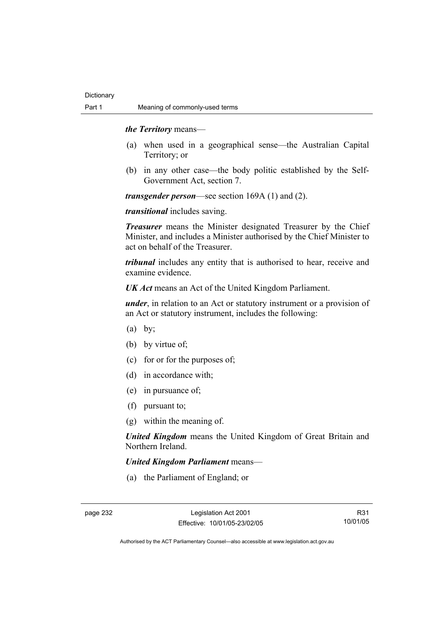#### *the Territory* means—

- (a) when used in a geographical sense—the Australian Capital Territory; or
- (b) in any other case—the body politic established by the Self-Government Act, section 7.

*transgender person*—see section 169A (1) and (2).

*transitional* includes saving.

*Treasurer* means the Minister designated Treasurer by the Chief Minister, and includes a Minister authorised by the Chief Minister to act on behalf of the Treasurer.

*tribunal* includes any entity that is authorised to hear, receive and examine evidence.

*UK Act* means an Act of the United Kingdom Parliament.

*under*, in relation to an Act or statutory instrument or a provision of an Act or statutory instrument, includes the following:

- $(a)$  by:
- (b) by virtue of;
- (c) for or for the purposes of;
- (d) in accordance with;
- (e) in pursuance of;
- (f) pursuant to;
- (g) within the meaning of.

*United Kingdom* means the United Kingdom of Great Britain and Northern Ireland.

### *United Kingdom Parliament* means—

(a) the Parliament of England; or

R31 10/01/05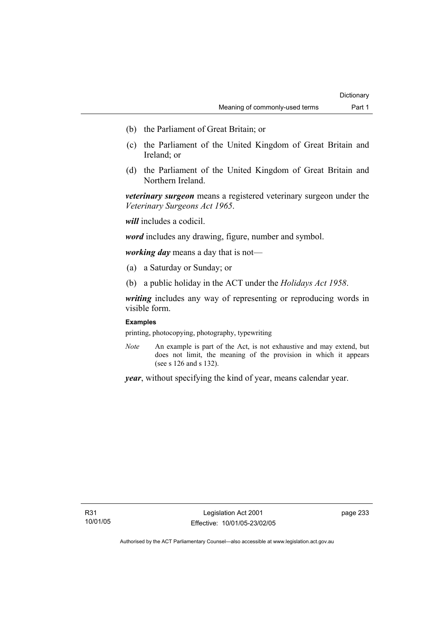- (b) the Parliament of Great Britain; or
- (c) the Parliament of the United Kingdom of Great Britain and Ireland; or
- (d) the Parliament of the United Kingdom of Great Britain and Northern Ireland.

*veterinary surgeon* means a registered veterinary surgeon under the *Veterinary Surgeons Act 1965*.

*will* includes a codicil.

*word* includes any drawing, figure, number and symbol.

*working day* means a day that is not—

- (a) a Saturday or Sunday; or
- (b) a public holiday in the ACT under the *Holidays Act 1958*.

*writing* includes any way of representing or reproducing words in visible form.

#### **Examples**

printing, photocopying, photography, typewriting

*Note* An example is part of the Act, is not exhaustive and may extend, but does not limit, the meaning of the provision in which it appears (see s 126 and s 132).

*year*, without specifying the kind of year, means calendar year.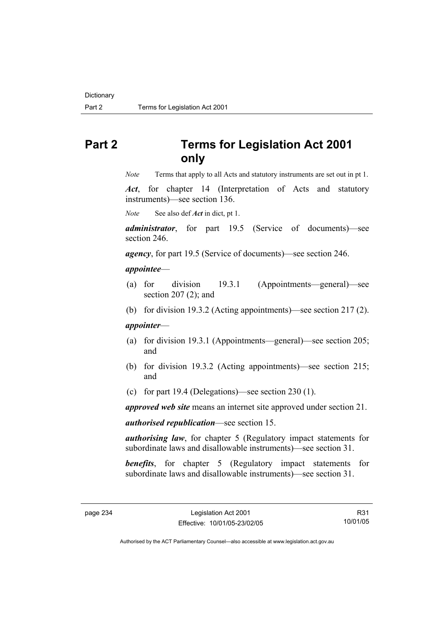# **Part 2 Terms for Legislation Act 2001 only**

*Note* Terms that apply to all Acts and statutory instruments are set out in pt 1.

*Act*, for chapter 14 (Interpretation of Acts and statutory instruments)—see section 136.

*Note* See also def *Act* in dict, pt 1.

*administrator*, for part 19.5 (Service of documents)—see section 246.

*agency*, for part 19.5 (Service of documents)—see section 246.

#### *appointee*—

- (a) for division 19.3.1 (Appointments—general)—see section 207 (2); and
- (b) for division 19.3.2 (Acting appointments)—see section 217 (2).

#### *appointer*—

- (a) for division 19.3.1 (Appointments—general)—see section 205; and
- (b) for division 19.3.2 (Acting appointments)—see section 215; and
- (c) for part 19.4 (Delegations)—see section 230 (1).

*approved web site* means an internet site approved under section 21.

*authorised republication*—see section 15.

*authorising law*, for chapter 5 (Regulatory impact statements for subordinate laws and disallowable instruments)—see section 31.

**benefits**, for chapter 5 (Regulatory impact statements for subordinate laws and disallowable instruments)—see section 31.

R31 10/01/05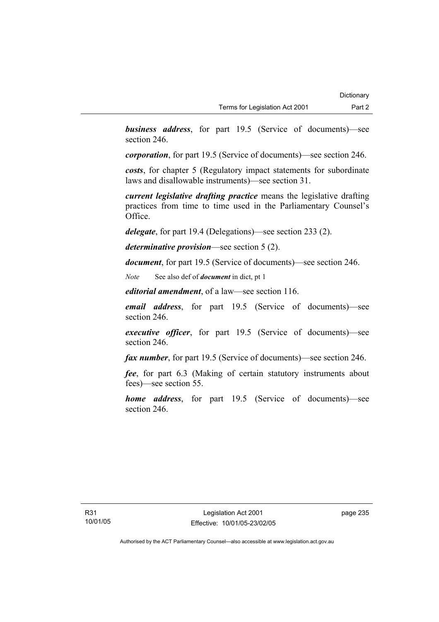*business address*, for part 19.5 (Service of documents)—see section 246.

*corporation*, for part 19.5 (Service of documents)—see section 246.

*costs*, for chapter 5 (Regulatory impact statements for subordinate laws and disallowable instruments)—see section 31.

*current legislative drafting practice* means the legislative drafting practices from time to time used in the Parliamentary Counsel's Office.

*delegate*, for part 19.4 (Delegations)—see section 233 (2).

*determinative provision*—see section 5 (2).

*document*, for part 19.5 (Service of documents)—see section 246.

*Note* See also def of *document* in dict, pt 1

*editorial amendment*, of a law—see section 116.

*email address*, for part 19.5 (Service of documents)—see section 246.

*executive officer*, for part 19.5 (Service of documents)—see section 246.

*fax number*, for part 19.5 (Service of documents)—see section 246.

*fee*, for part 6.3 (Making of certain statutory instruments about fees)—see section 55.

*home address*, for part 19.5 (Service of documents)—see section 246.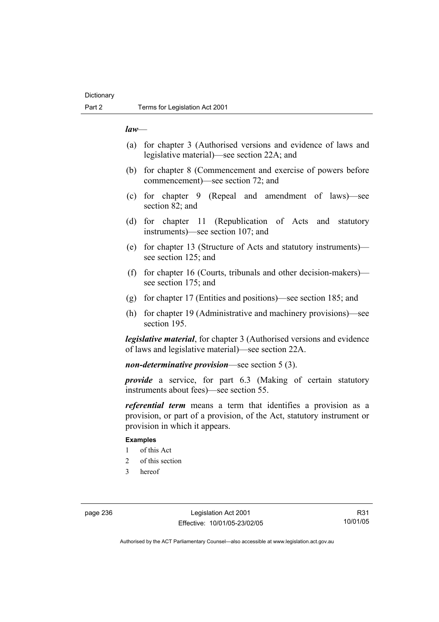#### *law*—

- (a) for chapter 3 (Authorised versions and evidence of laws and legislative material)—see section 22A; and
- (b) for chapter 8 (Commencement and exercise of powers before commencement)—see section 72; and
- (c) for chapter 9 (Repeal and amendment of laws)—see section 82; and
- (d) for chapter 11 (Republication of Acts and statutory instruments)—see section 107; and
- (e) for chapter 13 (Structure of Acts and statutory instruments) see section 125; and
- (f) for chapter 16 (Courts, tribunals and other decision-makers) see section 175; and
- (g) for chapter 17 (Entities and positions)—see section 185; and
- (h) for chapter 19 (Administrative and machinery provisions)—see section 195.

*legislative material*, for chapter 3 (Authorised versions and evidence of laws and legislative material)—see section 22A.

*non-determinative provision*—see section 5 (3).

*provide* a service, for part 6.3 (Making of certain statutory instruments about fees)—see section 55.

*referential term* means a term that identifies a provision as a provision, or part of a provision, of the Act, statutory instrument or provision in which it appears.

#### **Examples**

- 1 of this Act
- 2 of this section
- 3 hereof

page 236 Legislation Act 2001 Effective: 10/01/05-23/02/05

R31 10/01/05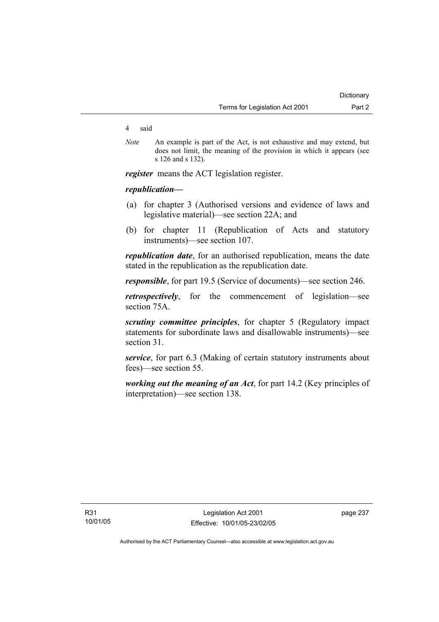#### 4 said

*Note* An example is part of the Act, is not exhaustive and may extend, but does not limit, the meaning of the provision in which it appears (see s 126 and s 132).

*register* means the ACT legislation register.

### *republication—*

- (a) for chapter 3 (Authorised versions and evidence of laws and legislative material)—see section 22A; and
- (b) for chapter 11 (Republication of Acts and statutory instruments)—see section 107.

*republication date*, for an authorised republication, means the date stated in the republication as the republication date.

*responsible*, for part 19.5 (Service of documents)—see section 246.

*retrospectively*, for the commencement of legislation—see section 75A.

*scrutiny committee principles*, for chapter 5 (Regulatory impact statements for subordinate laws and disallowable instruments)—see section 31.

*service*, for part 6.3 (Making of certain statutory instruments about fees)—see section 55.

*working out the meaning of an Act*, for part 14.2 (Key principles of interpretation)—see section 138.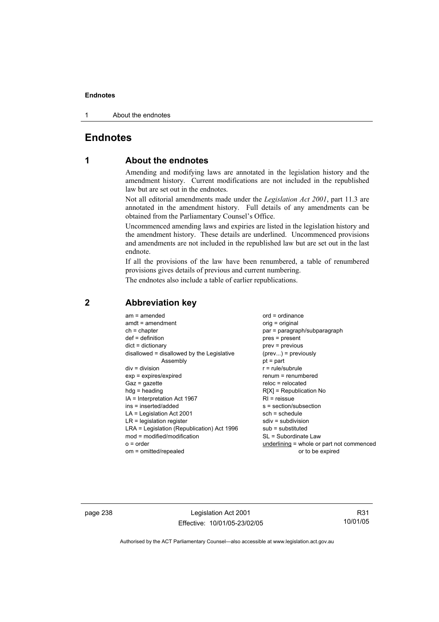1 About the endnotes

# **Endnotes**

# **1 About the endnotes**

Amending and modifying laws are annotated in the legislation history and the amendment history. Current modifications are not included in the republished law but are set out in the endnotes.

Not all editorial amendments made under the *Legislation Act 2001*, part 11.3 are annotated in the amendment history. Full details of any amendments can be obtained from the Parliamentary Counsel's Office.

Uncommenced amending laws and expiries are listed in the legislation history and the amendment history. These details are underlined. Uncommenced provisions and amendments are not included in the republished law but are set out in the last endnote.

If all the provisions of the law have been renumbered, a table of renumbered provisions gives details of previous and current numbering.

The endnotes also include a table of earlier republications.

| $am = amended$<br>$amdt = amendment$<br>$ch = chapter$<br>$def = definition$<br>$dict = dictionary$<br>disallowed = disallowed by the Legislative<br>Assembly<br>$div = division$<br>$exp = expires/expired$<br>$Gaz = gazette$<br>$hdg = heading$<br>IA = Interpretation Act 1967<br>ins = inserted/added<br>$LA =$ Legislation Act 2001<br>$LR =$ legislation register<br>LRA = Legislation (Republication) Act 1996<br>$mod = modified/modification$<br>$o = order$ | $ord = ordinance$<br>$orig = original$<br>par = paragraph/subparagraph<br>$pres = present$<br>$prev = previous$<br>$(\text{prev}) = \text{previously}$<br>$pt = part$<br>$r = rule/subrule$<br>$renum = renumbered$<br>$reloc = relocated$<br>$R[X]$ = Republication No<br>$RI =$ reissue<br>s = section/subsection<br>$sch = schedule$<br>$sdiv = subdivision$<br>$sub =$ substituted<br>SL = Subordinate Law<br>underlining = whole or part not commenced |
|------------------------------------------------------------------------------------------------------------------------------------------------------------------------------------------------------------------------------------------------------------------------------------------------------------------------------------------------------------------------------------------------------------------------------------------------------------------------|-------------------------------------------------------------------------------------------------------------------------------------------------------------------------------------------------------------------------------------------------------------------------------------------------------------------------------------------------------------------------------------------------------------------------------------------------------------|
| om = omitted/repealed                                                                                                                                                                                                                                                                                                                                                                                                                                                  | or to be expired                                                                                                                                                                                                                                                                                                                                                                                                                                            |
|                                                                                                                                                                                                                                                                                                                                                                                                                                                                        |                                                                                                                                                                                                                                                                                                                                                                                                                                                             |

# **2 Abbreviation key**

page 238 Legislation Act 2001 Effective: 10/01/05-23/02/05

R31 10/01/05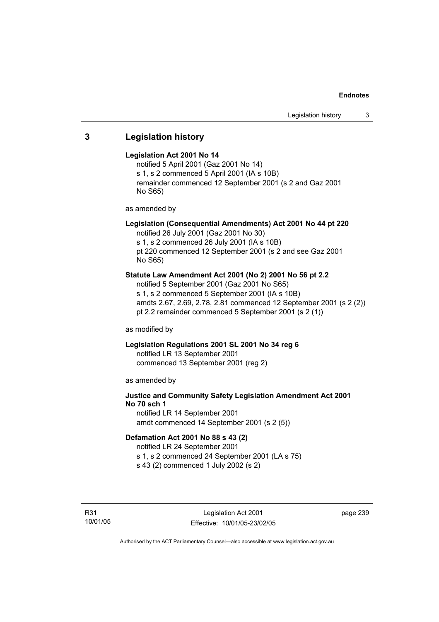# **3 Legislation history**

### **Legislation Act 2001 No 14**

notified 5 April 2001 (Gaz 2001 No 14) s 1, s 2 commenced 5 April 2001 (IA s 10B) remainder commenced 12 September 2001 (s 2 and Gaz 2001 No S65)

as amended by

# **Legislation (Consequential Amendments) Act 2001 No 44 pt 220**

notified 26 July 2001 (Gaz 2001 No 30) s 1, s 2 commenced 26 July 2001 (IA s 10B)

pt 220 commenced 12 September 2001 (s 2 and see Gaz 2001 No S65)

## **Statute Law Amendment Act 2001 (No 2) 2001 No 56 pt 2.2**

notified 5 September 2001 (Gaz 2001 No S65) s 1, s 2 commenced 5 September 2001 (IA s 10B) amdts 2.67, 2.69, 2.78, 2.81 commenced 12 September 2001 (s 2 (2)) pt 2.2 remainder commenced 5 September 2001 (s 2 (1))

as modified by

# **Legislation Regulations 2001 SL 2001 No 34 reg 6**

notified LR 13 September 2001 commenced 13 September 2001 (reg 2)

as amended by

# **Justice and Community Safety Legislation Amendment Act 2001 No 70 sch 1**

notified LR 14 September 2001 amdt commenced 14 September 2001 (s 2 (5))

### **Defamation Act 2001 No 88 s 43 (2)**

notified LR 24 September 2001 s 1, s 2 commenced 24 September 2001 (LA s 75)

s 43 (2) commenced 1 July 2002 (s 2)

R31 10/01/05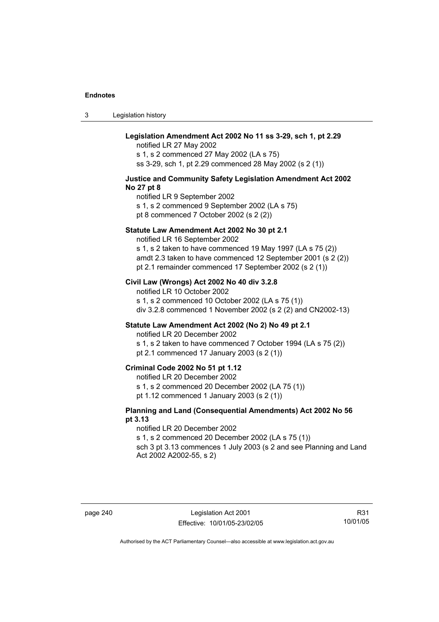3 Legislation history

## **Legislation Amendment Act 2002 No 11 ss 3-29, sch 1, pt 2.29**

notified LR 27 May 2002 s 1, s 2 commenced 27 May 2002 (LA s 75) ss 3-29, sch 1, pt 2.29 commenced 28 May 2002 (s 2 (1))

#### **Justice and Community Safety Legislation Amendment Act 2002 No 27 pt 8**

notified LR 9 September 2002 s 1, s 2 commenced 9 September 2002 (LA s 75) pt 8 commenced 7 October 2002 (s 2 (2))

#### **Statute Law Amendment Act 2002 No 30 pt 2.1**

notified LR 16 September 2002

s 1, s 2 taken to have commenced 19 May 1997 (LA s 75 (2)) amdt 2.3 taken to have commenced 12 September 2001 (s 2 (2)) pt 2.1 remainder commenced 17 September 2002 (s 2 (1))

### **Civil Law (Wrongs) Act 2002 No 40 div 3.2.8**

notified LR 10 October 2002 s 1, s 2 commenced 10 October 2002 (LA s 75 (1)) div 3.2.8 commenced 1 November 2002 (s 2 (2) and CN2002-13)

### **Statute Law Amendment Act 2002 (No 2) No 49 pt 2.1**

notified LR 20 December 2002

s 1, s 2 taken to have commenced 7 October 1994 (LA s 75 (2)) pt 2.1 commenced 17 January 2003 (s 2 (1))

### **Criminal Code 2002 No 51 pt 1.12**

notified LR 20 December 2002

s 1, s 2 commenced 20 December 2002 (LA 75 (1))

pt 1.12 commenced 1 January 2003 (s 2 (1))

### **Planning and Land (Consequential Amendments) Act 2002 No 56 pt 3.13**

notified LR 20 December 2002

s 1, s 2 commenced 20 December 2002 (LA s 75 (1))

sch 3 pt 3.13 commences 1 July 2003 (s 2 and see Planning and Land Act 2002 A2002-55, s 2)

R31 10/01/05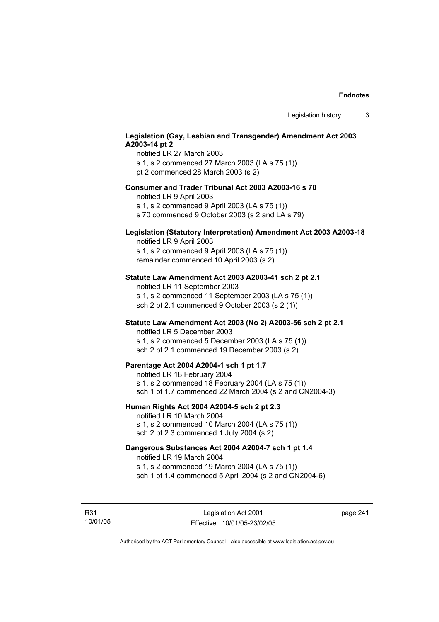## **Legislation (Gay, Lesbian and Transgender) Amendment Act 2003 A2003-14 pt 2**

notified LR 27 March 2003 s 1, s 2 commenced 27 March 2003 (LA s 75 (1)) pt 2 commenced 28 March 2003 (s 2)

### **Consumer and Trader Tribunal Act 2003 A2003-16 s 70**

notified LR 9 April 2003

s 1, s 2 commenced 9 April 2003 (LA s 75 (1))

s 70 commenced 9 October 2003 (s 2 and LA s 79)

# **Legislation (Statutory Interpretation) Amendment Act 2003 A2003-18**

notified LR 9 April 2003 s 1, s 2 commenced 9 April 2003 (LA s 75 (1)) remainder commenced 10 April 2003 (s 2)

#### **Statute Law Amendment Act 2003 A2003-41 sch 2 pt 2.1**

notified LR 11 September 2003 s 1, s 2 commenced 11 September 2003 (LA s 75 (1)) sch 2 pt 2.1 commenced 9 October 2003 (s 2 (1))

# **Statute Law Amendment Act 2003 (No 2) A2003-56 sch 2 pt 2.1**

notified LR 5 December 2003 s 1, s 2 commenced 5 December 2003 (LA s 75 (1)) sch 2 pt 2.1 commenced 19 December 2003 (s 2)

#### **Parentage Act 2004 A2004-1 sch 1 pt 1.7**

notified LR 18 February 2004 s 1, s 2 commenced 18 February 2004 (LA s 75 (1)) sch 1 pt 1.7 commenced 22 March 2004 (s 2 and CN2004-3)

#### **Human Rights Act 2004 A2004-5 sch 2 pt 2.3**

notified LR 10 March 2004 s 1, s 2 commenced 10 March 2004 (LA s 75 (1)) sch 2 pt 2.3 commenced 1 July 2004 (s 2)

### **Dangerous Substances Act 2004 A2004-7 sch 1 pt 1.4**

notified LR 19 March 2004 s 1, s 2 commenced 19 March 2004 (LA s 75 (1)) sch 1 pt 1.4 commenced 5 April 2004 (s 2 and CN2004-6)

R31 10/01/05 page 241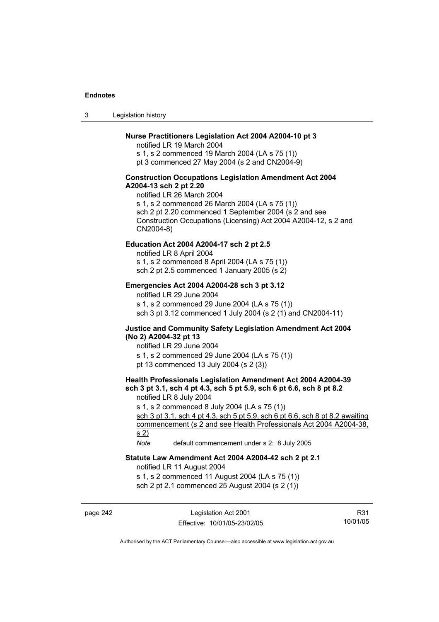3 Legislation history

### **Nurse Practitioners Legislation Act 2004 A2004-10 pt 3**

notified LR 19 March 2004 s 1, s 2 commenced 19 March 2004 (LA s 75 (1)) pt 3 commenced 27 May 2004 (s 2 and CN2004-9)

### **Construction Occupations Legislation Amendment Act 2004 A2004-13 sch 2 pt 2.20**

notified LR 26 March 2004 s 1, s 2 commenced 26 March 2004 (LA s 75 (1)) sch 2 pt 2.20 commenced 1 September 2004 (s 2 and see Construction Occupations (Licensing) Act 2004 A2004-12, s 2 and CN2004-8)

### **Education Act 2004 A2004-17 sch 2 pt 2.5**

notified LR 8 April 2004 s 1, s 2 commenced 8 April 2004 (LA s 75 (1))

sch 2 pt 2.5 commenced 1 January 2005 (s 2)

### **Emergencies Act 2004 A2004-28 sch 3 pt 3.12**

notified LR 29 June 2004

s 1, s 2 commenced 29 June 2004 (LA s 75 (1)) sch 3 pt 3.12 commenced 1 July 2004 (s 2 (1) and CN2004-11)

### **Justice and Community Safety Legislation Amendment Act 2004 (No 2) A2004-32 pt 13**

notified LR 29 June 2004 s 1, s 2 commenced 29 June 2004 (LA s 75 (1)) pt 13 commenced 13 July 2004 (s 2 (3))

# **Health Professionals Legislation Amendment Act 2004 A2004-39 sch 3 pt 3.1, sch 4 pt 4.3, sch 5 pt 5.9, sch 6 pt 6.6, sch 8 pt 8.2**

notified LR 8 July 2004

s 1, s 2 commenced 8 July 2004 (LA s 75 (1))

sch 3 pt 3.1, sch 4 pt 4.3, sch 5 pt 5.9, sch 6 pt 6.6, sch 8 pt 8.2 awaiting commencement (s 2 and see Health Professionals Act 2004 A2004-38, s 2)

*Note* default commencement under s 2: 8 July 2005

### **Statute Law Amendment Act 2004 A2004-42 sch 2 pt 2.1**

notified LR 11 August 2004

s 1, s 2 commenced 11 August 2004 (LA s 75 (1))

sch 2 pt 2.1 commenced 25 August 2004 (s 2 (1))

page 242 Legislation Act 2001 Effective: 10/01/05-23/02/05

R31 10/01/05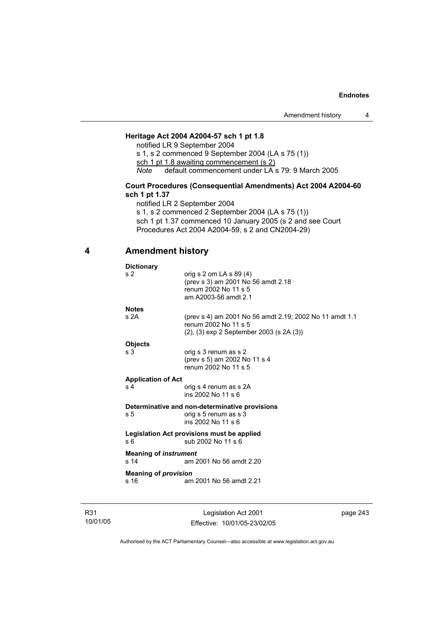# **Heritage Act 2004 A2004-57 sch 1 pt 1.8**

notified LR 9 September 2004

s 1, s 2 commenced 9 September 2004 (LA s 75 (1))

sch 1 pt 1.8 awaiting commencement (s 2)

*Note* default commencement under LA s 79: 9 March 2005

## **Court Procedures (Consequential Amendments) Act 2004 A2004-60 sch 1 pt 1.37**

notified LR 2 September 2004

s 1, s 2 commenced 2 September 2004 (LA s 75 (1)) sch 1 pt 1.37 commenced 10 January 2005 (s 2 and see Court Procedures Act 2004 A2004-59, s 2 and CN2004-29)

# **4 Amendment history**

| <b>Dictionary</b>                                                                  |                                                                                                                                     |
|------------------------------------------------------------------------------------|-------------------------------------------------------------------------------------------------------------------------------------|
| s <sub>2</sub>                                                                     | orig s 2 om LA s $89(4)$<br>(prev s 3) am 2001 No 56 amdt 2.18<br>renum 2002 No 11 s 5<br>am A2003-56 amdt 2.1                      |
| <b>Notes</b>                                                                       |                                                                                                                                     |
| s2A                                                                                | (prev s 4) am 2001 No 56 amdt 2.19; 2002 No 11 amdt 1.1<br>renum 2002 No 11 s 5<br>$(2)$ , $(3)$ exp 2 September 2003 (s 2A $(3)$ ) |
| <b>Objects</b>                                                                     |                                                                                                                                     |
| s 3                                                                                | orig s 3 renum as s 2<br>(prev s 5) am 2002 No 11 s 4<br>renum 2002 No 11 s 5                                                       |
| <b>Application of Act</b>                                                          |                                                                                                                                     |
| s <sub>4</sub>                                                                     | orig s 4 renum as s 2A<br>ins 2002 No 11 s 6                                                                                        |
|                                                                                    | Determinative and non-determinative provisions                                                                                      |
| s 5                                                                                | orig s 5 renum as s 3<br>ins 2002 No 11 s 6                                                                                         |
| Legislation Act provisions must be applied<br>sub 2002 No 11 s 6<br>s <sub>6</sub> |                                                                                                                                     |
| <b>Meaning of instrument</b><br>s 14                                               | am 2001 No 56 amdt 2.20                                                                                                             |
| <b>Meaning of provision</b>                                                        | am 2001 No 56 amdt 2.21                                                                                                             |

R31 10/01/05

Legislation Act 2001 Effective: 10/01/05-23/02/05 page 243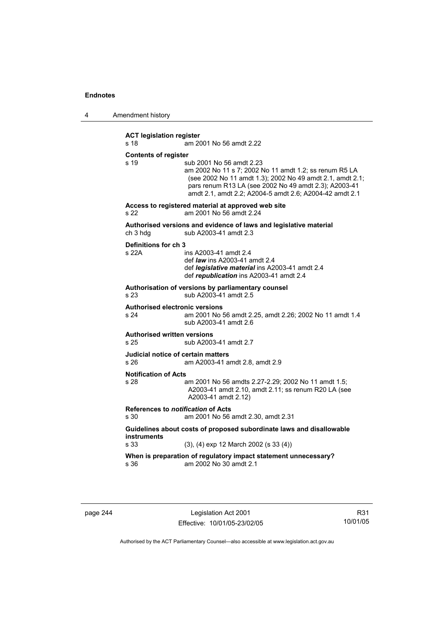4 Amendment history

**ACT legislation register**  s 18 am 2001 No 56 amdt 2.22 **Contents of register**  s 19 sub 2001 No 56 amdt 2.23 am 2002 No 11 s 7; 2002 No 11 amdt 1.2; ss renum R5 LA (see 2002 No 11 amdt 1.3); 2002 No 49 amdt 2.1, amdt 2.1; pars renum R13 LA (see 2002 No 49 amdt 2.3); A2003-41 amdt 2.1, amdt 2.2; A2004-5 amdt 2.6; A2004-42 amdt 2.1 **Access to registered material at approved web site**  s 22 am 2001 No 56 amdt 2.24 **Authorised versions and evidence of laws and legislative material**  ch 3 hdg sub A2003-41 amdt 2.3 **Definitions for ch 3**  s 22A ins A2003-41 amdt 2.4 def *law* ins A2003-41 amdt 2.4 def *legislative material* ins A2003-41 amdt 2.4 def *republication* ins A2003-41 amdt 2.4 **Authorisation of versions by parliamentary counsel**  s 23 sub A2003-41 amdt 2.5 **Authorised electronic versions**  s 24 am 2001 No 56 amdt 2.25, amdt 2.26; 2002 No 11 amdt 1.4 sub A2003-41 amdt 2.6 **Authorised written versions**  s 25 sub A2003-41 amdt 2.7 **Judicial notice of certain matters**  s 26 am A2003-41 amdt 2.8, amdt 2.9 **Notification of Acts**  s 28 am 2001 No 56 amdts 2.27-2.29; 2002 No 11 amdt 1.5; A2003-41 amdt 2.10, amdt 2.11; ss renum R20 LA (see A2003-41 amdt 2.12) **References to** *notification* **of Acts** s 30 am 2001 No 56 am 2001 No 56 amdt 2.30, amdt 2.31 **Guidelines about costs of proposed subordinate laws and disallowable instruments**  s 33 (3), (4) exp 12 March 2002 (s 33 (4)) **When is preparation of regulatory impact statement unnecessary?**  s 36 am 2002 No 30 amdt 2.1

page 244 Legislation Act 2001 Effective: 10/01/05-23/02/05

R31 10/01/05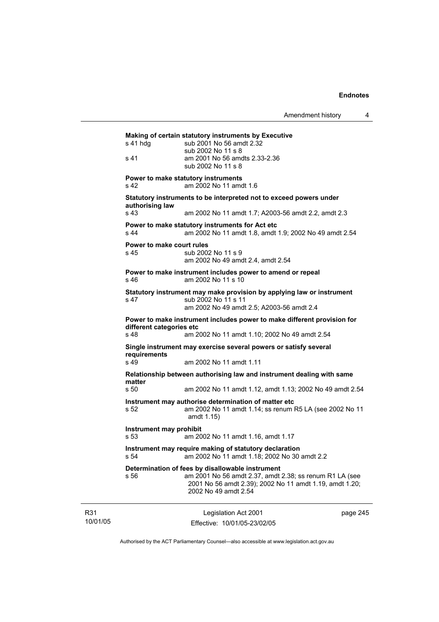Legislation Act 2001 **Making of certain statutory instruments by Executive**  s 41 hdg sub 2001 No 56 amdt 2.32 sub 2002 No 11 s 8<br>s 41 am 2001 No 56 am am 2001 No 56 amdts 2.33-2.36 sub 2002 No 11 s 8 **Power to make statutory instruments**  s 42 am 2002 No 11 amdt 1.6 **Statutory instruments to be interpreted not to exceed powers under authorising law**  s 43 am 2002 No 11 amdt 1.7; A2003-56 amdt 2.2, amdt 2.3 **Power to make statutory instruments for Act etc**  s 44 am 2002 No 11 amdt 1.8, amdt 1.9; 2002 No 49 amdt 2.54 **Power to make court rules**  s 45 sub 2002 No 11 s 9 am 2002 No 49 amdt 2.4, amdt 2.54 **Power to make instrument includes power to amend or repeal**  s 46 am 2002 No 11 s 10 **Statutory instrument may make provision by applying law or instrument**  s 47 sub 2002 No 11 s 11 am 2002 No 49 amdt 2.5; A2003-56 amdt 2.4 **Power to make instrument includes power to make different provision for different categories etc**  s 48 am 2002 No 11 amdt 1.10; 2002 No 49 amdt 2.54 **Single instrument may exercise several powers or satisfy several requirements**  s 49 am 2002 No 11 amdt 1.11 **Relationship between authorising law and instrument dealing with same matter**  s 50 am 2002 No 11 amdt 1.12, amdt 1.13; 2002 No 49 amdt 2.54 **Instrument may authorise determination of matter etc**  s 52 am 2002 No 11 amdt 1.14; ss renum R5 LA (see 2002 No 11 amdt 1.15) **Instrument may prohibit**  s 53 am 2002 No 11 amdt 1.16, amdt 1.17 **Instrument may require making of statutory declaration**  s 54 am 2002 No 11 amdt 1.18; 2002 No 30 amdt 2.2 **Determination of fees by disallowable instrument**  s 56 am 2001 No 56 amdt 2.37, amdt 2.38; ss renum R1 LA (see 2001 No 56 amdt 2.39); 2002 No 11 amdt 1.19, amdt 1.20; 2002 No 49 amdt 2.54

R31 10/01/05

Effective: 10/01/05-23/02/05

page 245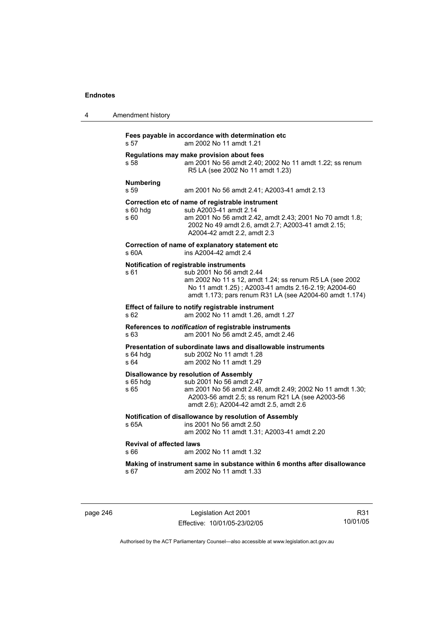| 4 | Amendment history                                                                                                                                                                                                                                         |
|---|-----------------------------------------------------------------------------------------------------------------------------------------------------------------------------------------------------------------------------------------------------------|
|   | Fees payable in accordance with determination etc<br>am 2002 No 11 amdt 1.21<br>s 57                                                                                                                                                                      |
|   | Regulations may make provision about fees<br>am 2001 No 56 amdt 2.40; 2002 No 11 amdt 1.22; ss renum<br>s 58<br>R5 LA (see 2002 No 11 amdt 1.23)                                                                                                          |
|   | <b>Numbering</b><br>s 59<br>am 2001 No 56 amdt 2.41; A2003-41 amdt 2.13                                                                                                                                                                                   |
|   | Correction etc of name of registrable instrument<br>s 60 hdg<br>sub A2003-41 amdt 2.14<br>s 60<br>am 2001 No 56 amdt 2.42, amdt 2.43; 2001 No 70 amdt 1.8;<br>2002 No 49 amdt 2.6, amdt 2.7; A2003-41 amdt 2.15;<br>A2004-42 amdt 2.2, amdt 2.3           |
|   | Correction of name of explanatory statement etc<br>s 60A<br>ins A2004-42 amdt 2.4                                                                                                                                                                         |
|   | Notification of registrable instruments<br>s 61<br>sub 2001 No 56 amdt 2.44<br>am 2002 No 11 s 12, amdt 1.24; ss renum R5 LA (see 2002<br>No 11 amdt 1.25); A2003-41 amdts 2.16-2.19; A2004-60<br>amdt 1.173; pars renum R31 LA (see A2004-60 amdt 1.174) |
|   | Effect of failure to notify registrable instrument<br>am 2002 No 11 amdt 1.26, amdt 1.27<br>s 62                                                                                                                                                          |
|   | References to notification of registrable instruments<br>s 63<br>am 2001 No 56 amdt 2.45, amdt 2.46                                                                                                                                                       |
|   | Presentation of subordinate laws and disallowable instruments<br>$s$ 64 hdg<br>sub 2002 No 11 amdt 1.28<br>s 64<br>am 2002 No 11 amdt 1.29                                                                                                                |
|   | Disallowance by resolution of Assembly<br>$s$ 65 hdg<br>sub 2001 No 56 amdt 2.47<br>s 65<br>am 2001 No 56 amdt 2.48, amdt 2.49; 2002 No 11 amdt 1.30;<br>A2003-56 amdt 2.5; ss renum R21 LA (see A2003-56<br>amdt 2.6); A2004-42 amdt 2.5, amdt 2.6       |
|   | Notification of disallowance by resolution of Assembly<br>ins 2001 No 56 amdt 2.50<br>s 65A<br>am 2002 No 11 amdt 1.31; A2003-41 amdt 2.20                                                                                                                |
|   | <b>Revival of affected laws</b><br>s 66<br>am 2002 No 11 amdt 1.32                                                                                                                                                                                        |
|   | Making of instrument same in substance within 6 months after disallowance<br>am 2002 No 11 amdt 1.33<br>s 67                                                                                                                                              |
|   |                                                                                                                                                                                                                                                           |

page 246 Legislation Act 2001 Effective: 10/01/05-23/02/05

R31 10/01/05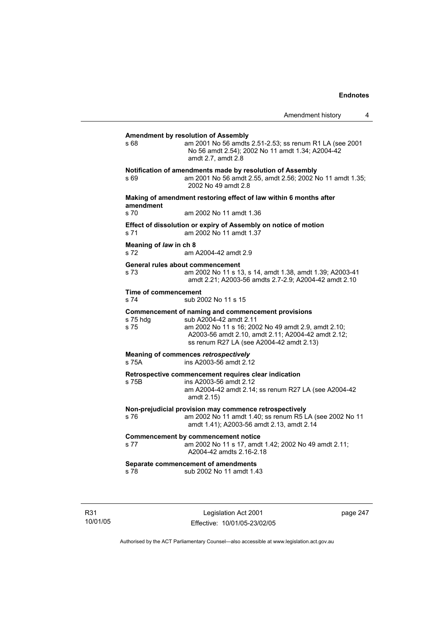| s 68                                | am 2001 No 56 amdts 2.51-2.53; ss renum R1 LA (see 2001<br>No 56 amdt 2.54); 2002 No 11 amdt 1.34; A2004-42<br>amdt 2.7, amdt 2.8                                                                                                     |
|-------------------------------------|---------------------------------------------------------------------------------------------------------------------------------------------------------------------------------------------------------------------------------------|
| s 69                                | Notification of amendments made by resolution of Assembly<br>am 2001 No 56 amdt 2.55, amdt 2.56; 2002 No 11 amdt 1.35;<br>2002 No 49 amdt 2.8                                                                                         |
| amendment                           | Making of amendment restoring effect of law within 6 months after                                                                                                                                                                     |
| s 70                                | am 2002 No 11 amdt 1.36                                                                                                                                                                                                               |
| s 71                                | Effect of dissolution or expiry of Assembly on notice of motion<br>am 2002 No 11 amdt 1.37                                                                                                                                            |
| Meaning of law in ch 8<br>s 72      | am A2004-42 amdt 2.9                                                                                                                                                                                                                  |
| s 73                                | General rules about commencement<br>am 2002 No 11 s 13, s 14, amdt 1.38, amdt 1.39; A2003-41<br>amdt 2.21; A2003-56 amdts 2.7-2.9; A2004-42 amdt 2.10                                                                                 |
| <b>Time of commencement</b><br>s 74 | sub 2002 No 11 s 15                                                                                                                                                                                                                   |
| s 75 hda<br>s 75                    | Commencement of naming and commencement provisions<br>sub A2004-42 amdt 2.11<br>am 2002 No 11 s 16; 2002 No 49 amdt 2.9, amdt 2.10;<br>A2003-56 amdt 2.10, amdt 2.11; A2004-42 amdt 2.12;<br>ss renum R27 LA (see A2004-42 amdt 2.13) |
| s 75A                               | Meaning of commences retrospectively<br>ins A2003-56 amdt 2.12                                                                                                                                                                        |
| s 75B                               | Retrospective commencement requires clear indication<br>ins A2003-56 amdt 2.12<br>am A2004-42 amdt 2.14; ss renum R27 LA (see A2004-42<br>amdt 2.15)                                                                                  |
| s 76                                | Non-prejudicial provision may commence retrospectively<br>am 2002 No 11 amdt 1.40; ss renum R5 LA (see 2002 No 11<br>amdt 1.41); A2003-56 amdt 2.13, amdt 2.14                                                                        |
| s 77                                | <b>Commencement by commencement notice</b><br>am 2002 No 11 s 17, amdt 1.42; 2002 No 49 amdt 2.11;<br>A2004-42 amdts 2.16-2.18                                                                                                        |
|                                     | Separate commencement of amendments                                                                                                                                                                                                   |

R31 10/01/05

Legislation Act 2001 Effective: 10/01/05-23/02/05 page 247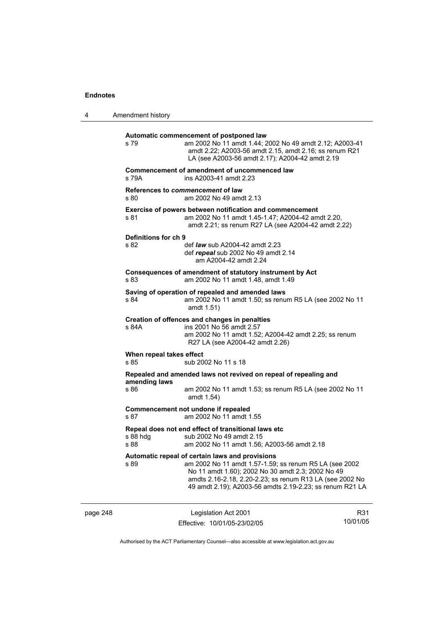| 4                                                                      | Amendment history                |                                                                                                                                                                                                                                                                                        |                 |
|------------------------------------------------------------------------|----------------------------------|----------------------------------------------------------------------------------------------------------------------------------------------------------------------------------------------------------------------------------------------------------------------------------------|-----------------|
|                                                                        | s 79                             | Automatic commencement of postponed law<br>am 2002 No 11 amdt 1.44; 2002 No 49 amdt 2.12; A2003-41<br>amdt 2.22; A2003-56 amdt 2.15, amdt 2.16; ss renum R21<br>LA (see A2003-56 amdt 2.17); A2004-42 amdt 2.19                                                                        |                 |
|                                                                        | s 79A                            | Commencement of amendment of uncommenced law<br>ins A2003-41 amdt 2.23                                                                                                                                                                                                                 |                 |
|                                                                        | s 80                             | References to <i>commencement</i> of law<br>am 2002 No 49 amdt 2.13                                                                                                                                                                                                                    |                 |
|                                                                        | s 81                             | Exercise of powers between notification and commencement<br>am 2002 No 11 amdt 1.45-1.47; A2004-42 amdt 2.20,<br>amdt 2.21; ss renum R27 LA (see A2004-42 amdt 2.22)                                                                                                                   |                 |
|                                                                        | Definitions for ch 9<br>s 82     | def <i>law</i> sub A2004-42 amdt 2.23<br>def repeal sub 2002 No 49 amdt 2.14<br>am A2004-42 amdt 2.24                                                                                                                                                                                  |                 |
|                                                                        | s 83                             | Consequences of amendment of statutory instrument by Act<br>am 2002 No 11 amdt 1.48, amdt 1.49                                                                                                                                                                                         |                 |
|                                                                        | s 84                             | Saving of operation of repealed and amended laws<br>am 2002 No 11 amdt 1.50; ss renum R5 LA (see 2002 No 11<br>amdt 1.51)                                                                                                                                                              |                 |
|                                                                        | s 84A                            | Creation of offences and changes in penalties<br>ins 2001 No 56 amdt 2.57<br>am 2002 No 11 amdt 1.52; A2004-42 amdt 2.25; ss renum<br>R27 LA (see A2004-42 amdt 2.26)                                                                                                                  |                 |
|                                                                        | When repeal takes effect<br>s 85 | sub 2002 No 11 s 18                                                                                                                                                                                                                                                                    |                 |
|                                                                        | amending laws<br>s 86            | Repealed and amended laws not revived on repeal of repealing and<br>am 2002 No 11 amdt 1.53; ss renum R5 LA (see 2002 No 11<br>amdt 1.54)                                                                                                                                              |                 |
| Commencement not undone if repealed<br>s 87<br>am 2002 No 11 amdt 1.55 |                                  |                                                                                                                                                                                                                                                                                        |                 |
|                                                                        | s 88 hdg<br>s 88                 | Repeal does not end effect of transitional laws etc<br>sub 2002 No 49 amdt 2.15<br>am 2002 No 11 amdt 1.56; A2003-56 amdt 2.18                                                                                                                                                         |                 |
|                                                                        | s 89                             | Automatic repeal of certain laws and provisions<br>am 2002 No 11 amdt 1.57-1.59; ss renum R5 LA (see 2002<br>No 11 amdt 1.60); 2002 No 30 amdt 2.3; 2002 No 49<br>amdts 2.16-2.18, 2.20-2.23; ss renum R13 LA (see 2002 No<br>49 amdt 2.19); A2003-56 amdts 2.19-2.23; ss renum R21 LA |                 |
| page 248                                                               |                                  | Legislation Act 2001<br>Fffective: 10/01/05-23/02/05                                                                                                                                                                                                                                   | R31<br>10/01/05 |

Authorised by the ACT Parliamentary Counsel—also accessible at www.legislation.act.gov.au

Effective: 10/01/05-23/02/05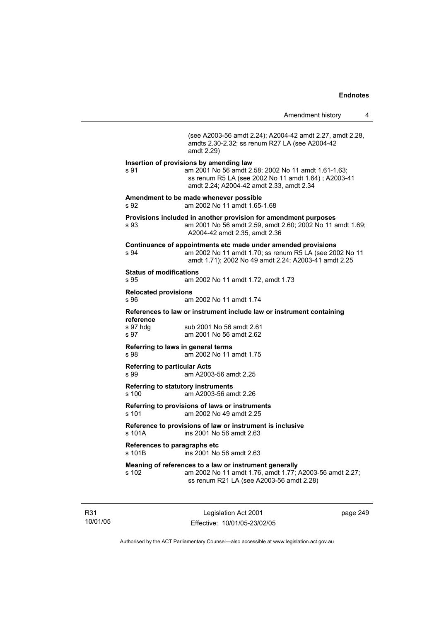Amendment history 4 (see A2003-56 amdt 2.24); A2004-42 amdt 2.27, amdt 2.28, amdts 2.30-2.32; ss renum R27 LA (see A2004-42 amdt 2.29) **Insertion of provisions by amending law**  s 91 am 2001 No 56 amdt 2.58; 2002 No 11 amdt 1.61-1.63; ss renum R5 LA (see 2002 No 11 amdt 1.64) ; A2003-41 amdt 2.24; A2004-42 amdt 2.33, amdt 2.34 **Amendment to be made whenever possible**  s 92 am 2002 No 11 amdt 1.65-1.68 **Provisions included in another provision for amendment purposes**  s 93 am 2001 No 56 amdt 2.59, amdt 2.60; 2002 No 11 amdt 1.69; A2004-42 amdt 2.35, amdt 2.36 **Continuance of appointments etc made under amended provisions**  s 94 am 2002 No 11 amdt 1.70; ss renum R5 LA (see 2002 No 11 amdt 1.71); 2002 No 49 amdt 2.24; A2003-41 amdt 2.25 **Status of modifications**  s 95 am 2002 No 11 amdt 1.72, amdt 1.73 **Relocated provisions**  s 96 am 2002 No 11 amdt 1.74 **References to law or instrument include law or instrument containing reference**  s 97 hdg sub 2001 No 56 amdt 2.61 s 97 am 2001 No 56 amdt 2.62 **Referring to laws in general terms**  s 98 am 2002 No 11 amdt 1.75 **Referring to particular Acts**  s 99 am A2003-56 amdt 2.25 **Referring to statutory instruments** s 100 am A2003-56 amdt 2.26 **Referring to provisions of laws or instruments**  s 101 am 2002 No 49 amdt 2.25 **Reference to provisions of law or instrument is inclusive**  s 101A ins 2001 No 56 amdt 2.63 **References to paragraphs etc**  ins 2001 No 56 amdt 2.63 **Meaning of references to a law or instrument generally**  s 102 am 2002 No 11 amdt 1.76, amdt 1.77; A2003-56 amdt 2.27; ss renum R21 LA (see A2003-56 amdt 2.28)

R31 10/01/05

Legislation Act 2001 Effective: 10/01/05-23/02/05 page 249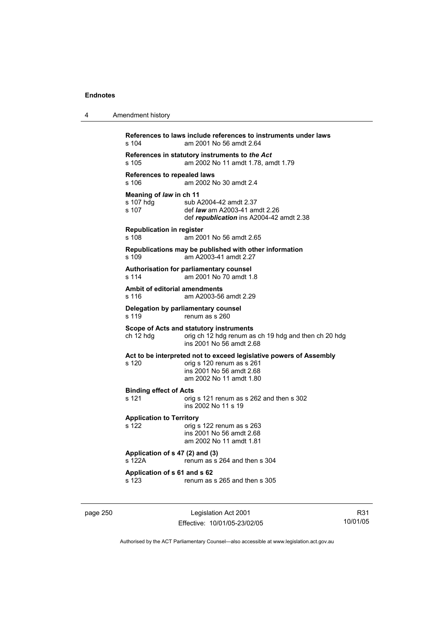| 4 | Amendment history                                                                                                                                               |
|---|-----------------------------------------------------------------------------------------------------------------------------------------------------------------|
|   | References to laws include references to instruments under laws<br>s 104<br>am 2001 No 56 amdt 2.64                                                             |
|   | References in statutory instruments to the Act<br>am 2002 No 11 amdt 1.78, amdt 1.79<br>s 105                                                                   |
|   | References to repealed laws<br>s 106<br>am 2002 No 30 amdt 2.4                                                                                                  |
|   | Meaning of law in ch 11<br>s 107 hdg<br>sub A2004-42 amdt 2.37<br>s 107<br>def <i>law</i> am A2003-41 amdt 2.26<br>def republication ins A2004-42 amdt 2.38     |
|   | <b>Republication in register</b><br>s 108<br>am 2001 No 56 amdt 2.65                                                                                            |
|   | Republications may be published with other information<br>am A2003-41 amdt 2.27<br>s 109                                                                        |
|   | Authorisation for parliamentary counsel<br>am 2001 No 70 amdt 1.8<br>s 114                                                                                      |
|   | <b>Ambit of editorial amendments</b><br>s 116<br>am A2003-56 amdt 2.29                                                                                          |
|   | Delegation by parliamentary counsel<br>s 119<br>renum as s 260                                                                                                  |
|   | Scope of Acts and statutory instruments<br>ch 12 hdg<br>orig ch 12 hdg renum as ch 19 hdg and then ch 20 hdg<br>ins 2001 No 56 amdt 2.68                        |
|   | Act to be interpreted not to exceed legislative powers of Assembly<br>s 120<br>orig s 120 renum as s 261<br>ins 2001 No 56 amdt 2.68<br>am 2002 No 11 amdt 1.80 |
|   | <b>Binding effect of Acts</b><br>s 121<br>orig s 121 renum as s 262 and then s 302<br>ins 2002 No 11 s 19                                                       |
|   | <b>Application to Territory</b><br>s 122<br>orig s 122 renum as s 263<br>ins 2001 No 56 amdt 2.68<br>am 2002 No 11 amdt 1.81                                    |
|   | Application of s 47 (2) and (3)<br>s 122A<br>renum as s 264 and then s 304                                                                                      |
|   | Application of s 61 and s 62<br>s 123<br>renum as s 265 and then s 305                                                                                          |
|   |                                                                                                                                                                 |

page 250 Legislation Act 2001 Effective: 10/01/05-23/02/05

R31 10/01/05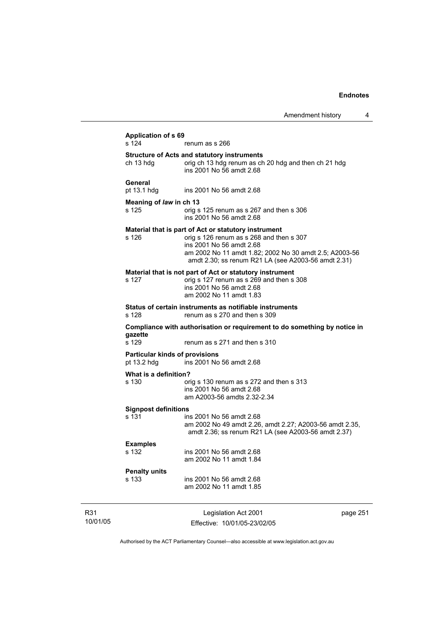| Application of s 69<br>s 124                         | renum as s 266                                                                                                                                                                                                                                |  |  |
|------------------------------------------------------|-----------------------------------------------------------------------------------------------------------------------------------------------------------------------------------------------------------------------------------------------|--|--|
| ch 13 hdg                                            | <b>Structure of Acts and statutory instruments</b><br>orig ch 13 hdg renum as ch 20 hdg and then ch 21 hdg<br>ins 2001 No 56 amdt 2.68                                                                                                        |  |  |
| General<br>pt 13.1 hdg                               | ins 2001 No 56 amdt 2.68                                                                                                                                                                                                                      |  |  |
| Meaning of law in ch 13<br>s 125                     | orig s 125 renum as s 267 and then s 306<br>ins 2001 No 56 amdt 2.68                                                                                                                                                                          |  |  |
| s 126                                                | Material that is part of Act or statutory instrument<br>orig s 126 renum as s 268 and then s 307<br>ins 2001 No 56 amdt 2.68<br>am 2002 No 11 amdt 1.82; 2002 No 30 amdt 2.5; A2003-56<br>amdt 2.30; ss renum R21 LA (see A2003-56 amdt 2.31) |  |  |
| s 127                                                | Material that is not part of Act or statutory instrument<br>orig s 127 renum as s 269 and then s 308<br>ins 2001 No 56 amdt 2.68<br>am 2002 No 11 amdt 1.83                                                                                   |  |  |
| s 128                                                | Status of certain instruments as notifiable instruments<br>renum as s 270 and then s 309                                                                                                                                                      |  |  |
| gazette                                              | Compliance with authorisation or requirement to do something by notice in                                                                                                                                                                     |  |  |
| s 129                                                | renum as s 271 and then s 310                                                                                                                                                                                                                 |  |  |
| <b>Particular kinds of provisions</b><br>pt 13.2 hdg | ins 2001 No 56 amdt 2.68                                                                                                                                                                                                                      |  |  |
| What is a definition?<br>s 130                       | orig s 130 renum as s 272 and then s 313<br>ins 2001 No 56 amdt 2.68<br>am A2003-56 amdts 2.32-2.34                                                                                                                                           |  |  |
| <b>Signpost definitions</b><br>s 131                 | ins 2001 No 56 amdt 2.68<br>am 2002 No 49 amdt 2.26, amdt 2.27; A2003-56 amdt 2.35,<br>amdt 2.36; ss renum R21 LA (see A2003-56 amdt 2.37)                                                                                                    |  |  |
| <b>Examples</b><br>s 132                             | ins 2001 No 56 amdt 2.68<br>am 2002 No 11 amdt 1.84                                                                                                                                                                                           |  |  |
| <b>Penalty units</b><br>s 133                        | ins 2001 No 56 amdt 2.68<br>am 2002 No 11 amdt 1.85                                                                                                                                                                                           |  |  |
|                                                      |                                                                                                                                                                                                                                               |  |  |

R31 10/01/05

Legislation Act 2001 Effective: 10/01/05-23/02/05 page 251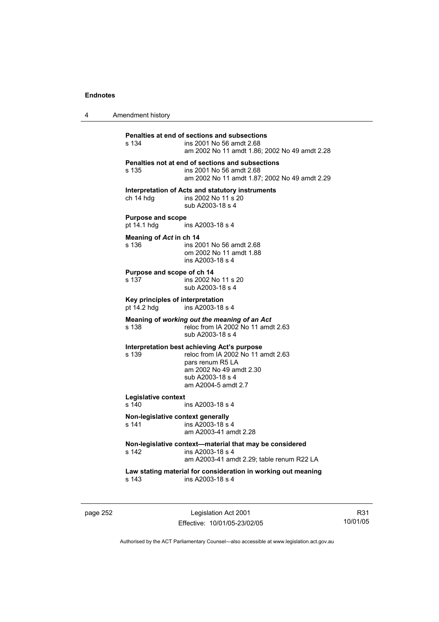| 4 | Amendment history |
|---|-------------------|
|---|-------------------|

| Penalties at end of sections and subsections            |                                                                                                                               |  |  |
|---------------------------------------------------------|-------------------------------------------------------------------------------------------------------------------------------|--|--|
| s 134                                                   | ins 2001 No 56 amdt 2.68<br>am 2002 No 11 amdt 1.86; 2002 No 49 amdt 2.28                                                     |  |  |
| s 135                                                   | Penalties not at end of sections and subsections<br>ins 2001 No 56 amdt 2.68<br>am 2002 No 11 amdt 1.87: 2002 No 49 amdt 2.29 |  |  |
|                                                         | Interpretation of Acts and statutory instruments                                                                              |  |  |
| ch 14 hdg                                               | ins 2002 No 11 s 20<br>sub A2003-18 s 4                                                                                       |  |  |
| <b>Purpose and scope</b><br>pt 14.1 hdg                 | ins A2003-18 s 4                                                                                                              |  |  |
| Meaning of Act in ch 14                                 |                                                                                                                               |  |  |
| s 136                                                   | ins 2001 No 56 amdt 2.68<br>om 2002 No 11 amdt 1.88<br>ins A2003-18 s 4                                                       |  |  |
| Purpose and scope of ch 14                              |                                                                                                                               |  |  |
| s 137                                                   | ins 2002 No 11 s 20<br>sub A2003-18 s 4                                                                                       |  |  |
| Key principles of interpretation                        |                                                                                                                               |  |  |
| pt 14.2 hdg                                             | ins A2003-18 s 4                                                                                                              |  |  |
| s 138                                                   | Meaning of working out the meaning of an Act<br>reloc from IA 2002 No 11 amdt 2.63<br>sub A2003-18 s 4                        |  |  |
|                                                         | Interpretation best achieving Act's purpose                                                                                   |  |  |
| s 139                                                   | reloc from IA 2002 No 11 amdt 2.63<br>pars renum R5 LA                                                                        |  |  |
|                                                         | am 2002 No 49 amdt 2.30                                                                                                       |  |  |
|                                                         | sub A2003-18 s 4<br>am A2004-5 amdt 2.7                                                                                       |  |  |
| Legislative context                                     |                                                                                                                               |  |  |
| s 140                                                   | ins A2003-18 s 4                                                                                                              |  |  |
| Non-legislative context generally<br>s 141              | ins A2003-18 s 4<br>am A2003-41 amdt 2.28                                                                                     |  |  |
| Non-legislative context—material that may be considered |                                                                                                                               |  |  |
| s 142                                                   |                                                                                                                               |  |  |
|                                                         | ins A2003-18 s 4<br>am A2003-41 amdt 2.29; table renum R22 LA                                                                 |  |  |
|                                                         |                                                                                                                               |  |  |
| s 143                                                   | Law stating material for consideration in working out meaning<br>ins A2003-18 s 4                                             |  |  |

page 252 Legislation Act 2001 Effective: 10/01/05-23/02/05

R31 10/01/05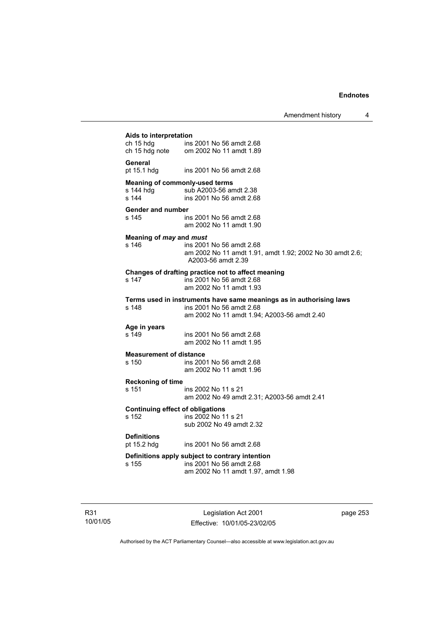Amendment history 4

| Aids to interpretation                                                  |                                                                                                            |  |
|-------------------------------------------------------------------------|------------------------------------------------------------------------------------------------------------|--|
| ch 15 hdg                                                               | ch 15 hdg ins 2001 No 56 amdt 2.68<br>ch 15 hdg note om 2002 No 11 amdt 1.89                               |  |
| <b>General</b>                                                          |                                                                                                            |  |
| pt 15.1 hdg                                                             | ins 2001 No 56 amdt 2.68                                                                                   |  |
| <b>Meaning of commonly-used terms</b>                                   |                                                                                                            |  |
| s 144 hdg<br>s 144                                                      | sub A2003-56 amdt 2.38<br>ins 2001 No 56 amdt 2.68                                                         |  |
| <b>Gender and number</b>                                                |                                                                                                            |  |
| s 145                                                                   | ins 2001 No 56 amdt 2.68<br>am 2002 No 11 amdt 1.90                                                        |  |
| Meaning of may and must                                                 |                                                                                                            |  |
| s 146                                                                   | ins 2001 No 56 amdt 2.68<br>am 2002 No 11 amdt 1.91, amdt 1.92; 2002 No 30 amdt 2.6;<br>A2003-56 amdt 2.39 |  |
|                                                                         | Changes of drafting practice not to affect meaning                                                         |  |
| s 147                                                                   | ins 2001 No 56 amdt 2.68<br>am 2002 No 11 amdt 1.93                                                        |  |
|                                                                         | Terms used in instruments have same meanings as in authorising laws                                        |  |
| s 148                                                                   | ins 2001 No 56 amdt 2.68<br>am 2002 No 11 amdt 1.94; A2003-56 amdt 2.40                                    |  |
| Age in years                                                            |                                                                                                            |  |
| s 149                                                                   | ins 2001 No 56 amdt 2.68<br>am 2002 No 11 amdt 1.95                                                        |  |
| <b>Measurement of distance</b>                                          |                                                                                                            |  |
| s 150                                                                   | ins 2001 No 56 amdt 2.68<br>am 2002 No 11 amdt 1.96                                                        |  |
| <b>Reckoning of time</b>                                                |                                                                                                            |  |
| s 151                                                                   | ins 2002 No 11 s 21<br>am 2002 No 49 amdt 2.31; A2003-56 amdt 2.41                                         |  |
| <b>Continuing effect of obligations</b><br>ins 2002 No 11 s 21<br>s 152 |                                                                                                            |  |
|                                                                         | sub 2002 No 49 amdt 2.32                                                                                   |  |
| <b>Definitions</b>                                                      |                                                                                                            |  |
| pt 15.2 hdg                                                             | ins 2001 No 56 amdt 2.68                                                                                   |  |
| s 155                                                                   | Definitions apply subject to contrary intention<br>ins 2001 No 56 amdt 2.68                                |  |
|                                                                         | am 2002 No 11 amdt 1.97, amdt 1.98                                                                         |  |
|                                                                         |                                                                                                            |  |

R31 10/01/05

Legislation Act 2001 Effective: 10/01/05-23/02/05 page 253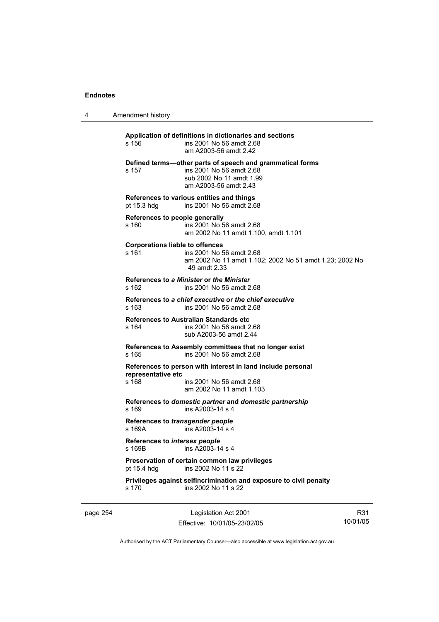4 Amendment history

**Application of definitions in dictionaries and sections**  s 156 ins 2001 No 56 amdt 2.68 am A2003-56 amdt 2.42 **Defined terms—other parts of speech and grammatical forms**  s 157 ins 2001 No 56 amdt 2.68 sub 2002 No 11 amdt 1.99 am A2003-56 amdt 2.43 **References to various entities and things**  pt 15.3 hdg ins 2001 No 56 amdt 2.68 **References to people generally**  s 160 ins 2001 No 56 amdt 2.68 am 2002 No 11 amdt 1.100, amdt 1.101 **Corporations liable to offences**  s 161 ins 2001 No 56 amdt 2.68 am 2002 No 11 amdt 1.102; 2002 No 51 amdt 1.23; 2002 No 49 amdt 2.33 **References to** *a Minister* **or** *the Minister* s 162 ins 2001 No 56 amdt 2.68 **References to** *a chief executive* **or** *the chief executive* s 163 ins 2001 No 56 amdt 2.68 **References to Australian Standards etc**  s 164 ins 2001 No 56 amdt 2.68 sub A2003-56 amdt 2.44 **References to Assembly committees that no longer exist**  s 165 ins 2001 No 56 amdt 2.68 **References to person with interest in land include personal representative etc**  s 168 ins 2001 No 56 amdt 2.68 am 2002 No 11 amdt 1.103 **References to** *domestic partner* **and** *domestic partnership*  s 169 ins A2003-14 s 4 **References to** *transgender people*  s 169A ins A2003-14 s 4 **References to** *intersex people*   $ins$  A2003-14 s 4 **Preservation of certain common law privileges**  pt 15.4 hdg ins 2002 No 11 s 22 **Privileges against selfincrimination and exposure to civil penalty**  s 170 ins 2002 No 11 s 22

page 254 Legislation Act 2001 Effective: 10/01/05-23/02/05

R31 10/01/05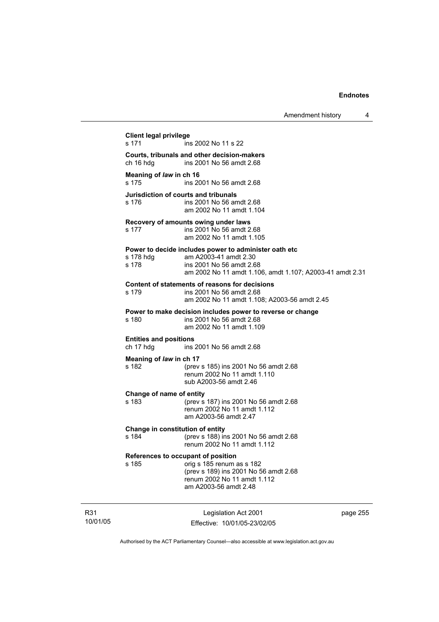| <b>Client legal privilege</b><br>s 171<br>Courts, tribunals and other decision-makers<br>ch 16 hdg | ins 2002 No 11 s 22                                                                                                                                                    |
|----------------------------------------------------------------------------------------------------|------------------------------------------------------------------------------------------------------------------------------------------------------------------------|
|                                                                                                    |                                                                                                                                                                        |
|                                                                                                    |                                                                                                                                                                        |
|                                                                                                    | ins 2001 No 56 amdt 2.68                                                                                                                                               |
| Meaning of law in ch 16<br>s 175                                                                   | ins 2001 No 56 amdt 2.68                                                                                                                                               |
| s 176                                                                                              | Jurisdiction of courts and tribunals<br>ins 2001 No 56 amdt 2.68<br>am 2002 No 11 amdt 1.104                                                                           |
| s 177                                                                                              | Recovery of amounts owing under laws<br>ins 2001 No 56 amdt 2.68<br>am 2002 No 11 amdt 1.105                                                                           |
| s 178 hdg<br>s 178                                                                                 | Power to decide includes power to administer oath etc<br>am A2003-41 amdt 2.30<br>ins 2001 No 56 amdt 2.68<br>am 2002 No 11 amdt 1.106, amdt 1.107; A2003-41 amdt 2.31 |
| s 179                                                                                              | Content of statements of reasons for decisions<br>ins 2001 No 56 amdt 2.68<br>am 2002 No 11 amdt 1.108; A2003-56 amdt 2.45                                             |
| s 180                                                                                              | Power to make decision includes power to reverse or change<br>ins 2001 No 56 amdt 2.68<br>am 2002 No 11 amdt 1.109                                                     |
| <b>Entities and positions</b><br>ch 17 hdg                                                         | ins 2001 No 56 amdt 2.68                                                                                                                                               |
| Meaning of law in ch 17<br>s 182                                                                   | (prev s 185) ins 2001 No 56 amdt 2.68<br>renum 2002 No 11 amdt 1.110<br>sub A2003-56 amdt 2.46                                                                         |
| Change of name of entity<br>s 183                                                                  | (prev s 187) ins 2001 No 56 amdt 2.68<br>renum 2002 No 11 amdt 1.112<br>am A2003-56 amdt 2.47                                                                          |
| Change in constitution of entity<br>s 184                                                          | (prev s 188) ins 2001 No 56 amdt 2.68<br>renum 2002 No 11 amdt 1.112                                                                                                   |
| s 185                                                                                              | References to occupant of position<br>orig s 185 renum as s 182<br>(prev s 189) ins 2001 No 56 amdt 2.68<br>renum 2002 No 11 amdt 1.112<br>am A2003-56 amdt 2.48       |

R31 10/01/05

Legislation Act 2001 Effective: 10/01/05-23/02/05 page 255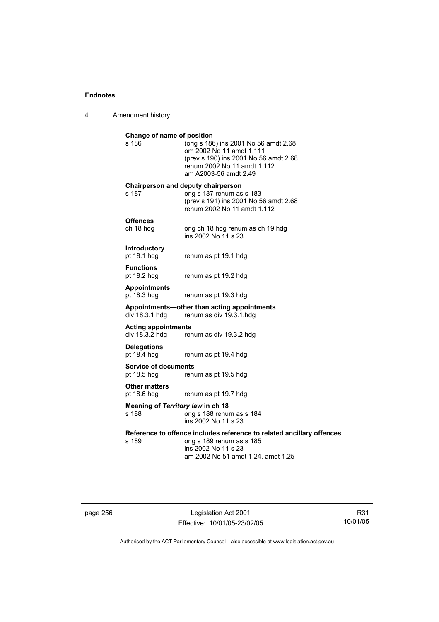4 Amendment history

| Change of name of position<br>s 186          | (orig s 186) ins 2001 No 56 amdt 2.68<br>om 2002 No 11 amdt 1.111<br>(prev s 190) ins 2001 No 56 amdt 2.68<br>renum 2002 No 11 amdt 1.112<br>am A2003-56 amdt 2.49 |
|----------------------------------------------|--------------------------------------------------------------------------------------------------------------------------------------------------------------------|
| s 187                                        | Chairperson and deputy chairperson<br>orig s 187 renum as s 183<br>(prev s 191) ins 2001 No 56 amdt 2.68<br>renum 2002 No 11 amdt 1.112                            |
| <b>Offences</b><br>ch 18 hdg                 | orig ch 18 hdg renum as ch 19 hdg<br>ins 2002 No 11 s 23                                                                                                           |
| Introductory<br>pt 18.1 hdg                  | renum as pt 19.1 hdg                                                                                                                                               |
| <b>Functions</b><br>pt 18.2 hdg              | renum as pt 19.2 hdg                                                                                                                                               |
| <b>Appointments</b><br>pt 18.3 hdg           | renum as pt 19.3 hdg                                                                                                                                               |
| div 18.3.1 hdg                               | Appointments-other than acting appointments<br>renum as div 19.3.1.hdg                                                                                             |
| <b>Acting appointments</b><br>div 18.3.2 hdg | renum as div 19.3.2 hdg                                                                                                                                            |
| <b>Delegations</b><br>pt 18.4 hdg            | renum as pt 19.4 hdg                                                                                                                                               |
| <b>Service of documents</b><br>pt 18.5 hdg   | renum as pt 19.5 hdg                                                                                                                                               |
| <b>Other matters</b><br>pt 18.6 hdg          | renum as pt 19.7 hdg                                                                                                                                               |
| Meaning of Territory law in ch 18<br>s 188   | orig s 188 renum as s 184<br>ins 2002 No 11 s 23                                                                                                                   |
| s 189                                        | Reference to offence includes reference to related ancillary offences<br>orig s 189 renum as s 185<br>ins 2002 No 11 s 23<br>am 2002 No 51 amdt 1.24, amdt 1.25    |
|                                              |                                                                                                                                                                    |

page 256 Legislation Act 2001 Effective: 10/01/05-23/02/05

R31 10/01/05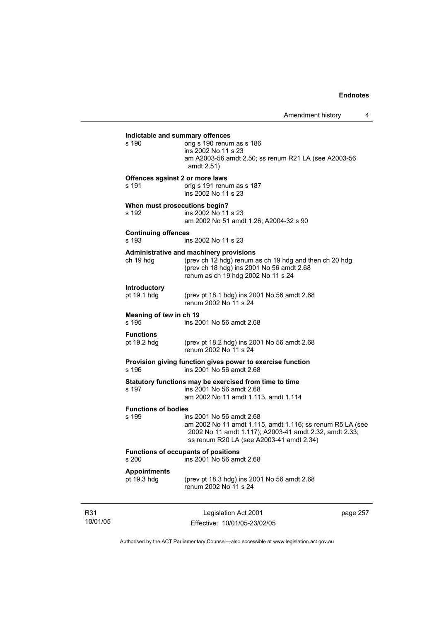10/01/05 Legislation Act 2001 Effective: 10/01/05-23/02/05 page 257 **Indictable and summary offences**   $\overline{\text{oria}}$  s 190 renum as s 186 ins 2002 No 11 s 23 am A2003-56 amdt 2.50; ss renum R21 LA (see A2003-56 amdt 2.51) **Offences against 2 or more laws**  s 191 orig s 191 renum as s 187 ins 2002 No 11 s 23 **When must prosecutions begin?**  s 192 ins 2002 No 11 s 23 am 2002 No 51 amdt 1.26; A2004-32 s 90 **Continuing offences**  s 193 ins 2002 No 11 s 23 **Administrative and machinery provisions**  (prev ch 12 hdg) renum as ch 19 hdg and then ch 20 hdg (prev ch 18 hdg) ins 2001 No 56 amdt 2.68 renum as ch 19 hdg 2002 No 11 s 24 **Introductory**  (prev pt 18.1 hdg) ins 2001 No 56 amdt  $2.68$ renum 2002 No 11 s 24 **Meaning of** *law* **in ch 19**  s 195 ins 2001 No 56 amdt 2.68 **Functions**  pt 19.2 hdg (prev pt 18.2 hdg) ins 2001 No 56 amdt 2.68 renum 2002 No 11 s 24 **Provision giving function gives power to exercise function**  s 196 ins 2001 No 56 amdt 2.68 **Statutory functions may be exercised from time to time**  s 197 ins 2001 No 56 amdt 2.68 am 2002 No 11 amdt 1.113, amdt 1.114 **Functions of bodies**  ins 2001 No 56 amdt 2.68 am 2002 No 11 amdt 1.115, amdt 1.116; ss renum R5 LA (see 2002 No 11 amdt 1.117); A2003-41 amdt 2.32, amdt 2.33; ss renum R20 LA (see A2003-41 amdt 2.34) **Functions of occupants of positions**  s 200 ins 2001 No 56 amdt 2.68 **Appointments**  pt 19.3 hdg (prev pt 18.3 hdg) ins 2001 No 56 amdt 2.68 renum 2002 No 11 s 24

Authorised by the ACT Parliamentary Counsel—also accessible at www.legislation.act.gov.au

R31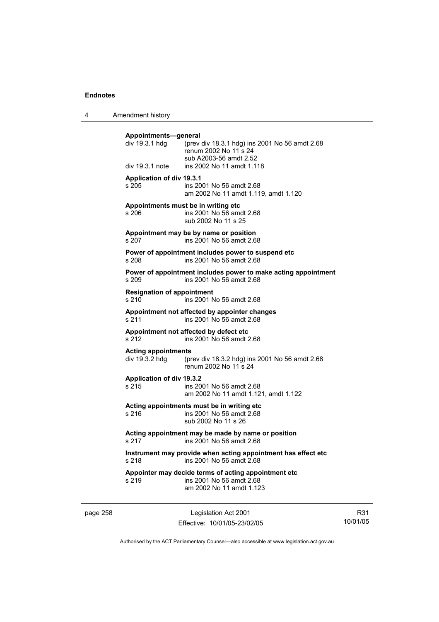4 Amendment history

| Appointments-general<br>div 19.3.1 hdg<br>div 19.3.1 note | (prev div 18.3.1 hdg) ins 2001 No 56 amdt 2.68<br>renum 2002 No 11 s 24<br>sub A2003-56 amdt 2.52<br>ins 2002 No 11 amdt 1.118 |
|-----------------------------------------------------------|--------------------------------------------------------------------------------------------------------------------------------|
| <b>Application of div 19.3.1</b><br>s 205                 | ins 2001 No 56 amdt 2.68<br>am 2002 No 11 amdt 1.119, amdt 1.120                                                               |
| s 206                                                     | Appointments must be in writing etc<br>ins 2001 No 56 amdt 2.68<br>sub 2002 No 11 s 25                                         |
| s 207                                                     | Appointment may be by name or position<br>ins 2001 No 56 amdt 2.68                                                             |
| s 208                                                     | Power of appointment includes power to suspend etc<br>ins 2001 No 56 amdt 2.68                                                 |
| s 209                                                     | Power of appointment includes power to make acting appointment<br>ins 2001 No 56 amdt 2.68                                     |
| <b>Resignation of appointment</b><br>s 210                | ins 2001 No 56 amdt 2.68                                                                                                       |
| s 211                                                     | Appointment not affected by appointer changes<br>ins 2001 No 56 amdt 2.68                                                      |
| s 212                                                     | Appointment not affected by defect etc<br>ins 2001 No 56 amdt 2.68                                                             |
| <b>Acting appointments</b>                                | div 19.3.2 hdg (prev div 18.3.2 hdg) ins 2001 No 56 amdt 2.68<br>renum 2002 No 11 s 24                                         |
| Application of div 19.3.2<br>s 215                        | ins 2001 No 56 amdt 2.68<br>am 2002 No 11 amdt 1.121, amdt 1.122                                                               |
| s 216                                                     | Acting appointments must be in writing etc<br>ins 2001 No 56 amdt 2.68<br>sub 2002 No 11 s 26                                  |
| s 217                                                     | Acting appointment may be made by name or position<br>ins 2001 No 56 amdt 2.68                                                 |
| s 218                                                     | Instrument may provide when acting appointment has effect etc<br>ins 2001 No 56 amdt 2.68                                      |
| s 219                                                     | Appointer may decide terms of acting appointment etc<br>ins 2001 No 56 amdt 2.68<br>am 2002 No 11 amdt 1.123                   |

page 258 Legislation Act 2001 Effective: 10/01/05-23/02/05

R31 10/01/05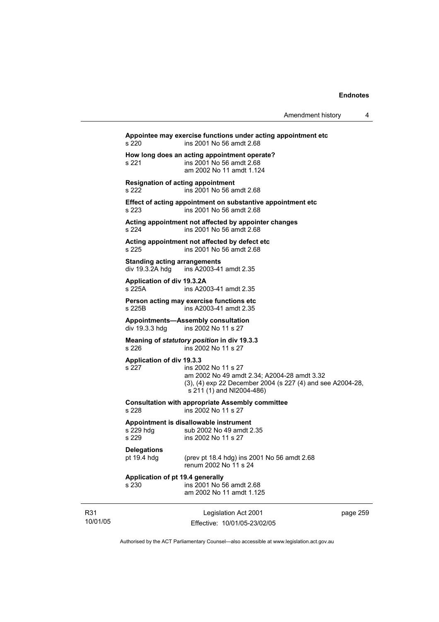| Amendment history |  |
|-------------------|--|
|-------------------|--|

Legislation Act 2001 Effective: 10/01/05-23/02/05 page 259 **Appointee may exercise functions under acting appointment etc**  s 220 ins 2001 No 56 amdt 2.68 **How long does an acting appointment operate?**  s 221 ins 2001 No 56 amdt 2.68 am 2002 No 11 amdt 1.124 **Resignation of acting appointment**  s 222 ins 2001 No 56 amdt 2.68 **Effect of acting appointment on substantive appointment etc**  s 223 ins 2001 No 56 amdt 2.68 **Acting appointment not affected by appointer changes**  s 224 ins 2001 No 56 amdt 2.68 **Acting appointment not affected by defect etc**  s 225 ins 2001 No 56 amdt 2.68 **Standing acting arrangements**  div 19.3.2A hdg ins A2003-41 amdt 2.35 **Application of div 19.3.2A**  s 225A ins A2003-41 amdt 2.35 **Person acting may exercise functions etc**  s 225B ins A2003-41 amdt 2.35 **Appointments—Assembly consultation**  ins 2002 No 11 s 27 **Meaning of** *statutory position* **in div 19.3.3**  s 226 ins 2002 No 11 s 27 **Application of div 19.3.3**  ins 2002 No 11 s 27 am 2002 No 49 amdt 2.34; A2004-28 amdt 3.32 (3), (4) exp 22 December 2004 (s 227 (4) and see A2004-28, s 211 (1) and NI2004-486) **Consultation with appropriate Assembly committee**  s 228 ins 2002 No 11 s 27 **Appointment is disallowable instrument**  s 229 hdg sub 2002 No 49 amdt 2.35<br>s 229 s ins 2002 No 11 s 27 ins 2002 No 11 s 27 **Delegations**  pt 19.4 hdg (prev pt 18.4 hdg) ins 2001 No 56 amdt 2.68 renum 2002 No 11 s 24 **Application of pt 19.4 generally**  s 230 ins 2001 No 56 amdt 2.68 am 2002 No 11 amdt 1.125

Authorised by the ACT Parliamentary Counsel—also accessible at www.legislation.act.gov.au

R31 10/01/05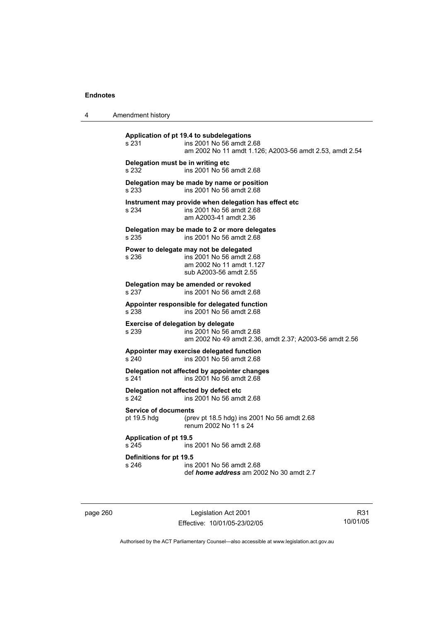| 4 | Amendment history |
|---|-------------------|
|---|-------------------|

**Application of pt 19.4 to subdelegations**  s 231 ins 2001 No 56 amdt 2.68 am 2002 No 11 amdt 1.126; A2003-56 amdt 2.53, amdt 2.54 **Delegation must be in writing etc**  s 232 ins 2001 No 56 amdt 2.68 **Delegation may be made by name or position**  s 233 ins 2001 No 56 amdt 2.68 **Instrument may provide when delegation has effect etc**  s 234 ins 2001 No 56 amdt 2.68 am A2003-41 amdt 2.36 **Delegation may be made to 2 or more delegates**  ins 2001 No 56 amdt 2.68 **Power to delegate may not be delegated**  s 236 ins 2001 No 56 amdt 2.68 am 2002 No 11 amdt 1.127 sub A2003-56 amdt 2.55 **Delegation may be amended or revoked**  s 237 ins 2001 No 56 amdt 2.68 **Appointer responsible for delegated function**  s 238 ins 2001 No 56 amdt 2.68 **Exercise of delegation by delegate**  s 239 ins 2001 No 56 amdt 2.68 am 2002 No 49 amdt 2.36, amdt 2.37; A2003-56 amdt 2.56 **Appointer may exercise delegated function**  s 240 ins 2001 No 56 amdt 2.68 **Delegation not affected by appointer changes**  s 241 ins 2001 No 56 amdt 2.68 **Delegation not affected by defect etc**  s 242 ins 2001 No 56 amdt 2.68 **Service of documents**  pt 19.5 hdg (prev pt 18.5 hdg) ins 2001 No 56 amdt 2.68 renum 2002 No 11 s 24 **Application of pt 19.5**  s 245 ins 2001 No 56 amdt 2.68 **Definitions for pt 19.5**  ins 2001 No 56 amdt 2.68 def *home address* am 2002 No 30 amdt 2.7

page 260 Legislation Act 2001 Effective: 10/01/05-23/02/05

R31 10/01/05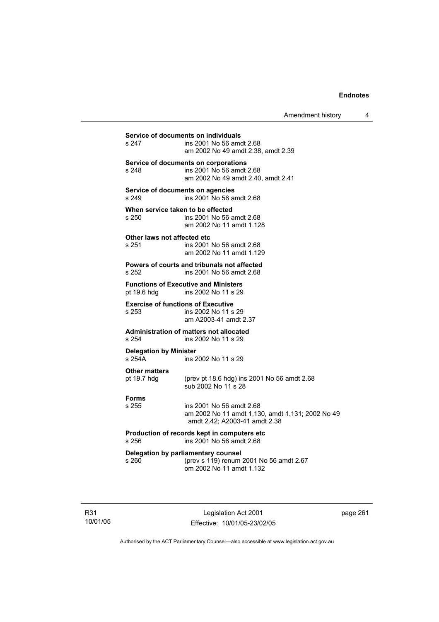Amendment history 4

| Service of documents on individuals<br>s 247<br>ins 2001 No 56 amdt 2.68                           |                                                                                                               |  |  |
|----------------------------------------------------------------------------------------------------|---------------------------------------------------------------------------------------------------------------|--|--|
|                                                                                                    | am 2002 No 49 amdt 2.38, amdt 2.39                                                                            |  |  |
| s 248                                                                                              | Service of documents on corporations<br>ins 2001 No 56 amdt 2.68<br>am 2002 No 49 amdt 2.40, amdt 2.41        |  |  |
| Service of documents on agencies<br>s 249<br>ins 2001 No 56 amdt 2.68                              |                                                                                                               |  |  |
| When service taken to be effected<br>s 250                                                         | ins 2001 No 56 amdt 2.68<br>am 2002 No 11 amdt 1.128                                                          |  |  |
| Other laws not affected etc<br>s 251                                                               | ins 2001 No 56 amdt 2.68<br>am 2002 No 11 amdt 1.129                                                          |  |  |
| s 252                                                                                              | Powers of courts and tribunals not affected<br>ins 2001 No 56 amdt 2.68                                       |  |  |
| <b>Functions of Executive and Ministers</b><br>pt 19.6 hdg<br>ins 2002 No 11 s 29                  |                                                                                                               |  |  |
| <b>Exercise of functions of Executive</b><br>s 253<br>ins 2002 No 11 s 29<br>am A2003-41 amdt 2.37 |                                                                                                               |  |  |
| s 254                                                                                              | <b>Administration of matters not allocated</b><br>ins 2002 No 11 s 29                                         |  |  |
| <b>Delegation by Minister</b><br>s 254A                                                            | ins 2002 No 11 s 29                                                                                           |  |  |
| <b>Other matters</b><br>pt 19.7 hdg                                                                | (prev pt 18.6 hdg) ins 2001 No 56 amdt 2.68<br>sub 2002 No 11 s 28                                            |  |  |
| <b>Forms</b><br>s 255                                                                              | ins 2001 No 56 amdt 2.68<br>am 2002 No 11 amdt 1.130, amdt 1.131; 2002 No 49<br>amdt 2.42; A2003-41 amdt 2.38 |  |  |
| s 256                                                                                              | Production of records kept in computers etc<br>ins 2001 No 56 amdt 2.68                                       |  |  |
| s 260                                                                                              | Delegation by parliamentary counsel<br>(prev s 119) renum 2001 No 56 amdt 2.67<br>om 2002 No 11 amdt 1.132    |  |  |

R31 10/01/05

Legislation Act 2001 Effective: 10/01/05-23/02/05 page 261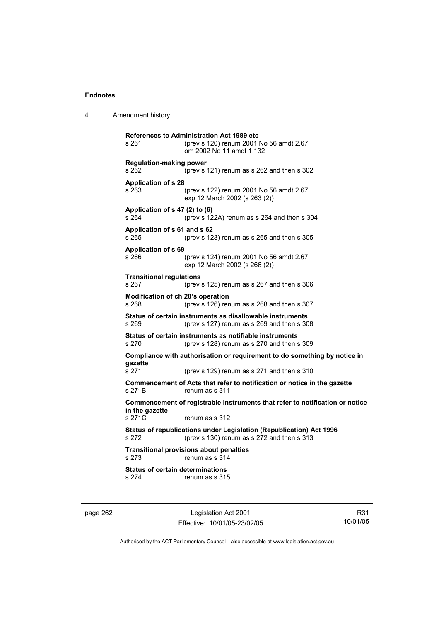4 Amendment history

| s 261                                                                                          | <b>References to Administration Act 1989 etc</b><br>(prev s 120) renum 2001 No 56 amdt 2.67<br>om 2002 No 11 amdt 1.132 |  |
|------------------------------------------------------------------------------------------------|-------------------------------------------------------------------------------------------------------------------------|--|
| <b>Regulation-making power</b><br>s 262                                                        | (prev s 121) renum as s 262 and then s 302                                                                              |  |
| <b>Application of s 28</b><br>s 263                                                            | (prev s 122) renum 2001 No 56 amdt 2.67<br>exp 12 March 2002 (s 263 (2))                                                |  |
| Application of s 47 (2) to (6)<br>s264                                                         | (prev s 122A) renum as s 264 and then s 304                                                                             |  |
| Application of s 61 and s 62<br>s 265                                                          | (prev s 123) renum as s 265 and then s 305                                                                              |  |
| Application of s 69<br>s 266                                                                   | (prev s 124) renum 2001 No 56 amdt 2.67<br>exp 12 March 2002 (s 266 (2))                                                |  |
| <b>Transitional regulations</b><br>s 267                                                       | (prev s $125$ ) renum as s $267$ and then s $306$                                                                       |  |
| Modification of ch 20's operation<br>s 268                                                     | (prev s 126) renum as s 268 and then s 307                                                                              |  |
| s 269                                                                                          | Status of certain instruments as disallowable instruments<br>(prev s 127) renum as s 269 and then s 308                 |  |
| s 270                                                                                          | Status of certain instruments as notifiable instruments<br>(prev s 128) renum as s 270 and then s 309                   |  |
| gazette                                                                                        | Compliance with authorisation or requirement to do something by notice in                                               |  |
| s 271                                                                                          | (prev s 129) renum as s 271 and then s 310                                                                              |  |
| s 271B                                                                                         | Commencement of Acts that refer to notification or notice in the gazette<br>renum as s 311                              |  |
| Commencement of registrable instruments that refer to notification or notice<br>in the gazette |                                                                                                                         |  |
| s 271C                                                                                         | renum as s 312                                                                                                          |  |
| s 272                                                                                          | Status of republications under Legislation (Republication) Act 1996<br>(prev s 130) renum as s 272 and then s 313       |  |
| s 273                                                                                          | <b>Transitional provisions about penalties</b><br>renum as s 314                                                        |  |
| <b>Status of certain determinations</b><br>s 274                                               | renum as s 315                                                                                                          |  |
|                                                                                                |                                                                                                                         |  |

page 262 Legislation Act 2001 Effective: 10/01/05-23/02/05

R31 10/01/05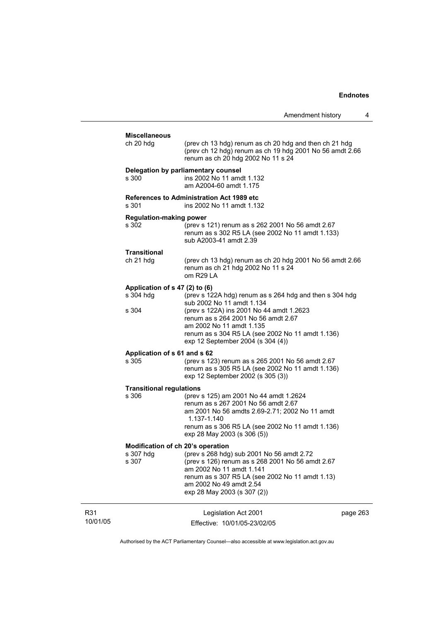| Amendment history |  |  |
|-------------------|--|--|
|-------------------|--|--|

|                 | <b>Miscellaneous</b><br>ch 20 hdg                       | (prev ch 13 hdg) renum as ch 20 hdg and then ch 21 hdg<br>(prev ch 12 hdg) renum as ch 19 hdg 2001 No 56 amdt 2.66                                                                                                                     |          |
|-----------------|---------------------------------------------------------|----------------------------------------------------------------------------------------------------------------------------------------------------------------------------------------------------------------------------------------|----------|
|                 | s 300                                                   | renum as ch 20 hdg 2002 No 11 s 24<br>Delegation by parliamentary counsel<br>ins 2002 No 11 amdt 1.132<br>am A2004-60 amdt 1.175                                                                                                       |          |
|                 | s 301                                                   | <b>References to Administration Act 1989 etc</b><br>ins 2002 No 11 amdt 1.132                                                                                                                                                          |          |
|                 | <b>Regulation-making power</b><br>s 302                 | (prev s 121) renum as s 262 2001 No 56 amdt 2.67<br>renum as s 302 R5 LA (see 2002 No 11 amdt 1.133)<br>sub A2003-41 amdt 2.39                                                                                                         |          |
|                 | <b>Transitional</b><br>ch 21 hdg                        | (prev ch 13 hdg) renum as ch 20 hdg 2001 No 56 amdt 2.66<br>renum as ch 21 hdg 2002 No 11 s 24<br>om R29 LA                                                                                                                            |          |
|                 | Application of s 47 (2) to (6)<br>s 304 hdg             | (prev s 122A hdg) renum as s 264 hdg and then s 304 hdg<br>sub 2002 No 11 amdt 1.134                                                                                                                                                   |          |
|                 | s 304                                                   | (prev s 122A) ins 2001 No 44 amdt 1.2623<br>renum as s 264 2001 No 56 amdt 2.67<br>am 2002 No 11 amdt 1.135<br>renum as s 304 R5 LA (see 2002 No 11 amdt 1.136)<br>exp 12 September 2004 (s 304 (4))                                   |          |
|                 | Application of s 61 and s 62<br>s 305                   | (prev s 123) renum as s 265 2001 No 56 amdt 2.67<br>renum as s 305 R5 LA (see 2002 No 11 amdt 1.136)<br>exp 12 September 2002 (s 305 (3))                                                                                              |          |
|                 | <b>Transitional regulations</b><br>s 306                | (prev s 125) am 2001 No 44 amdt 1.2624<br>renum as s 267 2001 No 56 amdt 2.67<br>am 2001 No 56 amdts 2.69-2.71; 2002 No 11 amdt<br>1.137-1.140<br>renum as s 306 R5 LA (see 2002 No 11 amdt 1.136)<br>exp 28 May 2003 (s 306 (5))      |          |
|                 | Modification of ch 20's operation<br>s 307 hdg<br>s 307 | (prev s 268 hdg) sub 2001 No 56 amdt 2.72<br>(prev s 126) renum as s 268 2001 No 56 amdt 2.67<br>am 2002 No 11 amdt 1.141<br>renum as s 307 R5 LA (see 2002 No 11 amdt 1.13)<br>am 2002 No 49 amdt 2.54<br>exp 28 May 2003 (s 307 (2)) |          |
| R31<br>10/01/05 |                                                         | Legislation Act 2001<br>Effective: 10/01/05-23/02/05                                                                                                                                                                                   | page 263 |

Authorised by the ACT Parliamentary Counsel—also accessible at www.legislation.act.gov.au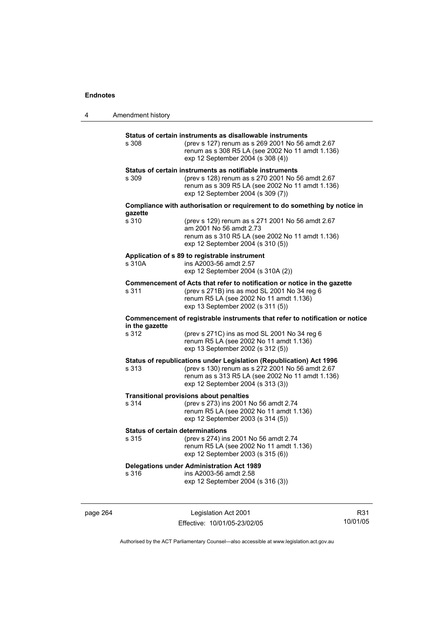| 4 | Amendment history                                |                                                                                                                                                                                                                  |
|---|--------------------------------------------------|------------------------------------------------------------------------------------------------------------------------------------------------------------------------------------------------------------------|
|   | s 308                                            | Status of certain instruments as disallowable instruments<br>(prev s 127) renum as s 269 2001 No 56 amdt 2.67<br>renum as s 308 R5 LA (see 2002 No 11 amdt 1.136)<br>exp 12 September 2004 (s 308 (4))           |
|   | s 309                                            | Status of certain instruments as notifiable instruments<br>(prev s 128) renum as s 270 2001 No 56 amdt 2.67<br>renum as s 309 R5 LA (see 2002 No 11 amdt 1.136)<br>exp 12 September 2004 (s 309 (7))             |
|   |                                                  | Compliance with authorisation or requirement to do something by notice in                                                                                                                                        |
|   | gazette<br>s 310                                 | (prev s 129) renum as s 271 2001 No 56 amdt 2.67<br>am 2001 No 56 amdt 2.73<br>renum as s 310 R5 LA (see 2002 No 11 amdt 1.136)<br>exp 12 September 2004 (s 310 (5))                                             |
|   | s 310A                                           | Application of s 89 to registrable instrument<br>ins A2003-56 amdt 2.57<br>exp 12 September 2004 (s 310A (2))                                                                                                    |
|   | s 311                                            | Commencement of Acts that refer to notification or notice in the gazette<br>(prev s 271B) ins as mod SL 2001 No 34 reg 6<br>renum R5 LA (see 2002 No 11 amdt 1.136)<br>exp 13 September 2002 (s 311 (5))         |
|   | in the gazette                                   | Commencement of registrable instruments that refer to notification or notice                                                                                                                                     |
|   | s 312                                            | (prev s 271C) ins as mod SL 2001 No 34 reg 6<br>renum R5 LA (see 2002 No 11 amdt 1.136)<br>exp 13 September 2002 (s 312 (5))                                                                                     |
|   | s 313                                            | Status of republications under Legislation (Republication) Act 1996<br>(prev s 130) renum as s 272 2001 No 56 amdt 2.67<br>renum as s 313 R5 LA (see 2002 No 11 amdt 1.136)<br>exp 12 September 2004 (s 313 (3)) |
|   | s 314                                            | <b>Transitional provisions about penalties</b><br>(prev s 273) ins 2001 No 56 amdt 2.74<br>renum R5 LA (see 2002 No 11 amdt 1.136)<br>exp 12 September 2003 (s 314 (5))                                          |
|   | <b>Status of certain determinations</b><br>s 315 | (prev s 274) ins 2001 No 56 amdt 2.74<br>renum R5 LA (see 2002 No 11 amdt 1.136)<br>exp 12 September 2003 (s 315 (6))                                                                                            |
|   | s 316                                            | <b>Delegations under Administration Act 1989</b><br>ins A2003-56 amdt 2.58<br>exp 12 September 2004 (s 316 (3))                                                                                                  |
|   |                                                  |                                                                                                                                                                                                                  |

page 264 Legislation Act 2001 Effective: 10/01/05-23/02/05

R31 10/01/05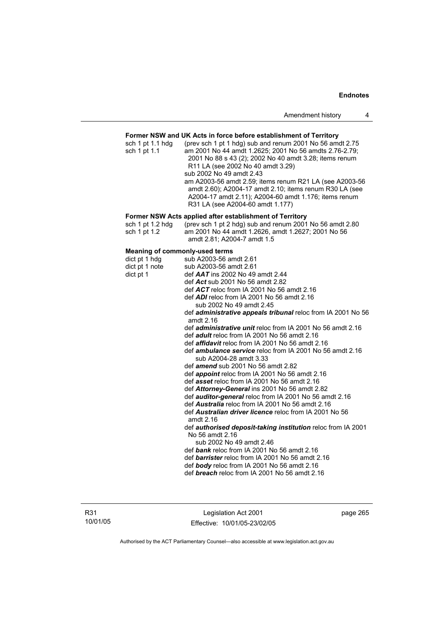### **Former NSW and UK Acts in force before establishment of Territory**

| sch 1 pt 1.1 hdg | (prev sch 1 pt 1 hdg) sub and renum 2001 No 56 amdt 2.75 |
|------------------|----------------------------------------------------------|
| sch 1 pt 1.1     | am 2001 No 44 amdt 1.2625; 2001 No 56 amdts 2.76-2.79;   |
|                  | 2001 No 88 s 43 (2); 2002 No 40 amdt 3.28; items renum   |
|                  | R <sub>11</sub> LA (see 2002 No 40 amdt 3.29)            |
|                  | sub 2002 No 49 amdt 2.43                                 |
|                  | am A2003-56 amdt 2.59; items renum R21 LA (see A2003-56  |
|                  | amdt 2.60); A2004-17 amdt 2.10; items renum R30 LA (see  |
|                  | A2004-17 amdt 2.11); A2004-60 amdt 1.176; items renum    |
|                  | R31 LA (see A2004-60 amdt 1.177)                         |

### **Former NSW Acts applied after establishment of Territory**

| sch 1 pt 1.2 hda | (prev sch 1 pt 2 hdg) sub and renum 2001 No 56 amdt 2.80 |
|------------------|----------------------------------------------------------|
| sch 1 pt 1.2     | am 2001 No 44 amdt 1.2626, amdt 1.2627; 2001 No 56       |
|                  | amdt 2.81: A2004-7 amdt 1.5                              |

### **Meaning of commonly-used terms**

| dict pt 1 hdg  | sub A2003-56 amdt 2.61                                                       |
|----------------|------------------------------------------------------------------------------|
| dict pt 1 note | sub A2003-56 amdt 2.61                                                       |
| dict pt 1      | def $AAT$ ins 2002 No 49 amdt 2.44                                           |
|                | def Act sub 2001 No 56 amdt 2.82                                             |
|                | def $ACT$ reloc from IA 2001 No 56 amdt 2.16                                 |
|                | def $ADI$ reloc from IA 2001 No 56 amdt 2.16                                 |
|                | sub 2002 No 49 amdt 2.45                                                     |
|                | def administrative appeals tribunal reloc from IA 2001 No 56<br>amdt $2.16$  |
|                | def <i>administrative unit</i> reloc from IA 2001 No 56 amdt 2.16            |
|                | def <i>adult</i> reloc from IA 2001 No 56 amdt 2.16                          |
|                | def <i>affidavit</i> reloc from IA 2001 No 56 amdt 2.16                      |
|                | def <i>ambulance service</i> reloc from IA 2001 No 56 amdt 2.16              |
|                | sub A2004-28 amdt 3.33                                                       |
|                | def <i>amend</i> sub 2001 No 56 amdt 2.82                                    |
|                | def <i>appoint</i> reloc from IA 2001 No 56 amdt 2.16                        |
|                | def asset reloc from IA 2001 No 56 amdt 2.16                                 |
|                | def Attorney-General ins 2001 No 56 amdt 2.82                                |
|                | def <b>auditor-general</b> reloc from IA 2001 No 56 amdt 2.16                |
|                | def <b>Australia</b> reloc from IA 2001 No 56 amdt 2.16                      |
|                | def <b>Australian driver licence</b> reloc from IA 2001 No 56<br>amdt $2.16$ |
|                | def authorised deposit-taking institution reloc from IA 2001                 |
|                | No 56 amdt 2.16                                                              |
|                | sub 2002 No 49 amdt 2.46                                                     |
|                | def bank reloc from IA 2001 No 56 amdt 2.16                                  |
|                | def <b>barrister</b> reloc from IA 2001 No 56 amdt 2.16                      |
|                | def body reloc from IA 2001 No 56 amdt 2.16                                  |
|                | def <b>breach</b> reloc from IA 2001 No 56 amdt 2.16                         |
|                |                                                                              |

Legislation Act 2001 Effective: 10/01/05-23/02/05 page 265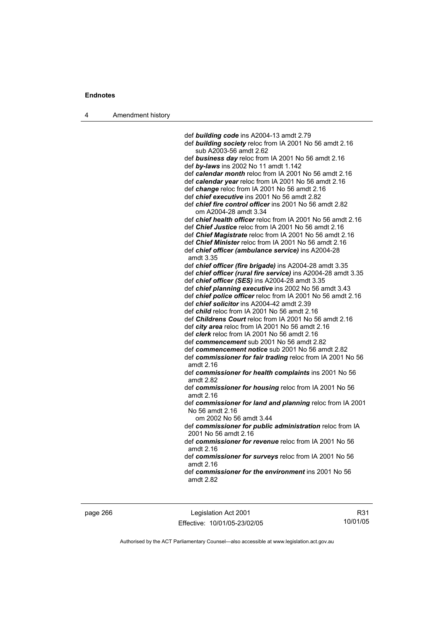4 Amendment history

 def *building code* ins A2004-13 amdt 2.79 def *building society* reloc from IA 2001 No 56 amdt 2.16 sub A2003-56 amdt 2.62 def *business day* reloc from IA 2001 No 56 amdt 2.16 def *by-laws* ins 2002 No 11 amdt 1.142 def *calendar month* reloc from IA 2001 No 56 amdt 2.16 def *calendar year* reloc from IA 2001 No 56 amdt 2.16 def *change* reloc from IA 2001 No 56 amdt 2.16 def *chief executive* ins 2001 No 56 amdt 2.82 def *chief fire control officer* ins 2001 No 56 amdt 2.82 om A2004-28 amdt 3.34 def *chief health officer* reloc from IA 2001 No 56 amdt 2.16 def *Chief Justice* reloc from IA 2001 No 56 amdt 2.16 def *Chief Magistrate* reloc from IA 2001 No 56 amdt 2.16 def *Chief Minister* reloc from IA 2001 No 56 amdt 2.16 def *chief officer (ambulance service)* ins A2004-28 amdt 3.35 def *chief officer (fire brigade)* ins A2004-28 amdt 3.35 def *chief officer (rural fire service)* ins A2004-28 amdt 3.35 def *chief officer (SES)* ins A2004-28 amdt 3.35 def *chief planning executive* ins 2002 No 56 amdt 3.43 def *chief police officer* reloc from IA 2001 No 56 amdt 2.16 def *chief solicitor* ins A2004-42 amdt 2.39 def *child* reloc from IA 2001 No 56 amdt 2.16 def *Childrens Court* reloc from IA 2001 No 56 amdt 2.16 def *city area* reloc from IA 2001 No 56 amdt 2.16 def *clerk* reloc from IA 2001 No 56 amdt 2.16 def *commencement* sub 2001 No 56 amdt 2.82 def *commencement notice* sub 2001 No 56 amdt 2.82 def *commissioner for fair trading* reloc from IA 2001 No 56 amdt 2.16 def *commissioner for health complaints* ins 2001 No 56 amdt 2.82 def *commissioner for housing* reloc from IA 2001 No 56 amdt 2.16 def *commissioner for land and planning* reloc from IA 2001 No 56 amdt 2.16 om 2002 No 56 amdt 3.44 def *commissioner for public administration* reloc from IA 2001 No 56 amdt 2.16 def *commissioner for revenue* reloc from IA 2001 No 56 amdt 2.16 def *commissioner for surveys* reloc from IA 2001 No 56 amdt 2.16 def *commissioner for the environment* ins 2001 No 56

amdt 2.82

page 266 Legislation Act 2001 Effective: 10/01/05-23/02/05

R31 10/01/05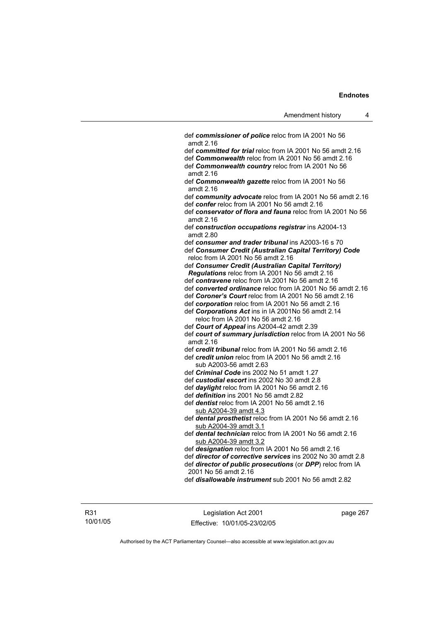def *commissioner of police* reloc from IA 2001 No 56 amdt 2.16 def *committed for trial* reloc from IA 2001 No 56 amdt 2.16 def *Commonwealth* reloc from IA 2001 No 56 amdt 2.16 def *Commonwealth country* reloc from IA 2001 No 56 amdt 2.16 def *Commonwealth gazette* reloc from IA 2001 No 56 amdt 2.16 def *community advocate* reloc from IA 2001 No 56 amdt 2.16 def *confer* reloc from IA 2001 No 56 amdt 2.16 def *conservator of flora and fauna* reloc from IA 2001 No 56 amdt 2.16 def *construction occupations registrar* ins A2004-13 amdt 2.80 def *consumer and trader tribunal* ins A2003-16 s 70 def *Consumer Credit (Australian Capital Territory) Code* reloc from IA 2001 No 56 amdt 2.16 def *Consumer Credit (Australian Capital Territory) Regulations* reloc from IA 2001 No 56 amdt 2.16 def *contravene* reloc from IA 2001 No 56 amdt 2.16 def *converted ordinance* reloc from IA 2001 No 56 amdt 2.16 def *Coroner's Court* reloc from IA 2001 No 56 amdt 2.16 def *corporation* reloc from IA 2001 No 56 amdt 2.16 def *Corporations Act* ins in IA 2001No 56 amdt 2.14 reloc from IA 2001 No 56 amdt 2.16 def *Court of Appeal* ins A2004-42 amdt 2.39 def *court of summary jurisdiction* reloc from IA 2001 No 56 amdt 2.16 def *credit tribunal* reloc from IA 2001 No 56 amdt 2.16 def *credit union* reloc from IA 2001 No 56 amdt 2.16 sub A2003-56 amdt 2.63 def *Criminal Code* ins 2002 No 51 amdt 1.27 def *custodial escort* ins 2002 No 30 amdt 2.8 def *daylight* reloc from IA 2001 No 56 amdt 2.16 def *definition* ins 2001 No 56 amdt 2.82 def *dentist* reloc from IA 2001 No 56 amdt 2.16 sub A2004-39 amdt 4.3 def *dental prosthetist* reloc from IA 2001 No 56 amdt 2.16 sub A2004-39 amdt 3.1 def *dental technician* reloc from IA 2001 No 56 amdt 2.16 sub A2004-39 amdt 3.2 def *designation* reloc from IA 2001 No 56 amdt 2.16 def *director of corrective services* ins 2002 No 30 amdt 2.8 def *director of public prosecutions* (or *DPP*) reloc from IA 2001 No 56 amdt 2.16

def *disallowable instrument* sub 2001 No 56 amdt 2.82

R31 10/01/05

Legislation Act 2001 Effective: 10/01/05-23/02/05 page 267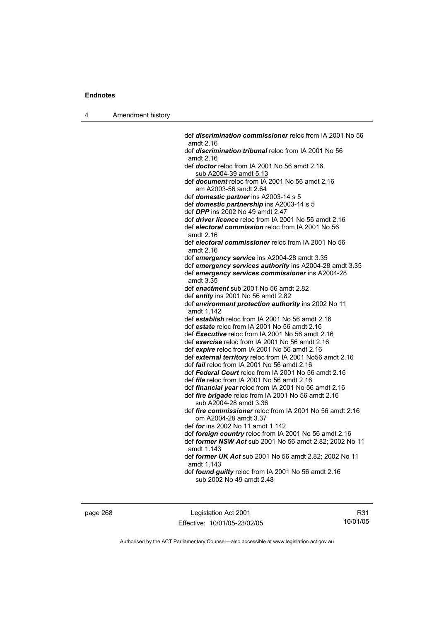4 Amendment history

 def *discrimination commissioner* reloc from IA 2001 No 56 amdt 2.16 def *discrimination tribunal* reloc from IA 2001 No 56 amdt 2.16 def *doctor* reloc from IA 2001 No 56 amdt 2.16 sub A2004-39 amdt 5.13 def *document* reloc from IA 2001 No 56 amdt 2.16 am A2003-56 amdt 2.64 def *domestic partner* ins A2003-14 s 5 def *domestic partnership* ins A2003-14 s 5 def *DPP* ins 2002 No 49 amdt 2.47 def *driver licence* reloc from IA 2001 No 56 amdt 2.16 def *electoral commission* reloc from IA 2001 No 56 amdt 2.16 def *electoral commissioner* reloc from IA 2001 No 56 amdt 2.16 def *emergency service* ins A2004-28 amdt 3.35 def *emergency services authority* ins A2004-28 amdt 3.35 def *emergency services commissioner* ins A2004-28 amdt 3.35 def *enactment* sub 2001 No 56 amdt 2.82 def *entity* ins 2001 No 56 amdt 2.82 def *environment protection authority* ins 2002 No 11 amdt 1.142 def *establish* reloc from IA 2001 No 56 amdt 2.16 def *estate* reloc from IA 2001 No 56 amdt 2.16 def *Executive* reloc from IA 2001 No 56 amdt 2.16 def *exercise* reloc from IA 2001 No 56 amdt 2.16 def *expire* reloc from IA 2001 No 56 amdt 2.16 def *external territory* reloc from IA 2001 No56 amdt 2.16 def *fail* reloc from IA 2001 No 56 amdt 2.16 def *Federal Court* reloc from IA 2001 No 56 amdt 2.16 def *file* reloc from IA 2001 No 56 amdt 2.16 def *financial year* reloc from IA 2001 No 56 amdt 2.16 def *fire brigade* reloc from IA 2001 No 56 amdt 2.16 sub A2004-28 amdt 3.36 def *fire commissioner* reloc from IA 2001 No 56 amdt 2.16 om A2004-28 amdt 3.37 def *for* ins 2002 No 11 amdt 1.142 def *foreign country* reloc from IA 2001 No 56 amdt 2.16 def *former NSW Act* sub 2001 No 56 amdt 2.82; 2002 No 11 amdt 1.143 def *former UK Act* sub 2001 No 56 amdt 2.82; 2002 No 11 amdt 1.143 def *found guilty* reloc from IA 2001 No 56 amdt 2.16 sub 2002 No 49 amdt 2.48

page 268 Legislation Act 2001 Effective: 10/01/05-23/02/05

R31 10/01/05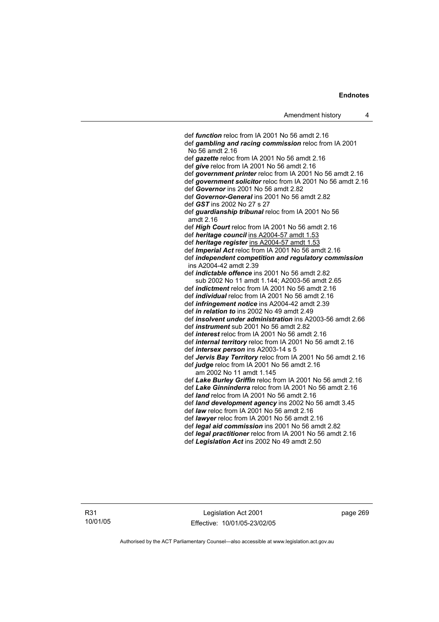def *function* reloc from IA 2001 No 56 amdt 2.16 def *gambling and racing commission* reloc from IA 2001 No 56 amdt 2.16 def *gazette* reloc from IA 2001 No 56 amdt 2.16 def *give* reloc from IA 2001 No 56 amdt 2.16 def *government printer* reloc from IA 2001 No 56 amdt 2.16 def *government solicitor* reloc from IA 2001 No 56 amdt 2.16 def *Governor* ins 2001 No 56 amdt 2.82 def *Governor-General* ins 2001 No 56 amdt 2.82 def *GST* ins 2002 No 27 s 27 def *guardianship tribunal* reloc from IA 2001 No 56 amdt 2.16 def *High Court* reloc from IA 2001 No 56 amdt 2.16 def *heritage council* ins A2004-57 amdt 1.53 def *heritage register* ins A2004-57 amdt 1.53 def *Imperial Act* reloc from IA 2001 No 56 amdt 2.16 def *independent competition and regulatory commission*  ins A2004-42 amdt 2.39 def *indictable offence* ins 2001 No 56 amdt 2.82 sub 2002 No 11 amdt 1.144; A2003-56 amdt 2.65 def *indictment* reloc from IA 2001 No 56 amdt 2.16 def *individual* reloc from IA 2001 No 56 amdt 2.16 def *infringement notice* ins A2004-42 amdt 2.39 def *in relation to* ins 2002 No 49 amdt 2.49 def *insolvent under administration* ins A2003-56 amdt 2.66 def *instrument* sub 2001 No 56 amdt 2.82 def *interest* reloc from IA 2001 No 56 amdt 2.16 def *internal territory* reloc from IA 2001 No 56 amdt 2.16 def *intersex person* ins A2003-14 s 5 def *Jervis Bay Territory* reloc from IA 2001 No 56 amdt 2.16 def *judge* reloc from IA 2001 No 56 amdt 2.16 am 2002 No 11 amdt 1.145 def *Lake Burley Griffin* reloc from IA 2001 No 56 amdt 2.16 def *Lake Ginninderra* reloc from IA 2001 No 56 amdt 2.16 def *land* reloc from IA 2001 No 56 amdt 2.16 def *land development agency* ins 2002 No 56 amdt 3.45 def *law* reloc from IA 2001 No 56 amdt 2.16 def *lawyer* reloc from IA 2001 No 56 amdt 2.16 def *legal aid commission* ins 2001 No 56 amdt 2.82 def *legal practitioner* reloc from IA 2001 No 56 amdt 2.16 def *Legislation Act* ins 2002 No 49 amdt 2.50

R31 10/01/05

Legislation Act 2001 Effective: 10/01/05-23/02/05 page 269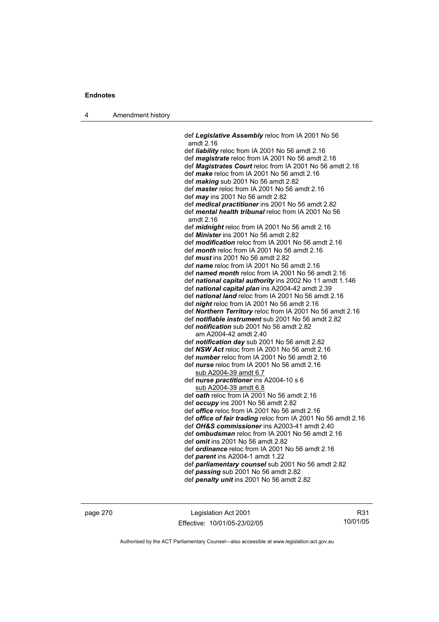4 Amendment history

 def *Legislative Assembly* reloc from IA 2001 No 56 amdt 2.16 def *liability* reloc from IA 2001 No 56 amdt 2.16 def *magistrate* reloc from IA 2001 No 56 amdt 2.16 def *Magistrates Court* reloc from IA 2001 No 56 amdt 2.16 def *make* reloc from IA 2001 No 56 amdt 2.16 def *making* sub 2001 No 56 amdt 2.82 def *master* reloc from IA 2001 No 56 amdt 2.16 def *may* ins 2001 No 56 amdt 2.82 def *medical practitioner* ins 2001 No 56 amdt 2.82 def *mental health tribunal* reloc from IA 2001 No 56 amdt 2.16 def *midnight* reloc from IA 2001 No 56 amdt 2.16 def *Minister* ins 2001 No 56 amdt 2.82 def *modification* reloc from IA 2001 No 56 amdt 2.16 def *month* reloc from IA 2001 No 56 amdt 2.16 def *must* ins 2001 No 56 amdt 2.82 def *name* reloc from IA 2001 No 56 amdt 2.16 def *named month* reloc from IA 2001 No 56 amdt 2.16 def *national capital authority* ins 2002 No 11 amdt 1.146 def *national capital plan* ins A2004-42 amdt 2.39 def *national land* reloc from IA 2001 No 56 amdt 2.16 def *night* reloc from IA 2001 No 56 amdt 2.16 def *Northern Territory* reloc from IA 2001 No 56 amdt 2.16 def *notifiable instrument* sub 2001 No 56 amdt 2.82 def *notification* sub 2001 No 56 amdt 2.82 am A2004-42 amdt 2.40 def *notification day* sub 2001 No 56 amdt 2.82 def *NSW Act* reloc from IA 2001 No 56 amdt 2.16 def *number* reloc from IA 2001 No 56 amdt 2.16 def *nurse* reloc from IA 2001 No 56 amdt 2.16 sub A2004-39 amdt 6.7 def *nurse practitioner* ins A2004-10 s 6 sub A2004-39 amdt 6.8 def *oath* reloc from IA 2001 No 56 amdt 2.16 def *occupy* ins 2001 No 56 amdt 2.82 def *office* reloc from IA 2001 No 56 amdt 2.16 def *office of fair trading* reloc from IA 2001 No 56 amdt 2.16 def *OH&S commissioner* ins A2003-41 amdt 2.40 def *ombudsman* reloc from IA 2001 No 56 amdt 2.16 def *omit* ins 2001 No 56 amdt 2.82 def *ordinance* reloc from IA 2001 No 56 amdt 2.16 def *parent* ins A2004-1 amdt 1.22 def *parliamentary counsel* sub 2001 No 56 amdt 2.82 def *passing* sub 2001 No 56 amdt 2.82

def *penalty unit* ins 2001 No 56 amdt 2.82

page 270 Legislation Act 2001 Effective: 10/01/05-23/02/05

R31 10/01/05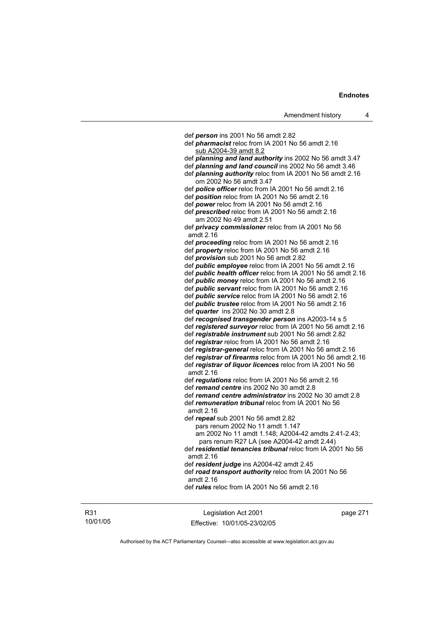def *person* ins 2001 No 56 amdt 2.82 def *pharmacist* reloc from IA 2001 No 56 amdt 2.16 sub A2004-39 amdt 8.2 def *planning and land authority* ins 2002 No 56 amdt 3.47 def *planning and land council* ins 2002 No 56 amdt 3.46 def *planning authority* reloc from IA 2001 No 56 amdt 2.16 om 2002 No 56 amdt 3.47 def *police officer* reloc from IA 2001 No 56 amdt 2.16 def *position* reloc from IA 2001 No 56 amdt 2.16 def *power* reloc from IA 2001 No 56 amdt 2.16 def *prescribed* reloc from IA 2001 No 56 amdt 2.16 am 2002 No 49 amdt 2.51 def *privacy commissioner* reloc from IA 2001 No 56 amdt 2.16 def *proceeding* reloc from IA 2001 No 56 amdt 2.16 def *property* reloc from IA 2001 No 56 amdt 2.16 def *provision* sub 2001 No 56 amdt 2.82 def *public employee* reloc from IA 2001 No 56 amdt 2.16 def *public health officer* reloc from IA 2001 No 56 amdt 2.16 def *public money* reloc from IA 2001 No 56 amdt 2.16 def *public servant* reloc from IA 2001 No 56 amdt 2.16 def *public service* reloc from IA 2001 No 56 amdt 2.16 def *public trustee* reloc from IA 2001 No 56 amdt 2.16 def *quarter* ins 2002 No 30 amdt 2.8 def *recognised transgender person* ins A2003-14 s 5 def *registered surveyor* reloc from IA 2001 No 56 amdt 2.16 def *registrable instrument* sub 2001 No 56 amdt 2.82 def *registrar* reloc from IA 2001 No 56 amdt 2.16 def *registrar-general* reloc from IA 2001 No 56 amdt 2.16 def *registrar of firearms* reloc from IA 2001 No 56 amdt 2.16 def *registrar of liquor licences* reloc from IA 2001 No 56 amdt 2.16 def *regulations* reloc from IA 2001 No 56 amdt 2.16 def *remand centre* ins 2002 No 30 amdt 2.8 def *remand centre administrator* ins 2002 No 30 amdt 2.8 def *remuneration tribunal* reloc from IA 2001 No 56 amdt 2.16 def *repeal* sub 2001 No 56 amdt 2.82 pars renum 2002 No 11 amdt 1.147 am 2002 No 11 amdt 1.148; A2004-42 amdts 2.41-2.43; pars renum R27 LA (see A2004-42 amdt 2.44) def *residential tenancies tribunal* reloc from IA 2001 No 56 amdt 2.16 def *resident judge* ins A2004-42 amdt 2.45 def *road transport authority* reloc from IA 2001 No 56 amdt 2.16

def *rules* reloc from IA 2001 No 56 amdt 2.16

R31 10/01/05

Legislation Act 2001 Effective: 10/01/05-23/02/05 page 271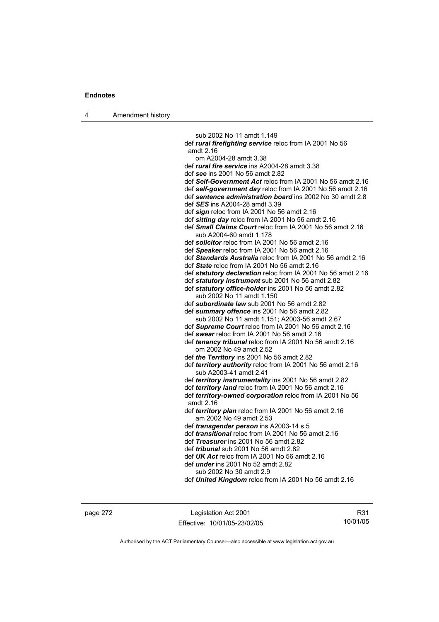4 Amendment history

 sub 2002 No 11 amdt 1.149 def *rural firefighting service* reloc from IA 2001 No 56 amdt 2.16 om A2004-28 amdt 3.38 def *rural fire service* ins A2004-28 amdt 3.38 def *see* ins 2001 No 56 amdt 2.82 def *Self-Government Act* reloc from IA 2001 No 56 amdt 2.16 def *self-government day* reloc from IA 2001 No 56 amdt 2.16 def *sentence administration board* ins 2002 No 30 amdt 2.8 def *SES* ins A2004-28 amdt 3.39 def *sign* reloc from IA 2001 No 56 amdt 2.16 def *sitting day* reloc from IA 2001 No 56 amdt 2.16 def *Small Claims Court* reloc from IA 2001 No 56 amdt 2.16 sub A2004-60 amdt 1.178 def *solicitor* reloc from IA 2001 No 56 amdt 2.16 def *Speaker* reloc from IA 2001 No 56 amdt 2.16 def *Standards Australia* reloc from IA 2001 No 56 amdt 2.16 def *State* reloc from IA 2001 No 56 amdt 2.16 def *statutory declaration* reloc from IA 2001 No 56 amdt 2.16 def *statutory instrument* sub 2001 No 56 amdt 2.82 def *statutory office-holder* ins 2001 No 56 amdt 2.82 sub 2002 No 11 amdt 1.150 def *subordinate law* sub 2001 No 56 amdt 2.82 def *summary offence* ins 2001 No 56 amdt 2.82 sub 2002 No 11 amdt 1.151; A2003-56 amdt 2.67 def *Supreme Court* reloc from IA 2001 No 56 amdt 2.16 def *swear* reloc from IA 2001 No 56 amdt 2.16 def *tenancy tribunal* reloc from IA 2001 No 56 amdt 2.16 om 2002 No 49 amdt 2.52 def *the Territory* ins 2001 No 56 amdt 2.82 def *territory authority* reloc from IA 2001 No 56 amdt 2.16 sub A2003-41 amdt 2.41 def *territory instrumentality* ins 2001 No 56 amdt 2.82 def *territory land* reloc from IA 2001 No 56 amdt 2.16 def *territory-owned corporation* reloc from IA 2001 No 56 amdt 2.16 def *territory plan* reloc from IA 2001 No 56 amdt 2.16 am 2002 No 49 amdt 2.53 def *transgender person* ins A2003-14 s 5 def *transitional* reloc from IA 2001 No 56 amdt 2.16 def *Treasurer* ins 2001 No 56 amdt 2.82 def *tribunal* sub 2001 No 56 amdt 2.82 def *UK Act* reloc from IA 2001 No 56 amdt 2.16 def *under* ins 2001 No 52 amdt 2.82 sub 2002 No 30 amdt 2.9 def *United Kingdom* reloc from IA 2001 No 56 amdt 2.16

page 272 Legislation Act 2001 Effective: 10/01/05-23/02/05

R31 10/01/05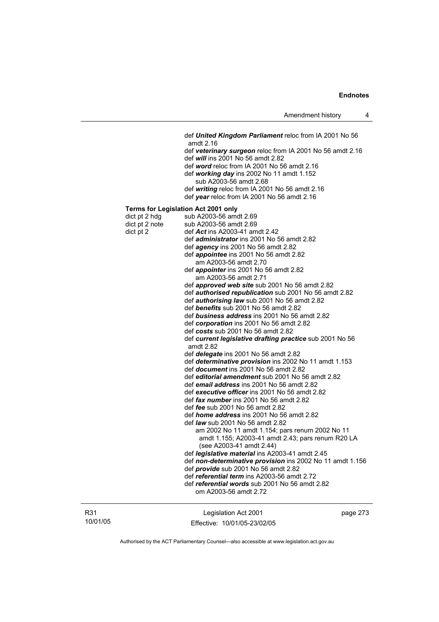def *United Kingdom Parliament* reloc from IA 2001 No 56 amdt 2.16 def *veterinary surgeon* reloc from IA 2001 No 56 amdt 2.16 def *will* ins 2001 No 56 amdt 2.82 def *word* reloc from IA 2001 No 56 amdt 2.16 def *working day* ins 2002 No 11 amdt 1.152 sub A2003-56 amdt 2.68 def *writing* reloc from IA 2001 No 56 amdt 2.16 def *year* reloc from IA 2001 No 56 amdt 2.16 **Terms for Legislation Act 2001 only**  dict pt 2 hdg sub A2003-56 amdt  $2.69$ <br>dict pt 2 note sub A2003-56 amdt  $2.69$ sub A2003-56 amdt 2.69 dict pt 2 def *Act* ins A2003-41 amdt 2.42 def *administrator* ins 2001 No 56 amdt 2.82 def *agency* ins 2001 No 56 amdt 2.82 def *appointee* ins 2001 No 56 amdt 2.82 am A2003-56 amdt 2.70 def *appointer* ins 2001 No 56 amdt 2.82 am A2003-56 amdt 2.71 def *approved web site* sub 2001 No 56 amdt 2.82 def *authorised republication* sub 2001 No 56 amdt 2.82 def *authorising law* sub 2001 No 56 amdt 2.82 def *benefits* sub 2001 No 56 amdt 2.82 def *business address* ins 2001 No 56 amdt 2.82 def *corporation* ins 2001 No 56 amdt 2.82 def *costs* sub 2001 No 56 amdt 2.82 def *current legislative drafting practice* sub 2001 No 56 amdt 2.82 def *delegate* ins 2001 No 56 amdt 2.82 def *determinative provision* ins 2002 No 11 amdt 1.153 def *document* ins 2001 No 56 amdt 2.82 def *editorial amendment* sub 2001 No 56 amdt 2.82 def *email address* ins 2001 No 56 amdt 2.82 def *executive officer* ins 2001 No 56 amdt 2.82 def *fax number* ins 2001 No 56 amdt 2.82 def *fee* sub 2001 No 56 amdt 2.82 def *home address* ins 2001 No 56 amdt 2.82 def *law* sub 2001 No 56 amdt 2.82 am 2002 No 11 amdt 1.154; pars renum 2002 No 11 amdt 1.155; A2003-41 amdt 2.43; pars renum R20 LA (see A2003-41 amdt 2.44) def *legislative material* ins A2003-41 amdt 2.45 def *non-determinative provision* ins 2002 No 11 amdt 1.156 def *provide* sub 2001 No 56 amdt 2.82 def *referential term* ins A2003-56 amdt 2.72 def *referential words* sub 2001 No 56 amdt 2.82 om A2003-56 amdt 2.72

R31 10/01/05

Legislation Act 2001 Effective: 10/01/05-23/02/05 page 273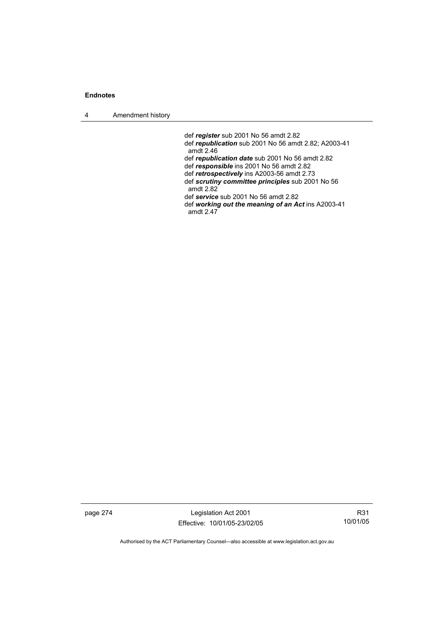4 Amendment history

 def *register* sub 2001 No 56 amdt 2.82 def *republication* sub 2001 No 56 amdt 2.82; A2003-41 amdt 2.46 def *republication date* sub 2001 No 56 amdt 2.82 def *responsible* ins 2001 No 56 amdt 2.82 def *retrospectively* ins A2003-56 amdt 2.73 def *scrutiny committee principles* sub 2001 No 56 amdt 2.82 def *service* sub 2001 No 56 amdt 2.82 def *working out the meaning of an Act* ins A2003-41 amdt 2.47

page 274 Legislation Act 2001 Effective: 10/01/05-23/02/05

R31 10/01/05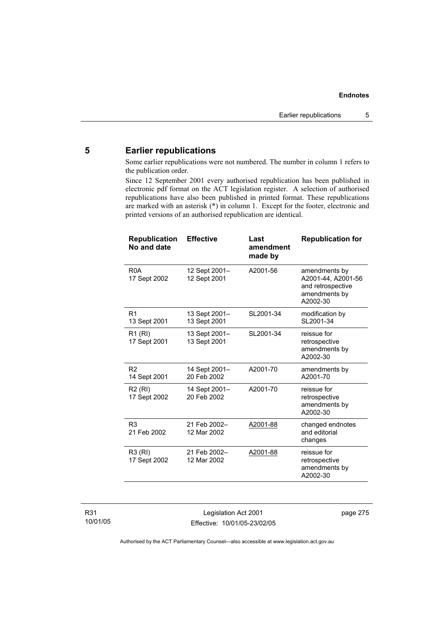## **5 Earlier republications**

Some earlier republications were not numbered. The number in column 1 refers to the publication order.

Since 12 September 2001 every authorised republication has been published in electronic pdf format on the ACT legislation register. A selection of authorised republications have also been published in printed format. These republications are marked with an asterisk (\*) in column 1. Except for the footer, electronic and printed versions of an authorised republication are identical.

| <b>Republication</b><br>No and date | <b>Effective</b>              | Last<br>amendment<br>made by | <b>Republication for</b>                                                              |
|-------------------------------------|-------------------------------|------------------------------|---------------------------------------------------------------------------------------|
| R <sub>0</sub> A<br>17 Sept 2002    | 12 Sept 2001-<br>12 Sept 2001 | A2001-56                     | amendments by<br>A2001-44, A2001-56<br>and retrospective<br>amendments by<br>A2002-30 |
| R <sub>1</sub><br>13 Sept 2001      | 13 Sept 2001-<br>13 Sept 2001 | SL2001-34                    | modification by<br>SL2001-34                                                          |
| R <sub>1</sub> (RI)<br>17 Sept 2001 | 13 Sept 2001-<br>13 Sept 2001 | SL2001-34                    | reissue for<br>retrospective<br>amendments by<br>A2002-30                             |
| R <sub>2</sub><br>14 Sept 2001      | 14 Sept 2001-<br>20 Feb 2002  | A2001-70                     | amendments by<br>A2001-70                                                             |
| R <sub>2</sub> (RI)<br>17 Sept 2002 | 14 Sept 2001-<br>20 Feb 2002  | A2001-70                     | reissue for<br>retrospective<br>amendments by<br>A2002-30                             |
| R <sub>3</sub><br>21 Feb 2002       | 21 Feb 2002-<br>12 Mar 2002   | A2001-88                     | changed endnotes<br>and editorial<br>changes                                          |
| R3 (RI)<br>17 Sept 2002             | 21 Feb 2002-<br>12 Mar 2002   | A2001-88                     | reissue for<br>retrospective<br>amendments by<br>A2002-30                             |

Legislation Act 2001 Effective: 10/01/05-23/02/05 page 275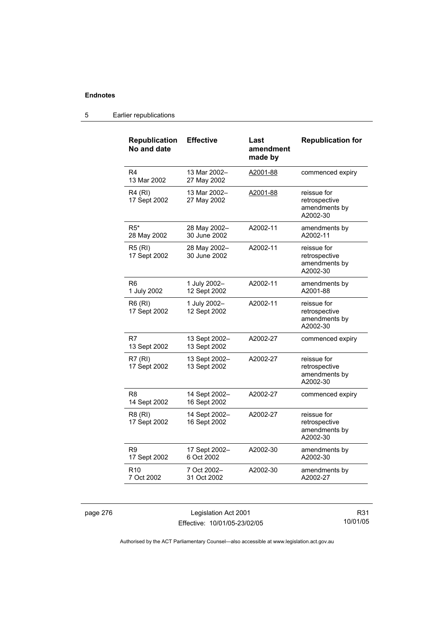| <b>Republication</b><br>No and date | <b>Effective</b>              | Last<br>amendment<br>made by | <b>Republication for</b>                                  |
|-------------------------------------|-------------------------------|------------------------------|-----------------------------------------------------------|
| R4<br>13 Mar 2002                   | 13 Mar 2002-<br>27 May 2002   | A2001-88                     | commenced expiry                                          |
| <b>R4 (RI)</b><br>17 Sept 2002      | 13 Mar 2002-<br>27 May 2002   | A2001-88                     | reissue for<br>retrospective<br>amendments by<br>A2002-30 |
| $R5*$<br>28 May 2002                | 28 May 2002-<br>30 June 2002  | A2002-11                     | amendments by<br>A2002-11                                 |
| <b>R5 (RI)</b><br>17 Sept 2002      | 28 May 2002-<br>30 June 2002  | A2002-11                     | reissue for<br>retrospective<br>amendments by<br>A2002-30 |
| R <sub>6</sub><br>1 July 2002       | 1 July 2002-<br>12 Sept 2002  | A2002-11                     | amendments by<br>A2001-88                                 |
| <b>R6 (RI)</b><br>17 Sept 2002      | 1 July 2002-<br>12 Sept 2002  | A2002-11                     | reissue for<br>retrospective<br>amendments by<br>A2002-30 |
| R7<br>13 Sept 2002                  | 13 Sept 2002-<br>13 Sept 2002 | A2002-27                     | commenced expiry                                          |
| <b>R7 (RI)</b><br>17 Sept 2002      | 13 Sept 2002-<br>13 Sept 2002 | A2002-27                     | reissue for<br>retrospective<br>amendments by<br>A2002-30 |
| R8<br>14 Sept 2002                  | 14 Sept 2002-<br>16 Sept 2002 | A2002-27                     | commenced expiry                                          |
| R8 (RI)<br>17 Sept 2002             | 14 Sept 2002-<br>16 Sept 2002 | A2002-27                     | reissue for<br>retrospective<br>amendments by<br>A2002-30 |
| R9<br>17 Sept 2002                  | 17 Sept 2002-<br>6 Oct 2002   | A2002-30                     | amendments by<br>A2002-30                                 |
| R <sub>10</sub><br>7 Oct 2002       | 7 Oct 2002-<br>31 Oct 2002    | A2002-30                     | amendments by<br>A2002-27                                 |

### 5 Earlier republications

page 276 Legislation Act 2001 Effective: 10/01/05-23/02/05

R31 10/01/05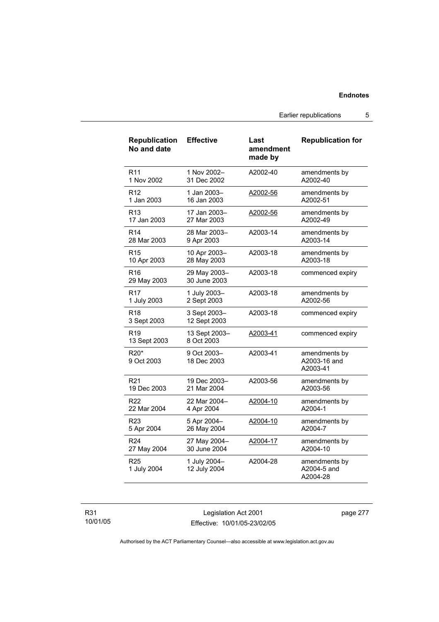Earlier republications 5

| <b>Republication</b><br>No and date        | <b>Effective</b>             | Last<br>amendment<br>made by | <b>Republication for</b>                  |
|--------------------------------------------|------------------------------|------------------------------|-------------------------------------------|
| R <sub>11</sub>                            | 1 Nov 2002-                  | A2002-40                     | amendments by                             |
| 1 Nov 2002                                 | 31 Dec 2002                  |                              | A2002-40                                  |
| R <sub>12</sub>                            | 1 Jan 2003-                  | A2002-56                     | amendments by                             |
| 1 Jan 2003                                 | 16 Jan 2003                  |                              | A2002-51                                  |
| R <sub>13</sub>                            | 17 Jan 2003-                 | A2002-56                     | amendments by                             |
| 17 Jan 2003                                | 27 Mar 2003                  |                              | A2002-49                                  |
| R <sub>14</sub>                            | 28 Mar 2003-                 | A2003-14                     | amendments by                             |
| 28 Mar 2003                                | 9 Apr 2003                   |                              | A2003-14                                  |
| R <sub>15</sub>                            | 10 Apr 2003-                 | A2003-18                     | amendments by                             |
| 10 Apr 2003                                | 28 May 2003                  |                              | A2003-18                                  |
| R <sub>16</sub><br>29 May 2003             | 29 May 2003-<br>30 June 2003 | A2003-18                     | commenced expiry                          |
| R <sub>17</sub>                            | 1 July 2003-                 | A2003-18                     | amendments by                             |
| 1 July 2003                                | 2 Sept 2003                  |                              | A2002-56                                  |
| R <sub>18</sub><br>3 Sept 2003             | 3 Sept 2003-<br>12 Sept 2003 | A2003-18                     | commenced expiry                          |
| R <sub>19</sub><br>13 Sept 2003            | 13 Sept 2003-<br>8 Oct 2003  | A2003-41                     | commenced expiry                          |
| R <sub>20</sub> <sup>*</sup><br>9 Oct 2003 | 9 Oct 2003-<br>18 Dec 2003   | A2003-41                     | amendments by<br>A2003-16 and<br>A2003-41 |
| R <sub>21</sub>                            | 19 Dec 2003-                 | A2003-56                     | amendments by                             |
| 19 Dec 2003                                | 21 Mar 2004                  |                              | A2003-56                                  |
| R <sub>22</sub>                            | 22 Mar 2004-                 | A2004-10                     | amendments by                             |
| 22 Mar 2004                                | 4 Apr 2004                   |                              | A2004-1                                   |
| R <sub>23</sub>                            | 5 Apr 2004-                  | A2004-10                     | amendments by                             |
| 5 Apr 2004                                 | 26 May 2004                  |                              | A2004-7                                   |
| R <sub>24</sub>                            | 27 May 2004-                 | A2004-17                     | amendments by                             |
| 27 May 2004                                | 30 June 2004                 |                              | A2004-10                                  |
| R <sub>25</sub><br>1 July 2004             | 1 July 2004-<br>12 July 2004 | A2004-28                     | amendments by<br>A2004-5 and<br>A2004-28  |

R31 10/01/05

Legislation Act 2001 Effective: 10/01/05-23/02/05 page 277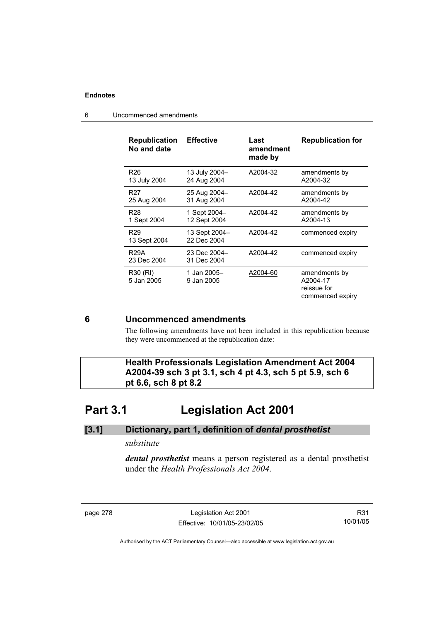| <b>Republication</b><br>No and date | <b>Effective</b>             | Last<br>amendment<br>made by | <b>Republication for</b>                                     |
|-------------------------------------|------------------------------|------------------------------|--------------------------------------------------------------|
| R <sub>26</sub><br>13 July 2004     | 13 July 2004-<br>24 Aug 2004 | A2004-32                     | amendments by<br>A2004-32                                    |
| R <sub>27</sub><br>25 Aug 2004      | 25 Aug 2004-<br>31 Aug 2004  | A2004-42                     | amendments by<br>A2004-42                                    |
| R <sub>28</sub><br>1 Sept 2004      | 1 Sept 2004-<br>12 Sept 2004 | A2004-42                     | amendments by<br>A2004-13                                    |
| R <sub>29</sub><br>13 Sept 2004     | 13 Sept 2004-<br>22 Dec 2004 | A2004-42                     | commenced expiry                                             |
| <b>R29A</b><br>23 Dec 2004          | 23 Dec 2004-<br>31 Dec 2004  | A2004-42                     | commenced expiry                                             |
| R30 (RI)<br>5 Jan 2005              | 1 Jan 2005–<br>9 Jan 2005    | A2004-60                     | amendments by<br>A2004-17<br>reissue for<br>commenced expiry |

6 Uncommenced amendments

## **6 Uncommenced amendments**

The following amendments have not been included in this republication because they were uncommenced at the republication date:

 **Health Professionals Legislation Amendment Act 2004 A2004-39 sch 3 pt 3.1, sch 4 pt 4.3, sch 5 pt 5.9, sch 6 pt 6.6, sch 8 pt 8.2** 

# **Part 3.1 Legislation Act 2001**

### **[3.1] Dictionary, part 1, definition of** *dental prosthetist*

### *substitute*

*dental prosthetist* means a person registered as a dental prosthetist under the *Health Professionals Act 2004*.

page 278 Legislation Act 2001 Effective: 10/01/05-23/02/05

R31 10/01/05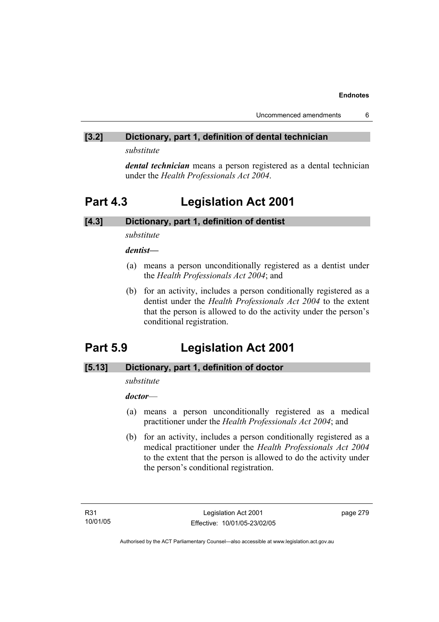## **[3.2] Dictionary, part 1, definition of dental technician**

*substitute* 

*dental technician* means a person registered as a dental technician under the *Health Professionals Act 2004*.

# **Part 4.3 Legislation Act 2001**

## **[4.3] Dictionary, part 1, definition of dentist**

*substitute* 

*dentist***—**

- (a) means a person unconditionally registered as a dentist under the *Health Professionals Act 2004*; and
- (b) for an activity, includes a person conditionally registered as a dentist under the *Health Professionals Act 2004* to the extent that the person is allowed to do the activity under the person's conditional registration.

# **Part 5.9 Legislation Act 2001**

## **[5.13] Dictionary, part 1, definition of doctor**

## *substitute*

*doctor*—

- (a) means a person unconditionally registered as a medical practitioner under the *Health Professionals Act 2004*; and
- (b) for an activity, includes a person conditionally registered as a medical practitioner under the *Health Professionals Act 2004*  to the extent that the person is allowed to do the activity under the person's conditional registration.

page 279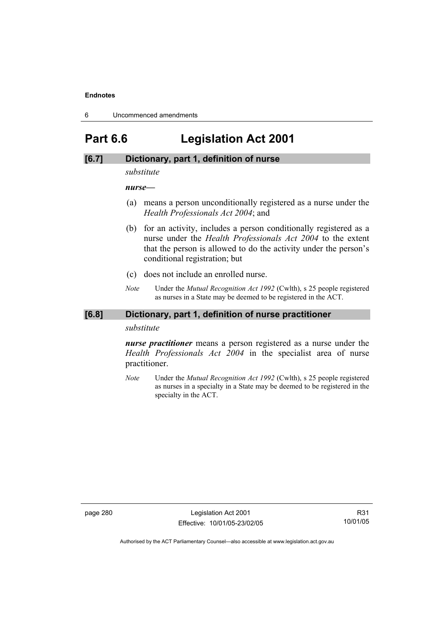6 Uncommenced amendments

# **Part 6.6 Legislation Act 2001**

### **[6.7] Dictionary, part 1, definition of nurse**

*substitute* 

*nurse***—**

- (a) means a person unconditionally registered as a nurse under the *Health Professionals Act 2004*; and
- (b) for an activity, includes a person conditionally registered as a nurse under the *Health Professionals Act 2004* to the extent that the person is allowed to do the activity under the person's conditional registration; but
- (c) does not include an enrolled nurse.
- *Note* Under the *Mutual Recognition Act 1992* (Cwlth), s 25 people registered as nurses in a State may be deemed to be registered in the ACT.

### **[6.8] Dictionary, part 1, definition of nurse practitioner**

*substitute* 

*nurse practitioner* means a person registered as a nurse under the *Health Professionals Act 2004* in the specialist area of nurse practitioner.

*Note* Under the *Mutual Recognition Act 1992* (Cwlth), s 25 people registered as nurses in a specialty in a State may be deemed to be registered in the specialty in the ACT.

page 280 **Legislation Act 2001** Effective: 10/01/05-23/02/05

R31 10/01/05